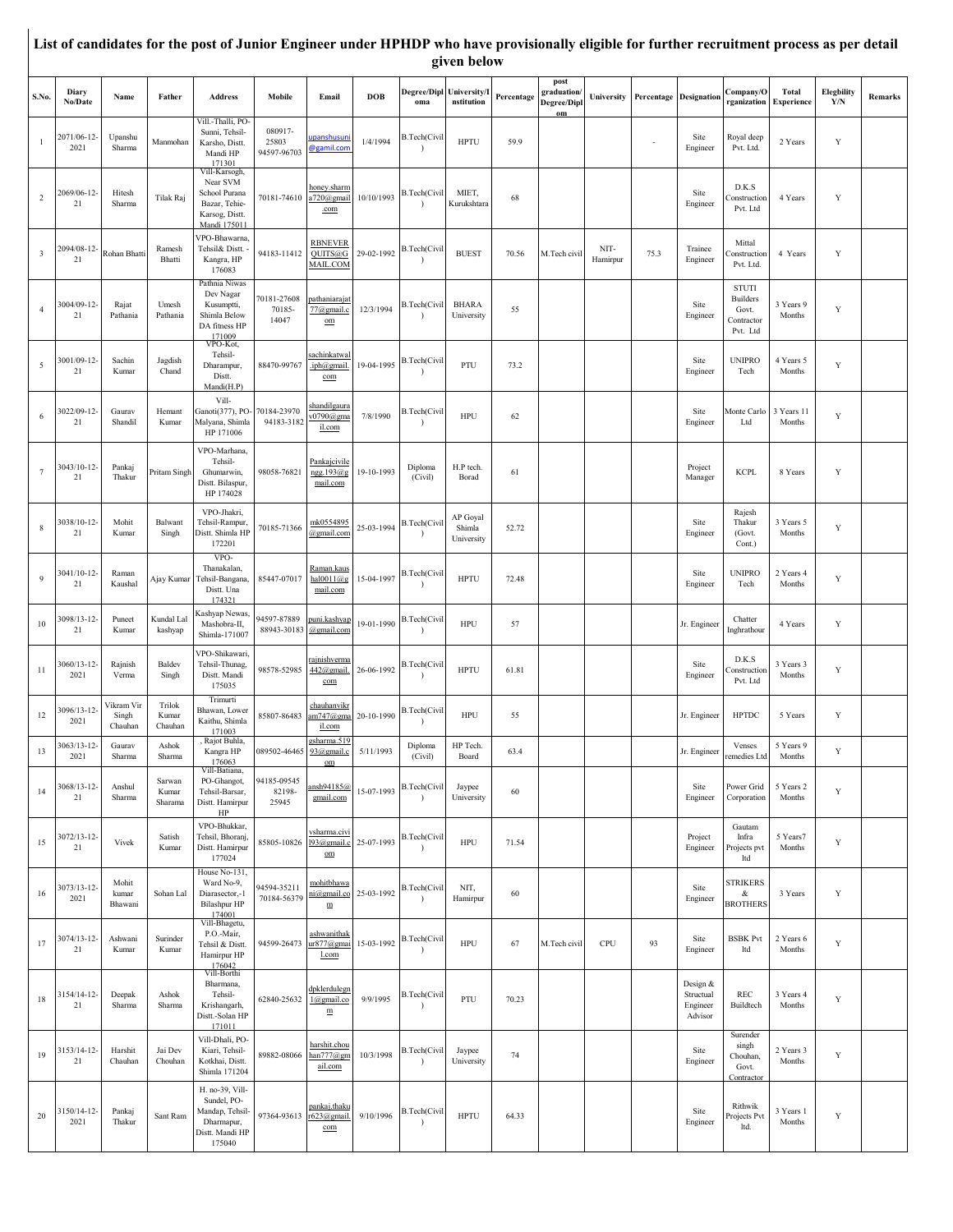|                         |                        |                                |                            |                                                                                               |                                 |                                                      |            |                                      | given below                      |            |                                         |                  |      |                                              |                                                                    |                            |                          |         |
|-------------------------|------------------------|--------------------------------|----------------------------|-----------------------------------------------------------------------------------------------|---------------------------------|------------------------------------------------------|------------|--------------------------------------|----------------------------------|------------|-----------------------------------------|------------------|------|----------------------------------------------|--------------------------------------------------------------------|----------------------------|--------------------------|---------|
| S.No.                   | Diary<br>No/Date       | Name                           | Father                     | <b>Address</b>                                                                                | Mobile                          | Email                                                | <b>DOB</b> | Degree/Dipl University/I<br>oma      | nstitution                       | Percentage | post<br>graduation<br>Degree/Dipl<br>om | University       |      | <b>Percentage Designation</b>                | Company/O<br>rganization                                           | Total<br><b>Experience</b> | <b>Elegbility</b><br>Y/N | Remarks |
| $\mathbf{1}$            | 2071/06-12-<br>2021    | Upanshu<br>Sharma              | Manmohan                   | Vill.-Thalli, PO-<br>Sunni, Tehsil-<br>Karsho, Distt.<br>Mandi HP<br>171301                   | 080917-<br>25803<br>94597-96703 | <u>ipanshusur</u><br>@gamil.con                      | 1/4/1994   | B.Tech(Civil                         | <b>HPTU</b>                      | 59.9       |                                         |                  |      | Site<br>Engineer                             | Royal deep<br>Pvt. Ltd.                                            | 2 Years                    | $\mathbf Y$              |         |
| $\overline{2}$          | 2069/06-12-<br>21      | Hitesh<br>Sharma               | Tilak Raj                  | Vill-Karsogh,<br>Near SVM<br>School Purana<br>Bazar, Tehie-<br>Karsog, Distt.<br>Mandi 175011 | 70181-74610                     | honey.sharm<br>a720@gmai<br>.com                     | 10/10/1993 | B.Tech(Civil                         | MIET,<br>Kurukshtara             | 68         |                                         |                  |      | Site<br>Engineer                             | D.K.S<br>Construction<br>Pvt. Ltd                                  | 4 Years                    | Y                        |         |
| $\overline{\mathbf{3}}$ | 2094/08-12-<br>21      | Rohan Bhatt                    | Ramesh<br>Bhatti           | VPO-Bhawarna<br>Tehsil& Distt.<br>Kangra, HP<br>176083                                        | 94183-11412                     | <b>RBNEVER</b><br>QUITS@G<br>MAIL.COM                | 29-02-1992 | B.Tech(Civil                         | <b>BUEST</b>                     | 70.56      | M.Tech civil                            | NIT-<br>Hamirpur | 75.3 | Trainee<br>Engineer                          | Mittal<br>Construction<br>Pvt. Ltd.                                | 4 Years                    | Y                        |         |
| $\overline{4}$          | 3004/09-12-<br>21      | Rajat<br>Pathania              | Umesh<br>Pathania          | Pathnia Niwas<br>Dev Nagar<br>Kusumptti,<br>Shimla Below<br>DA fitness HP<br>171009           | 70181-27608<br>70185-<br>14047  | <u>pathaniarajat</u><br>77@gmail.c<br>$_{\text{om}}$ | 12/3/1994  | B.Tech(Civil                         | <b>BHARA</b><br>University       | 55         |                                         |                  |      | Site<br>Engineer                             | <b>STUTI</b><br><b>Builders</b><br>Govt.<br>Contractor<br>Pvt. Ltd | 3 Years 9<br>Months        | Y                        |         |
| 5                       | 3001/09-12-<br>21      | Sachin<br>Kumar                | Jagdish<br>Chand           | VPO-Kot,<br>Tehsil-<br>Dharampur,<br>Distt.<br>Mandi(H.P)                                     | 88470-99767                     | sachinkatwa<br>.iph@gmail<br>com                     | 19-04-1995 | B.Tech(Civil                         | PTU                              | 73.2       |                                         |                  |      | Site<br>Engineer                             | <b>UNIPRO</b><br>Tech                                              | 4 Years 5<br>Months        | Y                        |         |
| 6                       | 3022/09-12-<br>21      | Gaurav<br>Shandil              | Hemant<br>Kumar            | Vill-<br>Ganoti(377), PO-<br>Malyana, Shimla<br>HP 171006                                     | 70184-23970<br>94183-3182       | shandilgaura<br>0790@gma<br>il.com                   | 7/8/1990   | <b>B.Tech(Civil</b><br>$\lambda$     | HPU                              | 62         |                                         |                  |      | Site<br>Engineer                             | Monte Carlo<br>Ltd                                                 | 3 Years 11<br>Months       | Y                        |         |
| $7\phantom{.0}$         | 3043/10-12-<br>21      | Pankaj<br>Thakur               | Pritam Singh               | VPO-Marhana.<br>Tehsil-<br>Ghumarwin,<br>Distt. Bilaspur,<br>HP 174028                        | 98058-76821                     | Pankajcivile<br>ngg.193@g<br>mail.com                | 19-10-1993 | Diploma<br>(Civil)                   | H.P tech.<br>Borad               | 61         |                                         |                  |      | Project<br>Manager                           | <b>KCPL</b>                                                        | 8 Years                    | Y                        |         |
| 8                       | 3038/10-12-<br>21      | Mohit<br>Kumar                 | Balwant<br>Singh           | VPO-Jhakri,<br>Tehsil-Rampur,<br>Distt. Shimla HF<br>172201                                   | 70185-71366                     | mk0554895<br>@gmail.com                              | 25-03-1994 | <b>B.Tech(Civil</b><br>$\lambda$     | AP Goyal<br>Shimla<br>University | 52.72      |                                         |                  |      | Site<br>Engineer                             | Rajesh<br>Thakur<br>(Govt.<br>Cont.)                               | 3 Years 5<br>Months        | Y                        |         |
| 9                       | 3041/10-12-<br>21      | Raman<br>Kaushal               | Ajay Kumar                 | VPO-<br>Thanakalan,<br>Tehsil-Bangana,<br>Distt. Una<br>174321                                | 85447-07017                     | <u>Raman.kaus</u><br>hal $0011@g$<br>mail.com        | 15-04-1997 | B.Tech(Civil<br>$\lambda$            | <b>HPTU</b>                      | 72.48      |                                         |                  |      | Site<br>Engineer                             | <b>UNIPRO</b><br>Tech                                              | 2 Years 4<br>Months        | $\mathbf Y$              |         |
| 10                      | 3098/13-12<br>21       | Puneet<br>Kumar                | Kundal Lal<br>kashyap      | Lashyap Newas<br>Mashobra-II,<br>Shimla-171007                                                | 94597-87889<br>88943-30183      | puni.kashyap<br>@gmail.com                           | 19-01-1990 | <b>B.Tech(Civil</b><br>$\lambda$     | <b>HPU</b>                       | 57         |                                         |                  |      | Jr. Engineer                                 | Chatter<br>Inghrathour                                             | 4 Years                    | Y                        |         |
| 11                      | 3060/13-12-<br>2021    | Rajnish<br>Verma               | Baldev<br>Singh            | VPO-Shikawari.<br>Tehsil-Thunag,<br>Distt. Mandi<br>175035                                    | 98578-52985                     | rajnishverma<br>442@gmail<br>com                     | 26-06-1992 | B.Tech(Civil<br>$\lambda$            | <b>HPTU</b>                      | 61.81      |                                         |                  |      | Site<br>Engineer                             | D.K.S<br>Construction<br>Pvt. Ltd                                  | 3 Years 3<br>Months        | Y                        |         |
| 12                      | 3096/13-12<br>2021     | Vikram Vir<br>Singh<br>Chauhan | Trilok<br>Kumar<br>Chauhan | Trimurti<br>Bhawan, Lower<br>Kaithu, Shimla<br>171003                                         | 85807-86483                     | chauhanvikı<br>am747@gma<br>il.com                   | 20-10-1990 | <b>B.Tech(Civil</b>                  | <b>HPU</b>                       | 55         |                                         |                  |      | Jr. Engineer                                 | <b>HPTDC</b>                                                       | 5 Years                    | Y                        |         |
| 13                      | $3063/13 - 12$<br>2021 | Gaurav<br>Sharma               | Ashok<br>Sharma            | , Rajot Buhla,<br>Kangra HP<br>176063                                                         | 089502-46465 93@gmail.c         | gsharma.519<br>om                                    | 5/11/1993  | Diploma<br>(Civil)                   | HP Tech.<br>Board                | 63.4       |                                         |                  |      | Jr. Engineer                                 | Venses<br>remedies Ltd                                             | 5 Years 9<br>Months        | Y                        |         |
| 14                      | 3068/13-12<br>21       | Anshul<br>Sharma               | Sarwan<br>Kumar<br>Sharama | Vill-Batiana,<br>PO-Ghangot,<br>Tehsil-Barsar,<br>Distt. Hamirpur<br>HP                       | 94185-09545<br>82198-<br>25945  | ansh94185@<br>gmail.com                              | 15-07-1993 | <b>B.Tech(Civil</b><br>$\rightarrow$ | Jaypee<br>University             | 60         |                                         |                  |      | Site<br>Engineer                             | Power Grid<br>Corporation                                          | 5 Years 2<br>Months        | $\mathbf Y$              |         |
| 15                      | 3072/13-12-<br>21      | Vivek                          | Satish<br>Kumar            | VPO-Bhukkar,<br>Tehsil, Bhoranj,<br>Distt. Hamirpur<br>177024                                 | 85805-10826 193@gmail.o         | <u>vsharma.civ</u><br>${\rm om}$                     | 25-07-1993 | <b>B.Tech(Civil</b><br>- 1           | <b>HPU</b>                       | 71.54      |                                         |                  |      | Project<br>Engineer                          | Gautam<br>Infra<br>Projects pvt<br>ltd                             | 5 Years7<br>Months         | $\mathbf Y$              |         |
| 16                      | 3073/13-12-<br>2021    | Mohit<br>kumar<br>Bhawani      | Sohan Lal                  | House No-131,<br>Ward No-9,<br>Diarasector,-1<br><b>Bilashpur HP</b><br>174001                | 94594-35211<br>70184-56379      | mohitbhawa<br>ni@gmail.co<br>$\mathbf m$             | 25-03-1992 | B.Tech(Civil                         | NIT,<br>Hamirpur                 | 60         |                                         |                  |      | Site<br>Engineer                             | <b>STRIKERS</b><br>&<br><b>BROTHERS</b>                            | 3 Years                    | Y                        |         |
| 17                      | 3074/13-12-<br>21      | Ashwani<br>Kumar               | Surinder<br>Kumar          | Vill-Bhagetu,<br>P.O.-Mair,<br>Tehsil & Distt.<br>Hamirpur HP<br>176042                       | 94599-26473                     | ashwanithak<br>ur877@gmai<br><u>l.com</u>            | 15-03-1992 | B.Tech(Civil                         | HPU                              | 67         | M.Tech civil                            | CPU              | 93   | Site<br>Engineer                             | <b>BSBK Pvt</b><br>ltd                                             | 2 Years 6<br>Months        | Y                        |         |
| 18                      | 3154/14-12-<br>21      | Deepak<br>Sharma               | Ashok<br>Sharma            | Vill-Borthi<br>Bharmana,<br>Tehsil-<br>Krishangarh,<br>Distt.-Solan HP<br>171011              | 62840-25632                     | <u>dpklerdulegn</u><br>1@gmail.co<br>$\mathbf m$     | 9/9/1995   | B.Tech(Civil<br>$\lambda$            | PTU                              | 70.23      |                                         |                  |      | Design &<br>Structual<br>Engineer<br>Advisor | REC<br>Buildtech                                                   | 3 Years 4<br>Months        | Y                        |         |
| 19                      | 3153/14-12-<br>21      | Harshit<br>Chauhan             | Jai Dev<br>Chouhan         | Vill-Dhali, PO-<br>Kiari, Tehsil-<br>Kotkhai, Distt.<br>Shimla 171204                         | 89882-08066                     | harshit.chou<br>han777@gm<br>ail.com                 | 10/3/1998  | <b>B.Tech(Civil</b><br>$\lambda$     | Jaypee<br>University             | 74         |                                         |                  |      | Site<br>Engineer                             | Surender<br>singh<br>Chouhan,<br>Govt.<br>Contractor               | 2 Years 3<br>Months        | Y                        |         |
| 20                      | 3150/14-12-<br>2021    | Pankaj<br>Thakur               | Sant Ram                   | H. no-39, Vill-<br>Sundel, PO-<br>Mandap, Tehsil-<br>Dharmapur,<br>Distt. Mandi HP<br>175040  | 97364-93613 r623@gmail          | pankaj.thaku<br>com                                  | 9/10/1996  | B.Tech(Civil<br>$\lambda$            | <b>HPTU</b>                      | 64.33      |                                         |                  |      | Site<br>Engineer                             | Rithwik<br>Projects Pvt<br>ltd.                                    | 3 Years 1<br>Months        | Y                        |         |

**List of candidates for the post of Junior Engineer under HPHDP who have provisionally eligible for further recruitment process as per detail**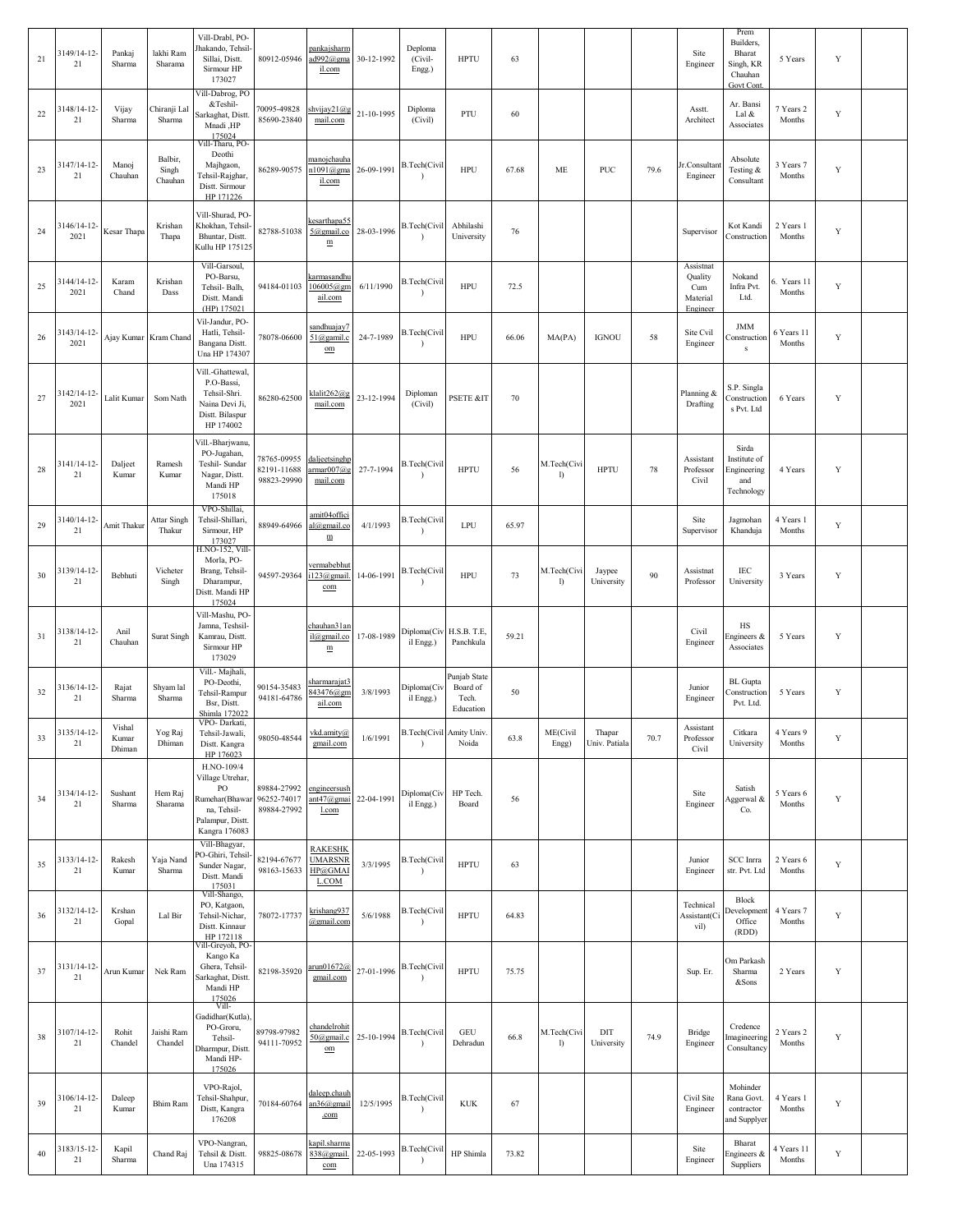| 21 | 3149/14-12-<br>21   | Pankaj<br>Sharma          | lakhi Ram<br>Sharama         | Vill-Drabl, PO-<br>Jhakando, Tehsil-<br>Sillai, Distt.<br>Sirmour HP<br>173027                                     | 80912-05946                               | pankajsharm<br>ad992@gma<br>il.com                         | 30-12-1992 | Deploma<br>(Civil-<br>Engg.)          | <b>HPTU</b>                                    | 63    |                   |                         |      | Site<br>Engineer                                    | Prem<br>Builders,<br>Bharat<br>Singh, KR<br>Chauhan<br>Govt Cont. | 5 Years               | Y           |  |
|----|---------------------|---------------------------|------------------------------|--------------------------------------------------------------------------------------------------------------------|-------------------------------------------|------------------------------------------------------------|------------|---------------------------------------|------------------------------------------------|-------|-------------------|-------------------------|------|-----------------------------------------------------|-------------------------------------------------------------------|-----------------------|-------------|--|
| 22 | 3148/14-12-<br>21   | Vijay<br>Sharma           | Chiranji Lal<br>Sharma       | Vill-Dabrog, PO<br>&Teshil-<br>Sarkaghat, Distt.<br>Mnadi ,HP<br>175024                                            | 70095-49828<br>85690-23840                | shvijay21@g<br>mail.com                                    | 21-10-1995 | Diploma<br>(Civil)                    | PTU                                            | 60    |                   |                         |      | Asstt.<br>Architect                                 | Ar. Bansi<br>Lal &<br>Associates                                  | 7 Years 2<br>Months   | $\mathbf Y$ |  |
| 23 | 3147/14-12-<br>21   | Manoj<br>Chauhan          | Balbir,<br>Singh<br>Chauhan  | Vill-Tharu, PO-<br>Deothi<br>Majhgaon,<br>Tehsil-Rajghar,<br>Distt. Sirmour<br>HP 171226                           | 86289-90575                               | manojchauha<br>$n1091$ @gma<br>il.com                      | 26-09-1991 | <b>B.Tech(Civil</b><br>$\lambda$      | <b>HPU</b>                                     | 67.68 | ME                | <b>PUC</b>              | 79.6 | Jr.Consultant<br>Engineer                           | Absolute<br>Testing &<br>Consultant                               | 3 Years 7<br>Months   | $\mathbf Y$ |  |
| 24 | 3146/14-12<br>2021  | Kesar Thapa               | Krishan<br>Thapa             | Vill-Shurad, PO-<br>Khokhan, Tehsil-<br>Bhuntar, Distt.<br>Kullu HP 175125                                         | 82788-51038                               | kesarthapa55<br>5@gmail.co<br>${\underline{\text{m}}}$     | 28-03-1996 | B.Tech(Civil                          | Abhilashi<br>University                        | 76    |                   |                         |      | Supervisor                                          | Kot Kandi<br>Construction                                         | 2 Years 1<br>Months   | Y           |  |
| 25 | 3144/14-12-<br>2021 | Karam<br>Chand            | Krishan<br>Dass              | Vill-Garsoul,<br>PO-Barsu,<br>Tehsil- Balh,<br>Distt. Mandi<br>(HP) 175021                                         | 94184-01103                               | karmasandhu<br>106005@gm<br>ail.com                        | 6/11/1990  | B.Tech(Civil                          | <b>HPU</b>                                     | 72.5  |                   |                         |      | Assistnat<br>Quality<br>Cum<br>Material<br>Engineer | Nokand<br>Infra Pvt.<br>Ltd.                                      | 5. Years 11<br>Months | $\mathbf Y$ |  |
| 26 | 3143/14-12-<br>2021 |                           | Ajay Kumar Kram Chand        | Vil-Jandur, PO-<br>Hatli, Tehsil-<br>Bangana Distt.<br>Una HP 174307                                               | 78078-06600                               | sandhuajay7<br>51@gamil.c<br>$_{\text{om}}$                | 24-7-1989  | <b>B.Tech(Civil</b><br>$\lambda$      | <b>HPU</b>                                     | 66.06 | MA(PA)            | <b>IGNOU</b>            | 58   | Site Cvil<br>Engineer                               | <b>JMM</b><br>Construction<br>$\mathbf{s}$                        | 6 Years 11<br>Months  | Y           |  |
| 27 | 3142/14-12-<br>2021 | Lalit Kumar               | Som Nath                     | Vill.-Ghattewal,<br>P.O-Bassi,<br>Tehsil-Shri.<br>Naina Devi Ji,<br>Distt. Bilaspur<br>HP 174002                   | 86280-62500                               | klalit262@g<br>mail.com                                    | 23-12-1994 | Diploman<br>(Civil)                   | PSETE &IT                                      | 70    |                   |                         |      | Planning &<br>Drafting                              | S.P. Singla<br>Construction<br>s Pvt. Ltd                         | 6 Years               | Y           |  |
| 28 | 3141/14-12-<br>21   | Dalject<br>Kumar          | Ramesh<br>Kumar              | vill.-Bharjwanu,<br>PO-Jugahan,<br>Teshil- Sundar<br>Nagar, Distt.<br>Mandi HP<br>175018                           | 78765-09955<br>82191-11688<br>98823-29990 | daljectsinghp<br>$\frac{\text{armar}007}{a}$ g<br>mail.com | 27-7-1994  | <b>B.Tech(Civil</b><br>$\lambda$      | <b>HPTU</b>                                    | 56    | M.Tech(Civ<br>I)  | <b>HPTU</b>             | 78   | Assistant<br>Professor<br>Civil                     | Sirda<br>Institute of<br>Engineering<br>and<br>Technology         | 4 Years               | Y           |  |
| 29 | 3140/14-12-<br>21   | Amit Thakur               | <b>Attar Singh</b><br>Thakur | VPO-Shillai,<br>Tehsil-Shillari,<br>Sirmour, HP<br>173027                                                          | 88949-64966                               | amit04offici<br>al@gmail.co<br>m                           | 4/1/1993   | B.Tech(Civil<br>$\lambda$             | LPU                                            | 65.97 |                   |                         |      | Site<br>Supervisor                                  | Jagmohan<br>Khanduja                                              | 4 Years 1<br>Months   | Y           |  |
| 30 | 3139/14-12-<br>21   | Bebhuti                   | Vicheter<br>Singh            | H.NO-152, Vill<br>Morla, PO-<br>Brang, Tehsil-<br>Dharampur,<br>Distt. Mandi HP<br>175024                          | 94597-29364                               | <u>vermabebhu</u><br>i123@gmail.<br>com                    | 14-06-1991 | <b>B.Tech(Civil</b>                   | HPU                                            | 73    | M.Tech(Civ<br>I)  | Jaypee<br>University    | 90   | Assistnat<br>Professor                              | IEC<br>University                                                 | 3 Years               | Y           |  |
| 31 | 3138/14-12-<br>21   | Anil<br>Chauhan           | <b>Surat Singh</b>           | Vill-Mashu, PO-<br>Jamna, Teshsil-<br>Kamrau, Distt.<br>Sirmour HP<br>173029                                       |                                           | chauhan31ar<br>il@gmail.co<br>$\underline{\text{m}}$       | 17-08-1989 | Diploma(Civ H.S.B. T.E.<br>il Engg.)  | Panchkula                                      | 59.21 |                   |                         |      | Civil<br>Engineer                                   | HS<br>ingineers &<br>Associates                                   | 5 Years               | Y           |  |
| 32 | 3136/14-12-<br>21   | Rajat<br>Sharma           | Shyam lal<br>Sharma          | Vill.- Majhali,<br>PO-Deothi,<br>Tehsil-Rampur<br>Bsr, Distt.<br>Shimla 172022                                     | 90154-35483<br>94181-64786                | <u>sharmarajat3</u><br>843476@gm<br>ail.com                | 3/8/1993   | Diploma(Civ<br>il Engg.)              | Punjab State<br>Board of<br>Tech.<br>Education | 50    |                   |                         |      | Junior<br>Engineer                                  | <b>BL</b> Gupta<br>Construction<br>Pvt. Ltd.                      | 5 Years               | Y           |  |
| 33 | 3135/14-12-<br>21   | Vishal<br>Kumar<br>Dhiman | Yog Raj<br>Dhiman            | VPO-Darkati,<br>Tehsil-Jawali,<br>Distt. Kangra<br>HP 176023                                                       | 98050-48544                               | vkd.amity@<br>gmail.com                                    | 1/6/1991   | B.Tech(Civil Amity Univ.<br>$\lambda$ | Noida                                          | 63.8  | ME(Civil<br>Engg) | Thapar<br>Univ. Patiala | 70.7 | Assistant<br>Professor<br>Civil                     | Citkara<br>University                                             | 4 Years 9<br>Months   | Y           |  |
| 34 | 3134/14-12-<br>21   | Sushant<br>Sharma         | Hem Raj<br>Sharama           | H.NO-109/4<br>Village Utrehar,<br>PO<br>Rumehar(Bhawar<br>na, Tehsil-<br>Palampur, Distt.<br>Kangra 176083         | 89884-27992<br>96252-74017<br>89884-27992 | engineersush<br>ant47@gmai<br>l.com                        | 22-04-1991 | Diploma(Civ<br>il Engg.)              | HP Tech.<br>Board                              | 56    |                   |                         |      | Site<br>Engineer                                    | Satish<br>Aggerwal &<br>Co.                                       | 5 Years 6<br>Months   | Y           |  |
| 35 | 3133/14-12-<br>21   | Rakesh<br>Kumar           | Yaja Nand<br>Sharma          | Vill-Bhagyar,<br>PO-Ghiri, Tehsil-<br>Sunder Nagar,<br>Distt. Mandi<br>175031                                      | 82194-67677<br>98163-15633                | <b>RAKESHK</b><br><b>UMARSNR</b><br>HP@GMAI<br>L.COM       | 3/3/1995   | B.Tech(Civil                          | <b>HPTU</b>                                    | 63    |                   |                         |      | Junior<br>Engineer                                  | <b>SCC</b> Inrra<br>str. Pvt. Ltd                                 | 2 Years 6<br>Months   | Y           |  |
| 36 | 3132/14-12-<br>21   | Krshan<br>Gopal           | Lal Bir                      | Vill-Shango,<br>PO, Katgaon,<br>Tehsil-Nichar,<br>Distt. Kinnaur<br>HP 172118                                      | 78072-17737                               | krishang937<br>@gmail.com                                  | 5/6/1988   | B.Tech(Civil<br>$\lambda$             | <b>HPTU</b>                                    | 64.83 |                   |                         |      | Technical<br>Assistant(Ci<br>vil)                   | Block<br><b>Development</b><br>Office<br>(RDD)                    | 4 Years 7<br>Months   | Y           |  |
| 37 | 3131/14-12-<br>21   | Arun Kumar                | Nek Ram                      | /ill-Greyoh, PO-<br>Kango Ka<br>Ghera, Tehsil-<br>Sarkaghat, Distt.<br>Mandi HP                                    | 82198-35920                               | arun01672@<br>gmail.com                                    | 27-01-1996 | B.Tech(Civil<br>$\lambda$             | <b>HPTU</b>                                    | 75.75 |                   |                         |      | Sup. Er.                                            | Om Parkash<br>Sharma<br>&Sons                                     | 2 Years               | Y           |  |
| 38 | 3107/14-12-<br>21   | Rohit<br>Chandel          | Jaishi Ram<br>Chandel        | $\frac{175026}{\text{Vill}}$<br>Gadidhar(Kutla)<br>PO-Groru,<br>Tehsil-<br>Dharmpur, Distt.<br>Mandi HP-<br>175026 | 89798-97982<br>94111-70952                | chandelrohit<br>50@gmail.c<br>$\underline{\mathrm{om}}$    | 25-10-1994 | B.Tech(Civil<br>$\lambda$             | <b>GEU</b><br>Dehradun                         | 66.8  | M.Tech(Civi<br>I) | DIT<br>University       | 74.9 | Bridge<br>Engineer                                  | Credence<br>magineering<br>Consultancy                            | 2 Years 2<br>Months   | Y           |  |
| 39 | 3106/14-12-<br>21   | Daleep<br>Kumar           | Bhim Ram                     | VPO-Rajol,<br>Tehsil-Shahpur,<br>Distt, Kangra<br>176208                                                           | 70184-60764                               | daleep.chauh<br>an36@gmail<br>.com                         | 12/5/1995  | B.Tech(Civil<br>$\lambda$             | <b>KUK</b>                                     | 67    |                   |                         |      | Civil Site<br>Engineer                              | Mohinder<br>Rana Govt.<br>contractor<br>and Supplyer              | 4 Years 1<br>Months   | Y           |  |
| 40 | 3183/15-12-<br>21   | Kapil<br>Sharma           | Chand Raj                    | VPO-Nangran,<br>Tehsil & Distt.<br>Una 174315                                                                      | 98825-08678                               | kapil.sharma<br>838@gmail.<br>$\underline{\mathrm{com}}$   | 22-05-1993 | B.Tech(Civil                          | HP Shimla                                      | 73.82 |                   |                         |      | Site<br>Engineer                                    | Bharat<br>ingineers &<br>Suppliers                                | 4 Years 11<br>Months  | Y           |  |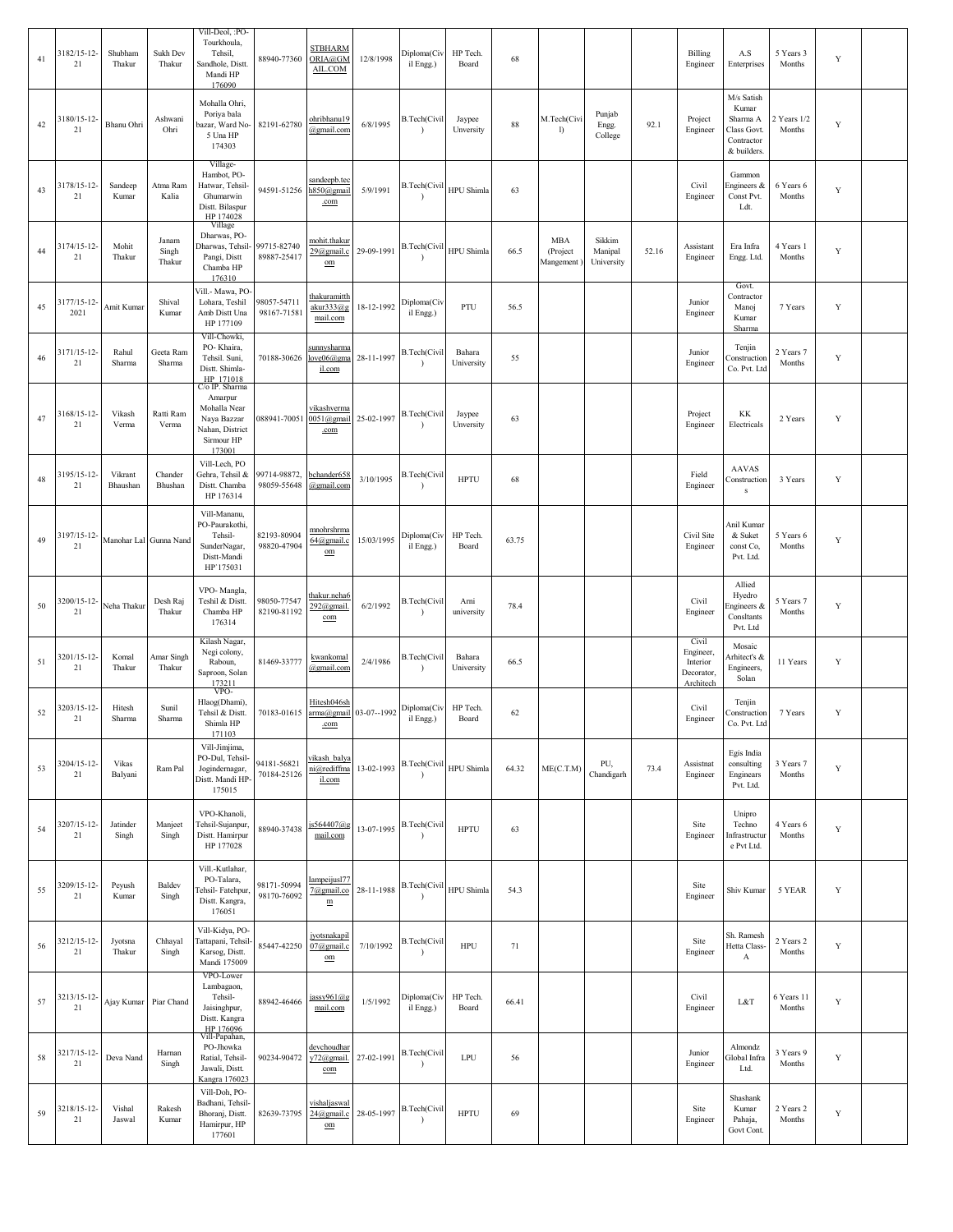| 41 | 3182/15-12-<br>21   | Shubham<br>Thakur   | Sukh Dev<br>Thakur       | Vill-Deol, :PO-<br>Tourkhoula,<br>Tehsil,<br>Sandhole, Distt.<br>Mandi HP<br>176090     | 88940-77360                        | <b>STBHARM</b><br>ORIA@GM<br>AIL.COM                     | 12/8/1998                          | Diploma(Civ<br>il Engg.)                 | HP Tech.<br>Board    | 68    |                                     |                                 |       | Billing<br>Engineer                                       | A.S<br>Enterprises                                                          | 5 Years 3<br>Months   | Y           |  |
|----|---------------------|---------------------|--------------------------|-----------------------------------------------------------------------------------------|------------------------------------|----------------------------------------------------------|------------------------------------|------------------------------------------|----------------------|-------|-------------------------------------|---------------------------------|-------|-----------------------------------------------------------|-----------------------------------------------------------------------------|-----------------------|-------------|--|
| 42 | 3180/15-12-<br>21   | Bhanu Ohri          | Ashwani<br>Ohri          | Mohalla Ohri,<br>Poriya bala<br>pazar, Ward No-<br>5 Una HP<br>174303                   | 82191-62780                        | ohribhanu19<br>@gmail.com                                | 6/8/1995                           | <b>B.Tech(Civil</b><br>$\lambda$         | Jaypee<br>Unversity  | 88    | M.Tech(Civi<br>I)                   | Punjab<br>Engg.<br>College      | 92.1  | Project<br>Engineer                                       | M/s Satish<br>Kumar<br>Sharma A<br>Class Govt.<br>Contractor<br>& builders. | 2 Years 1/2<br>Months | Y           |  |
| 43 | 3178/15-12-<br>21   | Sandeep<br>Kumar    | Atma Ram<br>Kalia        | Village-<br>Hambot, PO-<br>Hatwar, Tehsil-<br>Ghumarwin<br>Distt. Bilaspur<br>HP 174028 | 94591-51256                        | sandeepb.tec<br>h850@gmail<br>.com                       | 5/9/1991                           | B.Tech(Civil HPU Shimla                  |                      | 63    |                                     |                                 |       | Civil<br>Engineer                                         | Gammon<br>Engineers &<br>Const Pvt.<br>Ldt.                                 | 6 Years 6<br>Months   | Y           |  |
| 44 | 3174/15-12-<br>21   | Mohit<br>Thakur     | Janam<br>Singh<br>Thakur | Village<br>Dharwas, PO-<br>Dharwas, Tehsil-<br>Pangi, Distt<br>Chamba HP<br>176310      | 99715-82740<br>89887-25417         | mohit.thakur<br>29@gmail.c<br>$\mathbf{om}$              | 29-09-1991                         | B.Tech(Civil HPU Shimla<br>$\rightarrow$ |                      | 66.5  | <b>MBA</b><br>(Project<br>Mangement | Sikkim<br>Manipal<br>University | 52.16 | Assistant<br>Engineer                                     | Era Infra<br>Engg. Ltd                                                      | 4 Years 1<br>Months   | Y           |  |
| 45 | 3177/15-12-<br>2021 | Amit Kumar          | Shival<br>Kumar          | /ill.- Mawa, PO-<br>Lohara, Teshil<br>Amb Distt Una<br>HP 177109<br>Vill-Chowki,        | 98057-54711<br>98167-71581         | thakuramitth<br>akur333@g<br>mail.com                    | 18-12-1992                         | Diploma(Civ<br>il Engg.)                 | PTU                  | 56.5  |                                     |                                 |       | Junior<br>Engineer                                        | Govt.<br>Contractor<br>Manoj<br>Kumar<br>Sharma                             | 7 Years               | $\mathbf Y$ |  |
| 46 | 3171/15-12-<br>21   | Rahul<br>Sharma     | Geeta Ram<br>Sharma      | PO-Khaira,<br>Tehsil. Suni,<br>Distt. Shimla-<br>HP 171018<br>C/o IP. Sharma            | 70188-30626                        | sunnysharma<br>love06@gma<br>il.com                      | 28-11-1997                         | <b>B.Tech(Civil</b><br>$\rightarrow$     | Bahara<br>University | 55    |                                     |                                 |       | Junior<br>Engineer                                        | Tenjin<br>Construction<br>Co. Pvt. Ltd                                      | 2 Years 7<br>Months   | Y           |  |
| 47 | 3168/15-12-<br>21   | Vikash<br>Verma     | Ratti Ram<br>Verma       | Amarpur<br>Mohalla Near<br>Naya Bazzar<br>Nahan, District<br>Sirmour HP<br>173001       | 088941-70051                       | <u>vikashverma</u><br>.com                               | 0051@gmail 25-02-1997 B.Tech(Civil | $\lambda$                                | Jaypee<br>Unversity  | 63    |                                     |                                 |       | Project<br>Engineer                                       | KK<br>Electricals                                                           | 2 Years               | Y           |  |
| 48 | 3195/15-12-<br>21   | Vikrant<br>Bhaushan | Chander<br>Bhushan       | Vill-Lech, PO<br>Gehra, Tehsil &<br>Distt. Chamba<br>HP 176314                          | 99714-98872,<br>98059-55648        | bchander658<br>@gmail.com                                | 3/10/1995                          | B.Tech(Civil                             | <b>HPTU</b>          | 68    |                                     |                                 |       | Field<br>Engineer                                         | <b>AAVAS</b><br>Construction<br>${\bf S}$                                   | 3 Years               | Y           |  |
| 49 | 3197/15-12-<br>21   |                     | Manohar Lal Gunna Nand   | Vill-Mananu,<br>PO-Paurakothi,<br>Tehsil-<br>SunderNagar,<br>Distt-Mandi<br>HP'175031   | 82193-80904<br>98820-47904         | mnohrshrma<br>64@gmail.c<br>$_{\text{om}}$               | 15/03/1995                         | Diploma(Civ<br>il Engg.)                 | HP Tech.<br>Board    | 63.75 |                                     |                                 |       | Civil Site<br>Engineer                                    | Anil Kumar<br>& Suket<br>const Co,<br>Pvt. Ltd.                             | 5 Years 6<br>Months   | $\mathbf Y$ |  |
| 50 | 3200/15-12-<br>21   | Neha Thakur         | Desh Raj<br>Thakur       | VPO-Mangla,<br>Teshil & Distt.<br>Chamba HP<br>176314                                   | 98050-77547<br>82190-81192         | thakur.neha6<br>292@gmail.<br>com                        | 6/2/1992                           | <b>B.Tech(Civil</b><br>$\lambda$         | Arni<br>university   | 78.4  |                                     |                                 |       | Civil<br>Engineer                                         | Allied<br>Hyedro<br>engineers &<br>Consltants<br>Pvt. Ltd                   | 5 Years 7<br>Months   | $\mathbf Y$ |  |
| 51 | 3201/15-12-<br>21   | Komal<br>Thakur     | Amar Singh<br>Thakur     | Kilash Nagar,<br>Negi colony,<br>Raboun,<br>Saproon, Solan<br>173211                    | 81469-33777                        | kwankomal<br>@gmail.com                                  | 2/4/1986                           | B.Tech(Civil<br>$\lambda$                | Bahara<br>University | 66.5  |                                     |                                 |       | Civil<br>Engineer,<br>Interior<br>Decorator,<br>Architech | Mosaic<br>Arhitect's &<br>Engineers,<br>Solan                               | 11 Years              | $\mathbf Y$ |  |
| 52 | 3203/15-12-<br>21   | Hitesh<br>Sharma    | Sunil<br>Sharma          | VPO-<br>Hlaog(Dhami),<br>Tehsil & Distt.<br>Shimla HP<br>171103                         | 70183-01615 arma@gmail 03-07--1992 | Hitesh046sh<br>.com                                      |                                    | Diploma(Civ<br>il Engg.)                 | HP Tech.<br>Board    | 62    |                                     |                                 |       | Civil<br>Engineer                                         | Tenjin<br>Construction<br>Co. Pvt. Ltd                                      | 7 Years               | $\mathbf Y$ |  |
| 53 | 3204/15-12-<br>21   | Vikas<br>Balyani    | Ram Pal                  | Vill-Jimjima,<br>PO-Dul, Tehsil-<br>Jogindernagar,<br>Distt. Mandi HP<br>175015         | 94181-56821<br>70184-25126         | vikash balya<br>ni@rediffma<br>il.com                    | 13-02-1993                         | B.Tech(Civil HPU Shimla                  |                      | 64.32 | ME(C.T.M)                           | PU,<br>Chandigarh               | 73.4  | Assistnat<br>Engineer                                     | Egis India<br>consulting<br>Enginears<br>Pvt. Ltd.                          | 3 Years 7<br>Months   | Y           |  |
| 54 | 3207/15-12-<br>21   | Jatinder<br>Singh   | Manjeet<br>Singh         | VPO-Khanoli,<br>Tehsil-Sujanpur,<br>Distt. Hamirpur<br>HP 177028                        | 88940-37438                        | is564407@g<br>mail.com                                   | 13-07-1995                         | <b>B.Tech(Civil</b><br>$\lambda$         | <b>HPTU</b>          | 63    |                                     |                                 |       | Site<br>Engineer                                          | Unipro<br>Techno<br>nfrastructur<br>e Pvt Ltd.                              | 4 Years 6<br>Months   | Y           |  |
| 55 | 3209/15-12-<br>21   | Peyush<br>Kumar     | Baldev<br>Singh          | Vill.-Kutlahar,<br>PO-Talara,<br>Fehsil-Fatehpur,<br>Distt. Kangra,<br>176051           | 98171-50994<br>98170-76092         | Iampeijus177<br>7@gmail.co<br>${\underline{\mathbf{m}}}$ | 28-11-1988                         | B.Tech(Civil HPU Shimla                  |                      | 54.3  |                                     |                                 |       | Site<br>Engineer                                          | Shiv Kumar                                                                  | 5 YEAR                | $\mathbf Y$ |  |
| 56 | 3212/15-12-<br>21   | Jyotsna<br>Thakur   | Chhayal<br>Singh         | Vill-Kidya, PO-<br>lattapani, Tehsil-<br>Karsog, Distt.<br>Mandi 175009                 | 85447-42250                        | jyotsnakapil<br>07@gmail.c<br>$\underline{\mathrm{om}}$  | 7/10/1992                          | B.Tech(Civil<br>$\lambda$                | HPU                  | 71    |                                     |                                 |       | Site<br>Engineer                                          | Sh. Ramesh<br>Hetta Class-<br>A                                             | 2 Years 2<br>Months   | $\mathbf Y$ |  |
| 57 | 3213/15-12-<br>21   |                     | Ajay Kumar Piar Chand    | VPO-Lower<br>Lambagaon,<br>Tehsil-<br>Jaisinghpur,<br>Distt. Kangra<br>HP 176096        | 88942-46466                        | jassy961@g<br>mail.com                                   | 1/5/1992                           | Diploma(Civ<br>il Engg.)                 | HP Tech.<br>Board    | 66.41 |                                     |                                 |       | Civil<br>Engineer                                         | L&T                                                                         | 6 Years 11<br>Months  | Y           |  |
| 58 | 3217/15-12-<br>21   | Deva Nand           | Harnan<br>Singh          | Vill-Papahan,<br>PO-Jhowka<br>Ratial, Tehsil-<br>Jawali, Distt.<br>Kangra 176023        | 90234-90472                        | devchoudhar<br>y72@gmail.<br>com                         | 27-02-1991                         | <b>B.Tech(Civil</b><br>$\lambda$         | LPU                  | 56    |                                     |                                 |       | Junior<br>Engineer                                        | Almondz<br>Global Infra<br>Ltd.                                             | 3 Years 9<br>Months   | Y           |  |
| 59 | 3218/15-12-<br>21   | Vishal<br>Jaswal    | Rakesh<br>Kumar          | Vill-Doh, PO-<br>Badhani, Tehsil-<br>Bhoranj, Distt.<br>Hamirpur, HP<br>177601          | 82639-73795                        | vishaljaswal<br>24@gmail.c<br>$_{\text{om}}$             | 28-05-1997                         | <b>B.Tech(Civil</b><br>$\lambda$         | <b>HPTU</b>          | 69    |                                     |                                 |       | Site<br>Engineer                                          | Shashank<br>Kumar<br>Pahaja,<br>Govt Cont.                                  | 2 Years 2<br>Months   | Y           |  |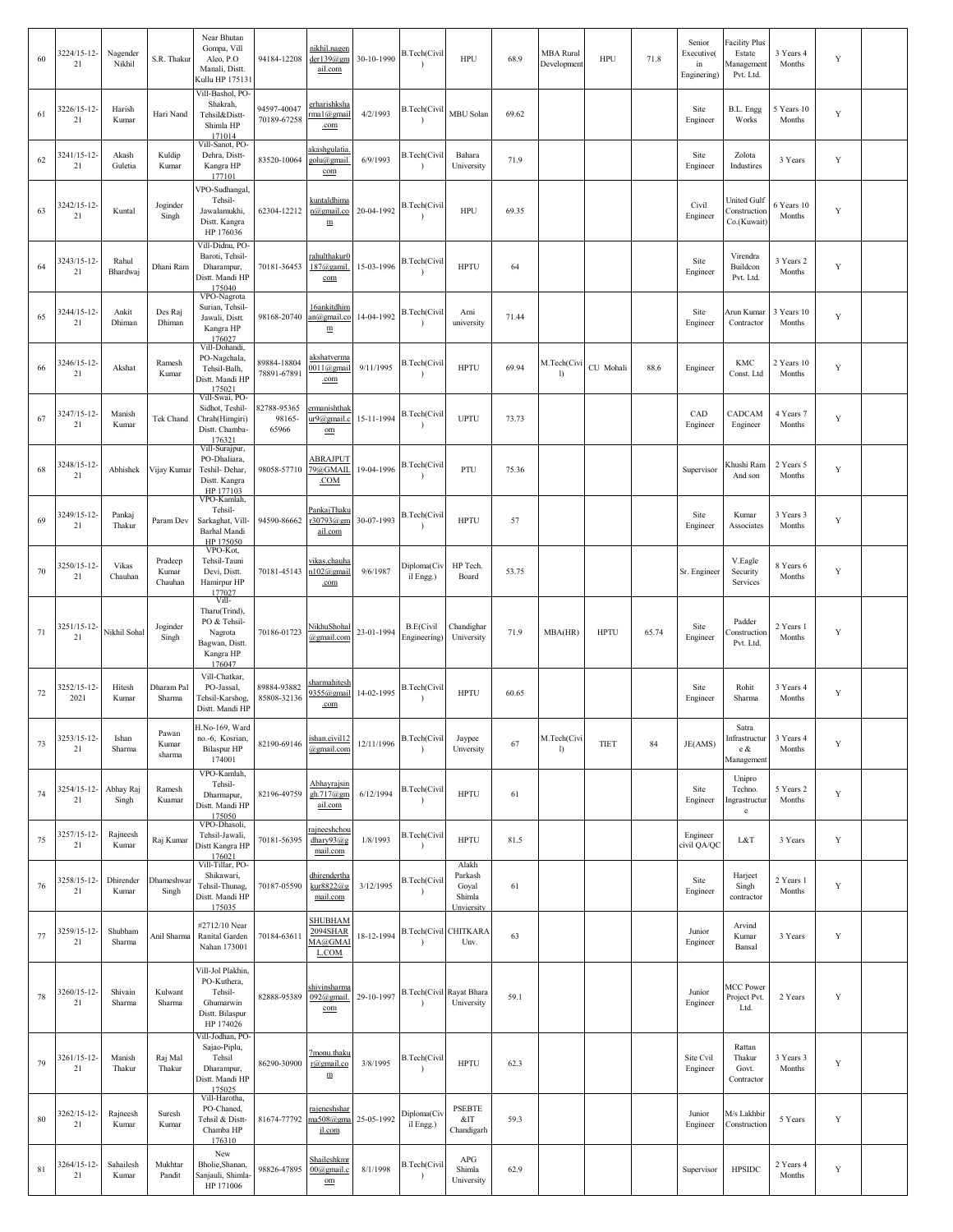| 60     | 3224/15-12-<br>21   | Nagender<br>Nikhil | S.R. Thakur                 | Near Bhutan<br>Gompa, Vill<br>Aleo, P.O<br>Manali, Distt.<br>Kullu HP 17513                | 94184-12208                    | nikhil.nagen<br>der139@gm<br>ail.com                      | 30-10-1990 | <b>B.Tech(Civil</b><br>$\lambda$      | <b>HPU</b>                                        | 68.9  | <b>MBA</b> Rural<br>Development | <b>HPU</b>  | 71.8  | Senior<br>Executive(<br>in<br>Enginering) | <b>Facility Plus</b><br>Estate<br>Aanagemen<br>Pvt. Ltd. | 3 Years 4<br>Months  | $\mathbf Y$ |  |
|--------|---------------------|--------------------|-----------------------------|--------------------------------------------------------------------------------------------|--------------------------------|-----------------------------------------------------------|------------|---------------------------------------|---------------------------------------------------|-------|---------------------------------|-------------|-------|-------------------------------------------|----------------------------------------------------------|----------------------|-------------|--|
| 61     | 3226/15-12-<br>21   | Harish<br>Kumar    | Hari Nand                   | Vill-Bashol, PO-<br>Shakrah,<br>Tehsil&Distt-<br>Shimla HP<br>171014                       | 94597-40047<br>70189-67258     | erharishksha<br>rma1@gmail<br>.com                        | 4/2/1993   | B.Tech(Civil<br>$\lambda$             | MBU Solan                                         | 69.62 |                                 |             |       | Site<br>Engineer                          | B.L. Engg<br>Works                                       | 5 Years 10<br>Months | Y           |  |
| 62     | 3241/15-12-<br>21   | Akash<br>Guletia   | Kuldip<br>Kumar             | Vill-Sanot, PO-<br>Dehra, Distt-<br>Kangra HP<br>177101                                    | 83520-10064                    | akashgulatia<br>golu@gmail<br>com                         | 6/9/1993   | B.Tech(Civil<br>$\lambda$             | Bahara<br>University                              | 71.9  |                                 |             |       | Site<br>Engineer                          | Zolota<br>Industires                                     | 3 Years              | Y           |  |
| 63     | 3242/15-12-<br>21   | Kuntal             | Joginder<br>Singh           | VPO-Sudhangal,<br>Tehsil-<br>Jawalamukhi,<br>Distt. Kangra<br>HP 176036                    | 62304-12212                    | kuntaldhima<br>n@gmail.co<br>$\underline{\textbf{m}}$     | 20-04-1992 | B.Tech(Civil<br>$\lambda$             | <b>HPU</b>                                        | 69.35 |                                 |             |       | Civil<br>Engineer                         | United Gulf<br>Construction<br>Co.(Kuwait)               | 6 Years 10<br>Months | $\mathbf Y$ |  |
| 64     | 3243/15-12-<br>21   | Rahul<br>Bhardwaj  | Dhani Ram                   | Vill-Didnu, PO-<br>Baroti, Tehsil-<br>Dharampur,<br>Distt. Mandi HP<br>175040              | 70181-36453                    | rahulthakur0<br>187@gamil.<br>com                         | 15-03-1996 | B.Tech(Civil<br>$\lambda$             | <b>HPTU</b>                                       | 64    |                                 |             |       | Site<br>Engineer                          | Virendra<br>Buildcon<br>Pvt. Ltd.                        | 3 Years 2<br>Months  | $\mathbf Y$ |  |
| 65     | 3244/15-12-<br>21   | Ankit<br>Dhiman    | Des Raj<br>Dhiman           | VPO-Nagrota<br>Surian, Tehsil-<br>Jawali, Distt.<br>Kangra HP<br>176027                    | 98168-20740                    | 16ankitdhim<br>an@gmail.co<br>$\mathbf m$                 | 14-04-1992 | <b>B.Tech(Civil</b>                   | Arni<br>university                                | 71.44 |                                 |             |       | Site<br>Engineer                          | Arun Kumar<br>Contractor                                 | 3 Years 10<br>Months | Y           |  |
| 66     | 3246/15-12-<br>21   | Akshat             | Ramesh<br>Kumar             | Vill-Dohandi,<br>PO-Nagchala,<br>Tehsil-Balh,<br>Distt. Mandi HP<br>175021                 | 89884-18804<br>78891-67891     | <u>akshatverma</u><br>$0011$ @gmail<br>.com               | 9/11/1995  | B.Tech(Civil<br>$\lambda$             | <b>HPTU</b>                                       | 69.94 | M.Tech(Civi<br>I)               | CU Mohali   | 88.6  | Engineer                                  | <b>KMC</b><br>Const. Ltd                                 | 2 Years 10<br>Months | Y           |  |
| 67     | 3247/15-12-<br>21   | Manish<br>Kumar    | Tek Chand                   | Vill-Swai, PO-<br>Sidhot, Teshil-<br>Chrah(Himgiri)<br>Distt. Chamba-<br>176321            | 82788-95365<br>98165-<br>65966 | <u>ermanishthak</u><br>ur9@gmail.c<br>$_{\text{om}}$      | 15-11-1994 | <b>B.Tech(Civil</b>                   | <b>UPTU</b>                                       | 73.73 |                                 |             |       | CAD<br>Engineer                           | CADCAM<br>Engineer                                       | 4 Years 7<br>Months  | $\mathbf Y$ |  |
| 68     | 3248/15-12-<br>21   | Abhishek           | Vijay Kumar                 | Vill-Surajpur,<br>PO-Dhaliara,<br>Teshil- Dehar,<br>Distt. Kangra<br>HP 177103             | 98058-57710                    | <b>ABRAJPUT</b><br>79@GMAII<br>.COM                       | 19-04-1996 | B.Tech(Civil<br>$\lambda$             | PTU                                               | 75.36 |                                 |             |       | Supervisor                                | Khushi Ram<br>And son                                    | 2 Years 5<br>Months  | $\mathbf Y$ |  |
| 69     | 3249/15-12-<br>21   | Pankaj<br>Thakur   | Param Dev                   | VPO-Kamlah,<br>Tehsil-<br>Sarkaghat, Vill-<br>Barhal Mandi<br>HP 175050                    | 94590-86662                    | PankajThaki<br>r30793@gm<br>ail.com                       | 30-07-1993 | B.Tech(Civil                          | <b>HPTU</b>                                       | 57    |                                 |             |       | Site<br>Engineer                          | Kumar<br>Associates                                      | 3 Years 3<br>Months  | Y           |  |
| 70     | 3250/15-12-<br>21   | Vikas<br>Chauhan   | Pradeep<br>Kumar<br>Chauhan | VPO-Kot,<br>Tehsil-Tauni<br>Devi, Distt.<br>Hamirpur HP<br>177027                          | 70181-45143                    | <u>vikas.chauha</u><br>n102@gmail<br>.com                 | 9/6/1987   | Diploma(Civ<br>il Engg.)              | HP Tech.<br>Board                                 | 53.75 |                                 |             |       | Sr. Engineer                              | V.Eagle<br>Security<br>Services                          | 8 Years 6<br>Months  | $\mathbf Y$ |  |
| $71\,$ | 3251/15-12-<br>21   | Nikhil Sohal       | Joginder<br>Singh           | Vill-<br>Tharu(Trind),<br>PO & Tehsil-<br>Nagrota<br>Bagwan, Distt.<br>Kangra HP<br>176047 | 70186-01723                    | NikhuShohal<br>@gmail.com                                 | 23-01-1994 | B.E(Civil<br>Engineering)             | Chandighar<br>University                          | 71.9  | MBA(HR)                         | <b>HPTU</b> | 65.74 | Site<br>Engineer                          | Padder<br>Construction<br>Pvt. Ltd.                      | 2 Years 1<br>Months  | Y           |  |
| 72     | 3252/15-12-<br>2021 | Hitesh<br>Kumar    | Dharam Pal<br>Sharma        | Vill-Chatkar,<br>PO-Jassal,<br>Tehsil-Karshog,<br>Distt. Mandi HP                          | 89884-93882<br>85808-32136     | <u>sharmahitesh</u><br>9355@gmail<br>.com                 | 14-02-1995 | <b>B.Tech(Civil</b><br>$\lambda$      | <b>HPTU</b>                                       | 60.65 |                                 |             |       | Site<br>Engineer                          | Rohit<br>Sharma                                          | 3 Years 4<br>Months  | Y           |  |
| 73     | 3253/15-12-<br>21   | Ishan<br>Sharma    | Pawan<br>Kumar<br>sharma    | H.No-169, Ward<br>no.-6, Kosrian,<br><b>Bilaspur HP</b><br>174001                          | 82190-69146                    | ishan.civil12<br>@gmail.com                               | 12/11/1996 | B.Tech(Civil<br>$\lambda$             | Jaypee<br>Unversity                               | 67    | M.Tech(Civi<br>$\mathbf{I}$     | <b>TIET</b> | 84    | JE(AMS)                                   | Satra<br>Infrastructur<br>e &<br>Management              | 3 Years 4<br>Months  | Y           |  |
| 74     | 3254/15-12-<br>21   | Abhay Raj<br>Singh | Ramesh<br>Kuamar            | VPO-Kamlah,<br>Tehsil-<br>Dharmapur,<br>Distt. Mandi HP<br>175050                          | 82196-49759                    | Abhayrajsin<br>gh.717@gm<br>ail.com                       | 6/12/1994  | <b>B.Tech(Civil</b><br>$\lambda$      | <b>HPTU</b>                                       | 61    |                                 |             |       | Site<br>Engineer                          | Unipro<br>Techno.<br>Ingrastructur<br>$\mathbf{e}$       | 5 Years 2<br>Months  | $\mathbf Y$ |  |
| 75     | 3257/15-12-<br>21   | Rajneesh<br>Kumar  | Raj Kumar                   | VPO-Dhasoli,<br>Tehsil-Jawali,<br>Distt Kangra HP<br>176021                                | 70181-56395                    | rajneeshchou<br>dhary93@g<br>mail.com                     | 1/8/1993   | B.Tech(Civil<br>$\lambda$             | <b>HPTU</b>                                       | 81.5  |                                 |             |       | Engineer<br>civil QA/QC                   | L&T                                                      | 3 Years              | $\mathbf Y$ |  |
| 76     | 3258/15-12-<br>21   | Dhirender<br>Kumar | Dhameshwar<br>Singh         | Vill-Tillar, PO-<br>Shikawari,<br>Tehsil-Thunag,<br>Distt. Mandi HP<br>175035              | 70187-05590                    | dhirendertha<br>kur8822@g<br>mail.com                     | 3/12/1995  | B.Tech(Civil<br>$\lambda$             | Alakh<br>Parkash<br>Goyal<br>Shimla<br>Unviersity | 61    |                                 |             |       | Site<br>Engineer                          | Harjeet<br>Singh<br>contractor                           | 2 Years 1<br>Months  | $\mathbf Y$ |  |
| 77     | 3259/15-12-<br>21   | Shubham<br>Sharma  | Anil Sharma                 | #2712/10 Near<br>Ranital Garden<br>Nahan 173001                                            | 70184-63611                    | <b>SHUBHAM</b><br>2094SHAR<br>MA@GMAI<br>L.COM            | 18-12-1994 | $\rightarrow$                         | <b>B.Tech(Civil CHITKARA</b><br>Unv.              | 63    |                                 |             |       | Junior<br>Engineer                        | Arvind<br>Kumar<br>Bansal                                | 3 Years              | Y           |  |
| 78     | 3260/15-12-<br>21   | Shivain<br>Sharma  | Kulwant<br>Sharma           | Vill-Jol Plakhin,<br>PO-Kuthera,<br>Tehsil-<br>Ghumarwin<br>Distt. Bilaspur<br>HP 174026   | 82888-95389                    | <u>shivinsharma</u><br>$092$ @gmail.<br>com               | 29-10-1997 | B.Tech(Civil Rayat Bhara<br>$\lambda$ | University                                        | 59.1  |                                 |             |       | Junior<br>Engineer                        | MCC Power<br>Project Pvt.<br>Ltd.                        | 2 Years              | Y           |  |
| 79     | 3261/15-12-<br>21   | Manish<br>Thakur   | Raj Mal<br>Thakur           | Vill-Jodhan, PO-<br>Sajao-Piplu,<br>Tehsil<br>Dharampur,<br>Distt. Mandi HP<br>175025      | 86290-30900                    | <u>7monu.thaku</u><br>r@gmail.co<br>m                     | 3/8/1995   | <b>B.Tech(Civil</b><br>$\rightarrow$  | <b>HPTU</b>                                       | 62.3  |                                 |             |       | Site Cvil<br>Engineer                     | Rattan<br>Thakur<br>Govt.<br>Contractor                  | 3 Years 3<br>Months  | $\mathbf Y$ |  |
| 80     | 3262/15-12-<br>21   | Rajneesh<br>Kumar  | Suresh<br>Kumar             | Vill-Harotha,<br>PO-Chaned,<br>Tehsil & Distt-<br>Chamba HP<br>176310                      | 81674-77792                    | rajeneshshar<br>ma508@gma<br>il.com                       | 25-05-1992 | Diploma(Civ<br>il Engg.)              | <b>PSEBTE</b><br>& <i>T</i><br>Chandigarh         | 59.3  |                                 |             |       | Junior<br>Engineer                        | M/s Lakhbir<br>Construction                              | 5 Years              | Y           |  |
| 81     | 3264/15-12-<br>21   | Sahailesh<br>Kumar | Mukhtar<br>Pandit           | New<br>Bholie, Shanan,<br>Sanjauli, Shimla-<br>HP 171006                                   | 98826-47895                    | Shaileshkmr<br>$00@$ gmail.c<br>$\underline{\mathrm{om}}$ | 8/1/1998   | <b>B.Tech(Civil</b><br>$\lambda$      | APG<br>Shimla<br>University                       | 62.9  |                                 |             |       | Supervisor                                | <b>HPSIDC</b>                                            | 2 Years 4<br>Months  | $\mathbf Y$ |  |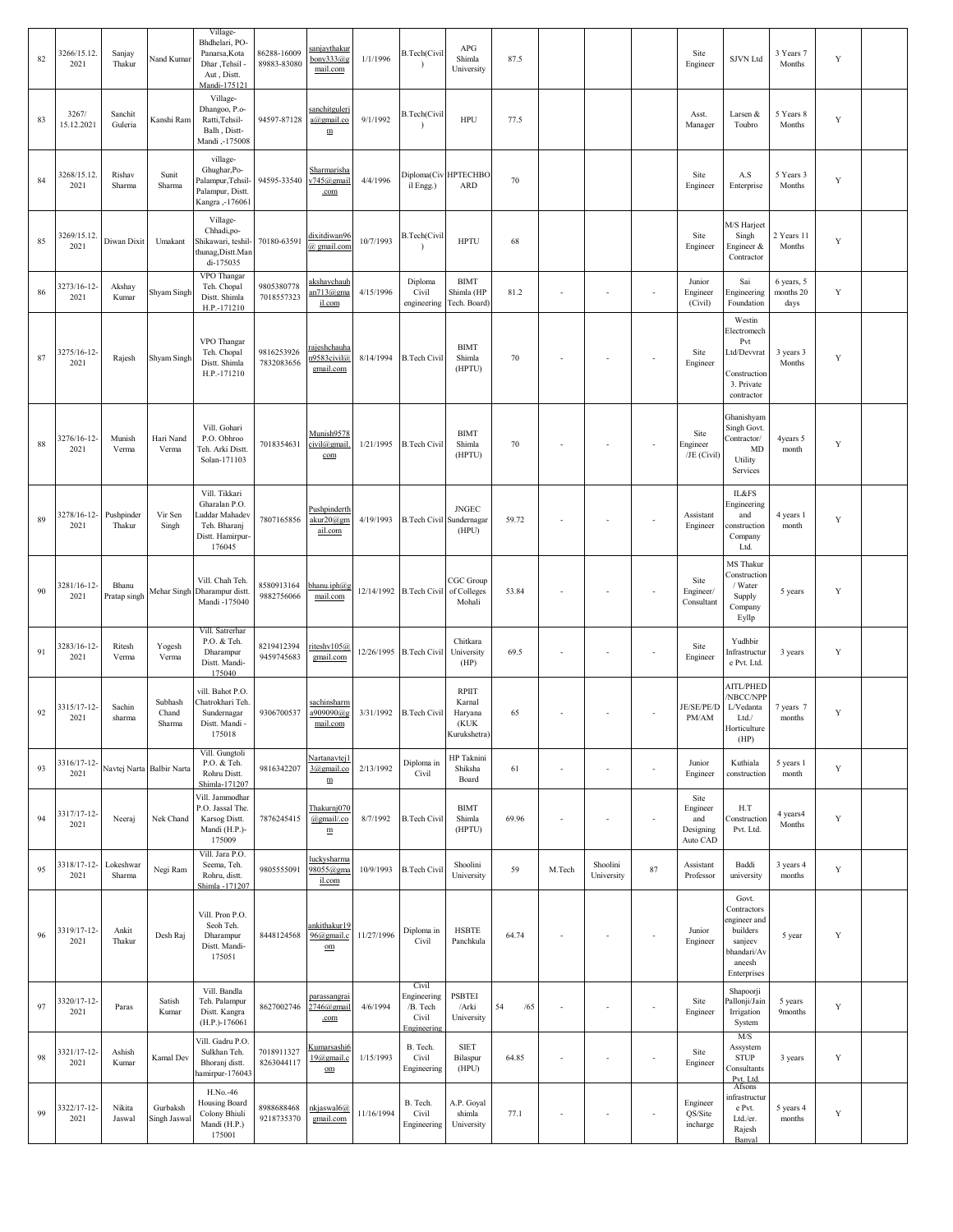| 82 | 3266/15.12.<br>2021 | Sanjay<br>Thakur      | Nand Kumar                         | Village-<br>Bhdhelari, PO-<br>Panarsa, Kota<br>Dhar, Tehsil<br>Aut, Distt.<br>Mandi-175121    | 86288-16009<br>89883-83080 | sanjaythakur<br>bony333@g<br>mail.com               | 1/1/1996   | <b>B.Tech(Civil</b><br>$\lambda$                         | APG<br>Shimla<br>University                        | 87.5      |        |                        |                          | Site<br>Engineer                                 | SJVN Ltd                                                                                           | 3 Years 7<br>Months             | Y |  |
|----|---------------------|-----------------------|------------------------------------|-----------------------------------------------------------------------------------------------|----------------------------|-----------------------------------------------------|------------|----------------------------------------------------------|----------------------------------------------------|-----------|--------|------------------------|--------------------------|--------------------------------------------------|----------------------------------------------------------------------------------------------------|---------------------------------|---|--|
| 83 | 3267/<br>15.12.2021 | Sanchit<br>Guleria    | Kanshi Ram                         | Village-<br>Dhangoo, P.o-<br>Ratti, Tehsil-<br>Balh, Distt-<br>Mandi,-175008                  | 94597-87128                | sanchitguleri<br>a@gmail.co<br>$\mathbf m$          | 9/1/1992   | <b>B.Tech(Civil</b>                                      | HPU                                                | 77.5      |        |                        |                          | Asst.<br>Manager                                 | Larsen &<br>Toubro                                                                                 | 5 Years 8<br>Months             | Y |  |
| 84 | 3268/15.12.<br>2021 | Rishav<br>Sharma      | Sunit<br>Sharma                    | village-<br>Ghughar, Po-<br>Palampur, Tehsil-<br>Palampur, Distt<br>Kangra ,-176061           | 94595-33540                | <u>Sharmarisha</u><br>v745@gmail<br>.com            | 4/4/1996   | il Engg.)                                                | Diploma(Civ HPTECHBO<br><b>ARD</b>                 | 70        |        |                        |                          | Site<br>Engineer                                 | A.S<br>Enterprise                                                                                  | 5 Years 3<br>Months             | Y |  |
| 85 | 3269/15.12.<br>2021 | Diwan Dixit           | Umakant                            | Village-<br>Chhadi,po-<br>Shikawari, teshil-<br>thunag, Distt. Man<br>di-175035               | 70180-63591                | dixitdiwan96<br>@ gmail.com                         | 10/7/1993  | <b>B.Tech(Civil</b>                                      | <b>HPTU</b>                                        | 68        |        |                        |                          | Site<br>Engineer                                 | M/S Harjeet<br>Singh<br>Engineer &<br>Contractor                                                   | 2 Years 11<br>Months            | Y |  |
| 86 | 3273/16-12-<br>2021 | Akshay<br>Kumar       | Shyam Singh                        | VPO Thangar<br>Teh. Chopal<br>Distt. Shimla<br>H.P.-171210                                    | 9805380778<br>7018557323   | akshaychauh<br>an713@gma<br>il.com                  | 4/15/1996  | Diploma<br>Civil<br>engineering                          | <b>BIMT</b><br>Shimla (HP<br>Tech. Board)          | 81.2      |        | $\sim$                 | ÷,                       | Junior<br>Engineer<br>(Civil)                    | Sai<br>Engineering<br>Foundation                                                                   | 6 years, 5<br>months 20<br>days | Y |  |
| 87 | 3275/16-12-<br>2021 | Rajesh                | Shyam Singh                        | VPO Thangar<br>Teh. Chopal<br>Distt. Shimla<br>H.P.-171210                                    | 9816253926<br>7832083656   | rajeshchauha<br>n9583civil@<br>gmail.com            | 8/14/1994  | <b>B.Tech Civil</b>                                      | <b>BIMT</b><br>Shimla<br>(HPTU)                    | 70        |        | $\sim$                 | $\overline{\phantom{a}}$ | Site<br>Engineer                                 | Westin<br>Electromech<br>Pvt<br>Ltd/Devvrat<br>Construction<br>3. Private<br>contractor            | 3 years 3<br>Months             | Y |  |
| 88 | 3276/16-12-<br>2021 | Munish<br>Verma       | Hari Nand<br>Verma                 | Vill. Gohari<br>P.O. Obhroo<br>Teh. Arki Distt.<br>Solan-171103                               | 7018354631                 | Munish9578<br>civil@gmail.<br>com                   | 1/21/1995  | <b>B.Tech Civil</b>                                      | <b>BIMT</b><br>Shimla<br>(HPTU)                    | 70        |        | $\sim$                 | ÷,                       | Site<br>Engineer<br>/JE (Civil)                  | Ghanishyam<br>Singh Govt.<br>Contractor/<br>MD<br>Utility<br>Services                              | 4years 5<br>month               | Y |  |
| 89 | 3278/16-12-<br>2021 | Pushpinder<br>Thakur  | Vir Sen<br>Singh                   | Vill. Tikkari<br>Gharalan P.O.<br>uddar Mahadev<br>Teh. Bharanj<br>Distt. Hamirpur-<br>176045 | 7807165856                 | Pushpinderth<br>akur20@gm<br>ail.com                | 4/19/1993  | <b>B.Tech Civil Sundernagar</b>                          | <b>JNGEC</b><br>(HPU)                              | 59.72     |        | $\sim$                 | ÷,                       | Assistant<br>Engineer                            | IL&FS<br>Engineering<br>and<br>construction<br>Company<br>Ltd.                                     | 4 years 1<br>month              | Y |  |
| 90 | 3281/16-12-<br>2021 | Bhanu<br>Pratap singh |                                    | Vill. Chah Teh.<br>Mehar Singh Dharampur distt<br>Mandi -175040                               | 8580913164<br>9882756066   | bhanu.iph $(a)$ g<br>mail.com                       |            | 12/14/1992 B.Tech Civil of Colleges                      | CGC Group<br>Mohali                                | 53.84     |        |                        |                          | Site<br>Engineer/<br>Consultant                  | MS Thakur<br>Construction<br>/ Water<br>Supply<br>Company<br>Eyllp                                 | 5 years                         | Y |  |
| 91 | 3283/16-12-<br>2021 | Ritesh<br>Verma       | Yogesh<br>Verma                    | Vill. Satrerhar<br>P.O. & Teh.<br>Dharampur<br>Distt. Mandi-<br>175040                        | 8219412394<br>9459745683   | riteshy105@<br>gmail.com                            |            | 12/26/1995 B.Tech Civil                                  | Chitkara<br>University<br>(HP)                     | 69.5      |        | ×                      | ÷,                       | Site<br>Engineer                                 | Yudhbir<br>Infrastructur<br>e Pvt. Ltd.                                                            | 3 years                         | Y |  |
| 92 | 3315/17-12-<br>2021 | Sachin<br>sharma      | Subhash<br>${\it Chand}$<br>Sharma | vill. Bahot P.O.<br>`hatrokhari Teh<br>Sundernagar<br>Distt. Mandi -<br>175018                | 9306700537                 | <u>sachinsharm</u><br>a909090@g<br>mail.com         | 3/31/1992  | <b>B.Tech Civil</b>                                      | RPIIT<br>Karnal<br>Haryana<br>(KUK<br>Kurukshetra) | 65        |        |                        | ÷,                       | JE/SE/PE/D<br>PM/AM                              | <b>AITL/PHED</b><br>/NBCC/NPP<br>L/Vedanta<br>Ltd./<br>Horticulture<br>(HP)                        | 7 years 7<br>months             | Y |  |
| 93 | 3316/17-12-<br>2021 |                       | Navtej Narta Balbir Narta          | Vill. Gungtoli<br>P.O. & Teh.<br>Rohru Distt.<br>Shimla-171207                                | 9816342207                 | Nartanavtej1<br>3@gmail.co<br>${\underline{\bf m}}$ | 2/13/1992  | Diploma in<br>Civil                                      | <b>HP</b> Taknini<br>Shiksha<br>Board              | 61        | $\sim$ | $\sim$                 | ä,                       | Junior<br>Engineer                               | Kuthiala<br>construction                                                                           | 5 years 1<br>month              | Y |  |
| 94 | 3317/17-12-<br>2021 | Neeraj                | Nek Chand                          | Vill. Jammodhar<br>P.O. Jassal The.<br>Karsog Distt.<br>Mandi (H.P.)-<br>175009               | 7876245415                 | Thakurnj070<br>@gmail/.co<br>$\mathbf m$            | 8/7/1992   | <b>B.Tech Civil</b>                                      | <b>BIMT</b><br>Shimla<br>(HPTU)                    | 69.96     |        | ÷,                     | ÷,                       | Site<br>Engineer<br>and<br>Designing<br>Auto CAD | H.T<br>Construction<br>Pvt. Ltd.                                                                   | 4 years4<br>Months              | Y |  |
| 95 | 3318/17-12-<br>2021 | Lokeshwar<br>Sharma   | Negi Ram                           | Vill. Jara P.O.<br>Seema, Teh.<br>Rohru, distt.<br>Shimla -171207                             | 9805555091                 | luckysharma<br>98055@gma<br>il.com                  | 10/9/1993  | <b>B.Tech Civil</b>                                      | Shoolini<br>University                             | 59        | M.Tech | Shoolini<br>University | 87                       | Assistant<br>Professor                           | Baddi<br>university                                                                                | 3 years 4<br>months             | Y |  |
| 96 | 3319/17-12-<br>2021 | Ankit<br>Thakur       | Desh Raj                           | Vill. Pron P.O.<br>Seoh Teh.<br>Dharampur<br>Distt. Mandi-<br>175051                          | 8448124568                 | ankithakur19<br>96@gmail.c<br>om                    | 11/27/1996 | Diploma in<br>Civil                                      | <b>HSBTE</b><br>Panchkula                          | 64.74     |        |                        | ÷,                       | Junior<br>Engineer                               | Govt.<br>Contractors<br>ngineer and<br>builders<br>sanjeev<br>bhandari/Av<br>ancesh<br>Enterprises | 5 year                          | Y |  |
| 97 | 3320/17-12-<br>2021 | Paras                 | Satish<br>Kumar                    | Vill. Bandla<br>Teh. Palampur<br>Distt. Kangra<br>(H.P.)-176061                               | 8627002746                 | parassangrai<br>2746@gmail<br>.com                  | 4/6/1994   | Civil<br>Engineering<br>/B. Tech<br>Civil<br>Engineering | <b>PSBTEI</b><br>/Arki<br>University               | 54<br>/65 |        | $\sim$                 | ä,                       | Site<br>Engineer                                 | Shapoorji<br>allonji/Jain<br>Irrigation<br>System                                                  | 5 years<br>9months              | Y |  |
| 98 | 3321/17-12-<br>2021 | Ashish<br>Kumar       | Kamal Dev                          | Vill. Gadru P.O.<br>Sulkhan Teh.<br>Bhoranj distt.<br>hamirpur-176043                         | 7018911327<br>8263044117   | <u>Kumarsashi6</u><br>19@gmail.c<br>$_{\text{om}}$  | 1/15/1993  | B. Tech.<br>Civil<br>Engineering                         | <b>SIET</b><br>Bilaspur<br>(HPU)                   | 64.85     |        | $\sim$                 | ÷,                       | Site<br>Engineer                                 | M/S<br>Assystem<br><b>STUP</b><br>Consultants<br>Pvt. Ltd.                                         | 3 years                         | Y |  |
| 99 | 3322/17-12-<br>2021 | Nikita<br>Jaswal      | Gurbaksh<br>Singh Jaswal           | H.No.-46<br>Housing Board<br>Colony Bhiuli<br>Mandi (H.P.)<br>175001                          | 8988688468<br>9218735370   | nkjaswal6@<br>gmail.com                             | 11/16/1994 | B. Tech.<br>Civil<br>Engineering                         | A.P. Goyal<br>shimla<br>University                 | 77.1      |        | ÷,                     | ä,                       | Engineer<br>QS/Site<br>incharge                  | Afsons<br>nfrastructur<br>e Pvt.<br>Ltd./er.<br>Rajesh<br>Banyal                                   | 5 years 4<br>months             | Y |  |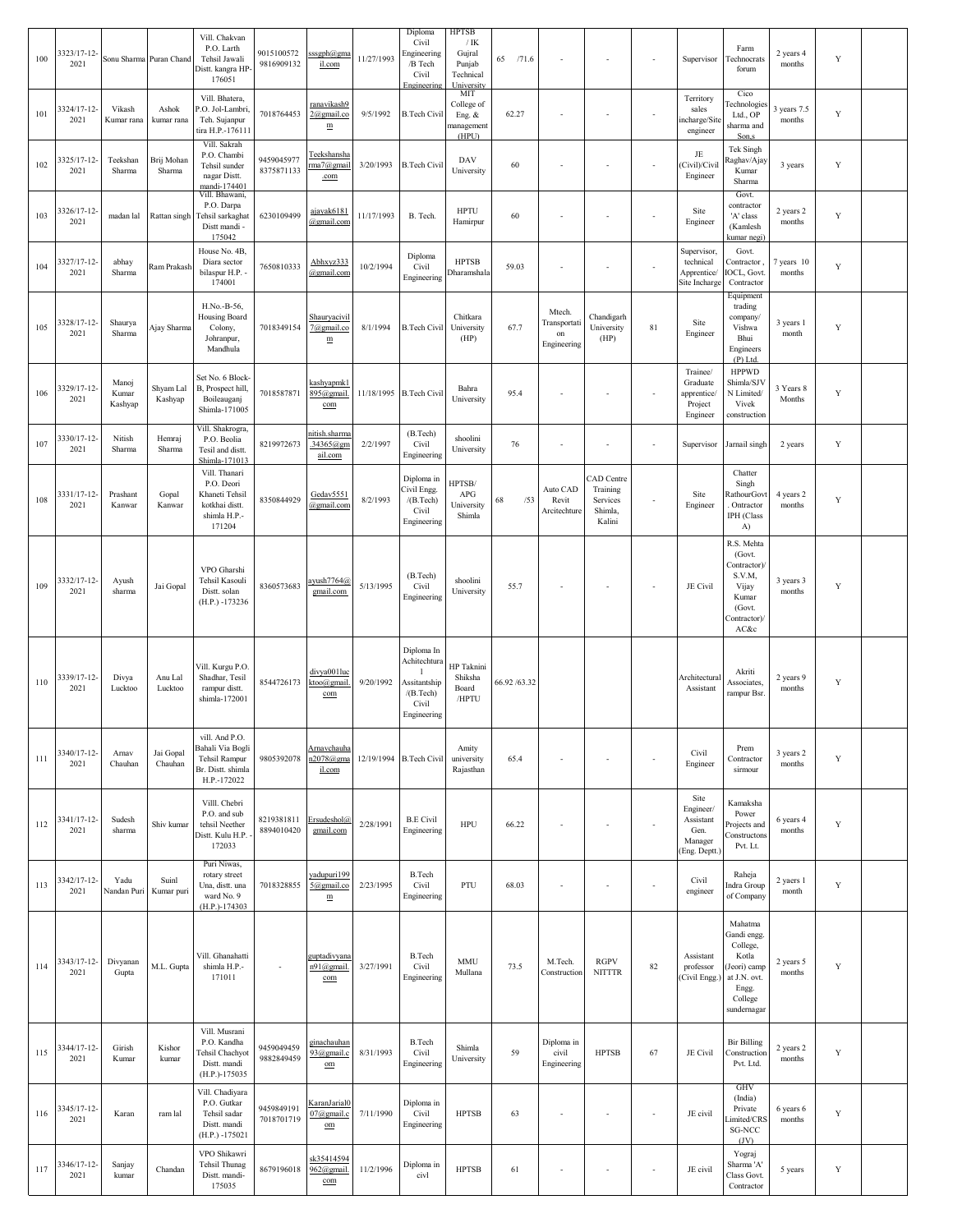| 100 | 3323/17-12-<br>2021 |                           | Sonu Sharma Puran Chand | Vill. Chakvan<br>P.O. Larth<br>Tehsil Jawali<br>Distt. kangra HP<br>176051                | 9015100572<br>9816909132 | sssgph@gma<br>il.com                                | 11/27/1993 | Diploma<br>Civil<br>Engineering<br>/B Tech<br>Civil<br>Engineering              | <b>HPTSB</b><br>$/$ IK<br>Gujral<br>Punjab<br>Technical<br>University | 65<br>/71.6   | $\sim$                                      |                                                         | $\overline{\phantom{a}}$ | Supervisor                                                         | Farm<br>Technocrats<br>forum                                                                                 | 2 years 4<br>months   | Y           |  |
|-----|---------------------|---------------------------|-------------------------|-------------------------------------------------------------------------------------------|--------------------------|-----------------------------------------------------|------------|---------------------------------------------------------------------------------|-----------------------------------------------------------------------|---------------|---------------------------------------------|---------------------------------------------------------|--------------------------|--------------------------------------------------------------------|--------------------------------------------------------------------------------------------------------------|-----------------------|-------------|--|
| 101 | 3324/17-12-<br>2021 | Vikash<br>Kumar rana      | Ashok<br>kumar rana     | Vill. Bhatera,<br>P.O. Jol-Lambri,<br>Teh. Sujanpur<br>tira H.P.-176111                   | 7018764453               | ranavikash9<br>$2$ @gmail.co<br>$\mathbf m$         | 9/5/1992   | <b>B.Tech Civil</b>                                                             | MIT<br>College of<br>Eng. &<br>nanagement<br>(HPU)                    | 62.27         |                                             |                                                         |                          | Territory<br>sales<br>incharge/Site<br>engineer                    | Cico<br><b>Technologies</b><br>Ltd., OP<br>sharma and<br>Son,s                                               | 3 years 7.5<br>months | $\mathbf Y$ |  |
| 102 | 3325/17-12-<br>2021 | Teekshan<br>Sharma        | Brij Mohan<br>Sharma    | Vill. Sakrah<br>P.O. Chambi<br>Tehsil sunder<br>nagar Distt.<br>mandi-174401              | 9459045977<br>8375871133 | Teekshansha<br>rma7@gmail<br>.com                   | 3/20/1993  | <b>B.Tech Civil</b>                                                             | DAV<br>University                                                     | 60            |                                             |                                                         | $\sim$                   | JE<br>(Civil)/Civil<br>Engineer                                    | Tek Singh<br>Raghav/Ajay<br>Kumar<br>Sharma                                                                  | 3 years               | Y           |  |
| 103 | 3326/17-12-<br>2021 | madan lal                 | Rattan singh            | Vill. Bhawani,<br>P.O. Darpa<br>Tehsil sarkaghat<br>Distt mandi -<br>175042               | 6230109499               | ajayak6181<br>@gmail.com                            | 11/17/1993 | B. Tech.                                                                        | <b>HPTU</b><br>Hamirpur                                               | 60            | $\sim$                                      |                                                         | $\blacksquare$           | Site<br>Engineer                                                   | Govt.<br>contractor<br>'A' class<br>(Kamlesh<br>kumar negi)                                                  | 2 years 2<br>months   | Y           |  |
| 104 | 3327/17-12-<br>2021 | abhay<br>Sharma           | Ram Prakash             | House No. 4B,<br>Diara sector<br>bilaspur H.P. -<br>174001                                | 7650810333               | Abhxyz333<br>@gmail.com                             | 10/2/1994  | Diploma<br>Civil<br>Engineering                                                 | <b>HPTSB</b><br>Dharamshala                                           | 59.03         | $\overline{\phantom{a}}$                    | ÷,                                                      | $\overline{\phantom{a}}$ | Supervisor,<br>technical<br>Apprentice/<br>Site Incharge           | Govt.<br>Contractor,<br>OCL, Govt<br>Contractor                                                              | 7 years 10<br>months  | Y           |  |
| 105 | 3328/17-12-<br>2021 | Shaurya<br>Sharma         | Ajay Sharma             | H.No.-B-56,<br>Housing Board<br>Colony,<br>Johranpur,<br>Mandhula                         | 7018349154               | Shauryacivil<br>7@gmail.co<br>${\underline{\bf m}}$ | 8/1/1994   | <b>B.Tech Civil</b>                                                             | Chitkara<br>University<br>(HP)                                        | 67.7          | Mtech.<br>Transportati<br>on<br>Engineering | Chandigarh<br>University<br>(HP)                        | 81                       | Site<br>Engineer                                                   | Equipment<br>trading<br>company/<br>Vishwa<br>Bhui<br>Engineers<br>$(P)$ Ltd.                                | 3 years 1<br>month    | Y           |  |
| 106 | 3329/17-12-<br>2021 | Manoj<br>Kumar<br>Kashyap | Shyam Lal<br>Kashyap    | Set No. 6 Block-<br>B, Prospect hill,<br>Boileauganj<br>Shimla-171005                     | 7018587871               | kashyapmk1<br>895@gmail.<br>com                     |            | 11/18/1995 B.Tech Civil                                                         | Bahra<br>University                                                   | 95.4          |                                             |                                                         | $\sim$                   | Trainee/<br>Graduate<br>apprentice/<br>Project<br>Engineer         | <b>HPPWD</b><br>Shimla/SJV<br>N Limited/<br>Vivek<br>construction                                            | 3 Years 8<br>Months   | Y           |  |
| 107 | 3330/17-12-<br>2021 | Nitish<br>Sharma          | Hemraj<br>Sharma        | Vill. Shakrogra,<br>P.O. Beolia<br>Tesil and distt.<br>Shimla-171013                      | 8219972673               | nitish.sharma<br>.34365@gm<br>ail.com               | 2/2/1997   | (B.Tech)<br>Civil<br>Engineering                                                | shoolini<br>University                                                | 76            | $\sim$                                      | ÷,                                                      | $\sim$                   | Supervisor                                                         | Jarnail singh                                                                                                | 2 years               | Y           |  |
| 108 | 3331/17-12-<br>2021 | Prashant<br>Kanwar        | Gopal<br>Kanwar         | Vill. Thanari<br>P.O. Deori<br>Khaneti Tehsil<br>kotkhai distt.<br>shimla H.P.-<br>171204 | 8350844929               | Gedav5551<br>@gmail.com                             | 8/2/1993   | Diploma in<br>Civil Engg.<br>/(B.Tech)<br>Civil<br>Engineering                  | HPTSB/<br>APG<br>University<br>Shimla                                 | 68<br>/53     | Auto CAD<br>Revit<br>Arcitechture           | CAD Centre<br>Training<br>Services<br>Shimla,<br>Kalini | $\overline{\phantom{a}}$ | Site<br>Engineer                                                   | Chatter<br>Singh<br>RathourGovt<br>. Ontractor<br>IPH (Class<br>A)                                           | 4 years 2<br>months   | Y           |  |
| 109 | 3332/17-12-<br>2021 | Ayush<br>sharma           | Jai Gopal               | VPO Gharshi<br>Tehsil Kasouli<br>Distt. solan<br>(H.P.) -173236                           | 8360573683               | ayush7764@<br>gmail.com                             | 5/13/1995  | (B.Tech)<br>Civil<br>Engineering                                                | shoolini<br>University                                                | 55.7          | $\overline{\phantom{a}}$                    |                                                         | $\overline{\phantom{a}}$ | JE Civil                                                           | R.S. Mehta<br>(Govt.<br>Contractor)/<br>S.V.M,<br>Vijay<br>Kumar<br>(Govt.<br>Contractor)/<br>AC&c           | 3 years 3<br>months   | Y           |  |
| 110 | 3339/17-12-<br>2021 | Divya<br>Lucktoo          | Anu Lal<br>Lucktoo      | Vill. Kurgu P.O.<br>Shadhar, Tesil<br>rampur distt.<br>shimla-172001                      | 8544726173               | divya001luc<br>ktoo@gmail<br>com                    | 9/20/1992  | Diploma In<br>Achitechtura<br>Assitantship<br>/(B.Tech)<br>Civil<br>Engineering | <b>HP</b> Taknini<br>Shiksha<br>Board<br>/HPTU                        | 66.92 / 63.32 |                                             |                                                         |                          | Architectura<br>Assistant                                          | Akriti<br>Associates,<br>rampur Bsr.                                                                         | 2 years 9<br>months   | Y           |  |
| 111 | 3340/17-12-<br>2021 | Arnav<br>Chauhan          | Jai Gopal<br>Chauhan    | vill. And P.O.<br>Bahali Via Bogli<br>Tehsil Rampur<br>Br. Distt. shimla<br>H.P.-172022   | 9805392078               | Arnavchauha<br>n2078@gma<br>il.com                  |            | 12/19/1994 B. Tech Civil                                                        | Amity<br>university<br>Rajasthan                                      | 65.4          | $\overline{\phantom{a}}$                    | ÷,                                                      | $\overline{\phantom{a}}$ | Civil<br>Engineer                                                  | Prem<br>Contractor<br>sirmour                                                                                | 3 years 2<br>months   | Y           |  |
| 112 | 3341/17-12-<br>2021 | Sudesh<br>sharma          | Shiv kumar              | Villl. Chebri<br>P.O. and sub<br>tehsil Neether<br>Distt. Kulu H.P.<br>172033             | 8219381811<br>8894010420 | Ersudeshol@<br>gmail.com                            | 2/28/1991  | <b>B.E Civil</b><br>Engineering                                                 | <b>HPU</b>                                                            | 66.22         | $\sim$                                      |                                                         | $\sim$                   | Site<br>Engineer/<br>Assistant<br>Gen.<br>Manager<br>(Eng. Deptt.) | Kamaksha<br>Power<br>Projects and<br>Constructons<br>Pvt. Lt.                                                | 6 years 4<br>months   | Y           |  |
| 113 | 3342/17-12-<br>2021 | Yadu<br>Nandan Puri       | Suinl<br>Kumar puri     | Puri Niwas,<br>rotary street<br>Una, distt. una<br>ward No. 9<br>(H.P.)-174303            | 7018328855               | yadupuri199<br>5@gmail.co<br>$\mathbf m$            | 2/23/1995  | <b>B.Tech</b><br>Civil<br>Engineering                                           | PTU                                                                   | 68.03         | $\overline{\phantom{a}}$                    | ÷,                                                      | $\overline{\phantom{a}}$ | Civil<br>engineer                                                  | Raheja<br>Indra Group<br>of Company                                                                          | 2 yaers 1<br>month    | Y           |  |
| 114 | 3343/17-12-<br>2021 | Divyanan<br>Gupta         | M.L. Gupta              | Vill. Ghanahatti<br>shimla H.P.-<br>171011                                                | $\sim$                   | guptadivyana<br>n91@gmail.<br>com                   | 3/27/1991  | <b>B.Tech</b><br>Civil<br>Engineering                                           | <b>MMU</b><br>Mullana                                                 | 73.5          | M.Tech.<br>Construction                     | <b>RGPV</b><br><b>NITTTR</b>                            | 82                       | Assistant<br>professor<br>(Civil Engg.)                            | Mahatma<br>Gandi engg<br>College,<br>Kotla<br>Jeori) camp<br>at J.N. ovt.<br>Engg.<br>College<br>sundernagar | 2 years 5<br>months   | Y           |  |
| 115 | 3344/17-12-<br>2021 | Girish<br>Kumar           | Kishor<br>kumar         | Vill. Musrani<br>P.O. Kandha<br><b>Tehsil Chachyot</b><br>Distt. mandi<br>(H.P.)-175035   | 9459049459<br>9882849459 | ginachauhan<br>93@gmail.c<br>$_{\text{om}}$         | 8/31/1993  | <b>B.Tech</b><br>Civil<br>Engineering                                           | Shimla<br>University                                                  | 59            | Diploma in<br>civil<br>Engineering          | <b>HPTSB</b>                                            | 67                       | JE Civil                                                           | <b>Bir Billing</b><br>Construction<br>Pvt. Ltd.                                                              | 2 years 2<br>months   | Y           |  |
| 116 | 3345/17-12-<br>2021 | Karan                     | ram lal                 | Vill. Chadiyara<br>P.O. Gutkar<br>Tehsil sadar<br>Distt. mandi<br>$(H.P.) - 175021$       | 9459849191<br>7018701719 | <u>KaranJarial(</u><br>07@gmail.c<br>$_{\text{om}}$ | 7/11/1990  | Diploma in<br>Civil<br>Engineering                                              | <b>HPTSB</b>                                                          | 63            | $\sim$                                      |                                                         | $\overline{\phantom{a}}$ | JE civil                                                           | GHV<br>(India)<br>Private<br>.imited/CRS<br>SG-NCC<br>JV                                                     | 6 years 6<br>months   | Y           |  |
| 117 | 3346/17-12-<br>2021 | Sanjay<br>kumar           | Chandan                 | VPO Shikawri<br>Tehsil Thunag<br>Distt. mandi-<br>175035                                  | 8679196018               | sk35414594<br>962@gmail.<br>com                     | 11/2/1996  | Diploma in<br>civl                                                              | <b>HPTSB</b>                                                          | 61            |                                             |                                                         |                          | JE civil                                                           | Yograj<br>Sharma 'A'<br>Class Govt.<br>Contractor                                                            | 5 years               | Y           |  |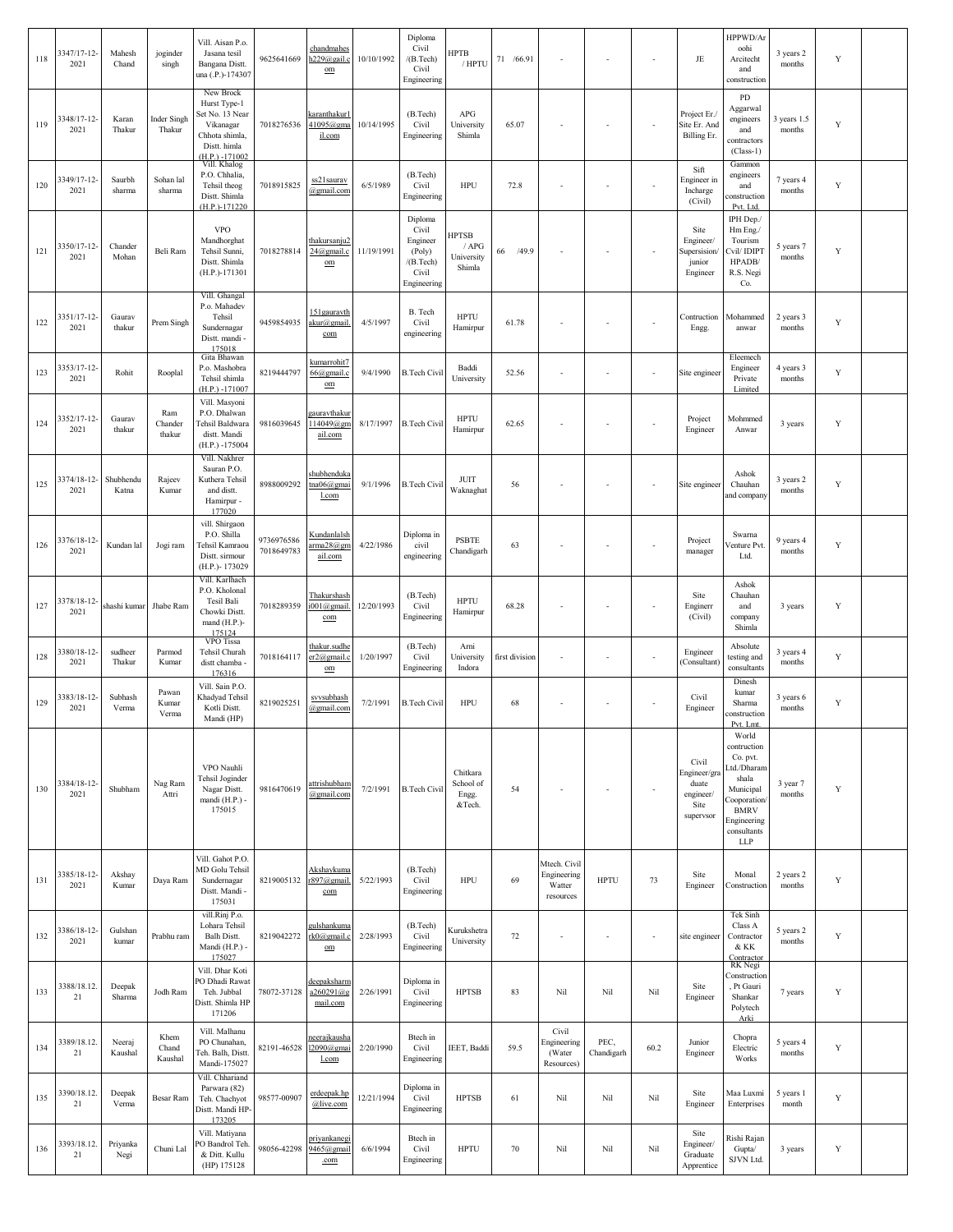| 118 | 3347/17-12-<br>2021 | Mahesh<br>Chand    | joginder<br>singh        | Vill. Aisan P.o.<br>Jasana tesil<br>Bangana Distt.<br>una (.P.)-174307                                           | 9625641669               | <u>chandmahes</u><br>h229@gail.c<br>$_{\text{om}}$ | 10/10/1992 | Diploma<br>Civil<br>/(B.Tech)<br>Civil<br>Engineering                       | HPTB<br>/ HPTU                                | 71 /66.91      | $\sim$                                             | $\sim$                   | $\sim$                   | JE                                                               | HPPWD/Ar<br>oohi<br>Arcitecht<br>and<br>construction                                                                                     | 3 years 2<br>months   | Y           |  |
|-----|---------------------|--------------------|--------------------------|------------------------------------------------------------------------------------------------------------------|--------------------------|----------------------------------------------------|------------|-----------------------------------------------------------------------------|-----------------------------------------------|----------------|----------------------------------------------------|--------------------------|--------------------------|------------------------------------------------------------------|------------------------------------------------------------------------------------------------------------------------------------------|-----------------------|-------------|--|
| 119 | 3348/17-12-<br>2021 | Karan<br>Thakur    | Inder Singh<br>Thakur    | New Brock<br>Hurst Type-1<br>Set No. 13 Near<br>Vikanagar<br>Chhota shimla,<br>Distt. himla<br>$(H.P.) - 171002$ | 7018276536               | aranthakur l<br>41095@gma<br>il.com                | 10/14/1995 | (B.Tech)<br>Civil<br>Engineering                                            | APG<br>University<br>Shimla                   | 65.07          |                                                    |                          | ÷,                       | Project Er./<br>Site Er. And<br>Billing Er.                      | PD<br>Aggarwal<br>engineers<br>and<br>contractors<br>$(Class-1)$                                                                         | 3 years 1.5<br>months | Y           |  |
| 120 | 3349/17-12-<br>2021 | Saurbh<br>sharma   | Sohan lal<br>sharma      | Vill. Khalog<br>P.O. Chhalia,<br>Tehsil theog<br>Distt. Shimla<br>(H.P.)-171220                                  | 7018915825               | ss21saurav<br>@gmail.com                           | 6/5/1989   | (B.Tech)<br>Civil<br>Engineering                                            | HPU                                           | 72.8           |                                                    | ٠.                       | ÷,                       | Sift<br>Engineer in<br>Incharge<br>(Civil)                       | Gammon<br>engineers<br>and<br>construction<br>Pvt. Ltd.                                                                                  | 7 years 4<br>months   | Y           |  |
| 121 | 3350/17-12-<br>2021 | Chander<br>Mohan   | Beli Ram                 | <b>VPO</b><br>Mandhorghat<br>Tehsil Sunni,<br>Distt. Shimla<br>(H.P.)-171301                                     | 7018278814               | thakursanju2<br>24@gmail.c<br>$_{\text{om}}$       | 11/19/1991 | Diploma<br>Civil<br>Engineer<br>(Poly)<br>/(B.Tech)<br>Civil<br>Engineering | <b>HPTSB</b><br>/ APG<br>University<br>Shimla | 66<br>/49.9    |                                                    | $\sim$                   | ÷,                       | Site<br>Engineer/<br>Supersision/<br>junior<br>Engineer          | IPH Dep./<br>Hm Eng./<br>Tourism<br>Cvil/ IDIP1<br>HPADB/<br>R.S. Negi<br>Co.                                                            | 5 years 7<br>months   | Y           |  |
| 122 | 3351/17-12-<br>2021 | Gaurav<br>thakur   | Prem Singh               | Vill. Ghangal<br>P.o. Mahadev<br>Tehsil<br>Sundernagar<br>Distt. mandi -<br>175018                               | 9459854935               | 151 gaurayth<br>akur@gmail.<br>com                 | 4/5/1997   | B. Tech<br>Civil<br>engineering                                             | <b>HPTU</b><br>Hamirpur                       | 61.78          |                                                    | $\sim$                   | ä,                       | Contruction<br>Engg.                                             | Mohammed<br>anwar                                                                                                                        | 2 years 3<br>months   | Y           |  |
| 123 | 3353/17-12-<br>2021 | Rohit              | Rooplal                  | Gita Bhawan<br>P.o. Mashobra<br>Tehsil shimla<br>$(H.P.) - 171007$                                               | 8219444797               | kumarrohit7<br>66@gmail.c<br>$_{\text{om}}$        | 9/4/1990   | <b>B.Tech Civil</b>                                                         | Baddi<br>University                           | 52.56          |                                                    | ٠                        | ÷,                       | Site engineer                                                    | Eleemech<br>Engineer<br>Private<br>Limited                                                                                               | 4 years 3<br>months   | Y           |  |
| 124 | 3352/17-12-<br>2021 | Gaurav<br>thakur   | Ram<br>Chander<br>thakur | Vill. Masyoni<br>P.O. Dhalwan<br>ehsil Baldwara<br>distt. Mandi<br>(H.P.) -175004                                | 9816039645               | gauravthakuı<br>114049@gm<br>ail.com               | 8/17/1997  | <b>B.Tech Civil</b>                                                         | <b>HPTU</b><br>Hamirpur                       | 62.65          |                                                    |                          |                          | Project<br>Engineer                                              | Mohmmed<br>Anwar                                                                                                                         | 3 years               | Y           |  |
| 125 | 3374/18-12-<br>2021 | Shubhendu<br>Katna | Rajeev<br>Kumar          | Vill. Nakhrer<br>Sauran P.O.<br>Kuthera Tehsil<br>and distt.<br>Hamirpur -<br>177020                             | 8988009292               | <u>shubhenduka</u><br>tna06@gmai<br>l.com          | 9/1/1996   | <b>B.Tech Civil</b>                                                         | JUIT<br>Waknaghat                             | 56             |                                                    |                          | ÷,                       | Site engineer                                                    | Ashok<br>Chauhan<br>and company                                                                                                          | 3 years 2<br>months   | Y           |  |
| 126 | 3376/18-12-<br>2021 | Kundan lal         | Jogi ram                 | vill. Shirgaon<br>P.O. Shilla<br>lehsil Kamraou<br>Distt. sirmour<br>(H.P.)-173029                               | 9736976586<br>7018649783 | <b>Kundanlalsh</b><br>arma28@gm<br>ail.com         | 4/22/1986  | Diploma in<br>civil<br>engineering                                          | <b>PSBTE</b><br>Chandigarh                    | 63             |                                                    | ÷,                       |                          | Project<br>manager                                               | Swarna<br>/enture Pvt.<br>Ltd.                                                                                                           | 9 years 4<br>months   | Y           |  |
| 127 | 3378/18-12-<br>2021 | shashi kumar       | Jhabe Ram                | Vill. Karlhach<br>P.O. Kholonal<br>Tesil Bali<br>Chowki Distt.<br>mand (H.P.)-<br>175124                         | 7018289359               | Thakurshash<br>$1001$ (a) gmail.<br>com            | 12/20/1993 | (B.Tech)<br>Civil<br>Engineering                                            | <b>HPTU</b><br>Hamirpur                       | 68.28          |                                                    | ÷,                       | $\overline{\phantom{a}}$ | Site<br>Enginerr<br>(Civil)                                      | Ashok<br>Chauhan<br>and<br>company<br>Shimla                                                                                             | 3 years               | Y           |  |
| 128 | 3380/18-12-<br>2021 | sudheer<br>Thakur  | Parmod<br>Kumar          | VPO Tissa<br>Tehsil Churah<br>distt chamba -<br>176316                                                           | 7018164117               | thakur.sudhe<br>er2@gmail.c<br>$_{\text{om}}$      | 1/20/1997  | (B.Tech)<br>Civil<br>Engineering                                            | Arni<br>University<br>Indora                  | first division |                                                    | ÷,                       | $\overline{\phantom{a}}$ | Engineer<br>(Consultant)                                         | Absolute<br>testing and<br>consultants                                                                                                   | 3 years 4<br>months   | Y           |  |
| 129 | 3383/18-12-<br>2021 | Subhash<br>Verma   | Pawan<br>Kumar<br>Verma  | Vill. Sain P.O.<br><b>Chadyad Tehsil</b><br>Kotli Distt.<br>Mandi (HP)                                           | 8219025251               | <u>svysubhash</u><br>@gmail.com                    | 7/2/1991   | <b>B.Tech Civil</b>                                                         | <b>HPU</b>                                    | 68             |                                                    | $\overline{\phantom{a}}$ | ٠                        | Civil<br>Engineer                                                | Dinesh<br>kumar<br>Sharma<br>construction<br>Pvt. Lmt.                                                                                   | 3 years 6<br>months   | Y           |  |
| 130 | 3384/18-12-<br>2021 | Shubham            | Nag Ram<br>Attri         | VPO Nauhli<br>Tehsil Joginder<br>Nagar Distt.<br>mandi (H.P.) -<br>175015                                        | 9816470619               | attrishubham<br>@gmail.com                         | 7/2/1991   | <b>B.Tech Civil</b>                                                         | Chitkara<br>School of<br>Engg.<br>&Tech.      | 54             |                                                    | $\overline{\phantom{a}}$ | $\overline{\phantom{a}}$ | Civil<br>Engineer/gra<br>duate<br>engineer/<br>Site<br>supervsor | World<br>contruction<br>Co. pvt.<br>Ltd./Dharam<br>shala<br>Municipal<br>coporation.<br><b>BMRV</b><br>Engineering<br>consultants<br>LLP | 3 year 7<br>months    | Y           |  |
| 131 | 3385/18-12-<br>2021 | Akshay<br>Kumar    | Daya Ram                 | Vill. Gahot P.O.<br><b>MD</b> Golu Tehsil<br>Sundernagar<br>Distt. Mandi -<br>175031                             | 8219005132               | Akshaykuma<br>r897@gmail.<br>com                   | 5/22/1993  | (B.Tech)<br>Civil<br>Engineering                                            | <b>HPU</b>                                    | 69             | Mtech. Civil<br>Engineering<br>Watter<br>resources | <b>HPTU</b>              | 73                       | Site<br>Engineer                                                 | Monal<br>Construction                                                                                                                    | 2 years 2<br>months   | Y           |  |
| 132 | 3386/18-12-<br>2021 | Gulshan<br>kumar   | Prabhu ram               | vill.Rinj P.o.<br>Lohara Tehsil<br>Balh Distt.<br>Mandi (H.P.) -<br>175027                                       | 8219042272               | gulshankuma<br>rk0@gmail.c<br>$_{\text{om}}$       | 2/28/1993  | (B.Tech)<br>Civil<br>Engineering                                            | Kurukshetra<br>University                     | 72             |                                                    | $\sim$                   | $\overline{\phantom{a}}$ | site engineer                                                    | Tek Sinh<br>Class A<br>Contractor<br>& KK<br>Contractor                                                                                  | 5 years 2<br>months   | Y           |  |
| 133 | 3388/18.12.<br>21   | Deepak<br>Sharma   | Jodh Ram                 | Vill. Dhar Koti<br>PO Dhadi Rawat<br>Teh. Jubbal<br>Distt. Shimla HP<br>171206                                   | 78072-37128              | deepaksharm<br>a260291@g<br>mail.com               | 2/26/1991  | Diploma in<br>Civil<br>Engineering                                          | <b>HPTSB</b>                                  | 83             | Nil                                                | Nil                      | Nil                      | Site<br>Engineer                                                 | RK Negi<br>Construction<br>, Pt Gauri<br>Shankar<br>Polytech<br>Arki                                                                     | 7 years               | Y           |  |
| 134 | 3389/18.12.<br>21   | Neeraj<br>Kaushal  | Khem<br>Chand<br>Kaushal | Vill. Malhanu<br>PO Chunahan,<br>leh. Balh, Distt.<br>Mandi-175027                                               | 82191-46528              | <u>aeerajkausha</u><br>12090@gmai<br>l.com         | 2/20/1990  | Btech in<br>Civil<br>Engineering                                            | IEET, Baddi                                   | 59.5           | Civil<br>Engineering<br>(Water<br>Resources)       | PEC,<br>Chandigarh       | 60.2                     | Junior<br>Engineer                                               | Chopra<br>Electric<br>Works                                                                                                              | 5 years 4<br>months   | Y           |  |
| 135 | 3390/18.12.<br>21   | Deepak<br>Verma    | Besar Ram                | Vill. Chhariand<br>Parwara (82)<br>Teh. Chachyot<br>Distt. Mandi HP-<br>173205                                   | 98577-00907              | erdeepak.hp<br>@live.com                           | 12/21/1994 | Diploma in<br>Civil<br>Engineering                                          | <b>HPTSB</b>                                  | 61             | Nil                                                | Nil                      | Nil                      | Site<br>Engineer                                                 | Maa Luxmi<br>Enterprises                                                                                                                 | 5 years 1<br>month    | $\mathbf Y$ |  |
| 136 | 3393/18.12.<br>21   | Priyanka<br>Negi   | Chuni Lal                | Vill. Matiyana<br>O Bandrol Teh.<br>& Ditt. Kullu<br>(HP) 175128                                                 | 98056-42298              | priyankanegi<br>9465@gmail<br>.com                 | 6/6/1994   | Btech in<br>Civil<br>Engineering                                            | <b>HPTU</b>                                   | $70\,$         | Nil                                                | Nil                      | Nil                      | Site<br>Engineer/<br>Graduate<br>Apprentice                      | Rishi Rajan<br>Gupta/<br>SJVN Ltd.                                                                                                       | 3 years               | Y           |  |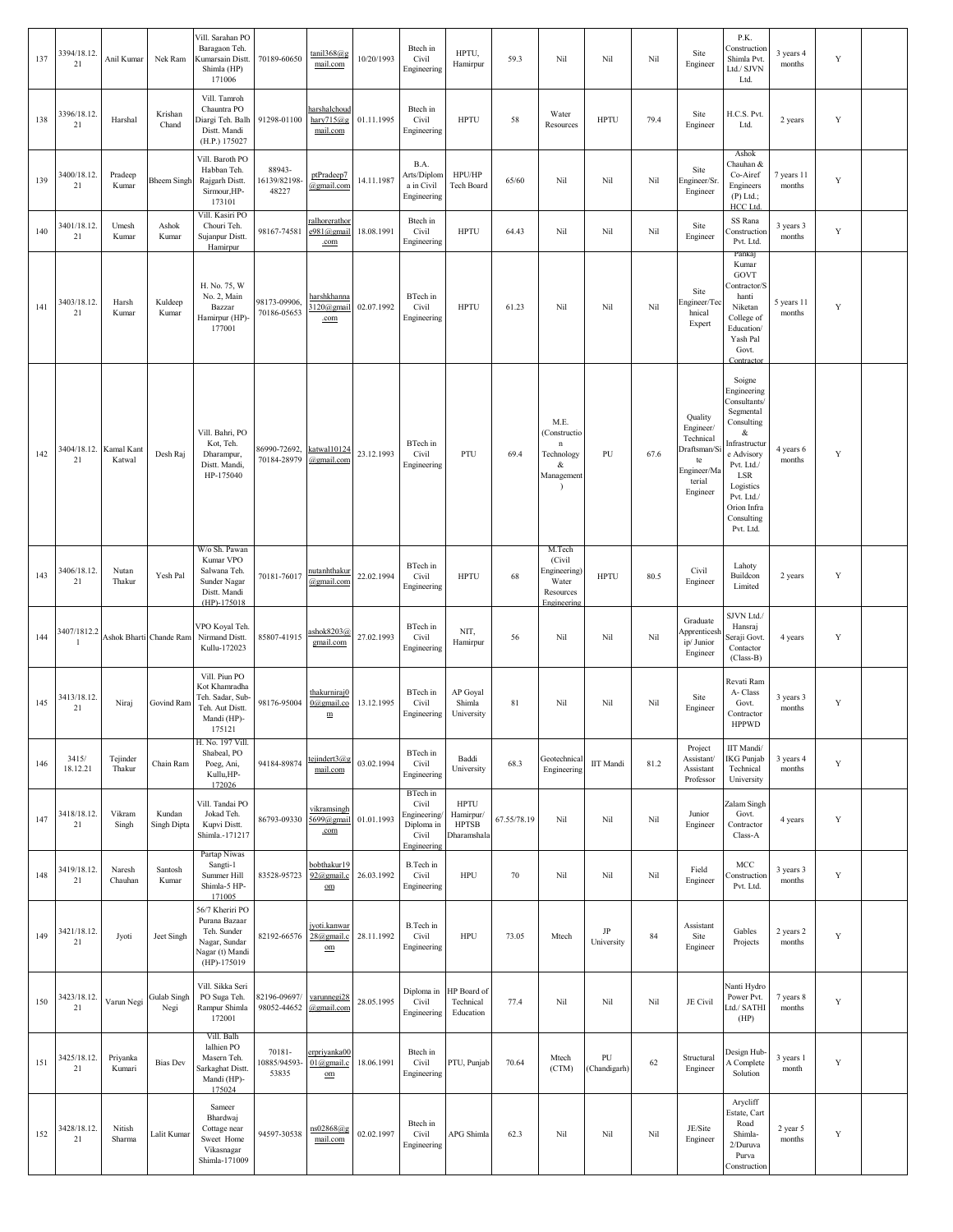| 137 | 3394/18.12.<br>21            | Anil Kumar         | Nek Ram                 | Vill. Sarahan PO<br>Baragaon Teh.<br>Kumarsain Distt.<br>Shimla (HP)<br>171006                       | 70189-60650                     | $tani 1368$ <sub>(a)</sub> g<br>mail.com       | 10/20/1993 | Btech in<br>Civil<br>Engineering                                       | HPTU,<br>Hamirpur                                       | 59.3        | Nil                                                                               | Nil                    | Nil  | Site<br>Engineer                                                                            | P.K.<br>Construction<br>Shimla Pvt.<br>Ltd./ SJVN<br>Ltd.                                                                                                                                      | 3 years 4<br>months  | Y           |  |
|-----|------------------------------|--------------------|-------------------------|------------------------------------------------------------------------------------------------------|---------------------------------|------------------------------------------------|------------|------------------------------------------------------------------------|---------------------------------------------------------|-------------|-----------------------------------------------------------------------------------|------------------------|------|---------------------------------------------------------------------------------------------|------------------------------------------------------------------------------------------------------------------------------------------------------------------------------------------------|----------------------|-------------|--|
| 138 | 3396/18.12.<br>21            | Harshal            | Krishan<br>Chand        | Vill. Tamroh<br>Chauntra PO<br>Diargi Teh. Balh<br>Distt. Mandi<br>(H.P.) 175027                     | 91298-01100                     | harshalchoud<br>hary $715@g$<br>mail.com       | 01.11.1995 | Btech in<br>Civil<br>Engineering                                       | <b>HPTU</b>                                             | 58          | Water<br>Resources                                                                | <b>HPTU</b>            | 79.4 | Site<br>Engineer                                                                            | H.C.S. Pvt.<br>Ltd.                                                                                                                                                                            | 2 years              | Y           |  |
| 139 | 3400/18.12.<br>21            | Pradeep<br>Kumar   | Bheem Singh             | Vill. Baroth PO<br>Habban Teh.<br>Rajgarh Distt.<br>Sirmour, HP-<br>173101                           | 88943-<br>16139/82198-<br>48227 | ptPradeep7<br>@gmail.com                       | 14.11.1987 | B.A.<br>Arts/Diplom<br>a in Civil<br>Engineering                       | HPU/HP<br>Tech Board                                    | 65/60       | Nil                                                                               | Nil                    | Nil  | Site<br>Engineer/Sr.<br>Engineer                                                            | Ashok<br>Chauhan &<br>Co-Airef<br>Engineers<br>$(P)$ Ltd.;<br>HCC Ltd.                                                                                                                         | 7 years 11<br>months | $\mathbf Y$ |  |
| 140 | 3401/18.12.<br>21            | Umesh<br>Kumar     | Ashok<br>Kumar          | Vill. Kasiri PO<br>Chouri Teh.<br>Sujanpur Distt.<br>Hamirpur                                        | 98167-74581                     | <u>ralhorerathor</u><br>e981@gmail<br>.com     | 18.08.1991 | Btech in<br>Civil<br>Engineering                                       | <b>HPTU</b>                                             | 64.43       | Nil                                                                               | Nil                    | Nil  | Site<br>Engineer                                                                            | SS Rana<br>Construction<br>Pvt. Ltd.                                                                                                                                                           | 3 years 3<br>months  | Y           |  |
| 141 | 3403/18.12.<br>21            | Harsh<br>Kumar     | Kuldeep<br>Kumar        | H. No. 75, W<br>No. 2, Main<br>Bazzar<br>Hamirpur (HP)-<br>177001                                    | 98173-09906,<br>70186-05653     | harshkhanna<br>3120@gmail<br>.com              | 02.07.1992 | BTech in<br>Civil<br>Engineering                                       | <b>HPTU</b>                                             | 61.23       | Nil                                                                               | Nil                    | Nil  | Site<br>Engineer/Teo<br>hnical<br>Expert                                                    | Pankaj<br>Kumar<br>GOVT<br>Contractor/S<br>hanti<br>Niketan<br>College of<br>Education/<br>Yash Pal<br>Govt.<br><b>Contract</b>                                                                | 5 years 11<br>months | $\mathbf Y$ |  |
| 142 | 3404/18.12. Kamal Kant<br>21 | Katwal             | Desh Raj                | Vill. Bahri, PO<br>Kot, Teh.<br>Dharampur,<br>Distt. Mandi,<br>HP-175040                             | 86990-72692.<br>70184-28979     | katwal10124<br>@gmail.com                      | 23.12.1993 | BTech in<br>Civil<br>Engineering                                       | PTU                                                     | 69.4        | M.E.<br>(Constructio<br>$\mathbf n$<br>Technology<br>&<br>Management<br>$\lambda$ | PU                     | 67.6 | Quality<br>Engineer/<br>Technical<br>Draftsman/S<br>te<br>Engineer/Ma<br>terial<br>Engineer | Soigne<br>Engineering<br>Consultants/<br>Segmental<br>Consulting<br>&<br>Infrastructur<br>e Advisory<br>Pvt. Ltd./<br>LSR<br>Logistics<br>Pvt. Ltd./<br>Orion Infra<br>Consulting<br>Pvt. Ltd. | 4 years 6<br>months  | $\mathbf Y$ |  |
| 143 | 3406/18.12.<br>21            | Nutan<br>Thakur    | Yesh Pal                | W/o Sh. Pawan<br>Kumar VPO<br>Salwana Teh.<br>Sunder Nagar<br>Distt. Mandi<br>$(HP) - 175018$        | 70181-76017                     | nutanhthakur<br>@gmail.com                     | 22.02.1994 | BTech in<br>Civil<br>Engineering                                       | <b>HPTU</b>                                             | 68          | M.Tech<br>(Civil<br>Engineering)<br>Water<br>Resources<br>Engineering             | <b>HPTU</b>            | 80.5 | Civil<br>Engineer                                                                           | Lahoty<br>Buildcon<br>Limited                                                                                                                                                                  | 2 years              | Y           |  |
| 144 | 3407/1812.2<br>$\mathbf{1}$  |                    | Ashok Bharti Chande Ram | VPO Koyal Teh.<br>Nirmand Distt.<br>Kullu-172023                                                     | 85807-41915                     | ashok8203@<br>gmail.com                        | 27.02.1993 | BTech in<br>Civil<br>Engineering                                       | NIT,<br>Hamirpur                                        | 56          | Nil                                                                               | Nil                    | Nil  | Graduate<br>Apprenticesh<br>ip/ Junior<br>Engineer                                          | SJVN Ltd.<br>Hansraj<br>Seraji Govt.<br>Contactor<br>$(Class-B)$                                                                                                                               | 4 years              | $\mathbf Y$ |  |
| 145 | 3413/18.12.<br>21            | Niraj              | Govind Ram              | Vill. Piun PO<br>Kot Khamradha<br>Teh. Sadar, Sub-<br>Teh. Aut Distt.<br>Mandi (HP)-<br>175121       | 98176-95004                     | thakurniraj0<br>$0$ @gmail.co<br>$\mathbf m$   | 13.12.1995 | BTech in<br>Civil<br>Engineering                                       | AP Goyal<br>Shimla<br>University                        | 81          | Nil                                                                               | Nil                    | Nil  | Site<br>Engineer                                                                            | Revati Ram<br>A-Class<br>Govt.<br>Contractor<br><b>HPPWD</b>                                                                                                                                   | 3 years 3<br>months  | Y           |  |
| 146 | 3415/<br>18.12.21            | Tejinder<br>Thakur | Chain Ram               | H. No. 197 Vill.<br>Shabeal, PO<br>Poeg, Ani,<br>Kullu, HP-<br>172026                                | 94184-89874                     | tejindert3@g<br>mail.com                       | 03.02.1994 | BTech in<br>Civil<br>Engineering                                       | Baddi<br>University                                     | 68.3        | Geotechnical<br>Engineering                                                       | $\rm IIT$ Mandi        | 81.2 | Project<br>Assistant/<br>Assistant<br>Professor                                             | IIT Mandi/<br>IKG Punjab<br>Technical<br>University                                                                                                                                            | 3 years 4<br>months  | $\mathbf Y$ |  |
| 147 | 3418/18.12.<br>21            | Vikram<br>Singh    | Kundan<br>Singh Dipta   | Vill. Tandai PO<br>Jokad Teh.<br>Kupvi Distt.<br>Shimla.-171217                                      | 86793-09330                     | vikramsingh<br>5699@gmail<br>.com              | 01.01.1993 | BTech in<br>Civil<br>Engineering<br>Diploma in<br>Civil<br>Engineering | <b>HPTU</b><br>Hamirpur/<br><b>HPTSB</b><br>Dharamshala | 67.55/78.19 | Nil                                                                               | Nil                    | Nil  | Junior<br>Engineer                                                                          | Zalam Singh<br>Govt.<br>Contractor<br>Class-A                                                                                                                                                  | 4 years              | Y           |  |
| 148 | 3419/18.12.<br>21            | Naresh<br>Chauhan  | Santosh<br>Kumar        | Partap Niwas<br>Sangti-1<br>Summer Hill<br>Shimla-5 HP-<br>171005                                    | 83528-95723                     | bobthakur19<br>$92$ @gmail.c<br>$_{\text{om}}$ | 26.03.1992 | B.Tech in<br>Civil<br>Engineering                                      | <b>HPU</b>                                              | $70\,$      | Nil                                                                               | Nil                    | Nil  | Field<br>Engineer                                                                           | MCC<br>Construction<br>Pvt. Ltd.                                                                                                                                                               | 3 years 3<br>months  | $\mathbf Y$ |  |
| 149 | 3421/18.12.<br>21            | Jyoti              | Jeet Singh              | 56/7 Kheriri PO<br>Purana Bazaar<br>Teh. Sunder<br>Nagar, Sundar<br>Nagar (t) Mandi<br>$(HP)-175019$ | 82192-66576                     | jyoti.kanwar<br>28@gmail.c<br>$_{\text{om}}$   | 28.11.1992 | B.Tech in<br>Civil<br>Engineering                                      | <b>HPU</b>                                              | 73.05       | Mtech                                                                             | $\rm JP$<br>University | 84   | Assistant<br>Site<br>Engineer                                                               | Gables<br>Projects                                                                                                                                                                             | 2 years 2<br>months  | Y           |  |
| 150 | 3423/18.12.<br>21            | Varun Negi         | Gulab Singh<br>Negi     | Vill. Sikka Seri<br>PO Suga Teh.<br>Rampur Shimla<br>172001                                          | 82196-09697/<br>98052-44652     | varunnegi28<br>@gmail.com                      | 28.05.1995 | Diploma in<br>Civil<br>Engineering                                     | HP Board of<br>Technical<br>Education                   | 77.4        | Nil                                                                               | Nil                    | Nil  | JE Civil                                                                                    | Nanti Hydro<br>Power Pvt.<br>Ltd./ SATHI<br>(HP)                                                                                                                                               | 7 years 8<br>months  | Y           |  |
| 151 | 3425/18.12.<br>21            | Priyanka<br>Kumari | <b>Bias Dev</b>         | Vill. Balh<br>lalhien PO<br>Masern Teh.<br>Sarkaghat Distt.<br>Mandi (HP)-<br>175024                 | 70181-<br>0885/94593-<br>53835  | erpriyanka00<br>$01$ @gmail.c<br>om            | 18.06.1991 | Btech in<br>Civil<br>Engineering                                       | PTU, Punjab                                             | 70.64       | Mtech<br>(CTM)                                                                    | PU<br>(Chandigarh)     | 62   | Structural<br>Engineer                                                                      | Design Hub<br>A Complete<br>Solution                                                                                                                                                           | 3 years 1<br>month   | $\mathbf Y$ |  |
| 152 | 3428/18.12.<br>21            | Nitish<br>Sharma   | Lalit Kumar             | Sameer<br>Bhardwaj<br>Cottage near<br>Sweet Home<br>Vikasnagar<br>Shimla-171009                      | 94597-30538                     | ns02868@g<br>mail.com                          | 02.02.1997 | Btech in<br>Civil<br>Engineering                                       | APG Shimla                                              | 62.3        | Nil                                                                               | Nil                    | Nil  | JE/Site<br>Engineer                                                                         | Arycliff<br>Estate, Cart<br>Road<br>Shimla-<br>2/Duruva<br>Purva<br>Construction                                                                                                               | 2 year 5<br>months   | $\mathbf Y$ |  |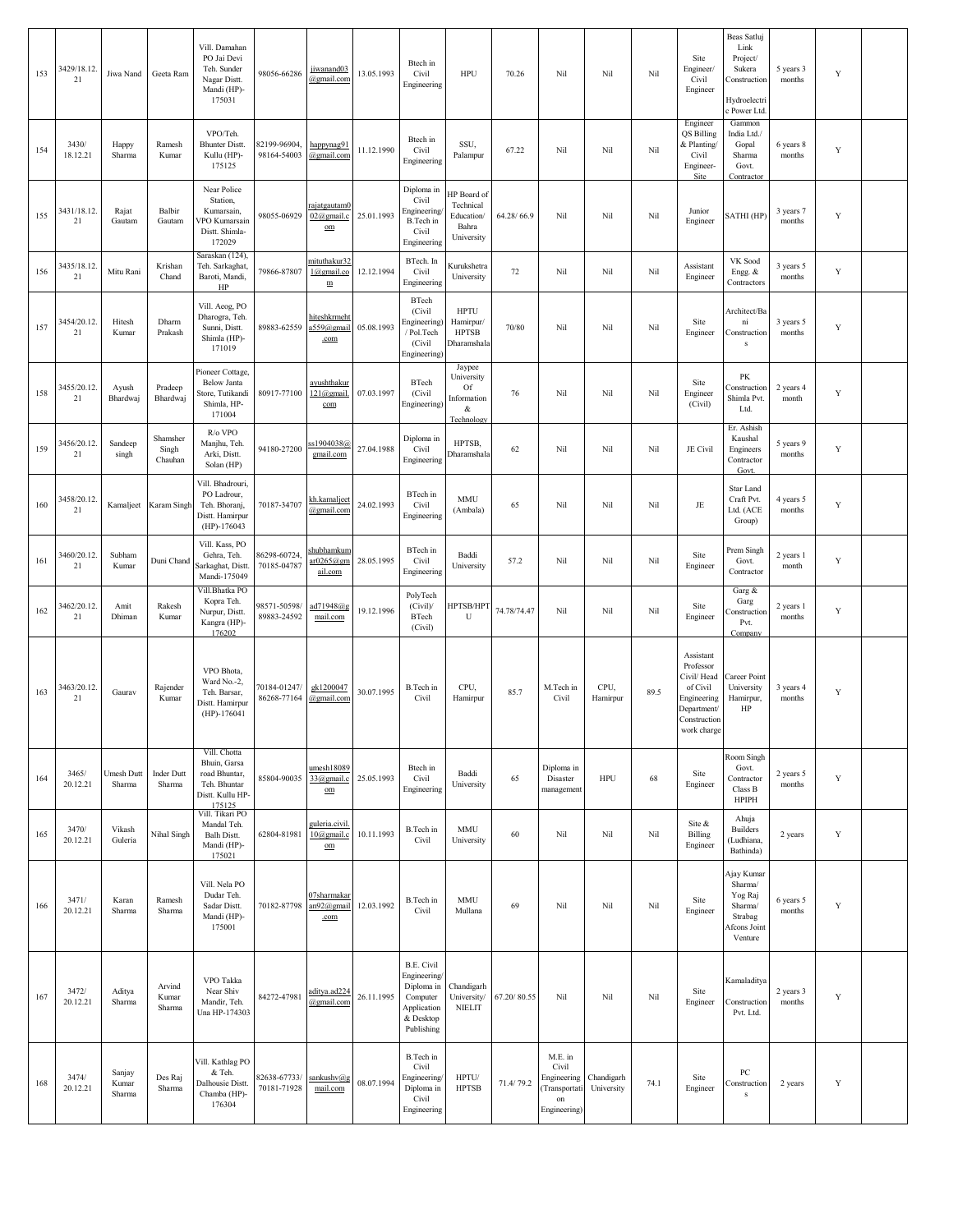| 153 | 3429/18.12.<br>21 | Jiwa Nand                 | Geeta Ram                    | Vill. Damahan<br>PO Jai Devi<br>Teh. Sunder<br>Nagar Distt.<br>Mandi (HP)-<br>175031        | 98056-66286                 | jiwanand03<br>@gmail.com                               | 13.05.1993 | Btech in<br>Civil<br>Engineering                                                               | <b>HPU</b>                                                    | 70.26       | Nil                                                                              | Nil              | Nil  | Site<br>Engineer/<br>Civil<br>Engineer                                                                         | Beas Satluj<br>Link<br>Project/<br>Sukera<br>Construction<br>Hydroelectri<br>c Power Ltd. | 5 years 3<br>months | Y           |  |
|-----|-------------------|---------------------------|------------------------------|---------------------------------------------------------------------------------------------|-----------------------------|--------------------------------------------------------|------------|------------------------------------------------------------------------------------------------|---------------------------------------------------------------|-------------|----------------------------------------------------------------------------------|------------------|------|----------------------------------------------------------------------------------------------------------------|-------------------------------------------------------------------------------------------|---------------------|-------------|--|
| 154 | 3430/<br>18.12.21 | Happy<br>Sharma           | Ramesh<br>Kumar              | VPO/Teh.<br><b>Bhunter Distt.</b><br>Kullu (HP)-<br>175125                                  | 82199-96904,<br>98164-54003 | happynag91<br>@gmail.com                               | 11.12.1990 | Btech in<br>Civil<br>Engineering                                                               | SSU,<br>Palampur                                              | 67.22       | Nil                                                                              | Nil              | Nil  | Engineer<br>QS Billing<br>& Planting/<br>Civil<br>Engineer-<br>Site                                            | Gammon<br>India Ltd./<br>Gopal<br>Sharma<br>Govt.<br>Contractor                           | 6 years 8<br>months | Y           |  |
| 155 | 3431/18.12.<br>21 | Rajat<br>Gautam           | Balbir<br>Gautam             | Near Police<br>Station,<br>Kumarsain,<br>/PO Kumarsain<br>Distt. Shimla-<br>172029          | 98055-06929                 | rajatgautam0<br>02@gmail.c<br>$_{\text{om}}$           | 25.01.1993 | Diploma in<br>Civil<br>Engineering<br>B.Tech in<br>Civil<br>Engineering                        | HP Board of<br>Technical<br>Education/<br>Bahra<br>University | 64.28/66.9  | Nil                                                                              | Nil              | Nil  | Junior<br>Engineer                                                                                             | SATHI (HP)                                                                                | 3 years 7<br>months | Y           |  |
| 156 | 3435/18.12<br>21  | Mitu Rani                 | Krishan<br>Chand             | Saraskan (124),<br>Teh. Sarkaghat,<br>Baroti, Mandi,<br>HP                                  | 79866-87807                 | mituthakur32<br>1@gmail.co<br>${\underline{\text{m}}}$ | 12.12.1994 | BTech. In<br>Civil<br>Engineering                                                              | Kurukshetra<br>University                                     | 72          | Nil                                                                              | Nil              | Nil  | Assistant<br>Engineer                                                                                          | VK Sood<br>Engg. &<br>Contractors                                                         | 3 years 5<br>months | Y           |  |
| 157 | 3454/20.12.<br>21 | Hitesh<br>Kumar           | Dharm<br>Prakash             | Vill. Aeog, PO<br>Dharogra, Teh.<br>Sunni, Distt.<br>Shimla (HP)-<br>171019                 | 89883-62559                 | <u>hiteshkrmeht</u><br>a559@gmail<br>.com              | 05.08.1993 | BTech<br>(Civil<br>Engineering)<br>/ Pol.Tech<br>(Civil)<br>Engineering)                       | <b>HPTU</b><br>Hamirpur/<br><b>HPTSB</b><br>Dharamshala       | 70/80       | Nil                                                                              | Nil              | Nil  | Site<br>Engineer                                                                                               | Architect/Ba<br>ni<br>Construction<br>${\bf s}$                                           | 3 years 5<br>months | Y           |  |
| 158 | 3455/20.12.<br>21 | Ayush<br>Bhardwaj         | Pradeep<br>Bhardwaj          | Pioneer Cottage,<br><b>Below Janta</b><br>Store, Tutikandi<br>Shimla, HP-<br>171004         | 80917-77100                 | ayushthakur<br>121@gmail.<br>com                       | 07.03.1997 | BTech<br>(Civil<br>Engineering)                                                                | Jaypee<br>University<br>Of<br>Information<br>&<br>Technology  | 76          | Nil                                                                              | Nil              | Nil  | Site<br>Engineer<br>(Civil)                                                                                    | PK<br>Construction<br>Shimla Pvt.<br>Ltd.                                                 | 2 years 4<br>month  | Y           |  |
| 159 | 3456/20.12.<br>21 | Sandeep<br>singh          | Shamsher<br>Singh<br>Chauhan | R/o VPO<br>Manjhu, Teh<br>Arki, Distt.<br>Solan (HP)                                        | 94180-27200                 | s1904038@<br>gmail.com                                 | 27.04.1988 | Diploma in<br>Civil<br>Engineering                                                             | HPTSB,<br>Dharamshala                                         | 62          | Nil                                                                              | Nil              | Nil  | JE Civil                                                                                                       | Er. Ashish<br>Kaushal<br>Engineers<br>Contractor<br>Govt.                                 | 5 years 9<br>months | Y           |  |
| 160 | 3458/20.12<br>21  | Kamaljeet                 | Karam Singh                  | Vill. Bhadrouri,<br>PO Ladrour,<br>Teh. Bhoranj,<br>Distt. Hamirpur<br>(HP)-176043          | 70187-34707                 | kh.kamaljeet<br>@gmail.com                             | 24.02.1993 | BTech in<br>Civil<br>Engineering                                                               | <b>MMU</b><br>(Ambala)                                        | 65          | Nil                                                                              | Nil              | Nil  | $\rm{JE}$                                                                                                      | Star Land<br>Craft Pvt.<br>Ltd. (ACE<br>Group)                                            | 4 years 5<br>months | Y           |  |
| 161 | 3460/20.12.<br>21 | Subham<br>Kumar           | Duni Chand                   | Vill. Kass, PO<br>Gehra, Teh.<br>Sarkaghat, Distt<br>Mandi-175049                           | 86298-60724,<br>70185-04787 | <u>shubhamkum</u><br>ar0265@gm<br>ail.com              | 28.05.1995 | BTech in<br>Civil<br>Engineering                                                               | Baddi<br>University                                           | 57.2        | Nil                                                                              | Nil              | Nil  | Site<br>Engineer                                                                                               | Prem Singh<br>Govt.<br>Contractor                                                         | 2 years 1<br>month  | Y           |  |
| 162 | 3462/20.12<br>21  | Amit<br>Dhiman            | Rakesh<br>Kumar              | Vill.Bhatka PO<br>Kopra Teh.<br>Nurpur, Distt.<br>Kangra (HP)-<br>176202                    | 98571-50598/<br>89883-24592 | ad71948@g<br>mail.com                                  | 19.12.1996 | PolyTech<br>(Civil)<br>BTech<br>(Civil)                                                        | HPTSB/HPT<br>U                                                | 74.78/74.47 | Nil                                                                              | Nil              | Nil  | Site<br>Engineer                                                                                               | Garg &<br>Garg<br>Construction<br>Pvt.<br>Company                                         | 2 years 1<br>months | Y           |  |
| 163 | 3463/20.12<br>21  | Gaurav                    | Rajender<br>Kumar            | VPO Bhota,<br>Ward No.-2,<br>Teh. Barsar,<br>Distt. Hamirpur<br>$(HP) - 176041$             | 70184-01247/<br>86268-77164 | gk1200047<br>@gmail.com                                | 30.07.1995 | B.Tech in<br>Civil                                                                             | CPU,<br>Hamirpur                                              | 85.7        | M.Tech in<br>Civil                                                               | CPU,<br>Hamirpur | 89.5 | Assistant<br>Professor<br>Civil/ Head<br>of Civil<br>Engineering<br>Department/<br>Construction<br>work charge | Career Point<br>University<br>Hamirpur,<br>HP                                             | 3 years 4<br>months | Y           |  |
| 164 | 3465/<br>20.12.21 | Umesh Dutt<br>Sharma      | <b>Inder Dutt</b><br>Sharma  | Vill. Chotta<br>Bhuin, Garsa<br>road Bhuntar,<br>Teh. Bhuntar<br>Distt. Kullu HP-<br>175125 | 85804-90035 33@gmail.c      | $u$ mesh $18089$<br>$\underline{\mathrm{om}}$          | 25.05.1993 | Btech in<br>Civil<br>Engineering                                                               | Baddi<br>University                                           | 65          | Diploma in<br>Disaster<br>management                                             | <b>HPU</b>       | 68   | Site<br>Engineer                                                                                               | Room Singh<br>Govt.<br>Contractor<br>Class B<br><b>HPIPH</b>                              | 2 years 5<br>months | $\mathbf Y$ |  |
| 165 | 3470/<br>20.12.21 | Vikash<br>Guleria         | Nihal Singh                  | Vill. Tikari PO<br>Mandal Teh.<br><b>Balh Distt.</b><br>Mandi (HP)-<br>175021               | 62804-81981                 | guleria.civil.<br>$10$ (a) gmail.c<br>$_{\text{om}}$   | 10.11.1993 | B.Tech in<br>Civil                                                                             | MMU<br>University                                             | 60          | Nil                                                                              | Nil              | Nil  | Site &<br>Billing<br>Engineer                                                                                  | Ahuja<br><b>Builders</b><br>(Ludhiana,<br>Bathinda)                                       | 2 years             | $\mathbf Y$ |  |
| 166 | 3471/<br>20.12.21 | Karan<br>Sharma           | Ramesh<br>Sharma             | Vill. Nela PO<br>Dudar Teh.<br>Sadar Distt.<br>Mandi (HP)-<br>175001                        | 70182-87798 an92@gmail      | 07sharmakar<br>.com                                    | 12.03.1992 | B.Tech in<br>Civil                                                                             | <b>MMU</b><br>Mullana                                         | 69          | Nil                                                                              | Nil              | Nil  | Site<br>Engineer                                                                                               | Ajay Kumar<br>Sharma/<br>Yog Raj<br>Sharma/<br>Strabag<br><b>Afcons</b> Joint<br>Venture  | 6 years 5<br>months | Y           |  |
| 167 | 3472/<br>20.12.21 | Aditya<br>Sharma          | Arvind<br>Kumar<br>Sharma    | VPO Takka<br>Near Shiv<br>Mandir, Teh.<br>Una HP-174303                                     | 84272-47981                 | aditya.ad224<br>@gmail.com                             | 26.11.1995 | B.E. Civil<br>Engineering/<br>Diploma in<br>Computer<br>Application<br>& Desktop<br>Publishing | Chandigarh<br>University/<br><b>NIELIT</b>                    | 67.20/80.55 | Nil                                                                              | Nil              | Nil  | Site<br>Engineer                                                                                               | Kamaladitya<br>Construction<br>Pvt. Ltd.                                                  | 2 years 3<br>months | Y           |  |
| 168 | 3474/<br>20.12.21 | Sanjay<br>Kumar<br>Sharma | Des Raj<br>Sharma            | Vill. Kathlag PO<br>& Teh.<br>Dalhousie Distt.<br>Chamba (HP)-<br>176304                    | 82638-67733/<br>70181-71928 | sankushv@g<br>mail.com                                 | 08.07.1994 | B.Tech in<br>Civil<br>Engineering/<br>Diploma in<br>Civil<br>Engineering                       | HPTU/<br><b>HPTSB</b>                                         | 71.4/79.2   | M.E. in<br>Civil<br>Engineering Chandigarh<br>Transportati<br>on<br>Engineering) | University       | 74.1 | Site<br>Engineer                                                                                               | PC<br>Construction<br>s                                                                   | 2 years             | Y           |  |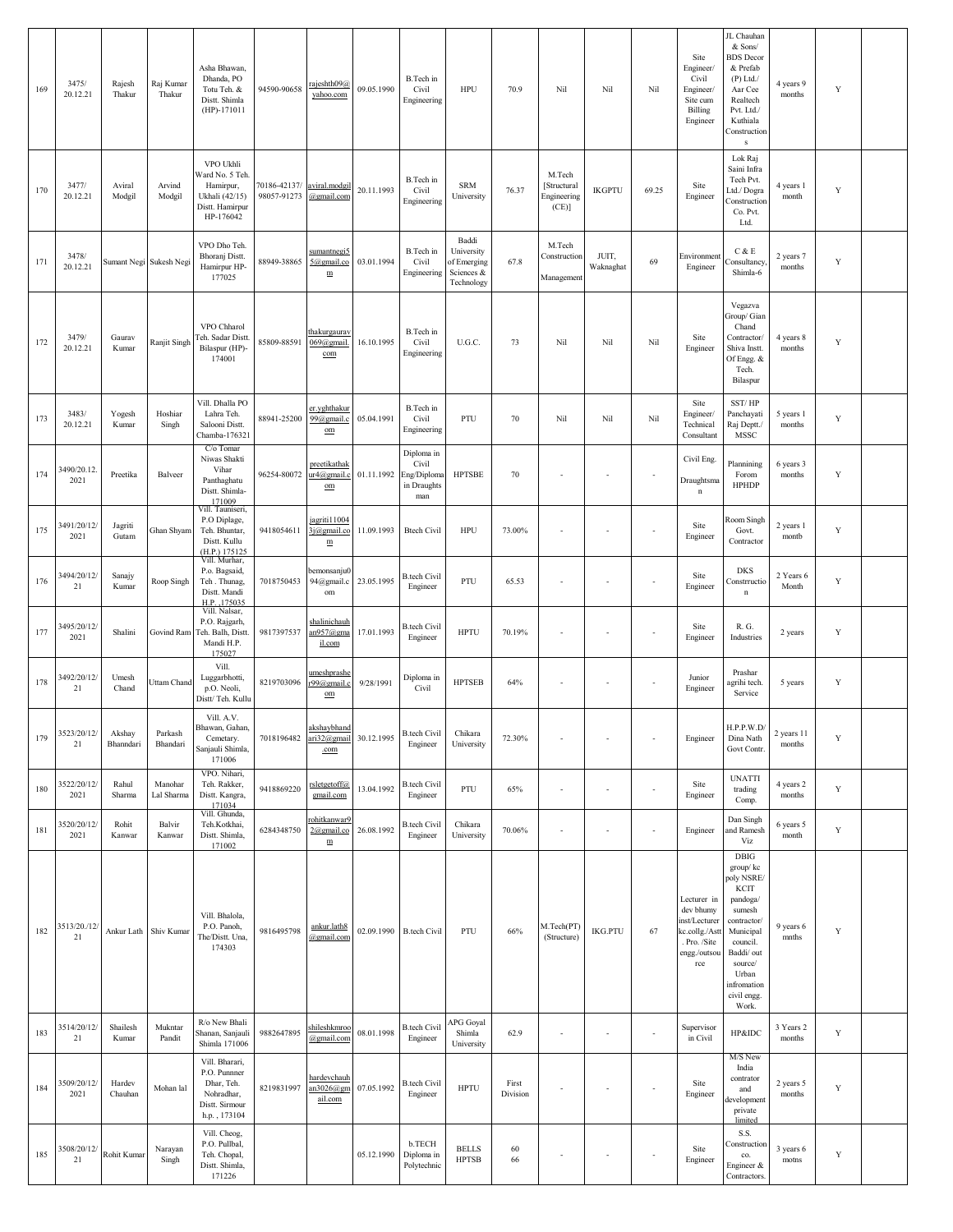| 169 | 3475/<br>20.12.21     | Rajesh<br>Thakur    | Raj Kumar<br>Thakur     | Asha Bhawan,<br>Dhanda, PO<br>Totu Teh. &<br>Distt. Shimla<br>$(HP) - 171011$                | 94590-90658                 | rajeshth09@<br>yahoo.com                                     | 09.05.1990 | B.Tech in<br>Civil<br>Engineering                        | HPU                                                            | 70.9              | Nil                                          | Nil                      | Nil                      | Site<br>Engineer/<br>Civil<br>Engineer/<br>Site cum<br>Billing<br>Engineer                         | JL Chauhan<br>& Sons/<br><b>BDS</b> Decor<br>& Prefab<br>$(P)$ Ltd./<br>Aar Cee<br>Realtech<br>Pvt. Ltd./<br>Kuthiala<br>Construction<br>${\bf s}$                            | 4 years 9<br>months  | Y           |  |
|-----|-----------------------|---------------------|-------------------------|----------------------------------------------------------------------------------------------|-----------------------------|--------------------------------------------------------------|------------|----------------------------------------------------------|----------------------------------------------------------------|-------------------|----------------------------------------------|--------------------------|--------------------------|----------------------------------------------------------------------------------------------------|-------------------------------------------------------------------------------------------------------------------------------------------------------------------------------|----------------------|-------------|--|
| 170 | 3477/<br>20.12.21     | Aviral<br>Modgil    | Arvind<br>Modgil        | VPO Ukhli<br>Vard No. 5 Teh.<br>Hamirpur,<br>Ukhali (42/15)<br>Distt. Hamirpur<br>HP-176042  | 70186-42137/<br>98057-91273 | aviral.modgil<br>@gmail.com                                  | 20.11.1993 | B.Tech in<br>Civil<br>Engineering                        | <b>SRM</b><br>University                                       | 76.37             | M.Tech<br>[Structural<br>Engineering<br>(CE) | <b>IKGPTU</b>            | 69.25                    | Site<br>Engineer                                                                                   | Lok Raj<br>Saini Infra<br>Tech Pvt.<br>Ltd./ Dogra<br>Construction<br>Co. Pvt.<br>Ltd.                                                                                        | 4 years 1<br>month   | Y           |  |
| 171 | 3478/<br>20.12.21     |                     | Sumant Negi Sukesh Negi | VPO Dho Teh.<br>Bhoranj Distt.<br>Hamirpur HP-<br>177025                                     | 88949-38865                 | sumantnegi5<br>5@gmail.co<br>${\underline{\bf m}}$           | 03.01.1994 | B.Tech in<br>Civil<br>Engineering                        | Baddi<br>University<br>of Emerging<br>Sciences &<br>Technology | 67.8              | M.Tech<br>Construction<br>Management         | JUIT,<br>Waknaghat       | 69                       | Environment<br>Engineer                                                                            | C & E<br>Consultancy<br>Shimla-6                                                                                                                                              | 2 years 7<br>months  | Y           |  |
| 172 | 3479/<br>20.12.21     | Gaurav<br>Kumar     | Ranjit Singh            | VPO Chharol<br><b>Teh.</b> Sadar Distt.<br>Bilaspur (HP)-<br>174001                          | 85809-88591                 | thakurgaurav<br>$069$ @gmail.<br>com                         | 16.10.1995 | B.Tech in<br>Civil<br>Engineering                        | U.G.C.                                                         | 73                | Nil                                          | Nil                      | Nil                      | Site<br>Engineer                                                                                   | Vegazva<br>Group/ Gian<br>Chand<br>Contractor/<br>Shiva Instt.<br>Of Engg. &<br>Tech.<br>Bilaspur                                                                             | 4 years 8<br>months  | Y           |  |
| 173 | 3483/<br>20.12.21     | Yogesh<br>Kumar     | Hoshiar<br>Singh        | Vill. Dhalla PO<br>Lahra Teh.<br>Salooni Distt.<br>Chamba-176321<br>$C/O$ Tomar              | 88941-25200                 | er.yghthakur<br>99@gmail.c<br>$_{\text{om}}$                 | 05.04.1991 | B.Tech in<br>Civil<br>Engineering                        | PTU                                                            | 70                | Nil                                          | Nil                      | Nil                      | Site<br>Engineer/<br>Technical<br>Consultant                                                       | SST/HP<br>Panchayati<br>Raj Deptt./<br>MSSC                                                                                                                                   | 5 years 1<br>months  | $\mathbf Y$ |  |
| 174 | 3490/20.12.<br>2021   | Preetika            | Balveer                 | Niwas Shakti<br>Vihar<br>Panthaghatu<br>Distt. Shimla-<br>171009                             | 96254-80072                 | preetikathak<br>ur4@gmail.c<br>$_{\text{om}}$                | 01.11.1992 | Diploma in<br>Civil<br>Eng/Diploma<br>in Draughts<br>man | <b>HPTSBE</b>                                                  | 70                |                                              | ÷,                       | $\overline{\phantom{a}}$ | Civil Eng.<br>Draughtsma<br>$\mathbf n$                                                            | Plannining<br>Forom<br><b>HPHDP</b>                                                                                                                                           | 6 years 3<br>months  | Y           |  |
| 175 | 3491/20/12/<br>2021   | Jagriti<br>Gutam    | Ghan Shyam              | Vill. Tauniseri,<br>P.O Diplage,<br>Teh. Bhuntar,<br>Distt. Kullu<br>(H.P.) 175125           | 9418054611                  | jagriti11004<br>$3j$ @gmail.co<br>$\mathbf m$                | 11.09.1993 | <b>Btech Civil</b>                                       | <b>HPU</b>                                                     | 73.00%            |                                              | ÷,                       | ÷,                       | Site<br>Engineer                                                                                   | Room Singh<br>Govt.<br>Contractor                                                                                                                                             | 2 years 1<br>montb   | $\mathbf Y$ |  |
| 176 | 3494/20/12/<br>21     | Sanajy<br>Kumar     | Roop Singh              | Vill. Murhar,<br>P.o. Bagsaid,<br>Teh . Thunag,<br>Distt. Mandi<br>H.P., 175035              | 7018750453                  | bemonsanju0<br>94@gmail.c<br>om                              | 23.05.1995 | <b>B.tech Civil</b><br>Engineer                          | PTU                                                            | 65.53             |                                              | $\sim$                   | $\sim$                   | Site<br>Engineer                                                                                   | <b>DKS</b><br>Constrructio<br>$\mathbf n$                                                                                                                                     | 2 Years 6<br>Month   | Y           |  |
| 177 | 3495/20/12/<br>2021   | Shalini             | Govind Ram              | Vill. Nalsar,<br>P.O. Rajgarh,<br>Teh. Balh, Distt.<br>Mandi H.P.<br>175027                  | 9817397537                  | shalinichauh<br>an957@gma<br>il.com                          | 17.01.1993 | <b>B.tech Civil</b><br>Engineer                          | <b>HPTU</b>                                                    | 70.19%            | $\sim$                                       | ×                        | ÷,                       | Site<br>Engineer                                                                                   | R. G.<br>Industries                                                                                                                                                           | 2 years              | Y           |  |
| 178 | 3492/20/12/<br>21     | Umesh<br>Chand      | Uttam Chand             | Vill.<br>Luggarbhotti,<br>p.O. Neoli,<br>Distt/Teh. Kullu                                    | 8219703096                  | umeshprashe<br>$r99$ @gmail.c<br>$_{\text{om}}$              | 9/28/1991  | Diploma in<br>Civil                                      | <b>HPTSEB</b>                                                  | 64%               |                                              | $\sim$                   | ÷,                       | Junior<br>Engineer                                                                                 | Prashar<br>agrihi tech.<br>Service                                                                                                                                            | 5 years              | Y           |  |
| 179 | 3523/20/12/<br>$21\,$ | Akshay<br>Bhanndari | Parkash<br>Bhandari     | Vill. A.V.<br>Bhawan, Gahan,<br>Cemetary.<br>Sanjauli Shimla,<br>171006                      | 7018196482                  | akshaybhand<br>ari32@gmail<br>.com                           | 30.12.1995 | <b>B.tech Civil</b><br>Engineer                          | Chikara<br>University                                          | 72.30%            |                                              |                          |                          | Engineer                                                                                           | H.P.P.W.D/<br>Dina Nath<br>Govt Contr.                                                                                                                                        | 2 years 11<br>months | Y           |  |
| 180 | 3522/20/12/<br>2021   | Rahul<br>Sharma     | Manohar<br>Lal Sharma   | VPO. Nihari,<br>Teh. Rakker,<br>Distt. Kangra,<br>171034                                     | 9418869220                  | rsletgetoff@<br>gmail.com                                    | 13.04.1992 | <b>B.tech Civil</b><br>Engineer                          | PTU                                                            | 65%               | $\sim$                                       | $\sim$                   | $\overline{\phantom{a}}$ | Site<br>Engineer                                                                                   | <b>UNATTI</b><br>trading<br>Comp.                                                                                                                                             | 4 years 2<br>months  | Y           |  |
| 181 | 3520/20/12/<br>2021   | Rohit<br>Kanwar     | Balvir<br>Kanwar        | Vill. Ghunda,<br>Teh.Kotkhai,<br>Distt. Shimla,<br>171002                                    | 6284348750                  | <u>rohitkanwar</u><br>2@gmail.co<br>$\underline{\textbf{m}}$ | 26.08.1992 | B.tech Civil<br>Engineer                                 | Chikara<br>University                                          | 70.06%            | $\sim$                                       | $\overline{\phantom{a}}$ | $\overline{\phantom{a}}$ | Engineer                                                                                           | Dan Singh<br>and Ramesh<br>Viz                                                                                                                                                | 6 years 5<br>month   | Y           |  |
| 182 | 3513/20./12/<br>21    |                     | Ankur Lath Shiv Kumar   | Vill. Bhalola,<br>P.O. Panoh,<br>The/Distt. Una,<br>174303                                   | 9816495798                  | ankur.lath8<br>@gmail.com                                    |            | 02.09.1990 B.tech Civil                                  | PTU                                                            | 66%               | M.Tech(PT)<br>(Structure)                    | <b>IKG.PTU</b>           | 67                       | Lecturer in<br>dev bhumy<br>inst/Lecturer<br>kc.collg./Astt<br>. Pro. /Site<br>engg./outsou<br>rce | DBIG<br>group/kc<br>poly NSRE/<br>KCIT<br>pandoga/<br>sumesh<br>contractor/<br>Municipal<br>council.<br>Baddi/ out<br>source/<br>Urban<br>infromation<br>civil engg.<br>Work. | 9 years 6<br>mnths   | Y           |  |
| 183 | 3514/20/12/<br>21     | Shailesh<br>Kumar   | Mukntar<br>Pandit       | R/o New Bhali<br>Shanan, Sanjauli<br>Shimla 171006                                           | 9882647895                  | shileshkmroo<br>@gmail.com                                   | 08.01.1998 | <b>B.tech Civil</b><br>Engineer                          | APG Goyal<br>Shimla<br>University                              | 62.9              |                                              | $\sim$                   | ÷,                       | Supervisor<br>in Civil                                                                             | HP&IDC                                                                                                                                                                        | 3 Years 2<br>months  | Y           |  |
| 184 | 3509/20/12/<br>2021   | Hardev<br>Chauhan   | Mohan lal               | Vill. Bharari,<br>P.O. Punnner<br>Dhar, Teh.<br>Nohradhar,<br>Distt. Sirmour<br>h.p., 173104 | 8219831997                  | hardevchauh<br>$an3026$ @gm<br>ail.com                       | 07.05.1992 | <b>B.tech Civil</b><br>Engineer                          | <b>HPTU</b>                                                    | First<br>Division |                                              | $\overline{\phantom{a}}$ | ÷,                       | Site<br>Engineer                                                                                   | M/S New<br>India<br>contrator<br>and<br>development<br>private<br>limited                                                                                                     | 2 years 5<br>months  | Y           |  |
| 185 | 3508/20/12/<br>21     | Rohit Kumar         | Narayan<br>Singh        | Vill. Cheog,<br>P.O. Pullbal,<br>Teh. Chopal,<br>Distt. Shimla,<br>171226                    |                             |                                                              | 05.12.1990 | b.TECH<br>Diploma in<br>Polytechnic                      | <b>BELLS</b><br><b>HPTSB</b>                                   | 60<br>66          |                                              | $\overline{\phantom{a}}$ | $\overline{\phantom{a}}$ | Site<br>Engineer                                                                                   | S.S.<br>Construction<br>co.<br>Engineer &<br>Contractors.                                                                                                                     | 3 years 6<br>motns   | Y           |  |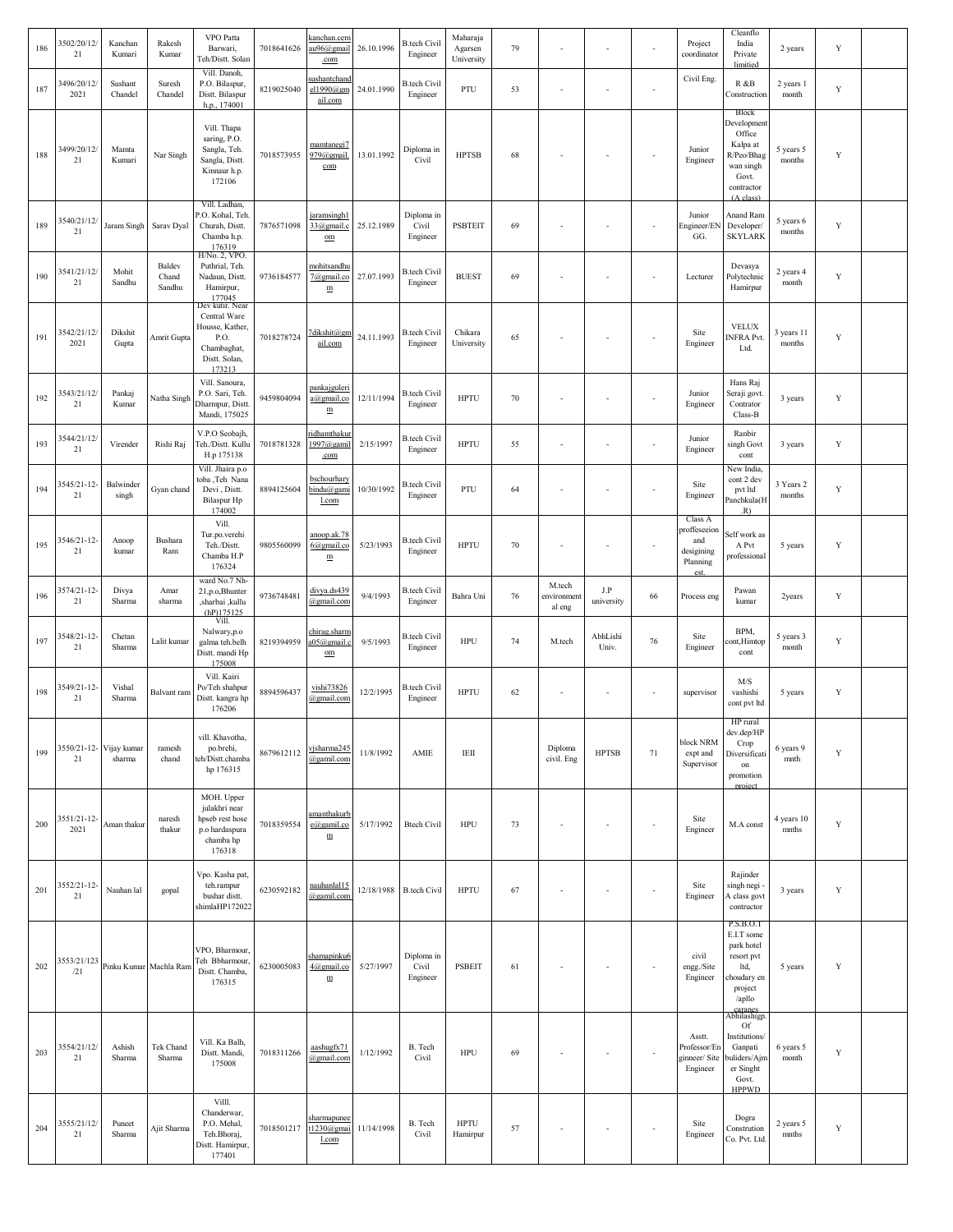| 186 | 3502/20/12/<br>21   | Kanchan<br>Kumari                 | Rakesh<br>Kumar           | <b>VPO</b> Patta<br>Barwari,<br>Teh/Distt. Solan                                                     | 7018641626 | <u>canchan.cem</u><br>au96@gmail<br>.com            | 26.10.1996 | <b>B.tech Civil</b><br>Engineer | Maharaja<br>Agarsen<br>University | 79 |                                 |                          |                          | Project<br>coordinator                                           | Cleanflo<br>India<br>Private<br>limitied                                                                            | 2 years              | Y           |  |
|-----|---------------------|-----------------------------------|---------------------------|------------------------------------------------------------------------------------------------------|------------|-----------------------------------------------------|------------|---------------------------------|-----------------------------------|----|---------------------------------|--------------------------|--------------------------|------------------------------------------------------------------|---------------------------------------------------------------------------------------------------------------------|----------------------|-------------|--|
| 187 | 3496/20/12/<br>2021 | Sushant<br>Chandel                | Suresh<br>Chandel         | Vill. Danoh,<br>P.O. Bilaspur,<br>Distt. Bilaspur<br>h.p., 174001                                    | 8219025040 | sushantchand<br>el1990@gm<br>ail.com                | 24.01.1990 | <b>B.tech Civil</b><br>Engineer | PTU                               | 53 |                                 | $\sim$                   | $\overline{\phantom{a}}$ | Civil Eng.                                                       | R &B<br>Construction                                                                                                | 2 years 1<br>month   | $\mathbf Y$ |  |
| 188 | 3499/20/12/<br>21   | Mamta<br>Kumari                   | Nar Singh                 | Vill. Thapa<br>saring, P.O.<br>Sangla, Teh.<br>Sangla, Distt.<br>Kinnaur h.p.<br>172106              | 7018573955 | mamtanegi7<br>979@gmail.<br>com                     | 13.01.1992 | Diploma in<br>Civil             | <b>HPTSB</b>                      | 68 |                                 | $\overline{\phantom{a}}$ | $\overline{\phantom{a}}$ | Junior<br>Engineer                                               | Block<br>Development<br>Office<br>Kalpa at<br>R/Peo/Bhag<br>wan singh<br>Govt.<br>contractor<br>$(A \text{ class})$ | 5 years 5<br>months  | Y           |  |
| 189 | 3540/21/12/<br>21   | Jaram Singh                       | Sarav Dyal                | Vill. Ladhan.<br>P.O. Kohal, Teh<br>Churah, Distt.<br>Chamba h.p.<br>176319                          | 7876571098 | jaramsingh1<br>33@gmail.c<br>$_{\text{om}}$         | 25.12.1989 | Diploma in<br>Civil<br>Engineer | <b>PSBTEIT</b>                    | 69 |                                 | ٠.                       | $\blacksquare$           | Junior<br>Engineer/EN<br>GG.                                     | Anand Ram<br>Developer/<br><b>SKYLARK</b>                                                                           | 5 years 6<br>months  | $\mathbf Y$ |  |
| 190 | 3541/21/12/<br>21   | Mohit<br>Sandhu                   | Baldev<br>Chand<br>Sandhu | H/No. 2, VPO.<br>Puthrial, Teh.<br>Nadaun, Distt.<br>Hamirpur,<br>177045                             | 9736184577 | mohitsandhu<br>7@gmail.co<br>$\mathbf m$            | 27.07.1993 | <b>B.tech Civil</b><br>Engineer | <b>BUEST</b>                      | 69 |                                 | ÷,                       | ÷,                       | Lecturer                                                         | Devasya<br>Polytechnic<br>Hamirpur                                                                                  | 2 years 4<br>month   | $\mathbf Y$ |  |
| 191 | 3542/21/12/<br>2021 | Dikshit<br>Gupta                  | Amrit Gupta               | Dev kutir. Near<br>Central Ware<br>Housse, Kather,<br>P.O.<br>Chambaghat,<br>Distt. Solan,<br>173213 | 7018278724 | 7dikshit@gn<br>ail.com                              | 24.11.1993 | <b>B.tech Civil</b><br>Engineer | Chikara<br>University             | 65 |                                 | $\sim$                   | $\blacksquare$           | Site<br>Engineer                                                 | <b>VELUX</b><br>NFRA Pvt.<br>Ltd.                                                                                   | 3 years 11<br>months | Y           |  |
| 192 | 3543/21/12/<br>21   | Pankaj<br>Kumar                   | Natha Singh               | Vill. Sanoura,<br>P.O. Sari, Teh.<br>Dharmpur, Distt<br>Mandi, 175025                                | 9459804094 | pankajguleri<br>a@gmail.co<br>${\underline{\bf m}}$ | 12/11/1994 | <b>B.tech Civil</b><br>Engineer | <b>HPTU</b>                       | 70 |                                 | $\sim$                   | ÷,                       | Junior<br>Engineer                                               | Hans Raj<br>Seraji govt.<br>Contrator<br>Class-B                                                                    | 3 years              | Y           |  |
| 193 | 3544/21/12/<br>21   | Virender                          | Rishi Raj                 | V.P.O Seobajh,<br>Feh./Distt. Kullu<br>H.p 175138                                                    | 7018781328 | ridhamthaku<br>$1997$ @gamil<br>.com                | 2/15/1997  | <b>B.tech Civil</b><br>Engineer | <b>HPTU</b>                       | 55 |                                 | ÷,                       | ÷,                       | Junior<br>Engineer                                               | Ranbir<br>singh Govt<br>cont                                                                                        | 3 years              | Y           |  |
| 194 | 3545/21-12-<br>21   | Balwinder<br>singh                | Gyan chand                | Vill. Jhaira p.o<br>:oba ,Teh Nana<br>Devi, Distt.<br><b>Bilaspur Hp</b><br>174002                   | 8894125604 | bschourhary<br>bindu@gami<br>l.com                  | 10/30/1992 | <b>B.tech Civil</b><br>Engineer | PTU                               | 64 |                                 | $\sim$                   | ÷,                       | Site<br>Engineer                                                 | New India,<br>cont 2 dev<br>pvt ltd<br>Panchkula(H<br>.R)                                                           | 3 Years 2<br>months  | Y           |  |
| 195 | 3546/21-12-<br>21   | Anoop<br>kumar                    | Bushara<br>Ram            | Vill.<br>Tur.po.verehi<br>Teh./Distt.<br>Chamba H.P<br>176324                                        | 9805560099 | anoop.ak.78<br>$6$ @gmail.co<br>m                   | 5/23/1993  | <b>B.tech Civil</b><br>Engineer | <b>HPTU</b>                       | 70 |                                 | $\sim$                   | ÷,                       | Class A<br>proffeseeion<br>and<br>desigining<br>Planning<br>est. | Self work as<br>A Pvt<br>professional                                                                               | 5 years              | Y           |  |
| 196 | 3574/21-12-<br>21   | Divya<br>Sharma                   | Amar<br>sharma            | ward No.7 Nh-<br>21, p.o. Bhunter<br>,sharbai ,kullu<br>(hP)175125                                   | 9736748481 | divya.ds439<br>@gmail.com                           | 9/4/1993   | B.tech Civil<br>Engineer        | Bahra Uni                         | 76 | M.tech<br>environment<br>al eng | J.P<br>university        | 66                       | Process eng                                                      | Pawan<br>kumar                                                                                                      | 2years               | Y           |  |
| 197 | 3548/21-12-<br>21   | Chetan<br>Sharma                  | Lalit kumar               | Vill.<br>Nalwary,p.o<br>galma teh.belh<br>Distt. mandi Hp<br>175008                                  | 8219394959 | chirag.sharm<br>a05@gmail.c<br>om                   | 9/5/1993   | <b>B.tech Civil</b><br>Engineer | <b>HPU</b>                        | 74 | M.tech                          | AbhLishi<br>Univ.        | 76                       | Site<br>Engineer                                                 | BPM,<br>ont, Himtop<br>cont                                                                                         | 5 years 3<br>month   | Y           |  |
| 198 | 3549/21-12-<br>21   | Vishal<br>Sharma                  | Balvant ram               | Vill. Kairi<br>Po/Teh shahpur<br>Distt. kangra hp<br>176206                                          | 8894596437 | vishi73826<br>@gmail.com                            | 12/2/1995  | <b>B.tech Civil</b><br>Engineer | <b>HPTU</b>                       | 62 |                                 | $\sim$                   | $\sim$                   | supervisor                                                       | M/S<br>vashishi<br>cont pvt ltd                                                                                     | 5 years              | Y           |  |
| 199 | 21                  | 3550/21-12- Vijay kumar<br>sharma | ramesh<br>chand           | vill. Khavotha.<br>po.brehi,<br>eh/Distt.chamba<br>hp 176315                                         | 8679612112 | vjsharma245<br>@gamil.com                           | 11/8/1992  | AMIE                            | $\rm IEH$                         |    | Diploma<br>civil. Eng           | <b>HPTSB</b>             | $71\,$                   | block NRM<br>expt and<br>Supervisor                              | HP rural<br>dev.dep/HP<br>Crop<br>Diversificati<br>on<br>promotion<br>project                                       | 6 years 9<br>mnth    | $\mathbf Y$ |  |
| 200 | 3551/21-12-<br>2021 | Aman thakur                       | naresh<br>thakur          | MOH. Upper<br>julakhri near<br>hpseb rest hose<br>p.o hardaspura<br>chamba hp<br>176318              | 7018359554 | <u>amanthakurb</u><br>e@gamil.co<br>$\mathbf m$     | 5/17/1992  | <b>Btech Civil</b>              | <b>HPU</b>                        | 73 |                                 | ÷,                       |                          | Site<br>Engineer                                                 | M.A const                                                                                                           | 4 years 10<br>mnths  | $\mathbf Y$ |  |
| 201 | 3552/21-12-<br>21   | Nauhan lal                        | gopal                     | Vpo. Kasha pat,<br>teh.rampur<br>bushar distt.<br>shimlaHP172022                                     | 6230592182 | nauhanlal15<br>@gamil.com                           |            | 12/18/1988 B.tech Civil         | <b>HPTU</b>                       | 67 |                                 | ÷,                       | ÷,                       | Site<br>Engineer                                                 | Rajinder<br>singh negi<br>A class govt<br>contructor                                                                | 3 years              | Y           |  |
| 202 | 3553/21/123<br>/21  |                                   | Pinku Kumar Machla Ram    | VPO, Bharmour<br>Teh Bbharmour,<br>Distt. Chamba,<br>176315                                          | 6230005083 | shamapinku6<br>4@gmail.co<br>$\mathbf m$            | 5/27/1997  | Diploma in<br>Civil<br>Engineer | <b>PSBEIT</b>                     | 61 |                                 | $\overline{\phantom{a}}$ | ÷,                       | civil<br>engg./Site<br>Engineer                                  | P.S.B.O.T<br>E.I.T some<br>park hotel<br>resort pvt<br>ltd,<br>choudary en<br>project<br>/apllo                     | 5 years              | Y           |  |
| 203 | 3554/21/12/<br>21   | Ashish<br>Sharma                  | Tek Chand<br>Sharma       | Vill. Ka Balh,<br>Distt. Mandi,<br>175008                                                            | 7018311266 | aashugfx71<br>@gmail.com                            | 1/12/1992  | B. Tech<br>Civil                | <b>HPU</b>                        | 69 |                                 | ÷,                       | ÷,                       | Asstt.<br>Professor/En<br>ginneer/ Site<br>Engineer              | caranes<br>Abhilashigp<br>Of<br>Institutions/<br>Ganpati<br>puliders/Ajm<br>er Singht<br>Govt.<br><b>HPPWD</b>      | 6 years 5<br>month   | Y           |  |
| 204 | 3555/21/12/<br>21   | Puneet<br>Sharma                  | Ajit Sharma               | Villl.<br>Chanderwar,<br>P.O. Mehal,<br>Teh.Bhoraj,<br>Distt. Hamirpur,<br>177401                    | 7018501217 | sharmapunee<br>t1230@gmai<br>l.com                  | 11/14/1998 | B. Tech<br>Civil                | <b>HPTU</b><br>Hamirpur           | 57 |                                 | $\sim$                   | ÷,                       | Site<br>Engineer                                                 | Dogra<br>Constrution<br>Co. Pvt. Ltd.                                                                               | 2 years 5<br>mnths   | Y           |  |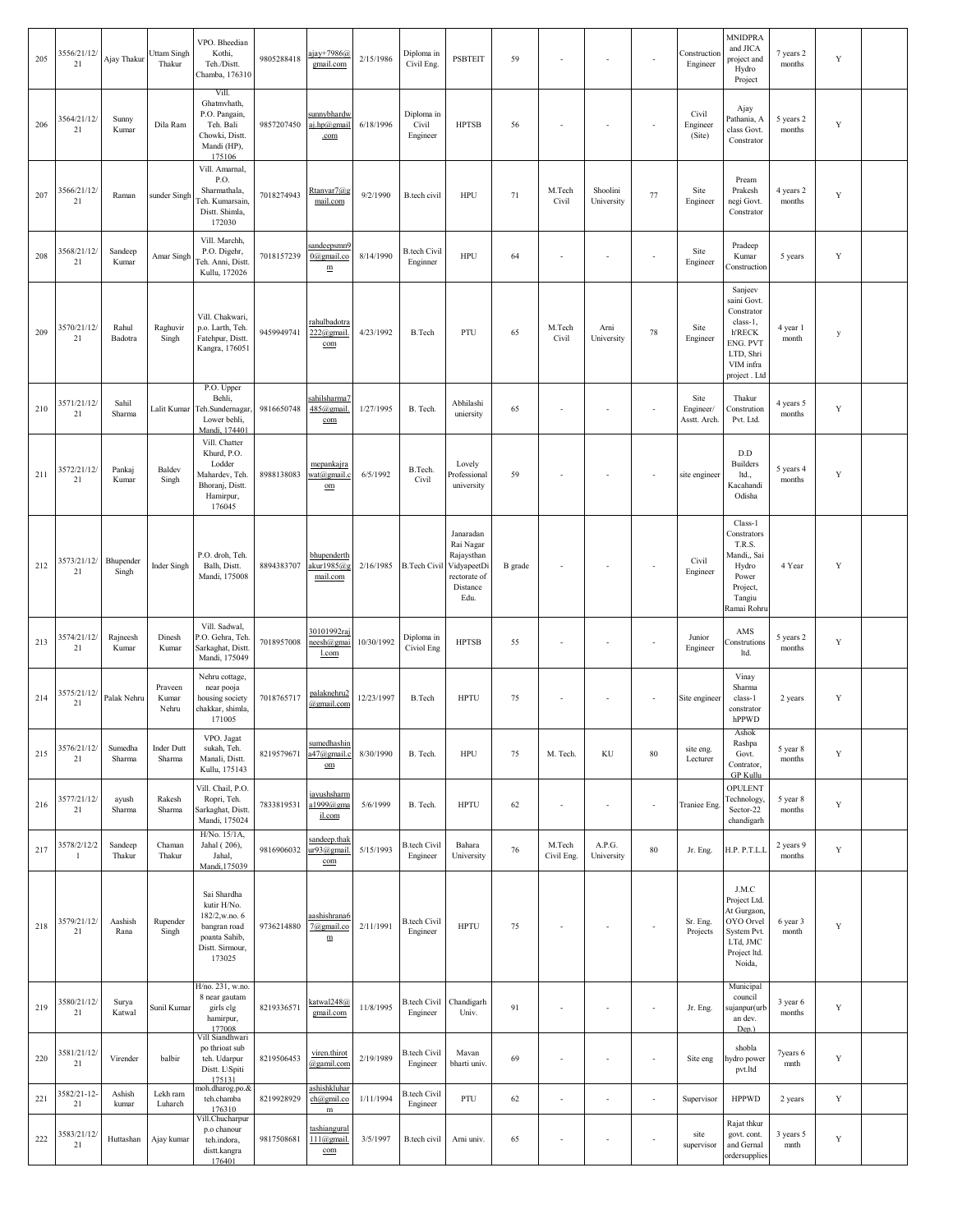| 205 | 3556/21/12/<br>21           | Ajay Thakur        | Uttam Singh<br>Thakur       | VPO. Bheedian<br>Kothi,<br>Teh./Distt.<br>Chamba, 176310                                                  | 9805288418 | ajay+7986@<br>gmail.com                                | 2/15/1986  | Diploma in<br>Civil Eng.        | <b>PSBTEIT</b>                                                                          | 59      | $\sim$                   | $\overline{\phantom{a}}$ |                          | Construction<br>Engineer          | <b>MNIDPRA</b><br>and JICA<br>project and<br>Hydro<br>Project                                                           | 7 years 2<br>months | $\mathbf Y$ |  |
|-----|-----------------------------|--------------------|-----------------------------|-----------------------------------------------------------------------------------------------------------|------------|--------------------------------------------------------|------------|---------------------------------|-----------------------------------------------------------------------------------------|---------|--------------------------|--------------------------|--------------------------|-----------------------------------|-------------------------------------------------------------------------------------------------------------------------|---------------------|-------------|--|
| 206 | 3564/21/12/<br>21           | Sunny<br>Kumar     | Dila Ram                    | Vill.<br>Ghatmvhath,<br>P.O. Pangain,<br>Teh. Bali<br>Chowki, Distt.<br>Mandi (HP),<br>175106             | 9857207450 | sunnybhardv<br><u>aj.hp@gmail</u><br>.com              | 6/18/1996  | Diploma in<br>Civil<br>Engineer | <b>HPTSB</b>                                                                            | 56      |                          |                          | $\sim$                   | Civil<br>Engineer<br>(Site)       | Ajay<br>Pathania, A<br>class Govt.<br>Constrator                                                                        | 5 years 2<br>months | Y           |  |
| 207 | 3566/21/12/<br>21           | Raman              | sunder Singh                | Vill. Amarnal,<br>P.O.<br>Sharmathala,<br>leh. Kumarsain,<br>Distt. Shimla,<br>172030                     | 7018274943 | Rtanvar7@g<br>mail.com                                 | 9/2/1990   | B.tech civil                    | <b>HPU</b>                                                                              | $71\,$  | M.Tech<br>Civil          | Shoolini<br>University   | 77                       | Site<br>Engineer                  | Pream<br>Prakesh<br>negi Govt.<br>Constrator                                                                            | 4 years 2<br>months | $\mathbf Y$ |  |
| 208 | 3568/21/12/<br>21           | Sandeep<br>Kumar   | Amar Singh                  | Vill. Marchh,<br>P.O. Digehr,<br>leh. Anni, Distt.<br>Kullu, 172026                                       | 7018157239 | sandeepsmn9<br>0@gmail.co<br>$\mathbf m$               | 8/14/1990  | <b>B.tech Civil</b><br>Enginner | <b>HPU</b>                                                                              | 64      |                          |                          |                          | Site<br>Engineer                  | Pradeep<br>Kumar<br>Construction                                                                                        | 5 years             | $\mathbf Y$ |  |
| 209 | 3570/21/12/<br>21           | Rahul<br>Badotra   | Raghuvir<br>Singh           | Vill. Chakwari,<br>p.o. Larth, Teh.<br>Fatehpur, Distt.<br>Kangra, 176051                                 | 9459949741 | <u>rahulbadotra</u><br>222@gmail<br>com                | 4/23/1992  | B.Tech                          | PTU                                                                                     | 65      | M.Tech<br>Civil          | Arni<br>University       | 78                       | Site<br>Engineer                  | Sanjeev<br>saini Govt.<br>Constrator<br>class-1,<br><b>h'RECK</b><br>ENG. PVT<br>LTD, Shri<br>VIM infra<br>project. Ltd | 4 year 1<br>month   | y           |  |
| 210 | 3571/21/12/<br>21           | Sahil<br>Sharma    | Lalit Kumar                 | P.O. Upper<br>Behli,<br>Teh.Sundernagar<br>Lower behli,<br>Mandi, 174401                                  | 9816650748 | sahilsharma <sup>7</sup><br>485@gmail<br>com           | 1/27/1995  | B. Tech.                        | Abhilashi<br>uniersity                                                                  | 65      | $\sim$                   | $\overline{\phantom{a}}$ | ÷,                       | Site<br>Engineer/<br>Asstt. Arch. | Thakur<br>Constrution<br>Pvt. Ltd.                                                                                      | 4 years 5<br>months | Y           |  |
| 211 | 3572/21/12/<br>21           | Pankaj<br>Kumar    | Baldev<br>Singh             | Vill. Chatter<br>Khurd, P.O.<br>Lodder<br>Mahardev, Teh.<br>Bhoranj, Distt.<br>Hamirpur,<br>176045        | 8988138083 | mepankajra<br>wat@gmail.<br>$_{\text{om}}$             | 6/5/1992   | B.Tech.<br>Civil                | Lovely<br>Professional<br>university                                                    | 59      | $\sim$                   | $\overline{\phantom{a}}$ | $\sim$                   | site engineer                     | D.D<br><b>Builders</b><br>ltd.,<br>Kacahandi<br>Odisha                                                                  | 5 years 4<br>months | $\mathbf Y$ |  |
| 212 | 3573/21/12/<br>21           | Bhupender<br>Singh | Inder Singh                 | P.O. droh, Teh.<br>Balh, Distt.<br>Mandi, 175008                                                          | 8894383707 | bhupenderth<br>akur1985@g<br>mail.com                  | 2/16/1985  | <b>B.Tech Civil</b>             | Janaradan<br>Rai Nagar<br>Rajaysthan<br>VidyapeetDi<br>rectorate of<br>Distance<br>Edu. | B grade |                          | $\overline{\phantom{a}}$ | $\sim$                   | Civil<br>Engineer                 | Class-1<br>Constrators<br>T.R.S.<br>Mandi,, Sai<br>Hydro<br>Power<br>Project,<br>Tangiu<br>Ramai Rohru                  | 4 Year              | Y           |  |
| 213 | 3574/21/12/<br>21           | Rajneesh<br>Kumar  | Dinesh<br>Kumar             | Vill. Sadwal,<br><sup>2</sup> .O. Gehra, Teh.<br>Sarkaghat, Distt.<br>Mandi, 175049                       | 7018957008 | 30101992raj<br>neesh@gmai<br>l.com                     | 10/30/1992 | Diploma in<br>Civiol Eng        | <b>HPTSB</b>                                                                            | 55      | $\sim$                   | $\overline{\phantom{a}}$ | $\overline{\phantom{a}}$ | Junior<br>Engineer                | AMS<br>Construtions<br>ltd.                                                                                             | 5 years 2<br>months | Y           |  |
| 214 | 3575/21/12/<br>21           | Palak Nehru        | Praveen<br>Kumar<br>Nehru   | Nehru cottage,<br>near pooja<br>housing society<br>chakkar, shimla,<br>171005                             | 7018765717 | palaknehru2<br>@gmail.com                              | 12/23/1997 | <b>B.Tech</b>                   | <b>HPTU</b>                                                                             | 75      | $\sim$                   | $\overline{\phantom{a}}$ | $\overline{\phantom{a}}$ | Site engineer                     | Vinay<br>Sharma<br>class-1<br>constrator<br>hPPWD                                                                       | 2 years             | Y           |  |
| 215 | 3576/21/12/<br>21           | Sumedha<br>Sharma  | <b>Inder Dutt</b><br>Sharma | VPO. Jagat<br>sukah, Teh.<br>Manali, Distt.<br>Kullu, 175143                                              | 8219579671 | sumedhashin<br>a47@gmail.<br>$\underline{\mathrm{om}}$ | 8/30/1990  | B. Tech.                        | <b>HPU</b>                                                                              | 75      | M. Tech.                 | KU                       | 80                       | site eng.<br>Lecturer             | Ashok<br>Rashpa<br>Govt.<br>Contrator,<br><b>GP Kullu</b>                                                               | 5 year 8<br>months  | Y           |  |
| 216 | 3577/21/12/<br>21           | ayush<br>Sharma    | Rakesh<br>Sharma            | Vill. Chail, P.O.<br>Ropri, Teh.<br>Sarkaghat, Distt.<br>Mandi, 175024                                    | 7833819531 | <u>iayushsharm</u><br>a1999@gma<br>il.com              | 5/6/1999   | B. Tech.                        | <b>HPTU</b>                                                                             | 62      | $\sim$                   | $\overline{\phantom{a}}$ | $\overline{\phantom{a}}$ | Traniee Eng.                      | <b>OPULENT</b><br>Technology.<br>Sector-22<br>chandigarh                                                                | 5 year 8<br>months  | $\mathbf Y$ |  |
| 217 | 3578/2/12/2<br>$\mathbf{1}$ | Sandeep<br>Thakur  | Chaman<br>Thakur            | H/No. 15/1A,<br>Jahal (206),<br>Jahal,<br>Mandi, 175039                                                   | 9816906032 | sandeep.thak<br>ur93@gmail<br>com                      | 5/15/1993  | <b>B.tech Civil</b><br>Engineer | Bahara<br>University                                                                    | 76      | M.Tech<br>Civil Eng.     | A.P.G.<br>University     | 80                       | Jr. Eng.                          | H.P. P.T.L.L                                                                                                            | 2 years 9<br>months | Y           |  |
| 218 | 3579/21/12/<br>21           | Aashish<br>Rana    | Rupender<br>Singh           | Sai Shardha<br>kutir H/No.<br>182/2,w.no. 6<br>bangran road<br>poanta Sahib,<br>Distt. Sirmour,<br>173025 | 9736214880 | <u>aashishrana6</u><br>7@gmail.co<br>$\mathbf m$       | 2/11/1991  | <b>B.tech Civil</b><br>Engineer | <b>HPTU</b>                                                                             | 75      |                          |                          | ÷,                       | Sr. Eng.<br>Projects              | J.M.C<br>Project Ltd.<br>At Gurgaon,<br>OYO Orvel<br>System Pvt.<br>LTd, JMC<br>Project ltd.<br>Noida,                  | 6 year 3<br>month   | Y           |  |
| 219 | 3580/21/12/<br>21           | Surya<br>Katwal    | Sunil Kumar                 | H/no. 231, w.no.<br>8 near gautam<br>girls clg<br>hamirpur,<br>177008                                     | 8219336571 | katwal248@<br>gmail.com                                | 11/8/1995  | <b>B.tech Civil</b><br>Engineer | Chandigarh<br>Univ.                                                                     | 91      |                          | $\overline{\phantom{a}}$ | $\sim$                   | Jr. Eng.                          | Municipal<br>council<br>sujanpur(urb<br>an dev.<br>Dep.)                                                                | 3 year 6<br>months  | $\mathbf Y$ |  |
| 220 | 3581/21/12/<br>21           | Virender           | balbir                      | Vill Siandhwari<br>po thrioat sub<br>teh. Udarpur<br>Distt. L\Spiti<br>175131                             | 8219506453 | viren.thirot<br>@gamil.com                             | 2/19/1989  | <b>B.tech Civil</b><br>Engineer | Mavan<br>bharti univ.                                                                   | 69      |                          | $\overline{\phantom{a}}$ | $\sim$                   | Site eng                          | shobla<br>hydro power<br>pvt.ltd                                                                                        | 7years 6<br>mnth    | $\mathbf Y$ |  |
| 221 | 3582/21-12-<br>21           | Ashish<br>kumar    | Lekh ram<br>Luharch         | noh.dharog.po.&<br>teh.chamba<br>176310<br>Vill.Chucharpur                                                | 8219928929 | <u>ashishkluhar</u><br>ch@gmil.co<br>$\mathbf m$       | 1/11/1994  | <b>B.tech Civil</b><br>Engineer | PTU                                                                                     | 62      | $\overline{\phantom{a}}$ | $\overline{\phantom{a}}$ | ÷,                       | Supervisor                        | <b>HPPWD</b>                                                                                                            | 2 years             | $\mathbf Y$ |  |
| 222 | 3583/21/12/<br>21           | Huttashan          | Ajay kumar                  | p.o chanour<br>teh.indora,<br>distt.kangra<br>176401                                                      | 9817508681 | tashiangural<br>$111$ (a) gmail<br>com                 | 3/5/1997   | B.tech civil                    | Arni univ.                                                                              | 65      | $\sim$                   | $\overline{\phantom{a}}$ | $\sim$                   | site<br>supervisor                | Rajat thkur<br>govt. cont.<br>and Gernal<br>ordersupplies                                                               | 3 years 5<br>mnth   | Y           |  |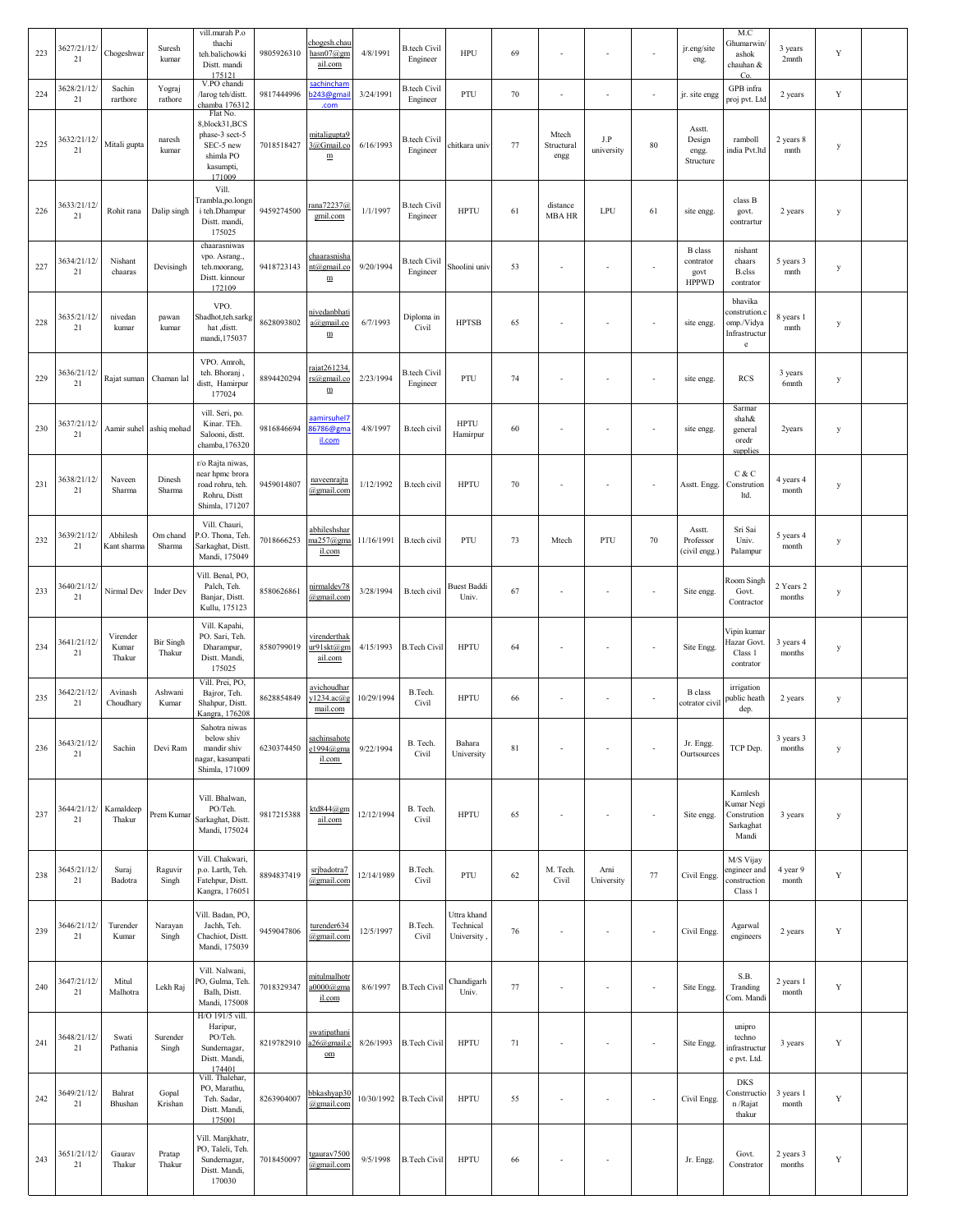| 223 | 3627/21/12/<br>21 | Chogeshwar                  | Suresh<br>kumar            | vill.murah P.o<br>thachi<br>teh.balichowki<br>Distt. mandi<br>175121                         | 9805926310 | chogesh.chau<br>$hasn07$ @gm<br>ail.com        | 4/8/1991   | <b>B.tech Civil</b><br>Engineer | HPU                                    | 69          |                             | $\sim$                   | ä,                       | jr.eng/site<br>eng.                                 | M.C<br>Ghumarwin<br>ashok<br>chauhan &<br>Co.                          | 3 years<br>2 <sub>mnth</sub> | Y           |  |
|-----|-------------------|-----------------------------|----------------------------|----------------------------------------------------------------------------------------------|------------|------------------------------------------------|------------|---------------------------------|----------------------------------------|-------------|-----------------------------|--------------------------|--------------------------|-----------------------------------------------------|------------------------------------------------------------------------|------------------------------|-------------|--|
| 224 | 3628/21/12/<br>21 | Sachin<br>rarthore          | Yograj<br>rathore          | V.PO chandi<br>larog teh/distt.<br>chamba 176312                                             | 9817444996 | sachinchan<br>0243@gmai                        | 3/24/1991  | <b>B.tech Civil</b><br>Engineer | PTU                                    | 70          |                             | ÷,                       | ÷,                       | jr. site engg                                       | GPB infra<br>proj pvt. Ltd                                             | 2 years                      | $\mathbf Y$ |  |
| 225 | 3632/21/12/<br>21 | Mitali gupta                | naresh<br>kumar            | Flat No.<br>8,block31,BCS<br>phase-3 sect-5<br>SEC-5 new<br>shimla PO<br>kasumpti,<br>171009 | 7018518427 | .com<br>mitaligupta9<br>3@Gmail.co<br>m        | 6/16/1993  | <b>B.tech Civil</b><br>Engineer | chitkara univ                          | 77          | Mtech<br>Structural<br>engg | J.P<br>university        | 80                       | Asstt.<br>Design<br>engg.<br>Structure              | ramboll<br>india Pvt.ltd                                               | 2 years 8<br>mnth            | у           |  |
| 226 | 3633/21/12/<br>21 | Rohit rana                  | Dalip singh                | Vill.<br>Frambla,po.longr<br>i teh.Dhampur<br>Distt. mandi,<br>175025                        | 9459274500 | rana72237(a<br>gmil.com                        | 1/1/1997   | <b>B.tech Civil</b><br>Engineer | <b>HPTU</b>                            | 61          | distance<br><b>MBA HR</b>   | LPU                      | 61                       | site engg.                                          | class B<br>govt.<br>contrartur                                         | 2 years                      | y           |  |
| 227 | 3634/21/12/<br>21 | Nishant<br>chaaras          | Devisingh                  | chaarasniwas<br>vpo. Asrang.,<br>teh.moorang,<br>Distt. kinnour<br>172109                    | 9418723143 | chaarasnisha<br>nt@gmail.co<br>$\mathbf m$     | 9/20/1994  | <b>B.tech Civil</b><br>Engineer | Shoolini univ                          | 53          |                             | $\overline{\phantom{a}}$ | $\overline{\phantom{a}}$ | <b>B</b> class<br>contrator<br>govt<br><b>HPPWD</b> | nishant<br>chaars<br><b>B.clss</b><br>contrator                        | 5 years 3<br>mnth            | y           |  |
| 228 | 3635/21/12/<br>21 | nivedan<br>kumar            | pawan<br>kumar             | VPO.<br>Shadhot, teh.sarkg<br>hat , distt.<br>mandi, 175037                                  | 8628093802 | nivedanbhati<br>a@gmail.co<br>$\mathbf m$      | 6/7/1993   | Diploma in<br>Civil             | <b>HPTSB</b>                           | 65          |                             | $\sim$                   | $\overline{\phantom{a}}$ | site engg.                                          | bhavika<br>onstrution.c<br>omp./Vidya<br>Infrastructur<br>$\mathbf{c}$ | 8 years 1<br>mnth            | y           |  |
| 229 | 3636/21/12/<br>21 | Rajat suman                 | Chaman lal                 | VPO. Amroh,<br>teh. Bhoranj,<br>distt, Hamirpur<br>177024                                    | 8894420294 | rajat261234.<br>rs@gmail.co<br>$\mathbf m$     | 2/23/1994  | <b>B.tech Civil</b><br>Engineer | PTU                                    | 74          |                             | $\sim$                   | $\sim$                   | site engg.                                          | <b>RCS</b>                                                             | 3 years<br>6 <sub>mnth</sub> | y           |  |
| 230 | 3637/21/12/<br>21 |                             | Aamir suhel ashiq mohad    | vill. Seri, po.<br>Kinar. TEh.<br>Salooni, distt.<br>chamba, 176320                          | 9816846694 | aamirsuhel <sub>7</sub><br>86786@gma<br>il.com | 4/8/1997   | B.tech civil                    | <b>HPTU</b><br>Hamirpur                | 60          |                             | $\sim$                   | $\overline{\phantom{a}}$ | site engg.                                          | Sarmar<br>shah&<br>general<br>oredr<br>supplies                        | 2years                       | y           |  |
| 231 | 3638/21/12/<br>21 | Naveen<br>Sharma            | Dinesh<br>Sharma           | r/o Rajta niwas,<br>iear hpmc brora<br>road rohru, teh.<br>Rohru, Distt<br>Shimla, 171207    | 9459014807 | naveenrajta<br>@gmail.com                      | 1/12/1992  | B.tech civil                    | <b>HPTU</b>                            | 70          |                             | $\sim$                   | $\overline{\phantom{a}}$ | Asstt. Engg.                                        | C & C<br>Constrution<br>ltd.                                           | 4 years 4<br>month           | y           |  |
| 232 | 3639/21/12/<br>21 | Abhilesh<br>Kant sharma     | Om chand<br>Sharma         | Vill. Chauri,<br>O. Thona, Teh<br>Sarkaghat, Distt<br>Mandi, 175049                          | 7018666253 | <u>abhileshshar</u><br>ma257@gma<br>il.com     | 11/16/1991 | <b>B</b> .tech civil            | PTU                                    | 73          | Mtech                       | PTU                      | 70                       | Asstt.<br>Professor<br>(civil engg.)                | Sri Sai<br>Univ.<br>Palampur                                           | 5 years 4<br>month           | y           |  |
| 233 | 3640/21/12/<br>21 | Nirmal Dev                  | Inder Dev                  | Vill. Benal, PO.<br>Palch, Teh.<br>Banjar, Distt.<br>Kullu, 175123                           | 8580626861 | nirmaldev78<br>@gmail.com                      | 3/28/1994  | B.tech civil                    | <b>Buest Baddi</b><br>Univ.            | 67          |                             | ÷,                       | ÷,                       | Site engg.                                          | Room Singh<br>Govt.<br>Contractor                                      | 2 Years 2<br>months          | y           |  |
| 234 | 3641/21/12/<br>21 | Virender<br>Kumar<br>Thakur | <b>Bir Singh</b><br>Thakur | Vill. Kapahi,<br>PO. Sari, Teh.<br>Dharampur,<br>Distt. Mandi,<br>175025                     | 8580799019 | virenderthak<br>ur91skt@gm<br>ail.com          | 4/15/1993  | <b>B.Tech Civil</b>             | <b>HPTU</b>                            | 64          |                             | ÷,                       | ÷,                       | Site Engg                                           | Vipin kumar<br>Hazar Govt.<br>Class 1<br>contrator                     | 3 years 4<br>months          | y           |  |
| 235 | 3642/21/12/<br>21 | Avinash<br>Choudhary        | Ashwani<br>Kumar           | Vill. Prei, PO,<br>Bajror, Teh.<br>Shahpur, Distt.<br>Kangra, 176208                         | 8628854849 | avichoudhar<br>y1234.ac@g<br>mail.com          | 10/29/1994 | B.Tech.<br>Civil                | <b>HPTU</b>                            | 66          |                             | $\overline{\phantom{a}}$ | $\blacksquare$           | <b>B</b> class<br>cotrator civil                    | irrigation<br>public heath<br>dep.                                     | 2 years                      | y           |  |
| 236 | 3643/21/12/<br>21 | Sachin                      | Devi Ram                   | Sahotra niwas<br>below shiv<br>mandir shiv<br>agar, kasumpati<br>Shimla, 171009              | 6230374450 | sachinsahote<br>e1994@gma<br>il.com            | 9/22/1994  | B. Tech.<br>Civil               | Bahara<br>University                   | $8\sqrt{1}$ |                             | $\sim$                   | ä,                       | Jr. Engg.<br>Ourtsources                            | TCP Dep.                                                               | 3 years 3<br>months          | y           |  |
| 237 | 3644/21/12/<br>21 | Kamaldeep<br>Thakur         | Prem Kumar                 | Vill. Bhalwan,<br>PO/Teh.<br>Sarkaghat, Distt.<br>Mandi, 175024                              | 9817215388 | ktd844@gm<br>ail.com                           | 12/12/1994 | B. Tech.<br>Civil               | <b>HPTU</b>                            | 65          |                             | $\sim$                   | ÷,                       | Site engg                                           | Kamlesh<br>Kumar Negi<br>Constrution<br>Sarkaghat<br>Mandi             | 3 years                      | у           |  |
| 238 | 3645/21/12/<br>21 | Suraj<br>Badotra            | Raguvir<br>Singh           | Vill. Chakwari,<br>p.o. Larth, Teh.<br>Fatehpur, Distt.<br>Kangra, 176051                    | 8894837419 | srjbadotra7<br>@gmail.com                      | 12/14/1989 | B.Tech.<br>Civil                | PTU                                    | 62          | M. Tech.<br>Civil           | Arni<br>University       | 77                       | Civil Engg.                                         | M/S Vijay<br>ngineer and<br>onstruction<br>Class 1                     | 4 year 9<br>month            | Y           |  |
| 239 | 3646/21/12/<br>21 | Turender<br>Kumar           | Narayan<br>Singh           | Vill. Badan, PO,<br>Jachh, Teh.<br>Chachiot, Distt.<br>Mandi, 175039                         | 9459047806 | turender634<br>@gmail.com                      | 12/5/1997  | B.Tech.<br>Civil                | Uttra khand<br>Technical<br>University | 76          | $\sim$                      | $\sim$                   | ÷,                       | Civil Engg.                                         | Agarwal<br>engineers                                                   | 2 years                      | Y           |  |
| 240 | 3647/21/12/<br>21 | Mitul<br>Malhotra           | Lekh Raj                   | Vill. Nalwani,<br>O, Gulma, Teh.<br>Balh, Distt.<br>Mandi, 175008                            | 7018329347 | mitulmalhotr<br>a0000@gma<br>il.com            | 8/6/1997   | <b>B.Tech Civil</b>             | Chandigarh<br>Univ.                    | 77          | $\sim$                      | $\sim$                   | ÷,                       | Site Engg                                           | S.B.<br>Tranding<br>Com. Mandi                                         | 2 years 1<br>month           | Y           |  |
| 241 | 3648/21/12/<br>21 | Swati<br>Pathania           | Surender<br>Singh          | H/O 191/5 vill.<br>Haripur,<br>PO/Teh.<br>Sundernagar,<br>Distt. Mandi,<br>174401            | 8219782910 | swatipathani<br>a26@gmail.o<br>$_{\text{om}}$  | 8/26/1993  | <b>B.Tech Civil</b>             | <b>HPTU</b>                            | 71          |                             | $\sim$                   | $\overline{\phantom{a}}$ | Site Engg.                                          | unipro<br>techno<br>nfrastructur<br>e pvt. Ltd.                        | 3 years                      | Y           |  |
| 242 | 3649/21/12/<br>21 | Bahrat<br>Bhushan           | Gopal<br>Krishan           | Vill. Thalehar,<br>PO, Marathu,<br>Teh. Sadar,<br>Distt. Mandi,<br>175001                    | 8263904007 | bbkashyap30<br>@gmail.com                      |            | 10/30/1992 B.Tech Civil         | <b>HPTU</b>                            | 55          |                             | $\overline{\phantom{a}}$ | ÷,                       | Civil Engg.                                         | <b>DKS</b><br>Constrructio<br>n /Rajat<br>thakur                       | 3 years 1<br>month           | Y           |  |
| 243 | 3651/21/12/<br>21 | Gaurav<br>Thakur            | Pratap<br>Thakur           | Vill. Manjkhatr,<br>PO, Taleli, Teh.<br>Sundernagar,<br>Distt. Mandi,<br>170030              | 7018450097 | tgaurav7500<br>@gmail.com                      | 9/5/1998   | <b>B.Tech Civil</b>             | <b>HPTU</b>                            | 66          |                             | $\sim$                   |                          | Jr. Engg.                                           | Govt.<br>Constrator                                                    | 2 years 3<br>months          | Y           |  |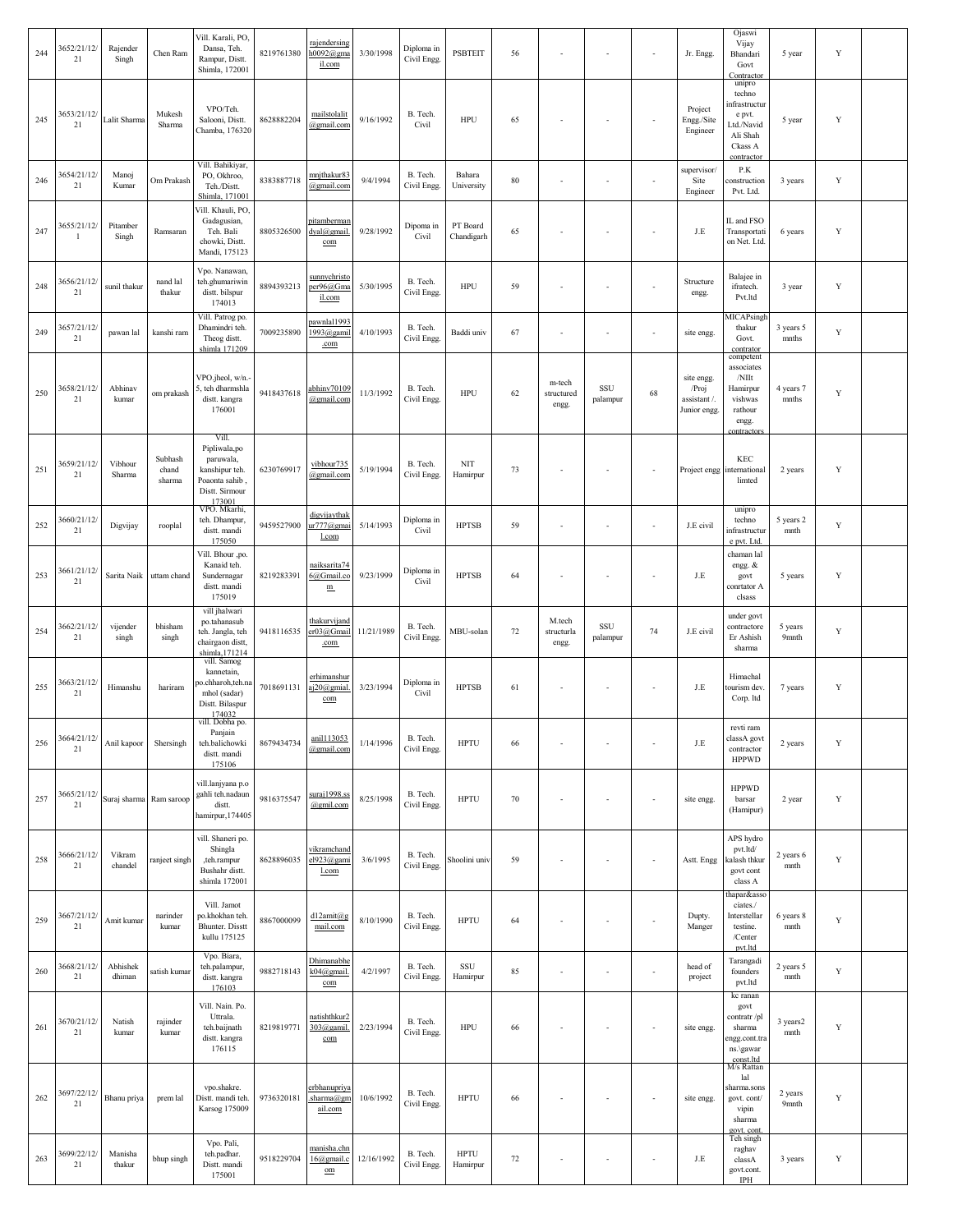| 244 | 3652/21/12/<br>21             | Rajender<br>Singh  | Chen Ram                   | Vill. Karali, PO,<br>Dansa, Teh.<br>Rampur, Distt.<br>Shimla, 172001                              | 8219761380 | rajendersing<br>$h0092$ @gma<br>il.com                 | 3/30/1998  | Diploma in<br>Civil Engg. | <b>PSBTEIT</b>          | 56     |                               | ÷,                       | ÷,                       | Jr. Engg.                                           | Ojaswi<br>Vijay<br>Bhandari<br>Govt<br>Contractor                                                  | 5 year                       | $\mathbf Y$ |  |
|-----|-------------------------------|--------------------|----------------------------|---------------------------------------------------------------------------------------------------|------------|--------------------------------------------------------|------------|---------------------------|-------------------------|--------|-------------------------------|--------------------------|--------------------------|-----------------------------------------------------|----------------------------------------------------------------------------------------------------|------------------------------|-------------|--|
| 245 | 3653/21/12/<br>21             | Lalit Sharma       | Mukesh<br>Sharma           | VPO/Teh.<br>Salooni, Distt.<br>Chamba, 176320                                                     | 8628882204 | mailstolalit<br>@gmail.com                             | 9/16/1992  | B. Tech.<br>Civil         | HPU                     | 65     |                               | $\sim$                   | ÷,                       | Project<br>Engg./Site<br>Engineer                   | unipro<br>techno<br>infrastructur<br>e pvt.<br>Ltd./Navid<br>Ali Shah<br>Ckass A<br>contractor     | 5 year                       | Y           |  |
| 246 | 3654/21/12/<br>21             | Manoj<br>Kumar     | Om Prakash                 | Vill. Bahikiyar,<br>PO, Okhroo,<br>Teh./Distt.<br>Shimla, 171001                                  | 8383887718 | mnjthakur83<br>@gmail.com                              | 9/4/1994   | B. Tech.<br>Civil Engg.   | Bahara<br>University    | 80     |                               | ٠.                       | ä,                       | supervisor/<br>Site<br>Engineer                     | P.K<br>construction<br>Pvt. Ltd.                                                                   | 3 years                      | Y           |  |
| 247 | 3655/21/12/<br>$\overline{1}$ | Pitamber<br>Singh  | Ramsaran                   | Vill. Khauli, PO,<br>Gadagusian,<br>Teh. Bali<br>chowki, Distt.<br>Mandi, 175123                  | 8805326500 | pitamberman<br>dyal@gmail.<br>com                      | 9/28/1992  | Dipoma in<br>Civil        | PT Board<br>Chandigarh  | 65     |                               | ÷,                       | ÷,                       | J.E                                                 | IL and FSO<br>Transportati<br>on Net. Ltd.                                                         | 6 years                      | Y           |  |
| 248 | 3656/21/12/<br>21             | sunil thakur       | nand lal<br>thakur         | Vpo. Nanawan,<br>teh.ghumariwin<br>distt. bilspur<br>174013                                       | 8894393213 | sunnychristo<br>per96@Gma<br>il.com                    | 5/30/1995  | B. Tech.<br>Civil Engg.   | <b>HPU</b>              | 59     |                               | ÷,                       | ÷,                       | Structure<br>engg.                                  | Balajee in<br>ifratech.<br>Pvt.ltd                                                                 | 3 year                       | Y           |  |
| 249 | 3657/21/12/<br>21             | pawan lal          | kanshi ram                 | Vill. Patrog po.<br>Dhamindri teh.<br>Theog distt.<br>shimla 171209                               | 7009235890 | pawnlal199.<br>1993@gamil<br>.com                      | 4/10/1993  | B. Tech.<br>Civil Engg.   | Baddi univ              | 67     |                               | $\sim$                   | ÷,                       | site engg.                                          | MICAPsingh<br>thakur<br>Govt.<br>contrator                                                         | 3 years 5<br>mnths           | Y           |  |
| 250 | 3658/21/12/<br>21             | Abhinav<br>kumar   | om prakash                 | VPO.jheol, w/n.<br>5, teh dharmshla<br>distt. kangra<br>176001                                    | 9418437618 | abhinv70109<br>@gmail.com                              | 11/3/1992  | B. Tech.<br>Civil Engg.   | <b>HPU</b>              | 62     | m-tech<br>structured<br>engg. | SSU<br>palampur          | 68                       | site engg.<br>/Proj<br>assistant /.<br>Junior engg. | competent<br>associates<br>$/$ N $\rm{Ht}$<br>Hamirpur<br>vishwas<br>rathour<br>engg.<br>ontractor | 4 years 7<br>mnths           | $\mathbf Y$ |  |
| 251 | 3659/21/12/<br>21             | Vibhour<br>Sharma  | Subhash<br>chand<br>sharma | Vill.<br>Pipliwala,po<br>paruwala,<br>kanshipur teh.<br>Poaonta sahib<br>Distt. Sirmour<br>173001 | 6230769917 | vibhour735<br>@gmail.com                               | 5/19/1994  | B. Tech.<br>Civil Engg.   | <b>NIT</b><br>Hamirpur  | 73     |                               |                          | ä,                       |                                                     | KEC<br>Project engg international<br>limted                                                        | 2 years                      | Y           |  |
| 252 | 3660/21/12/<br>21             | Digvijay           | rooplal                    | VPO. Mkarhi,<br>teh. Dhampur,<br>distt. mandi<br>175050                                           | 9459527900 | digvijaythak<br>ur777@gmai<br>l.com                    | 5/14/1993  | Diploma in<br>Civil       | <b>HPTSB</b>            | 59     |                               | ÷,                       | ä,                       | J.E civil                                           | unipro<br>techno<br>infrastructur<br>e pvt. Ltd.                                                   | 5 years 2<br>mnth            | Y           |  |
| 253 | 3661/21/12/<br>21             | Sarita Naik        | uttam chand                | Vill. Bhour ,po.<br>Kanaid teh.<br>Sundernagar<br>distt. mandi<br>175019                          | 8219283391 | naiksarita74<br>6@Gmail.co<br>${\bf m}$                | 9/23/1999  | Diploma in<br>Civil       | <b>HPTSB</b>            | 64     |                               | $\sim$                   | ÷,                       | J.E                                                 | chaman lal<br>engg. &<br>govt<br>conrtator A<br>clsass                                             | 5 years                      | Y           |  |
| 254 | 3662/21/12/<br>21             | vijender<br>singh  | bhisham<br>singh           | vill jhalwari<br>po.tahanasub<br>teh. Jangla, teh<br>chairgaon distt,<br>shimla, 171214           | 9418116535 | thakurvijand<br>er03@Gmail<br>.com                     | 11/21/1989 | B. Tech.<br>Civil Engg.   | MBU-solan               | 72     | M.tech<br>structurla<br>engg. | SSU<br>palampur          | 74                       | J.E civil                                           | under govt<br>contractore<br>Er Ashish<br>sharma                                                   | 5 years<br>9 <sub>mnth</sub> | Y           |  |
| 255 | 3663/21/12/<br>$21\,$         | Himanshu           | hariram                    | vill. Samog<br>kannetain,<br>o.chharoh,teh.na<br>mhol (sadar)<br>Distt. Bilaspur<br>174032        | 7018691131 | erhimanshur<br>aj20@gmial.<br>com                      | 3/23/1994  | Diploma in<br>Civil       | <b>HPTSB</b>            | 61     |                               | $\sim$                   | $\overline{\phantom{a}}$ | J.E                                                 | Himachal<br>ourism dev.<br>Corp. ltd                                                               | 7 years                      | $\mathbf Y$ |  |
| 256 | 3664/21/12/<br>$21\,$         | Anil kapoor        | Shersingh                  | vill. Dobha po.<br>Panjain<br>teh.balichowki<br>distt. mandi<br>175106                            | 8679434734 | anil113053<br>@gmail.com                               | 1/14/1996  | B. Tech.<br>Civil Engg.   | <b>HPTU</b>             | 66     |                               | $\sim$                   | ÷,                       | J.E                                                 | revti ram<br>classA govt<br>contractor<br><b>HPPWD</b>                                             | 2 years                      | $\mathbf Y$ |  |
| 257 | 3665/21/12/<br>21             | Suraj sharma       | Ram saroop                 | vill.lanjyana p.o<br>gahli teh.nadaun<br>distt.<br>hamirpur, 174405                               | 9816375547 | suraj1998.ss<br>@gmil.com                              | 8/25/1998  | B. Tech.<br>Civil Engg.   | <b>HPTU</b>             | 70     | $\overline{\phantom{a}}$      | $\sim$                   | $\overline{\phantom{a}}$ | site engg.                                          | <b>HPPWD</b><br>barsar<br>(Hamipur)                                                                | 2 year                       | Y           |  |
| 258 | 3666/21/12/<br>21             | Vikram<br>chandel  | ranject singh              | vill. Shaneri po.<br>Shingla<br>,teh.rampur<br>Bushahr distt.<br>shimla 172001                    | 8628896035 | vikramchand<br>el923@gami<br>l.com                     | 3/6/1995   | B. Tech.<br>Civil Engg.   | Shoolini univ           | 59     |                               | $\overline{\phantom{a}}$ | $\overline{\phantom{a}}$ | Astt. Engg                                          | APS hydro<br>pvt.ltd/<br>alash thkur<br>govt cont<br>class A                                       | 2 years 6<br>mnth            | Y           |  |
| 259 | 3667/21/12/<br>$21\,$         | Amit kumar         | narinder<br>kumar          | Vill. Jamot<br>oo.khokhan teh.<br><b>Bhunter</b> . Disstt<br>kullu 175125                         | 8867000099 | d12amit@g<br>mail.com                                  | 8/10/1990  | B. Tech.<br>Civil Engg.   | <b>HPTU</b>             | 64     |                               | $\sim$                   | $\overline{\phantom{a}}$ | Dupty.<br>Manger                                    | hapar&asso<br>ciates./<br>Interstellar<br>testine.<br>$/$ Center<br>pvt.ltd                        | 6 years 8<br>mnth            | $\mathbf Y$ |  |
| 260 | 3668/21/12/<br>21             | Abhishek<br>dhiman | satish kumar               | Vpo. Biara,<br>teh.palampur,<br>distt. kangra<br>176103                                           | 9882718143 | Dhimanabhe<br>k04@gmail.<br>com                        | 4/2/1997   | B. Tech.<br>Civil Engg.   | SSU<br>Hamirpur         | 85     | $\sim$                        | $\overline{\phantom{a}}$ | ÷,                       | head of<br>project                                  | Tarangadi<br>founders<br>pvt.ltd                                                                   | 2 years 5<br>mnth            | Y           |  |
| 261 | 3670/21/12/<br>21             | Natish<br>kumar    | rajinder<br>kumar          | Vill. Nain. Po.<br>Uttrala.<br>teh.baijnath<br>distt. kangra<br>176115                            | 8219819771 | natishthkur2<br>303@gamil.<br>com                      | 2/23/1994  | B. Tech.<br>Civil Engg.   | <b>HPU</b>              | 66     |                               | $\overline{\phantom{a}}$ | $\overline{\phantom{a}}$ | site engg.                                          | kc ranan<br>govt<br>contratr /pl<br>sharma<br>ngg.cont.tra<br>ns.\gawar                            | 3 years2<br>mnth             | $\mathbf Y$ |  |
| 262 | 3697/22/12/<br>21             | Bhanu priya        | prem lal                   | vpo.shakre.<br>Distt. mandi teh.<br>Karsog 175009                                                 | 9736320181 | erbhanupriya<br>sharma@gm<br>ail.com                   | 10/6/1992  | B. Tech.<br>Civil Engg.   | <b>HPTU</b>             | 66     |                               | $\overline{\phantom{a}}$ | $\overline{\phantom{a}}$ | site engg.                                          | const.ltd<br>M/s Rattan<br>lal<br>sharma.sons<br>govt. cont/<br>vipin<br>sharma                    | 2 years<br>9 <sub>mnth</sub> | $\mathbf Y$ |  |
| 263 | 3699/22/12/<br>21             | Manisha<br>thakur  | bhup singh                 | Vpo. Pali,<br>teh.padhar.<br>Distt. mandi<br>175001                                               | 9518229704 | manisha.chn<br>16@gmail.c<br>$\underline{\mathrm{om}}$ | 12/16/1992 | B. Tech.<br>Civil Engg.   | <b>HPTU</b><br>Hamirpur | $72\,$ |                               | $\overline{\phantom{a}}$ | ÷,                       | J.E                                                 | govt. cont.<br>Teh singh<br>raghav<br>classA<br>govt.cont.<br><b>IPH</b>                           | 3 years                      | $\mathbf Y$ |  |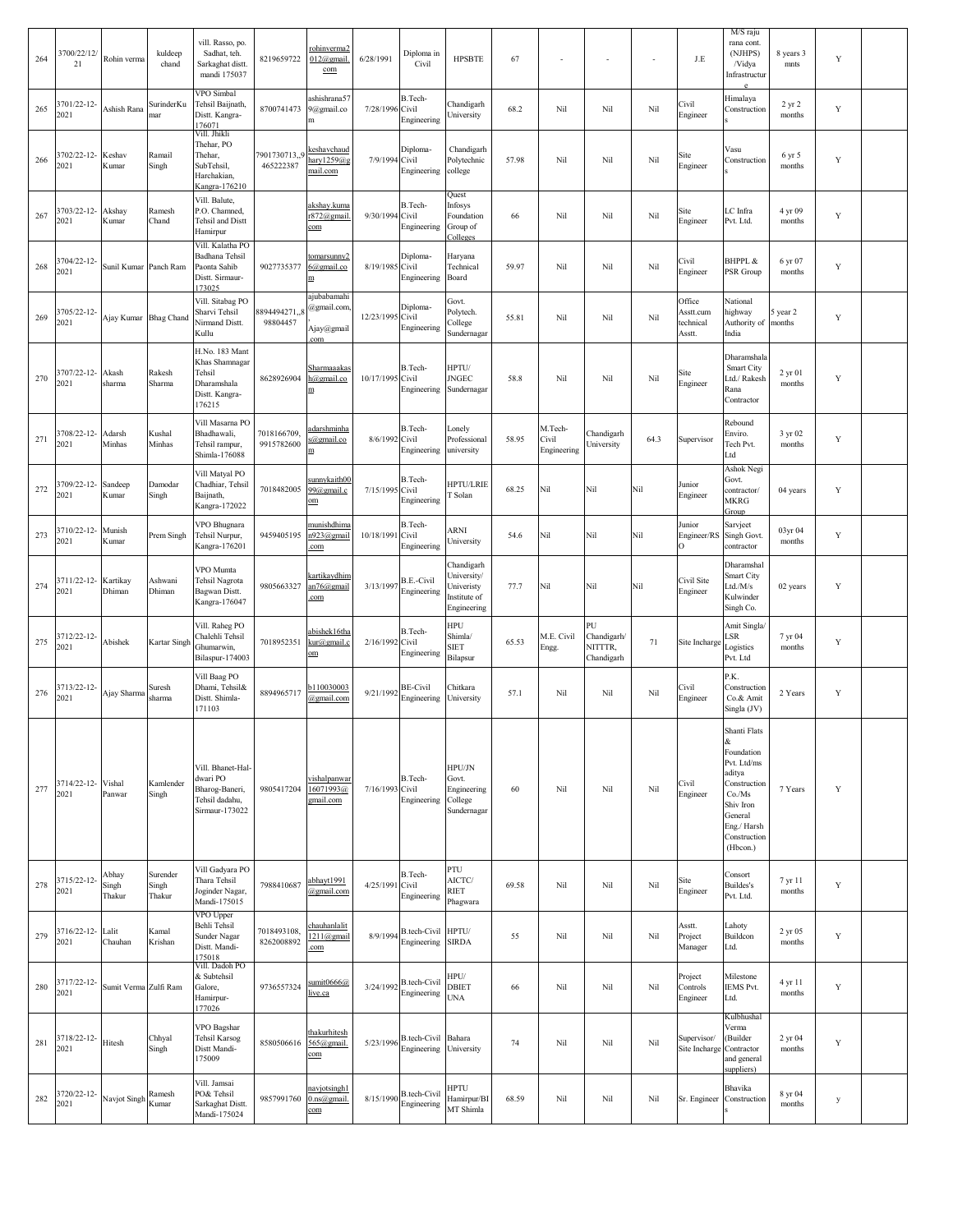| 264 | 3700/22/12/<br>21          | Rohin verma              | kuldeep<br>chand            | vill. Rasso, po.<br>Sadhat, teh.<br>Sarkaghat distt.<br>mandi 175037                  | 8219659722                 | rohinverma2<br>$012$ @gmail.<br>com                        | 6/28/1991       | Diploma in<br>Civil                     | <b>HPSBTE</b>                                                          | 67    |                                 |                                            | $\sim$ | J.E                                        | M/S raju<br>rana cont.<br>(NJHPS)<br>/Vidya<br>Infrastructur<br>e.                                                                                   | 8 years 3<br>mnts  | $\mathbf Y$ |  |
|-----|----------------------------|--------------------------|-----------------------------|---------------------------------------------------------------------------------------|----------------------------|------------------------------------------------------------|-----------------|-----------------------------------------|------------------------------------------------------------------------|-------|---------------------------------|--------------------------------------------|--------|--------------------------------------------|------------------------------------------------------------------------------------------------------------------------------------------------------|--------------------|-------------|--|
| 265 | 3701/22-12-<br>2021        | Ashish Rana              | SurinderKu<br>mar           | VPO Simbal<br>Tehsil Baijnath,<br>Distt. Kangra-<br>176071                            | 8700741473                 | ashishrana57<br>9@gmail.co<br>m                            | 7/28/1996       | B.Tech-<br>Civil<br>Engineering         | Chandigarh<br>University                                               | 68.2  | Nil                             | Nil                                        | Nil    | Civil<br>Engineer                          | Himalaya<br>Construction                                                                                                                             | 2 yr 2<br>months   | $\mathbf Y$ |  |
| 266 | 702/22-12-<br>2021         | Keshav<br>Kumar          | Ramail<br>Singh             | Vill. Jhikli<br>Thehar, PO<br>Thehar,<br>SubTehsil,<br>Harchakian,<br>Kangra-176210   | 7901730713,,9<br>465222387 | keshavchaud<br>hary $1259@$<br>mail.com                    | 7/9/1994        | Diploma-<br>Civil<br>Engineering        | Chandigarh<br>Polytechnic<br>college                                   | 57.98 | Nil                             | Nil                                        | Nil    | Site<br>Engineer                           | Vasu<br>Construction                                                                                                                                 | 6 yr 5<br>months   | Y           |  |
| 267 | 703/22-12-<br>2021         | Akshay<br>Kumar          | Ramesh<br>Chand             | Vill. Balute,<br>P.O. Chamned,<br>Tehsil and Distt<br>Hamirpur                        |                            | akshay.kuma<br>$872$ @gmail<br>com                         | 9/30/1994       | B.Tech-<br>Civil<br>Engineering         | Quest<br>Infosys<br>Foundation<br>Group of<br>Colleges                 | 66    | Nil                             | Nil                                        | Nil    | Site<br>Engineer                           | LC Infra<br>Pvt. Ltd.                                                                                                                                | 4 yr 09<br>months  | Y           |  |
| 268 | 3704/22-12-<br>2021        | Sunil Kumar              | Panch Ram                   | Vill. Kalatha PO<br>Badhana Tehsil<br>Paonta Sahib<br>Distt. Sirmaur-<br>173025       | 9027735377                 | tomarsunny2<br>$6$ @gmail.co<br>$\mathbf m$                | 8/19/1985       | Diploma-<br>Civil<br>Engineering        | Haryana<br>Technical<br>Board                                          | 59.97 | Nil                             | Nil                                        | Nil    | Civil<br>Engineer                          | <b>BHPPL &amp;</b><br>PSR Group                                                                                                                      | 6 yr 07<br>months  | $\mathbf Y$ |  |
| 269 | 1705/22-12-<br>2021        | Ajay Kumar               | <b>Bhag</b> Chand           | Vill. Sitabag PO<br>Sharvi Tehsil<br><b>Nirmand Distt.</b><br>Kullu                   | 8894494271.3<br>98804457   | ajubabamahi<br>@gmail.com<br>Ajay@gmail<br>com             | 12/23/1995      | Diploma-<br>Civil<br>Engineering        | Govt.<br>Polytech.<br>College<br>Sundernagar                           | 55.81 | Nil                             | Nil                                        | Nil    | Office<br>Asstt.cum<br>technical<br>Asstt. | National<br>highway<br>Authority of<br>India                                                                                                         | 5 year 2<br>months | Y           |  |
| 270 | 707/22-12-<br>2021         | Akash<br>sharma          | Rakesh<br>Sharma            | H.No. 183 Mant<br>Khas Shamnagar<br>Tehsil<br>Dharamshala<br>Distt. Kangra-<br>176215 | 8628926904                 | Sharmaaakas<br>h@gmail.co<br>m                             | 10/17/1995      | B.Tech-<br>Civil<br>Engineering         | HPTU/<br><b>JNGEC</b><br>Sundernagar                                   | 58.8  | Nil                             | Nil                                        | Nil    | Site<br>Engineer                           | Dharamshala<br>Smart City<br>Ltd./ Rakesh<br>Rana<br>Contractor                                                                                      | 2 yr 01<br>months  | Y           |  |
| 271 | 3708/22-12-<br>2021        | Adarsh<br>Minhas         | Kushal<br>Minhas            | Vill Masarna PO<br>Bhadhawali,<br>Tehsil rampur,<br>Shimla-176088                     | 7018166709<br>9915782600   | <u>adarshminha</u><br>s@gmail.co<br>$\underline{\text{m}}$ | 8/6/1992        | B.Tech-<br>Civil<br>Engineering         | Lonely<br>Professional<br>university                                   | 58.95 | M.Tech-<br>Civil<br>Engineering | Chandigarh<br>University                   | 64.3   | Supervisor                                 | Rebound<br>Enviro.<br>Tech Pvt.<br>Ltd                                                                                                               | 3 yr 02<br>months  | $\mathbf Y$ |  |
| 272 | 1709/22-12-<br>2021        | Sandeep<br>Kumar         | Damodar<br>Singh            | Vill Matyal PO<br>Chadhiar, Tehsil<br>Baijnath,<br>Kangra-172022                      | 7018482005                 | sunnykaith00<br>99@gmail.c<br>om                           | 7/15/1995       | B.Tech-<br>Civil<br>Engineering         | <b>HPTU/LRIE</b><br>T Solan                                            | 68.25 | Nil                             | Nil                                        | Nil    | Junior<br>Engineer                         | Ashok Negi<br>Govt.<br>contractor/<br>MKRG<br>Group                                                                                                  | 04 years           | Y           |  |
| 273 | 3710/22-12-<br>2021        | Munish<br>Kumar          | Prem Singh                  | VPO Bhugnara<br>Tehsil Nurpur,<br>Kangra-176201                                       | 9459405195                 | <u>munishdhima</u><br>n923@gmail<br>com                    | 10/18/1991      | B.Tech-<br>Civil<br>Engineering         | ARNI<br>University                                                     | 54.6  | Nil                             | Nil                                        | Nil    | Junior<br>Engineer/RS<br>$\Omega$          | Sarvject<br>Singh Govt.<br>contractor                                                                                                                | 03yr 04<br>months  | Y           |  |
| 274 | 3711/22-12-<br>2021        | Kartikay<br>Dhiman       | Ashwani<br>Dhiman           | VPO Mumta<br>Tehsil Nagrota<br>Bagwan Distt.<br>Kangra-176047                         | 9805663327                 | <u>kartikaydhim</u><br>an76@gmail<br>com                   | 3/13/1997       | B.E.-Civil<br>Engineering               | Chandigarh<br>University/<br>Univeristy<br>Institute of<br>Engineering | 77.7  | Nil                             | Nil                                        | Nil    | Civil Site<br>Engineer                     | Dharamshal<br>Smart City<br>Ltd./M/s<br>Kulwinder<br>Singh Co.                                                                                       | 02 years           | Y           |  |
| 275 | 3712/22-12-<br>2021        | Abishek                  | Kartar Singh                | Vill. Raheg PO<br>Chalehli Tehsil<br>Ghumarwin,<br>Bilaspur-174003                    | 7018952351                 | abishek16tha<br>kur@gmail.c<br>om                          | 2/16/1992       | B.Tech-<br>Civil<br>Engineering         | HPU<br>Shimla/<br><b>SIET</b><br>Bilapsur                              | 65.53 | M.E. Civil<br>Engg.             | PU<br>Chandigarh/<br>NITTTR,<br>Chandigarh | 71     | Site Incharge                              | Amit Singla/<br>LSR<br>Logistics<br>Pvt. Ltd                                                                                                         | 7 yr 04<br>months  | Y           |  |
| 276 | 713/22-12-<br>2021         | Ajay Sharma              | Suresh<br>sharma            | Vill Baag PO<br>Dhami, Tehsil&<br>Distt. Shimla-<br>171103                            | 8894965717                 | b110030003<br>@gmail.com                                   | 9/21/1992       | <b>BE-Civil</b><br>Engineering          | Chitkara<br>University                                                 | 57.1  | Nil                             | Nil                                        | Nil    | Civil<br>Engineer                          | P.K.<br>Construction<br>Co.& Amit<br>Singla (JV)                                                                                                     | 2 Years            | Y           |  |
| 277 | 3714/22-12- Vishal<br>2021 | Panwar                   | Kamlender<br>Singh          | Vill. Bhanet-Hal-<br>dwari PO<br>Bharog-Baneri,<br>Tehsil dadahu,<br>Sirmaur-173022   | 9805417204                 | <u>vishalpanwar</u><br>16071993@<br>gmail.com              | 7/16/1993 Civil | B.Tech-<br>Engineering                  | HPU/JN<br>Govt.<br>Engineering<br>College<br>Sundernagar               | 60    | Nil                             | Nil                                        | Nil    | Civil<br>Engineer                          | Shanti Flats<br>&.<br>Foundation<br>Pvt. Ltd/ms<br>aditya<br>Construction<br>Co/Ms<br>Shiv Iron<br>General<br>Eng./Harsh<br>Construction<br>(Hbcon.) | 7 Years            | Y           |  |
| 278 | 3715/22-12-<br>2021        | Abhay<br>Singh<br>Thakur | Surender<br>Singh<br>Thakur | Vill Gadyara PO<br>Thara Tehsil<br>Joginder Nagar,<br>Mandi-175015                    | 7988410687                 | abhayt1991<br>@gmail.com                                   | 4/25/1991       | B.Tech-<br>Civil<br>Engineering         | PTU<br>AICTC/<br><b>RIET</b><br>Phagwara                               | 69.58 | Nil                             | Nil                                        | Nil    | Site<br>Engineer                           | Consort<br>Buildes's<br>Pvt. Ltd.                                                                                                                    | 7 yr 11<br>months  | Y           |  |
| 279 | 3716/22-12-<br>2021        | Lalit<br>Chauhan         | Kamal<br>Krishan            | VPO Upper<br>Behli Tehsil<br>Sunder Nagar<br>Distt. Mandi-<br>175018                  | 7018493108,<br>8262008892  | <u>chauhanlalit</u><br>1211@gmail<br>com                   | 8/9/1994        | B.tech-Civil HPTU/<br>Engineering SIRDA |                                                                        | 55    | Nil                             | Nil                                        | Nil    | Asstt.<br>Project<br>Manager               | Lahoty<br>Buildcon<br>Ltd.                                                                                                                           | 2 yr 05<br>months  | Y           |  |
| 280 | 3717/22-12-<br>2021        | Sumit Verma Zulfi Ram    |                             | Vill. Dadoh PO<br>& Subtehsil<br>Galore,<br>Hamirpur-<br>177026                       | 9736557324                 | umit0666@<br>live.ca                                       | 3/24/1992       | <b>B.tech-Civil</b><br>Engineering      | HPU/<br><b>DBIET</b><br><b>UNA</b>                                     | 66    | Nil                             | Nil                                        | Nil    | Project<br>Controls<br>Engineer            | Milestone<br><b>IEMS Pvt.</b><br>Ltd.                                                                                                                | 4 yr 11<br>months  | $\mathbf Y$ |  |
| 281 | 3718/22-12-<br>2021        | Hitesh                   | Chhyal<br>Singh             | VPO Bagshar<br><b>Tehsil Karsog</b><br>Distt Mandi-<br>175009                         | 8580506616                 | thakurhitesh<br>565@gmail.<br>com                          | 5/23/1996       | B.tech-Civil Bahara<br>Engineering      | University                                                             | 74    | Nil                             | Nil                                        | Nil    | Supervisor/<br>Site Incharge               | Kulbhushal<br>Verma<br>(Builder<br>Contractor<br>and general<br>suppliers)                                                                           | 2 yr 04<br>months  | $\mathbf Y$ |  |
| 282 | 3720/22-12-<br>2021        | Navjot Singh             | Ramesh<br>Kumar             | Vill. Jamsai<br>PO& Tehsil<br>Sarkaghat Distt.<br>Mandi-175024                        | 9857991760                 | navjotsingh1<br>$0.\text{ns}(\widehat{a})$ gmail.<br>com   | 8/15/1990       | B.tech-Civil<br>Engineering             | <b>HPTU</b><br>Hamirpur/BI<br>MT Shimla                                | 68.59 | Nil                             | Nil                                        | Nil    | Sr. Engineer                               | Bhavika<br>Construction                                                                                                                              | 8 yr 04<br>months  | y           |  |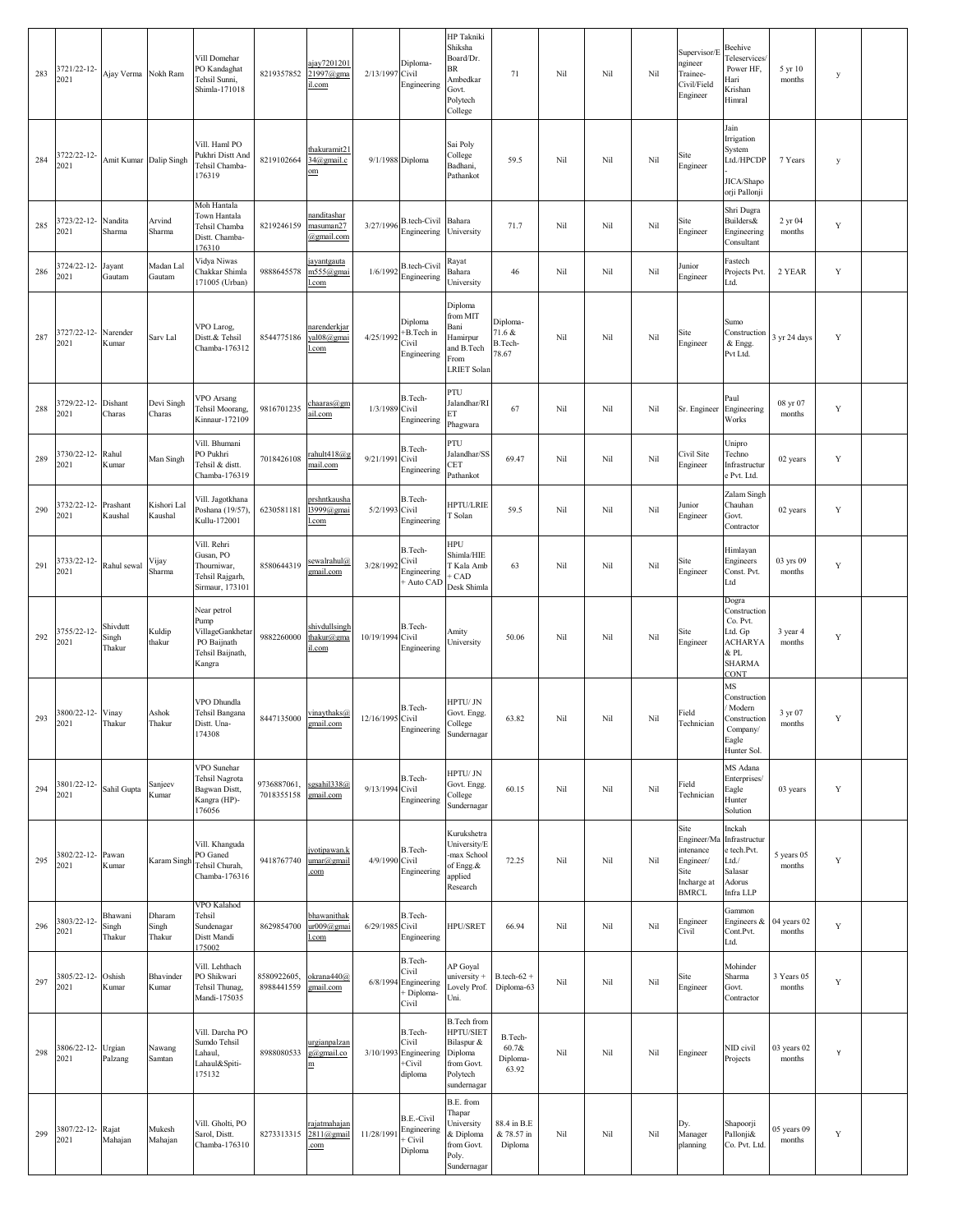| 283 | 3721/22-12-<br>2021          | Ajay Verma Nokh Ram         |                           | Vill Domehar<br>PO Kandaghat<br>Tehsil Sunni,<br>Shimla-171018                       | 8219357852                                  | ajay7201201<br>21997@gma<br>il.com                     | 2/13/1997        | Diploma-<br>Civil<br>Engineering                         | HP Takniki<br>Shiksha<br>Board/Dr.<br>BR<br>Ambedkar<br>Govt.<br>Polytech<br>College              | 71                                     | Nil | Nil | Nil | Supervisor/E<br>ngineer<br>Trainee-<br>Civil/Field<br>Engineer                       | Beehive<br>Teleservices<br>Power HF,<br>Hari<br>Krishan<br>Himral                        | 5 yr 10<br>months     | y           |  |
|-----|------------------------------|-----------------------------|---------------------------|--------------------------------------------------------------------------------------|---------------------------------------------|--------------------------------------------------------|------------------|----------------------------------------------------------|---------------------------------------------------------------------------------------------------|----------------------------------------|-----|-----|-----|--------------------------------------------------------------------------------------|------------------------------------------------------------------------------------------|-----------------------|-------------|--|
| 284 | 3722/22-12-<br>2021          | Amit Kumar Dalip Singh      |                           | Vill. Haml PO<br>Pukhri Distt And<br><b>Tehsil Chamba-</b><br>176319                 | 8219102664                                  | thakuramit21<br>34@gmail.c<br>om                       | 9/1/1988 Diploma |                                                          | Sai Poly<br>College<br>Badhani,<br>Pathankot                                                      | 59.5                                   | Nil | Nil | Nil | Site<br>Engineer                                                                     | Jain<br>Irrigation<br>System<br>Ltd./HPCDP<br>JICA/Shapo<br>orji Pallonji                | 7 Years               | y           |  |
| 285 | 1723/22-12-<br>2021          | Nandita<br>Sharma           | Arvind<br>Sharma          | Moh Hantala<br>Town Hantala<br>Tehsil Chamba<br>Distt. Chamba-<br>176310             | 8219246159                                  | nanditashar<br>masuman27<br>@gmail.com                 | 3/27/1996        | B.tech-Civil<br>Engineering University                   | Bahara                                                                                            | 71.7                                   | Nil | Nil | Nil | Site<br>Engineer                                                                     | Shri Dugra<br>Builders&<br>Engineering<br>Consultant                                     | 2 yr 04<br>months     | $\mathbf Y$ |  |
| 286 | 3724/22-12- Jayant<br>2021   | Gautam                      | Madan Lal<br>Gautam       | Vidya Niwas<br>Chakkar Shimla<br>171005 (Urban)                                      | 9888645578                                  | jayantgauta<br>m555@gmai<br>.com                       | 1/6/1992         | B.tech-Civil<br>Engineering                              | Rayat<br>Bahara<br>University                                                                     | 46                                     | Nil | Nil | Nil | Junior<br>Engineer                                                                   | Fastech<br>Projects Pvt.<br>Ltd.                                                         | 2 YEAR                | Y           |  |
| 287 | 3727/22-12-<br>2021          | Narender<br>Kumar           | Sarv Lal                  | VPO Larog,<br>Distt.& Tehsil<br>Chamba-176312                                        | 8544775186                                  | narenderkjar<br>yal08@gmai<br>l.com                    | 4/25/1992        | Diploma<br>+B.Tech in<br>Civil<br>Engineering            | Diploma<br>from MIT<br>Bani<br>Hamirpur<br>and B.Tech<br>From<br><b>LRIET</b> Solan               | Diploma-<br>71.6 &<br>B.Tech-<br>78.67 | Nil | Nil | Nil | Site<br>Engineer                                                                     | Sumo<br>Construction<br>& Engg.<br>Pvt Ltd.                                              | 3 yr 24 days          | Y           |  |
| 288 | 3729/22-12- Dishant<br>2021  | Charas                      | Devi Singh<br>Charas      | VPO Arsang<br>Tehsil Moorang,<br>Kinnaur-172109                                      | 9816701235                                  | chaaras@gm<br><u>ail.com</u>                           | 1/3/1989         | B.Tech-<br>Civil<br>Engineering                          | PTU<br>Jalandhar/RI<br>ЕT<br>Phagwara                                                             | 67                                     | Nil | Nil | Nil | Sr. Engineer                                                                         | Paul<br>Engineering<br>Works                                                             | 08 yr 07<br>months    | Y           |  |
| 289 | 3730/22-12-<br>2021          | Rahul<br>Kumar              | Man Singh                 | Vill. Bhumani<br>PO Pukhri<br>Tehsil & distt.<br>Chamba-176319                       | 7018426108                                  | rahult418@g<br>mail.com                                | 9/21/1991        | B.Tech-<br>Civil<br>Engineering                          | PTU<br>Jalandhar/SS<br>CET<br>Pathankot                                                           | 69.47                                  | Nil | Nil | Nil | Civil Site<br>Engineer                                                               | Unipro<br>Techno<br>Infrastructur<br>e Pvt. Ltd.                                         | 02 years              | Y           |  |
| 290 | 3732/22-12- Prashant<br>2021 | Kaushal                     | Kishori Lal<br>Kaushal    | Vill. Jagotkhana<br>Poshana (19/57),<br>Kullu-172001                                 | 6230581181                                  | orshntkausha<br>13999@gmai<br>l.com                    | 5/2/1993 Civil   | B.Tech-<br>Engineering                                   | <b>HPTU/LRIE</b><br>T Solan                                                                       | 59.5                                   | Nil | Nil | Nil | Junior<br>Engineer                                                                   | Zalam Singh<br>Chauhan<br>Govt.<br>Contractor                                            | 02 years              | Y           |  |
| 291 | 3733/22-12-<br>2021          | Rahul sewal                 | Vijay<br>Sharma           | Vill. Rehri<br>Gusan, PO<br>Thourniwar,<br>Tehsil Rajgarh,<br>Sirmaur, 173101        | 8580644319                                  | sewalrahul@<br>gmail.com                               | 3/28/1992        | B.Tech-<br>Civil<br>Engineering<br>+ Auto CAD            | <b>HPU</b><br>Shimla/HIE<br>T Kala Amb<br>$\overline{CAD}$<br>Desk Shimla                         | 63                                     | Nil | Nil | Nil | Site<br>Engineer                                                                     | Himlayan<br>Engineers<br>Const. Pvt.<br>Ltd                                              | 03 yrs 09<br>months   | Y           |  |
| 292 | 3755/22-12-<br>2021          | Shivdutt<br>Singh<br>Thakur | Kuldip<br>thakur          | Near petrol<br>Pump<br>VillageGankhetar<br>PO Baijnath<br>Tehsil Baijnath,<br>Kangra | 9882260000                                  | shivdullsingh<br>thakur@gma<br>il.com                  | 10/19/1994 Civil | B.Tech-<br>Engineering                                   | Amity<br>University                                                                               | 50.06                                  | Nil | Nil | Nil | Site<br>Engineer                                                                     | Dogra<br>Construction<br>Co. Pvt.<br>Ltd. Gp<br>ACHARYA<br>& PL<br><b>SHARMA</b><br>CONT | 3 year 4<br>months    | Y           |  |
| 293 | 3800/22-12- Vinay<br>2021    | Thakur                      | Ashok<br>Thakur           | VPO Dhundla<br>Tehsil Bangana<br>Distt. Una-<br>174308                               | 8447135000 $\frac{\text{vinaythaks}(a)}{a}$ | gmail.com                                              | 12/16/1995 Civil | B.Tech-<br>$\label{eq:approximation} \text{Engineering}$ | HPTU/ JN<br>Govt. Engg.<br>College<br>Sundernagar                                                 | 63.82                                  | Nil | Nil | Nil | Field<br>Technician                                                                  | MS<br>Construction<br>Modern<br>Construction<br>Company/<br>Eagle<br>Hunter Sol.         | 3 yr 07<br>months     | Y           |  |
| 294 | 3801/22-12-<br>2021          | Sahil Gupta                 | Sanjeev<br>Kumar          | VPO Sunehar<br><b>Tehsil Nagrota</b><br>Bagwan Distt,<br>Kangra (HP)-<br>176056      | 9736887061.<br>7018355158                   | sgsahil338@<br>gmail.com                               | 9/13/1994 Civil  | B.Tech-<br>Engineering                                   | HPTU/ JN<br>Govt. Engg.<br>College<br>Sundernagar                                                 | 60.15                                  | Nil | Nil | Nil | Field<br>Technician                                                                  | MS Adana<br>Enterprises/<br>Eagle<br>Hunter<br>Solution                                  | 03 years              | Y           |  |
| 295 | 3802/22-12- Pawan<br>2021    | Kumar                       | Karam Singh               | Vill. Khanguda<br>PO Ganed<br>Tehsil Churah,<br>Chamba-176316                        | 9418767740                                  | jyotipawan.k<br>umar@gmail<br>.com                     | 4/9/1990 Civil   | B.Tech-<br>Engineering                                   | Kurukshetra<br>University/E<br>-max School<br>of Engg.&<br>applied<br>Research                    | 72.25                                  | Nil | Nil | Nil | Site<br>Engineer/Ma<br>intenance<br>Engineer/<br>Site<br>Incharge at<br><b>BMRCL</b> | Inckah<br>Infrastructur<br>e tech.Pvt.<br>Ltd./<br>Salasar<br>Adorus<br>Infra LLP        | 5 years 05<br>months  | Y           |  |
| 296 | 3803/22-12-<br>2021          | Bhawani<br>Singh<br>Thakur  | Dharam<br>Singh<br>Thakur | VPO Kalahod<br>Tehsil<br>Sundenagar<br>Distt Mandi<br>175002                         | 8629854700                                  | bhawanithak<br>ur009@gmai<br>l.com                     | 6/29/1985        | B.Tech-<br>Civil<br>Engineering                          | HPU/SRET                                                                                          | 66.94                                  | Nil | Nil | Nil | Engineer<br>Civil                                                                    | Gammon<br>Engineers &<br>Cont.Pvt.<br>Ltd.                                               | 04 years 02<br>months | $\mathbf Y$ |  |
| 297 | 805/22-12-<br>2021           | Oshish<br>Kumar             | Bhavinder<br>Kumar        | Vill. Lehthach<br>PO Shikwari<br>Tehsil Thunag,<br>Mandi-175035                      | 8580922605,<br>8988441559                   | okrana440@<br>gmail.com                                | 6/8/1994         | B.Tech-<br>Civil<br>Engineering<br>+ Diploma-<br>Civil   | AP Goyal<br>university +<br>Lovely Prof.<br>Uni.                                                  | $B.$ tech-62 +<br>Diploma-63           | Nil | Nil | Nil | Site<br>Engineer                                                                     | Mohinder<br>Sharma<br>Govt.<br>Contractor                                                | 3 Years 05<br>months  | Y           |  |
| 298 | 3806/22-12- Urgian<br>2021   | Palzang                     | Nawang<br>Samtan          | Vill. Darcha PO<br>Sumdo Tehsil<br>Lahaul,<br>Lahaul&Spiti-<br>175132                | 8988080533                                  | urgianpalzan<br>g@gmail.co<br>${\underline{\text{m}}}$ | 3/10/1993        | B.Tech-<br>Civil<br>Engineering<br>+Civil<br>diploma     | <b>B.Tech from</b><br>HPTU/SIET<br>Bilaspur &<br>Diploma<br>from Govt.<br>Polytech<br>sundernagar | B.Tech-<br>60.7&<br>Diploma-<br>63.92  | Nil | Nil | Nil | Engineer                                                                             | NID civil<br>Projects                                                                    | 03 years 02<br>months | Y           |  |
| 299 | 3807/22-12- Rajat<br>2021    | Mahajan                     | Mukesh<br>Mahajan         | Vill. Gholti, PO<br>Sarol, Distt.<br>Chamba-176310                                   | 8273313315                                  | <u>rajatmahajan</u><br>2811@gmail<br>.com              | 11/28/1991       | B.E.-Civil<br>Engineering<br>+ Civil<br>Diploma          | B.E. from<br>Thapar<br>University<br>& Diploma<br>from Govt.<br>Poly.<br>Sundernagar              | 88.4 in B.E<br>& 78.57 in<br>Diploma   | Nil | Nil | Nil | Dy.<br>Manager<br>planning                                                           | Shapoorji<br>Pallonji&<br>Co. Pvt. Ltd.                                                  | 05 years 09<br>months | Y           |  |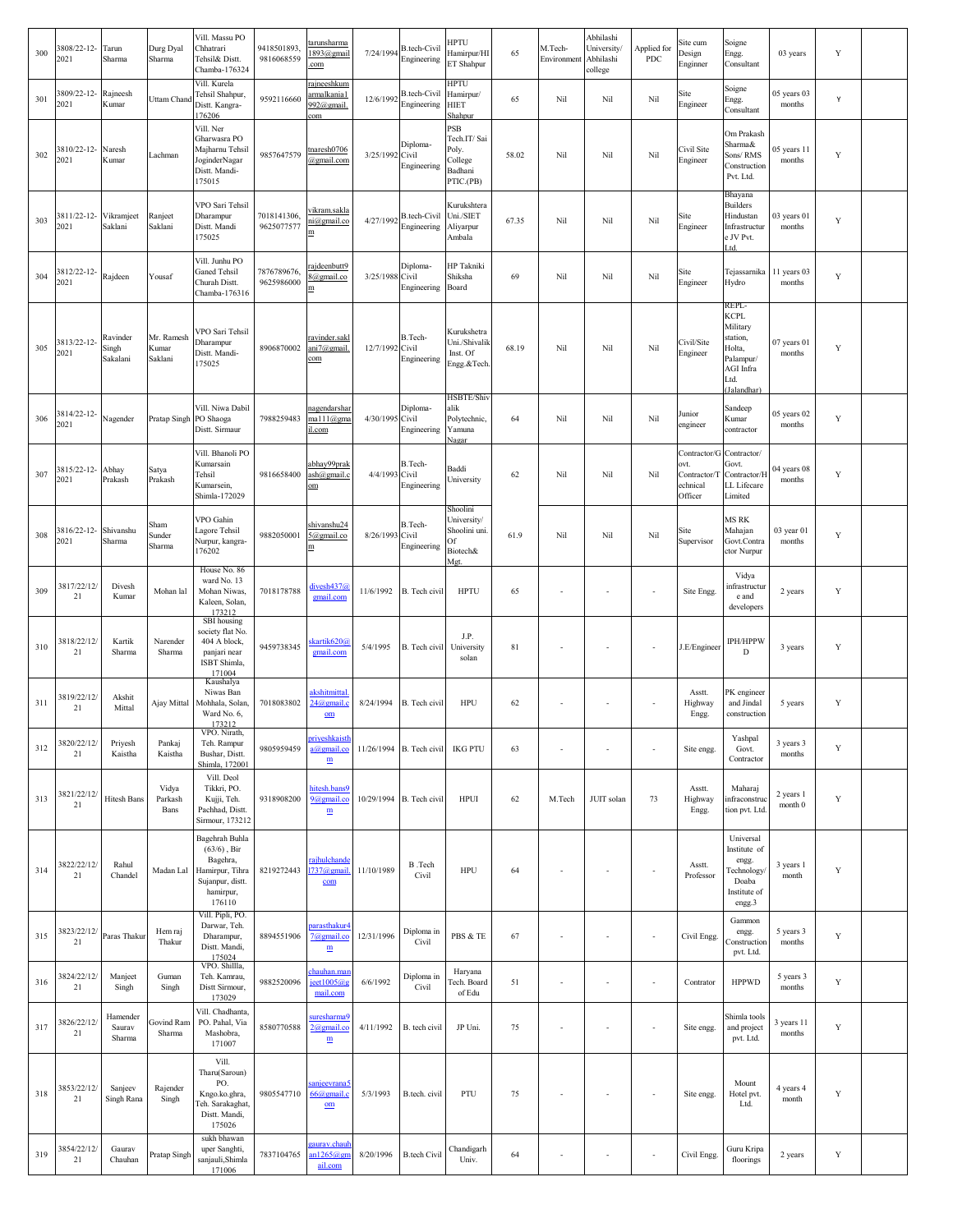| 300 | 3808/22-12-<br>2021   | Tarun<br>Sharma               | Durg Dyal<br>Sharma            | Vill. Massu PO<br>Chhatrari<br>Tehsil& Distt.<br>Chamba-176324                                             | 9418501893<br>9816068559  | <u>tarunsharma</u><br>1893@gmail<br>com               | 7/24/1994       | <b>B.tech-Civil</b><br>Engineering | HPTU<br>Hamirpur/Hl<br>ET Shahpur                                 | 65    | M.Tech-<br>Environment   | Abhilashi<br>University/<br>Abhilashi<br>college | Applied for<br>PDC       | Site cum<br>Design<br>Enginner                              | Soigne<br>Engg.<br>Consultant                                                                                  | 03 years              | Y           |  |
|-----|-----------------------|-------------------------------|--------------------------------|------------------------------------------------------------------------------------------------------------|---------------------------|-------------------------------------------------------|-----------------|------------------------------------|-------------------------------------------------------------------|-------|--------------------------|--------------------------------------------------|--------------------------|-------------------------------------------------------------|----------------------------------------------------------------------------------------------------------------|-----------------------|-------------|--|
| 301 | 809/22-12-<br>2021    | Rajneesh<br>Kumar             | Uttam Chand                    | Vill. Kurela<br>Tehsil Shahpur,<br>Distt. Kangra-<br>76206                                                 | 9592116660                | rajneeshkum<br>armalkania1<br>992@gmail.<br>com       | 12/6/1992       | B.tech-Civil<br>Engineering        | HPTU<br>Hamirpur/<br><b>HIET</b><br>Shahpur                       | 65    | Nil                      | Nil                                              | Nil                      | Site<br>Engineer                                            | Soigne<br>Engg.<br>Consultant                                                                                  | 05 years 03<br>months | Υ           |  |
| 302 | 810/22-12-<br>2021    | Naresh<br>Kumar               | Lachman                        | Vill. Ner<br>Gharwasra PO<br>Majharnu Tehsil<br>JoginderNagar<br>Distt. Mandi-<br>175015                   | 9857647579                | tnaresh0706<br>@gmail.com                             | 3/25/1992 Civil | Diploma-<br>Engineering            | PSB<br>Tech.IT/Sai<br>Poly.<br>College<br>Badhani<br>PTIC.(PB)    | 58.02 | Nil                      | Nil                                              | Nil                      | Civil Site<br>Engineer                                      | Om Prakash<br>Sharma&<br>Sons/RMS<br>Construction<br>Pvt. Ltd.                                                 | 05 years 11<br>months | Y           |  |
| 303 | 3811/22-12-<br>2021   | Vikramjeet<br>Saklani         | Ranject<br>Saklani             | VPO Sari Tehsil<br>Dharampur<br>Distt. Mandi<br>175025                                                     | 7018141306,<br>9625077577 | vikram.sakla<br>ni@gmail.co<br>m                      | 4/27/1992       | B.tech-Civil<br>Engineering        | Kurukshtera<br>Uni./SIET<br>Aliyarpur<br>Ambala                   | 67.35 | Nil                      | Nil                                              | Nil                      | Site<br>Engineer                                            | Bhayana<br><b>Builders</b><br>Hindustan<br>Infrastructur<br>e JV Pvt.<br>Ltd.                                  | 03 years 01<br>months | Y           |  |
| 304 | 3812/22-12-<br>2021   | Rajdeen                       | Yousaf                         | Vill. Junhu PO<br><b>Ganed Tehsil</b><br>Churah Distt.<br>Chamba-176316                                    | 7876789676,<br>9625986000 | rajdeenbutt9<br>8@gmail.co<br>$\mathbf m$             | 3/25/1988 Civil | Diploma-<br>Engineering            | HP Takniki<br>Shiksha<br>Board                                    | 69    | Nil                      | Nil                                              | Nil                      | Site<br>Engineer                                            | Tejassarnika<br>Hydro                                                                                          | 11 years 03<br>months | Y           |  |
| 305 | 3813/22-12-<br>2021   | Ravinder<br>Singh<br>Sakalani | Mr. Ramesh<br>Kumar<br>Saklani | VPO Sari Tehsil<br>Dharampur<br>Distt. Mandi-<br>175025                                                    | 8906870002                | ravinder.sakl<br>ani7@gmail.<br>com                   | 12/7/1992 Civil | B.Tech-<br>Engineering             | Kurukshetra<br>Uni./Shivalik<br>Inst. Of<br>Engg.&Tech.           | 68.19 | Nil                      | Nil                                              | Nil                      | Civil/Site<br>Engineer                                      | REPL-<br><b>KCPL</b><br>Military<br>station,<br>Holta,<br>Palampur/<br><b>AGI</b> Infra<br>Ltd.<br>(Jalandhar) | 07 years 01<br>months | Y           |  |
| 306 | 3814/22-12-<br>2021   | Nagender                      | Pratap Singh                   | Vill. Niwa Dabil<br>PO Shaoga<br>Distt. Sirmaur                                                            | 7988259483                | nagendarshar<br>mal11@gma<br>il.com                   | 4/30/1995 Civil | Diploma-<br>Engineering            | <b>HSBTE/Shiv</b><br>alik<br>Polytechnic,<br>Yamuna<br>Nagar      | 64    | Nil                      | Nil                                              | Nil                      | Junior<br>engineer                                          | Sandeep<br>Kumar<br>contractor                                                                                 | 05 years 02<br>months | Y           |  |
| 307 | 3815/22-12-<br>2021   | Abhay<br>Prakash              | Satya<br>Prakash               | Vill. Bhanoli PO<br>Kumarsain<br>Tehsil<br>Kumarsein,<br>Shimla-172029                                     | 9816658400                | abhay99prak<br>ash@gmail.c<br>$\rm \underline{om}$    | 4/4/1993 Civil  | B.Tech-<br>Engineering             | Baddi<br>University                                               | 62    | Nil                      | Nil                                              | Nil                      | Contractor/G<br>эvt.<br>Contractor/T<br>echnical<br>Officer | Contractor/<br>Govt.<br>Contractor/H<br>LL Lifecare<br>Limited                                                 | 04 years 08<br>months | Y           |  |
| 308 | 3816/22-12-<br>2021   | Shivanshu<br>Sharma           | Sham<br>Sunder<br>Sharma       | VPO Gahin<br>agore Tehsil<br>Nurpur, kangra-<br>176202                                                     | 9882050001                | shivanshu24<br>5@gmail.co<br>$\mathbf m$              | 8/26/1993 Civil | B.Tech-<br>Engineering             | Shoolini<br>University/<br>Shoolini uni.<br>Of<br>Biotech&<br>Met | 61.9  | Nil                      | Nil                                              | Nil                      | Site<br>Supervisor                                          | MS RK<br>Mahajan<br>Govt.Contra<br>ctor Nurpur                                                                 | 03 year 01<br>months  | Y           |  |
| 309 | 3817/22/12/<br>$21\,$ | Divesh<br>Kumar               | Mohan lal                      | House No. 86<br>ward No. 13<br>Mohan Niwas,<br>Kaleen, Solan,<br>173212                                    | 7018178788                | divesh437@<br>gmail.com                               | 11/6/1992       | B. Tech civil                      | <b>HPTU</b>                                                       | 65    | $\overline{\phantom{a}}$ | $\overline{\phantom{a}}$                         | $\overline{\phantom{a}}$ | Site Engg.                                                  | Vidya<br>infrastructur<br>e and<br>developers                                                                  | 2 years               | Y           |  |
| 310 | 3818/22/12/<br>21     | Kartik<br>Sharma              | Narender<br>Sharma             | SBI housing<br>society flat No.<br>404 A block,<br>panjari near<br>ISBT Shimla,<br>171004                  | 9459738345                | skartik620@<br>gmail.com                              | 5/4/1995        | B. Tech civil                      | J.P.<br>University<br>solan                                       | 81    | $\sim$                   | $\overline{\phantom{a}}$                         | $\overline{\phantom{a}}$ | J.E/Engineer                                                | IPH/HPPW<br>D                                                                                                  | 3 years               | Y           |  |
| 311 | 3819/22/12/<br>21     | Akshit<br>Mittal              | Ajay Mittal                    | Kaushalya<br>Niwas Ban<br>Mohhala, Solan,<br>Ward No. 6,<br>173212                                         | 7018083802                | <u>akshitmittal</u><br>24@gmail.<br>$_{\rm om}$       | 8/24/1994       | B. Tech civil                      | <b>HPU</b>                                                        | 62    | $\overline{\phantom{a}}$ | $\overline{\phantom{a}}$                         | ٠                        | Asstt.<br>Highway<br>Engg.                                  | PK engineer<br>and Jindal<br>construction                                                                      | 5 years               | Y           |  |
| 312 | 3820/22/12/<br>21     | Priyesh<br>Kaistha            | Pankaj<br>Kaistha              | VPO. Nirath,<br>Teh. Rampur<br>Bushar, Distt.<br>Shimla, 172001                                            | 9805959459                | priyeshkaisth<br>a@gmail.co<br>$\mathbf m$            | 11/26/1994      | B. Tech civil                      | <b>IKG PTU</b>                                                    | 63    | $\sim$                   |                                                  | ÷,                       | Site engg.                                                  | Yashpal<br>Govt.<br>Contractor                                                                                 | 3 years 3<br>months   | Y           |  |
| 313 | 3821/22/12<br>21      | <b>Hitesh Bans</b>            | Vidya<br>Parkash<br>Bans       | Vill. Deol<br>Tikkri, PO.<br>Kujji, Teh.<br>Pachhad, Distt.<br>Sirmour, 173212                             | 9318908200                | hitesh.bans9<br>9@gmail.co<br>$\mathbf{m}$            | 10/29/1994      | B. Tech civil                      | <b>HPUI</b>                                                       | 62    | M.Tech                   | JUIT solan                                       | 73                       | Asstt.<br>Highway<br>Engg.                                  | Maharaj<br>infraconstrue<br>tion pvt. Ltd                                                                      | 2 years 1<br>month 0  | Y           |  |
| 314 | 3822/22/12/<br>21     | Rahul<br>Chandel              | Madan Lal                      | Bagehrah Buhla<br>$(63/6)$ , Bir<br>Bagehra,<br>Hamirpur, Tihra<br>Sujanpur, distt.<br>hamirpur,<br>176110 | 8219272443                | ajhulchande<br>737@gmail<br>com                       | 11/10/1989      | B.Tech<br>Civil                    | <b>HPU</b>                                                        | 64    | ÷,                       |                                                  | ÷,                       | Asstt.<br>Professor                                         | Universal<br>Institute of<br>engg.<br><b>Fechnology</b><br>Doaba<br>Institute of<br>engg.3                     | 3 years 1<br>month    | Y           |  |
| 315 | 3823/22/12/<br>21     | Paras Thakur                  | Hem raj<br>Thakur              | Vill. Pipli, PO.<br>Darwar, Teh.<br>Dharampur,<br>Distt. Mandi,<br>175024                                  | 8894551906                | <u>arasthakur</u><br>7@gmail.co<br>$\mathbf{m}$       | 12/31/1996      | Diploma in<br>Civil                | PBS & TE                                                          | 67    | $\overline{\phantom{a}}$ | $\overline{\phantom{a}}$                         | $\overline{\phantom{a}}$ | Civil Engg.                                                 | Gammon<br>engg.<br>Construction<br>pvt. Ltd.                                                                   | 5 years 3<br>months   | $\mathbf Y$ |  |
| 316 | 3824/22/12/<br>21     | Manjeet<br>Singh              | Guman<br>Singh                 | VPO. Shillla,<br>Teh. Kamrau,<br>Distt Sirmour,<br>173029                                                  | 9882520096                | hauhan.ma<br>ect1005@<br>mail.com                     | 6/6/1992        | Diploma in<br>Civil                | Haryana<br>Tech. Board<br>of Edu                                  | 51    | $\overline{\phantom{a}}$ | $\overline{\phantom{a}}$                         | $\overline{\phantom{a}}$ | Contrator                                                   | <b>HPPWD</b>                                                                                                   | 5 years 3<br>months   | Y           |  |
| 317 | 3826/22/12/<br>21     | Hamender<br>Saurav<br>Sharma  | Govind Ram<br>Sharma           | Vill. Chadhanta,<br>PO. Pahal, Via<br>Mashobra,<br>171007                                                  | 8580770588                | suresharma9<br>2@gmail.co<br>$\underline{\textbf{m}}$ | 4/11/1992       | B. tech civil                      | JP Uni.                                                           | 75    | $\sim$                   | $\sim$                                           | ÷,                       | Site engg.                                                  | Shimla tools<br>and project<br>pvt. Ltd.                                                                       | 3 years 11<br>months  | Y           |  |
| 318 | 3853/22/12/<br>21     | Sanjeev<br>Singh Rana         | Rajender<br>Singh              | Vill.<br>Tharu(Saroun)<br>PO.<br>Kngo.ko.ghra,<br>Feh. Sarakaghat,<br>Distt. Mandi,<br>175026              | 9805547710                | sanjeevrana5<br>$66$ @gmail.<br>$om$                  | 5/3/1993        | B.tech. civil                      | PTU                                                               | 75    | $\overline{\phantom{a}}$ |                                                  | ÷                        | Site engg.                                                  | Mount<br>Hotel pvt.<br>Ltd.                                                                                    | 4 years 4<br>month    | Y           |  |
| 319 | 3854/22/12/<br>21     | Gaurav<br>Chauhan             | Pratap Singh                   | sukh bhawan<br>uper Sanghti,<br>sanjauli, Shimla<br>171006                                                 | 7837104765                | <u>aurav.chau</u><br>n1265@g<br>ail.com               | 8/20/1996       | <b>B.tech Civil</b>                | Chandigarh<br>Univ.                                               | 64    |                          |                                                  | $\sim$                   | Civil Engg.                                                 | Guru Kripa<br>floorings                                                                                        | 2 years               | Y           |  |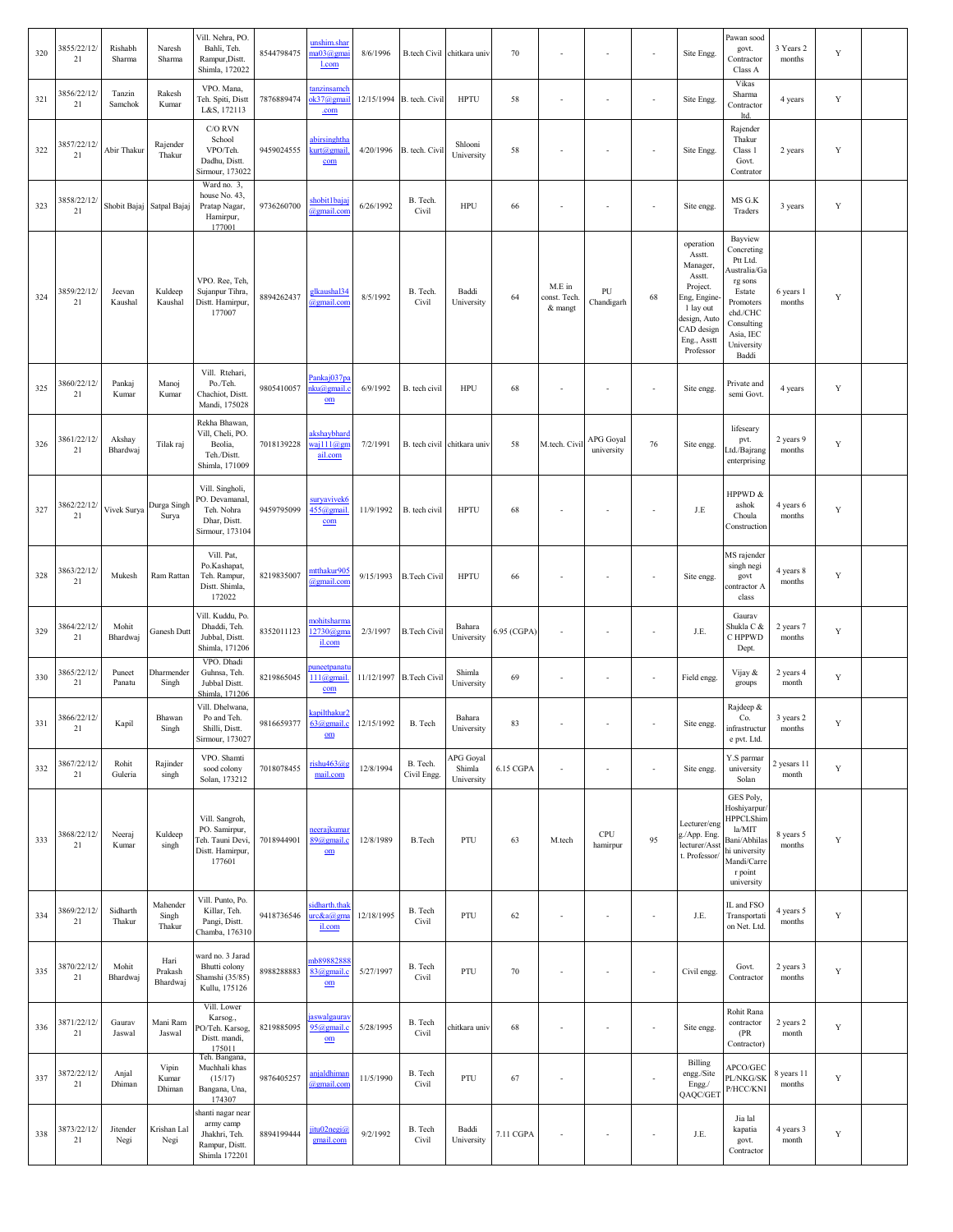| 320 | 3855/22/12/<br>21 | Rishabh<br>Sharma  | Naresh<br>Sharma            | Vill. Nehra, PO.<br>Bahli, Teh.<br>Rampur, Distt.<br>Shimla, 172022                | 8544798475 | unshim.shar<br>na03@gma<br>l.com             | 8/6/1996   | B.tech Civil chitkara univ  |                                   | 70          |                                   | $\overline{\phantom{a}}$ | ÷,                       | Site Engg.                                                                                                                                   | Pawan sood<br>govt.<br>Contractor<br>Class A                                                                                                      | 3 Years 2<br>months  | $\mathbf Y$ |  |
|-----|-------------------|--------------------|-----------------------------|------------------------------------------------------------------------------------|------------|----------------------------------------------|------------|-----------------------------|-----------------------------------|-------------|-----------------------------------|--------------------------|--------------------------|----------------------------------------------------------------------------------------------------------------------------------------------|---------------------------------------------------------------------------------------------------------------------------------------------------|----------------------|-------------|--|
| 321 | 3856/22/12/<br>21 | Tanzin<br>Samchok  | Rakesh<br>Kumar             | VPO. Mana,<br>Teh. Spiti, Distt<br>L&S, 172113                                     | 7876889474 | tanzinsamel<br>ok37@gmai<br>.com             |            | 12/15/1994 B. tech. Civil   | <b>HPTU</b>                       | 58          |                                   | $\sim$                   | ä,                       | Site Engg.                                                                                                                                   | Vikas<br>Sharma<br>Contractor<br>ltd.                                                                                                             | 4 years              | Y           |  |
| 322 | 3857/22/12<br>21  | Abir Thakur        | Rajender<br>Thakur          | C/O RVN<br>School<br>VPO/Teh.<br>Dadhu, Distt.<br>Sirmour, 173022                  | 9459024555 | <u>abirsinghtha</u><br>kurt@gmail<br>com     | 4/20/1996  | B. tech. Civil              | Shlooni<br>University             | 58          |                                   |                          | ÷,                       | Site Engg.                                                                                                                                   | Rajender<br>Thakur<br>Class 1<br>Govt.<br>Contrator                                                                                               | 2 years              | Y           |  |
| 323 | 3858/22/12<br>21  |                    | Shobit Bajaj Satpal Bajaj   | Ward no. 3,<br>house No. 43,<br>Pratap Nagar,<br>Hamirpur,<br>177001               | 9736260700 | shobit1baja<br>@gmail.com                    | 6/26/1992  | B. Tech.<br>Civil           | HPU                               | 66          |                                   | $\overline{\phantom{a}}$ | ÷,                       | Site engg                                                                                                                                    | MS G.K<br>Traders                                                                                                                                 | 3 years              | Y           |  |
| 324 | 3859/22/12/<br>21 | Jeevan<br>Kaushal  | Kuldeep<br>Kaushal          | VPO. Ree, Teh,<br>Sujanpur Tihra,<br>Distt. Hamirpur,<br>177007                    | 8894262437 | glkaushal34<br>@gmail.con                    | 8/5/1992   | B. Tech.<br>Civil           | Baddi<br>University               | 64          | M.E in<br>const. Tech.<br>& mangt | PU<br>Chandigarh         | 68                       | operation<br>Asstt.<br>Manager,<br>Asstt.<br>Project.<br>Eng, Engine-<br>1 lay out<br>design, Auto<br>CAD design<br>Eng., Asstt<br>Professor | Bayview<br>Concreting<br>Ptt Ltd.<br>Australia/Ga<br>rg sons<br>Estate<br>Promoters<br>chd./CHC<br>Consulting<br>Asia, IEC<br>University<br>Baddi | 6 years 1<br>months  | Y           |  |
| 325 | 3860/22/12/<br>21 | Pankaj<br>Kumar    | Manoj<br>Kumar              | Vill. Rtehari,<br>Po./Teh.<br>Chachiot, Distt.<br>Mandi, 175028                    | 9805410057 | Pankaj037p<br>ku@gmail.<br>$om$              | 6/9/1992   | B. tech civil               | HPU                               | 68          |                                   |                          | ÷,                       | Site engg.                                                                                                                                   | Private and<br>semi Govt.                                                                                                                         | 4 years              | Y           |  |
| 326 | 3861/22/12/<br>21 | Akshay<br>Bhardwaj | Tilak raj                   | Rekha Bhawan,<br>Vill, Cheli, PO.<br>Beolia,<br>Teh./Distt.<br>Shimla, 171009      | 7018139228 | akshaybharo<br>$a$ ill $a$ gr<br>ail.com     | 7/2/1991   | B. tech civil chitkara univ |                                   | 58          | M.tech. Civi                      | APG Goyal<br>university  | 76                       | Site engg.                                                                                                                                   | lifeseary<br>pvt.<br>td./Bajrang.<br>enterprising                                                                                                 | 2 years 9<br>months  | Y           |  |
| 327 | 3862/22/12/<br>21 | Vivek Surya        | Durga Singh<br>Surya        | Vill. Singholi,<br>PO. Devamanal,<br>Teh. Nohra<br>Dhar, Distt.<br>Sirmour, 173104 | 9459795099 | suryaviveké<br>455@gmail<br>com              | 11/9/1992  | B. tech civil               | <b>HPTU</b>                       | 68          |                                   | $\overline{\phantom{a}}$ | ÷,                       | J.E                                                                                                                                          | HPPWD &<br>ashok<br>Choula<br>Construction                                                                                                        | 4 years 6<br>months  | Y           |  |
| 328 | 3863/22/12/<br>21 | Mukesh             | Ram Rattan                  | Vill. Pat,<br>Po.Kashapat,<br>Teh. Rampur,<br>Distt. Shimla,<br>172022             | 8219835007 | <u>mtthakur905</u><br>@gmail.com             | 9/15/1993  | <b>B.Tech Civil</b>         | <b>HPTU</b>                       | 66          |                                   | ÷,                       | ÷,                       | Site engg.                                                                                                                                   | MS rajender<br>singh negi<br>govt<br>contractor A<br>class                                                                                        | 4 years 8<br>months  | Y           |  |
| 329 | 3864/22/12/<br>21 | Mohit<br>Bhardwaj  | Ganesh Dutt                 | Vill. Kuddu, Po.<br>Dhaddi, Teh.<br>Jubbal, Distt.<br>Shimla, 171206               | 8352011123 | mohitsharma<br>12730@gm<br>il.com            | 2/3/1997   | <b>B.Tech Civil</b>         | Bahara<br>University              | 6.95 (CGPA) |                                   | $\sim$                   | ÷,                       | J.E.                                                                                                                                         | Gaurav<br>Shukla C &<br>C HPPWD<br>Dept.                                                                                                          | 2 years 7<br>months  | Y           |  |
| 330 | 3865/22/12/<br>21 | Puncet<br>Panatu   | Dharmender<br>Singh         | VPO. Dhadi<br>Guhnsa, Teh.<br>Jubbal Distt.<br>Shimla, 171206                      | 8219865045 | uneetpanat<br>$111$ ( $Q$ gmail<br>com       |            | 11/12/1997 B. Tech Civil    | Shimla<br>University              | 69          |                                   | $\sim$                   | ä,                       | Field engg.                                                                                                                                  | Vijay &<br>groups                                                                                                                                 | 2 years 4<br>month   | Y           |  |
| 331 | 3866/22/12/<br>21 | Kapil              | Bhawan<br>Singh             | Vill. Dhelwana,<br>Po and Teh.<br>Shilli, Distt.<br>Sirmour, 173027                | 9816659377 | kapilthakur2<br>$63$ ( $a$ ) gmail.c<br>$om$ | 12/15/1992 | B. Tech                     | Bahara<br>University              | 83          |                                   | $\sim$                   | $\overline{\phantom{a}}$ | Site engg.                                                                                                                                   | Rajdeep &<br>Co.<br>nfrastructur<br>e pvt. Ltd.                                                                                                   | 3 years 2<br>months  | $\mathbf Y$ |  |
| 332 | 3867/22/12/<br>21 | Rohit<br>Guleria   | Rajinder<br>singh           | VPO. Shamti<br>sood colony<br>Solan, 173212                                        | 7018078455 | rishu463@<br>mail.com                        | 12/8/1994  | B. Tech.<br>Civil Engg.     | APG Goyal<br>Shimla<br>University | 6.15 CGPA   | $\sim$                            | $\sim$                   | $\sim$                   | Site engg.                                                                                                                                   | Y.S parmar<br>university<br>Solan                                                                                                                 | 2 yesars 11<br>month | $\mathbf Y$ |  |
| 333 | 3868/22/12/<br>21 | Neeraj<br>Kumar    | Kuldeep<br>singh            | Vill. Sangroh,<br>PO. Samirpur,<br>leh. Tauni Devi,<br>Distt. Hamirpur,<br>177601  | 7018944901 | neerajkumar<br>89@gmail.c<br>$_{\rm om}$     | 12/8/1989  | <b>B.Tech</b>               | PTU                               | 63          | M.tech                            | CPU<br>hamirpur          | 95                       | Lecturer/eng<br>g./App. Eng.<br>lecturer/Asst<br>t. Professor/                                                                               | GES Poly,<br>Hoshiyarpur<br><b>HPPCLShim</b><br>la/MIT<br>Bani/Abhilas<br>hi university<br>Mandi/Carre<br>r point<br>university                   | 8 years 5<br>months  | Y           |  |
| 334 | 3869/22/12/<br>21 | Sidharth<br>Thakur | Mahender<br>Singh<br>Thakur | Vill. Punto, Po.<br>Killar, Teh.<br>Pangi, Distt.<br>Chamba, 176310                | 9418736546 | idharth.thak<br>urc&a@ema<br>il.com          | 12/18/1995 | B. Tech<br>Civil            | PTU                               | 62          | $\sim$                            | $\sim$                   | ä,                       | J.E.                                                                                                                                         | IL and FSO<br>Transportati<br>on Net. Ltd.                                                                                                        | 4 years 5<br>months  | Y           |  |
| 335 | 3870/22/12/<br>21 | Mohit<br>Bhardwaj  | Hari<br>Prakash<br>Bhardwaj | vard no. 3 Jarad<br>Bhutti colony<br>Shamshi (35/85)<br>Kullu, 175126              | 8988288883 | nb8988288<br>83@gmail.c<br>$om$              | 5/27/1997  | B. Tech<br>Civil            | PTU                               | 70          | $\sim$                            | $\sim$                   | ×,                       | Civil engg.                                                                                                                                  | Govt.<br>Contractor                                                                                                                               | 2 years 3<br>months  | Y           |  |
| 336 | 3871/22/12/<br>21 | Gaurav<br>Jaswal   | Mani Ram<br>Jaswal          | Vill. Lower<br>Karsog.,<br>'O/Teh. Karsog,<br>Distt. mandi,<br>175011              | 8219885095 | aswalgauray<br>95@gmail.o<br>$om$            | 5/28/1995  | B. Tech<br>Civil            | chitkara univ                     | 68          | $\sim$                            | $\sim$                   | ×                        | Site engg.                                                                                                                                   | Rohit Rana<br>contractor<br>(PR)<br>Contractor)                                                                                                   | 2 years 2<br>month   | Y           |  |
| 337 | 3872/22/12/<br>21 | Anjal<br>Dhiman    | Vipin<br>Kumar<br>Dhiman    | Teh. Bangana,<br>Muchhali khas<br>(15/17)<br>Bangana, Una,<br>174307               | 9876405257 | <u>anjaldhimar</u><br>@gmail.com             | 11/5/1990  | B. Tech<br>Civil            | PTU                               | 67          |                                   |                          | ä,                       | Billing<br>engg./Site<br>Engg./<br>QAQC/GET                                                                                                  | APCO/GEC<br>PL/NKG/SK<br>P/HCC/KNI                                                                                                                | 8 years 11<br>months | Y           |  |
| 338 | 3873/22/12/<br>21 | Jitender<br>Negi   | Krishan Lal<br>Negi         | shanti nagar near<br>army camp<br>Jhakhri, Teh.<br>Rampur, Distt.<br>Shimla 172201 | 8894199444 | jitu02negi@<br>gmail.com                     | 9/2/1992   | B. Tech<br>Civil            | Baddi<br>University               | 7.11 CGPA   |                                   | ÷,                       | ÷,                       | J.E.                                                                                                                                         | Jia lal<br>kapatia<br>govt.<br>Contractor                                                                                                         | 4 years 3<br>month   | $\mathbf Y$ |  |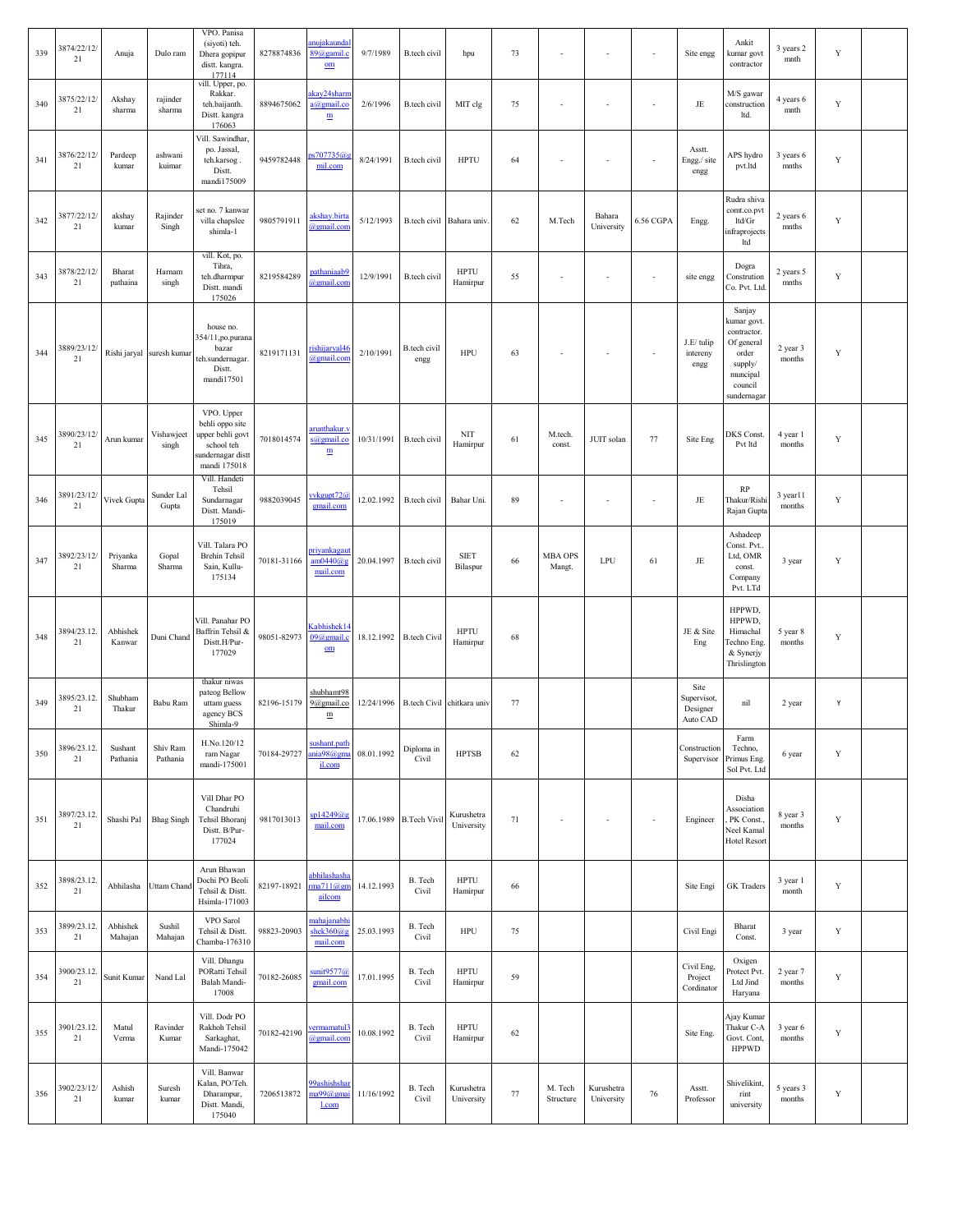| 339 | 3874/22/12/<br>21 | Anuja               | Dulo ram                  | VPO. Panisa<br>(siyoti) teh.<br>Dhera gopipur<br>distt. kangra.<br>177114                           | 8278874836  | nujakaunda<br>$89@$ gamil.<br>$_{\rm om}$            | 9/7/1989   | B.tech civil            | hpu                        | 73     | $\overline{\phantom{a}}$ | $\overline{\phantom{a}}$ | ÷,                       | Site engg                                   | Ankit<br>kumar govt<br>contractor                                                                            | 3 years 2<br>mnth   | $\mathbf Y$ |  |
|-----|-------------------|---------------------|---------------------------|-----------------------------------------------------------------------------------------------------|-------------|------------------------------------------------------|------------|-------------------------|----------------------------|--------|--------------------------|--------------------------|--------------------------|---------------------------------------------|--------------------------------------------------------------------------------------------------------------|---------------------|-------------|--|
| 340 | 3875/22/12<br>21  | Akshay<br>sharma    | rajinder<br>sharma        | vill. Upper, po.<br>Rakkar.<br>teh.baijanth.<br>Distt. kangra<br>176063                             | 8894675062  | kay24shari<br>a@gmail.co<br>$\underline{\textbf{m}}$ | 2/6/1996   | B.tech civil            | MIT clg                    | 75     |                          |                          | ٠                        | $\rm{JE}$                                   | M/S gawar<br>construction<br>ltd.                                                                            | 4 years 6<br>mnth   | Y           |  |
| 341 | 3876/22/12<br>21  | Pardeep<br>kumar    | ashwani<br>kuimar         | Vill. Sawindhar,<br>po. Jassal,<br>teh.karsog.<br>Distt.<br>mandi175009                             | 9459782448  | s707735@<br>mil.com                                  | 8/24/1991  | B.tech civil            | <b>HPTU</b>                | 64     | $\sim$                   |                          | $\sim$                   | Asstt.<br>Engg./ site<br>engg               | APS hydro<br>pvt.ltd                                                                                         | 3 years 6<br>mnths  | Y           |  |
| 342 | 3877/22/12/<br>21 | akshay<br>kumar     | Rajinder<br>Singh         | set no. 7 kanwar<br>villa chapslee<br>shimla-1                                                      | 9805791911  | akshay.birta<br>agmail.com                           | 5/12/1993  |                         | B.tech civil Bahara univ   | 62     | M.Tech                   | Bahara<br>University     | 6.56 CGPA                | Engg.                                       | Rudra shiva<br>comt.co.pvt<br>ltd/Gr<br>infraprojects<br>ltd                                                 | 2 years 6<br>mnths  | Y           |  |
| 343 | 3878/22/12/<br>21 | Bharat<br>pathaina  | Harnam<br>singh           | vill. Kot, po.<br>Tihra,<br>teh.dharmpur<br>Distt. mandi<br>175026                                  | 8219584289  | pathaniaab9<br>agmail.com                            | 12/9/1991  | B.tech civil            | <b>HPTU</b><br>Hamirpur    | 55     | $\sim$                   | $\sim$                   | $\overline{\phantom{a}}$ | site engg                                   | Dogra<br>Constrution<br>Co. Pvt. Ltd.                                                                        | 2 years 5<br>mnths  | Y           |  |
| 344 | 3889/23/12<br>21  |                     | Rishi jaryal suresh kumar | house no.<br>354/11,po.purana<br>bazar<br>teh.sundernagar.<br>Distt.<br>mandi17501                  | 8219171131  | rishijaryal46<br>@gmail.com                          | 2/10/1991  | B.tech civil<br>engg    | HPU                        | 63     | $\sim$                   | $\sim$                   | ×,                       | J.E/ tulip<br>intereny<br>engg              | Sanjay<br>kumar govt.<br>contractor.<br>Of general<br>order<br>supply/<br>muncipal<br>council<br>sundernagar | 2 year 3<br>months  | Y           |  |
| 345 | 3890/23/12<br>21  | Arun kumar          | Vishawjeet<br>singh       | VPO. Upper<br>behli oppo site<br>upper behli govt<br>school teh<br>sundernagar dist<br>mandi 175018 | 7018014574  | trunthakur.v<br>s@gmail.co<br>$\mathbf{m}$           | 10/31/1991 | <b>B</b> .tech civil    | NIT<br>Hamirpur            | 61     | M.tech.<br>const.        | JUIT solan               | 77                       | Site Eng                                    | DKS Const.<br>Pvt ltd                                                                                        | 4 year 1<br>months  | Y           |  |
| 346 | 3891/23/12/<br>21 | Vivek Gupta         | Sunder Lal<br>Gupta       | Vill. Handeti<br>Tehsil<br>Sundarnagar<br>Distt. Mandi-<br>175019                                   | 9882039045  | vvkgupt72@<br>gmail.com                              | 12.02.1992 | <b>B</b> .tech civil    | Bahar Uni.                 | 89     | $\overline{\phantom{a}}$ | $\overline{\phantom{a}}$ | $\overline{\phantom{a}}$ | JE                                          | RP<br>Thakur/Rishi<br>Rajan Gupta                                                                            | 3 year11<br>months  | $\mathbf Y$ |  |
| 347 | 3892/23/12/<br>21 | Priyanka<br>Sharma  | Gopal<br>Sharma           | Vill. Talara PO<br><b>Brehin Tehsil</b><br>Sain, Kullu-<br>175134                                   | 70181-31166 | riyankagau<br>am0440@g<br>mail.com                   | 20.04.1997 | <b>B</b> .tech civil    | <b>SIET</b><br>Bilaspur    | 66     | <b>MBA OPS</b><br>Mangt. | LPU                      | 61                       | $\rm{JE}$                                   | Ashadeep<br>Const. Pvt<br>Ltd, OMR<br>const.<br>Company<br>Pvt. LTd                                          | 3 year              | Y           |  |
| 348 | 3894/23.12.<br>21 | Abhishek<br>Kanwar  | Duni Chand                | Vill. Panahar PO<br>Baffrin Tehsil &<br>Distt.H/Pur-<br>177029                                      | 98051-82973 | abhishek14<br>$09@$ gmail.c<br>$_{\text{om}}$        | 18.12.1992 | <b>B.tech Civil</b>     | <b>HPTU</b><br>Hamirpur    | 68     |                          |                          |                          | JE & Site<br>Eng                            | HPPWD,<br>HPPWD,<br>Himachal<br>Fechno Eng.<br>& Synerjy<br>Thrislington                                     | 5 year 8<br>months  | Y           |  |
| 349 | 3895/23.12<br>21  | Shubham<br>Thakur   | Babu Ram                  | thakur niwas<br>pateog Bellow<br>uttam guess<br>agency BCS<br>Shimla-9                              | 82196-15179 | <u>shubhamt98</u><br>9@gmail.co<br>$\mathbf m$       | 12/24/1996 |                         | B.tech Civil chitkara univ | 77     |                          |                          |                          | Site<br>Supervisot,<br>Designer<br>Auto CAD | nil                                                                                                          | 2 year              | Y           |  |
| 350 | 3896/23.12.<br>21 | Sushant<br>Pathania | Shiv Ram<br>Pathania      | H.No.120/12<br>ram Nagar<br>mandi-175001                                                            | 70184-29727 | ushant.path<br>nia98@gma<br>il.com                   | 08.01.1992 | Diploma in<br>Civil     | <b>HPTSB</b>               | 62     |                          |                          |                          | Construction<br>Supervisor                  | Farm<br>Techno,<br>Primus Eng.<br>Sol Pvt. Ltd                                                               | 6 year              | Y           |  |
| 351 | 3897/23.12<br>21  | Shashi Pal          | <b>Bhag</b> Singh         | Vill Dhar PO<br>Chandruhi<br>Tehsil Bhoranj<br>Distt. B/Pur-<br>177024                              | 9817013013  | sp14249@g<br>mail.com                                |            | 17.06.1989 B.Tech Vivil | Kurushetra<br>University   | 71     | $\overline{\phantom{a}}$ | $\sim$                   | $\overline{\phantom{a}}$ | Engineer                                    | Disha<br>Association<br>PK Const.<br>Neel Kamal<br>Hotel Resort                                              | 8 year 3<br>months  | Y           |  |
| 352 | 3898/23.12<br>21  | Abhilasha           | Uttam Chand               | Arun Bhawan<br>Dochi PO Beoli<br>Tehsil & Distt.<br>Hsimla-171003                                   | 82197-18921 | abhilashasha<br>na711@gm<br>ailcom                   | 14.12.1993 | B. Tech<br>Civil        | <b>HPTU</b><br>Hamirpur    | 66     |                          |                          |                          | Site Engi                                   | GK Traders                                                                                                   | 3 year 1<br>month   | Y           |  |
| 353 | 3899/23.12<br>21  | Abhishek<br>Mahajan | Sushil<br>Mahajan         | VPO Sarol<br>Tehsil & Distt.<br>Chamba-176310                                                       | 98823-20903 | ahajanabh<br>shek $360$ @g<br>mail.com               | 25.03.1993 | B. Tech<br>Civil        | HPU                        | 75     |                          |                          |                          | Civil Engi                                  | Bharat<br>Const.                                                                                             | 3 year              | Y           |  |
| 354 | 3900/23.12<br>21  | Sunit Kumar         | Nand Lal                  | Vill. Dhangu<br>PORatti Tehsil<br>Balah Mandi-<br>17008                                             | 70182-26085 | unit9577@<br>gmail.com                               | 17.01.1995 | B. Tech<br>Civil        | <b>HPTU</b><br>Hamirpur    | 59     |                          |                          |                          | Civil Eng,<br>Project<br>Cordinator         | Oxigen<br>Protect Pvt.<br>Ltd Jind<br>Haryana                                                                | 2 year 7<br>months  | Y           |  |
| 355 | 3901/23.12.<br>21 | Matul<br>Verma      | Ravinder<br>Kumar         | Vill. Dodr PO<br>Rakhoh Tehsil<br>Sarkaghat,<br>Mandi-175042                                        | 70182-42190 | <u>ermamatul3</u><br>agmail.com                      | 10.08.1992 | B. Tech<br>Civil        | <b>HPTU</b><br>Hamirpur    | 62     |                          |                          |                          | Site Eng.                                   | Ajay Kumar<br>Thakur C-A<br>Govt. Cont,<br><b>HPPWD</b>                                                      | 3 year 6<br>months  | Y           |  |
| 356 | 3902/23/12/<br>21 | Ashish<br>kumar     | Suresh<br>kumar           | Vill. Banwar<br>Kalan, PO/Teh.<br>Dharampur,<br>Distt. Mandi,<br>175040                             | 7206513872  | 99ashishshai<br>1a99@gma<br>l.com                    | 11/16/1992 | B. Tech<br>Civil        | Kurushetra<br>University   | $77\,$ | M. Tech<br>Structure     | Kurushetra<br>University | 76                       | Asstt.<br>Professor                         | Shivelikint,<br>rint<br>university                                                                           | 5 years 3<br>months | Y           |  |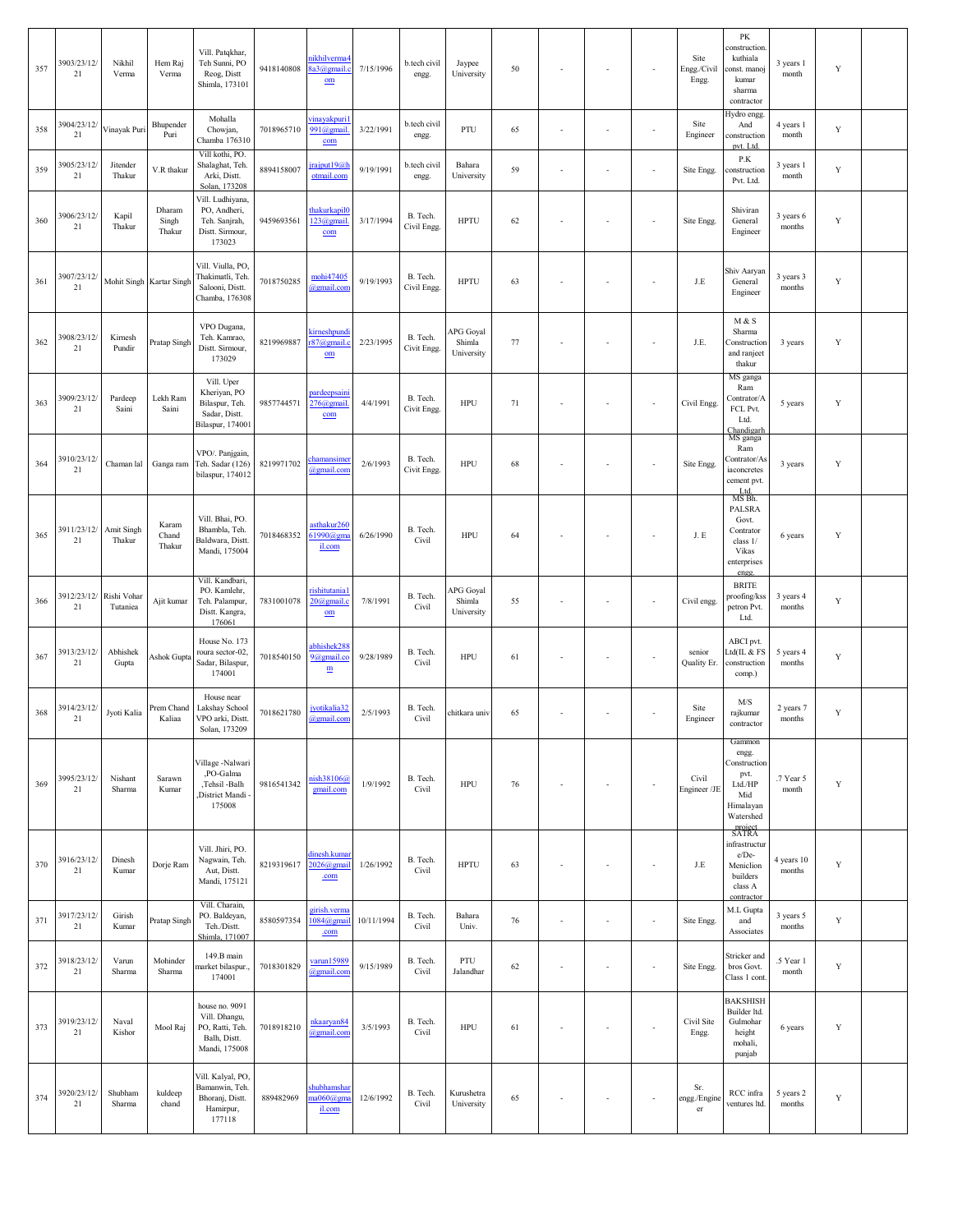| 357 | 3903/23/12/<br>21     | Nikhil<br>Verma         | Hem Raj<br>Verma          | Vill. Patqkhar,<br>Teh Sunni, PO<br>Reog, Distt<br>Shimla, 173101                   | 9418140808 | <b>ikhilverma</b><br>3a3@gmail.<br>$om$         | 7/15/1996  | b.tech civil<br>engg.   | Jaypee<br>University              | 50 |        | $\overline{\phantom{a}}$ | $\overline{\phantom{a}}$ | Site<br>Engg./Civil<br>Engg. | PK<br>construction<br>kuthiala<br>onst. manoj<br>kumar<br>sharma<br>contractor                 | 3 years 1<br>month   | Y           |  |
|-----|-----------------------|-------------------------|---------------------------|-------------------------------------------------------------------------------------|------------|-------------------------------------------------|------------|-------------------------|-----------------------------------|----|--------|--------------------------|--------------------------|------------------------------|------------------------------------------------------------------------------------------------|----------------------|-------------|--|
| 358 | 3904/23/12/<br>21     | Vinayak Puri            | Bhupender<br>Puri         | Mohalla<br>Chowjan,<br>Chamba 176310                                                | 7018965710 | <u>vinayakpuri</u><br>991@gmail<br>com          | 3/22/1991  | b.tech civil<br>engg.   | PTU                               | 65 |        | $\sim$                   | ÷,                       | Site<br>Engineer             | Hydro engg.<br>And<br>construction<br>pvt. Ltd.                                                | 4 years 1<br>month   | Y           |  |
| 359 | 3905/23/12/<br>21     | Jitender<br>Thakur      | V.R thakur                | Vill kothi, PO.<br>Shalaghat, Teh.<br>Arki, Distt.<br>Solan, 173208                 | 8894158007 | jrajput19@h<br>otmail.com                       | 9/19/1991  | b.tech civil<br>engg.   | Bahara<br>University              | 59 |        | $\sim$                   | $\overline{\phantom{a}}$ | Site Engg.                   | P.K<br>onstruction<br>Pvt. Ltd.                                                                | 3 years 1<br>month   | Y           |  |
| 360 | 3906/23/12/<br>21     | Kapil<br>Thakur         | Dharam<br>Singh<br>Thakur | Vill. Ludhiyana,<br>PO, Andheri,<br>Teh. Sanjrah,<br>Distt. Sirmour,<br>173023      | 9459693561 | hakurkapil(<br>$123$ @gmail<br>com              | 3/17/1994  | B. Tech.<br>Civil Engg. | <b>HPTU</b>                       | 62 |        | $\sim$                   | ä,                       | Site Engg.                   | Shiviran<br>General<br>Engineer                                                                | 3 years 6<br>months  | Y           |  |
| 361 | 3907/23/12/<br>21     |                         | Mohit Singh Kartar Singh  | Vill. Viulla, PO,<br>Thakimatli, Teh<br>Salooni, Distt.<br>Chamba, 176308           | 7018750285 | mohi47405<br>@gmail.cor                         | 9/19/1993  | B. Tech.<br>Civil Engg. | <b>HPTU</b>                       | 63 |        | $\sim$                   | ÷,                       | J.E                          | Shiv Aaryan<br>General<br>Engineer                                                             | 3 years 3<br>months  | Y           |  |
| 362 | 3908/23/12/<br>21     | Kirnesh<br>Pundir       | Pratap Singh              | VPO Dugana,<br>Teh. Kamrao,<br>Distt. Sirmour,<br>173029                            | 8219969887 | kirneshpund<br>$r87@$ gmail.<br>$om$            | 2/23/1995  | B. Tech.<br>Civit Engg. | APG Goyal<br>Shimla<br>University | 77 |        | $\sim$                   | ÷,                       | J.E.                         | M & S<br>Sharma<br>Construction<br>and ranject<br>thakur                                       | 3 years              | Y           |  |
| 363 | 3909/23/12/<br>21     | Pardeep<br>Saini        | Lekh Ram<br>Saini         | Vill. Uper<br>Kheriyan, PO<br>Bilaspur, Teh.<br>Sadar, Distt.<br>Bilaspur, 174001   | 9857744571 | pardeepsaini<br>276@gmail<br>com                | 4/4/1991   | B. Tech.<br>Civit Engg. | <b>HPU</b>                        | 71 |        | $\sim$                   | ÷,                       | Civil Engg                   | MS ganga<br>Ram<br>Contrator/A<br>FCL Pvt.<br>Ltd.<br>Chandigarh                               | 5 years              | Y           |  |
| 364 | 3910/23/12/<br>$21\,$ | Chaman lal              | Ganga ram                 | VPO/. Panjgain,<br>Teh. Sadar (126)<br>bilaspur, 174012                             | 8219971702 | hamansimo<br>@gmail.com                         | 2/6/1993   | B. Tech.<br>Civit Engg. | <b>HPU</b>                        | 68 |        | $\sim$                   | ÷,                       | Site Engg                    | MS ganga<br>Ram<br>Contrator/As<br>iaconcretes<br>cement pvt.<br>Ltd.<br>MS Bh.                | 3 years              | Y           |  |
| 365 | 3911/23/12/<br>21     | Amit Singh<br>Thakur    | Karam<br>Chand<br>Thakur  | Vill. Bhai, PO.<br>Bhambla, Teh.<br>Baldwara, Distt.<br>Mandi, 175004               | 7018468352 | asthakur260<br>61990@gm<br>il.com               | 6/26/1990  | B. Tech.<br>Civil       | <b>HPU</b>                        | 64 |        | $\overline{\phantom{a}}$ | ÷,                       | J.E                          | PALSRA<br>Govt.<br>Contrator<br>class 1/<br>Vikas<br>enterprises<br>engg.                      | 6 years              | Y           |  |
| 366 | 3912/23/12/<br>21     | Rishi Vohar<br>Tutaniea | Ajit kumar                | Vill. Kandbari,<br>PO. Kamlehr,<br>Teh. Palampur,<br>Distt. Kangra,<br>176061       | 7831001078 | rishitutania <sup>:</sup><br>20@gmail.c<br>$om$ | 7/8/1991   | B. Tech.<br>Civil       | APG Goyal<br>Shimla<br>University | 55 |        | $\sim$                   | ÷,                       | Civil engg.                  | <b>BRITE</b><br>proofing/kss<br>petron Pvt.<br>Ltd.                                            | 3 years 4<br>months  | Y           |  |
| 367 | 3913/23/12/<br>21     | Abhishek<br>Gupta       | Ashok Gupta               | House No. 173<br>roura sector-02,<br>Sadar, Bilaspur,<br>174001                     | 7018540150 | abhishek288<br>9@gmail.co<br>$\mathbf m$        | 9/28/1989  | B. Tech.<br>Civil       | HPU                               | 61 |        | $\sim$                   | $\blacksquare$           | senior<br>Quality Er.        | ABCI pvt.<br>Ltd(IL & FS<br>construction<br>comp.)                                             | 5 years 4<br>months  | Y           |  |
| 368 | 3914/23/12/<br>21     | Jyoti Kalia             | Prem Chand<br>Kaliaa      | House near<br>Lakshay School<br>VPO arki, Distt.<br>Solan, 173209                   | 7018621780 | jyotikalia32<br>@gmail.com                      | 2/5/1993   | B. Tech.<br>Civil       | chitkara univ                     | 65 |        | $\overline{\phantom{a}}$ | ÷,                       | Site<br>Engineer             | M/S<br>rajkumar<br>contractor                                                                  | 2 years 7<br>months  | Y           |  |
| 369 | 3995/23/12/<br>21     | Nishant<br>Sharma       | Sarawn<br>Kumar           | /illage -Nalwari<br>,PO-Galma<br>,Tehsil -Balh<br>District Mandi<br>175008          | 9816541342 | iish38106@<br>gmail.com                         | 1/9/1992   | B. Tech.<br>Civil       | HPU                               | 76 |        | $\sim$                   | $\overline{\phantom{a}}$ | Civil<br>Engineer /JE        | Gammon<br>engg.<br>Construction<br>pvt.<br>Ltd./HP<br>Mid<br>Himalayan<br>Watershed<br>project | .7 Year 5<br>month   | $\mathbf Y$ |  |
| 370 | 3916/23/12/<br>21     | Dinesh<br>Kumar         | Dorje Ram                 | Vill. Jhiri, PO.<br>Nagwain, Teh.<br>Aut, Distt.<br>Mandi, 175121                   | 8219319617 | linesh.kuma<br>$2026$ @gmai<br>.com             | 1/26/1992  | B. Tech.<br>Civil       | <b>HPTU</b>                       | 63 |        | $\sim$                   | ÷,                       | J.E                          | SATRA<br>infrastructur<br>e/De-<br>Meniclion<br>builders<br>class A<br>contractor              | 4 years 10<br>months | Y           |  |
| 371 | 3917/23/12/<br>21     | Girish<br>Kumar         | Pratap Singh              | Vill. Charain,<br>PO. Baldeyan,<br>Teh./Distt.<br>Shimla, 171007                    | 8580597354 | girish.verma<br>$1084$ @gmai<br>.com            | 10/11/1994 | B. Tech.<br>Civil       | Bahara<br>Univ.                   | 76 | $\sim$ | $\sim$                   | ä,                       | Site Engg.                   | M.L Gupta<br>and<br>Associates                                                                 | 3 years 5<br>months  | Y           |  |
| 372 | 3918/23/12/<br>21     | Varun<br>Sharma         | Mohinder<br>Sharma        | 149.B main<br>narket bilaspur.,<br>174001                                           | 7018301829 | varun15989<br>@gmail.con                        | 9/15/1989  | B. Tech.<br>Civil       | PTU<br>Jalandhar                  | 62 |        | $\sim$                   | ÷,                       | Site Engg.                   | Stricker and<br>bros Govt.<br>Class 1 cont                                                     | .5 Year 1<br>month   | Y           |  |
| 373 | 3919/23/12/<br>21     | Naval<br>Kishor         | Mool Raj                  | house no. 9091<br>Vill. Dhangu,<br>PO, Ratti, Teh.<br>Balh, Distt.<br>Mandi, 175008 | 7018918210 | nkaaryan <sup>84</sup><br>@gmail.con            | 3/5/1993   | B. Tech.<br>Civil       | <b>HPU</b>                        | 61 |        | ÷,                       | ÷,                       | Civil Site<br>Engg.          | <b>BAKSHISH</b><br>Builder ltd.<br>Gulmohar<br>height<br>mohali,<br>punjab                     | 6 years              | Y           |  |
| 374 | 3920/23/12/<br>21     | Shubham<br>Sharma       | kuldeep<br>chand          | Vill. Kalyal, PO,<br>Bamanwin, Teh.<br>Bhoranj, Distt.<br>Hamirpur,<br>177118       | 889482969  | shubhamsha<br>$a060$ @gm<br>il.com              | 12/6/1992  | B. Tech.<br>Civil       | Kurushetra<br>University          | 65 |        | $\sim$                   | ÷,                       | Sr.<br>engg./Engine<br>er    | RCC infra<br>ventures ltd.                                                                     | 5 years 2<br>months  | Y           |  |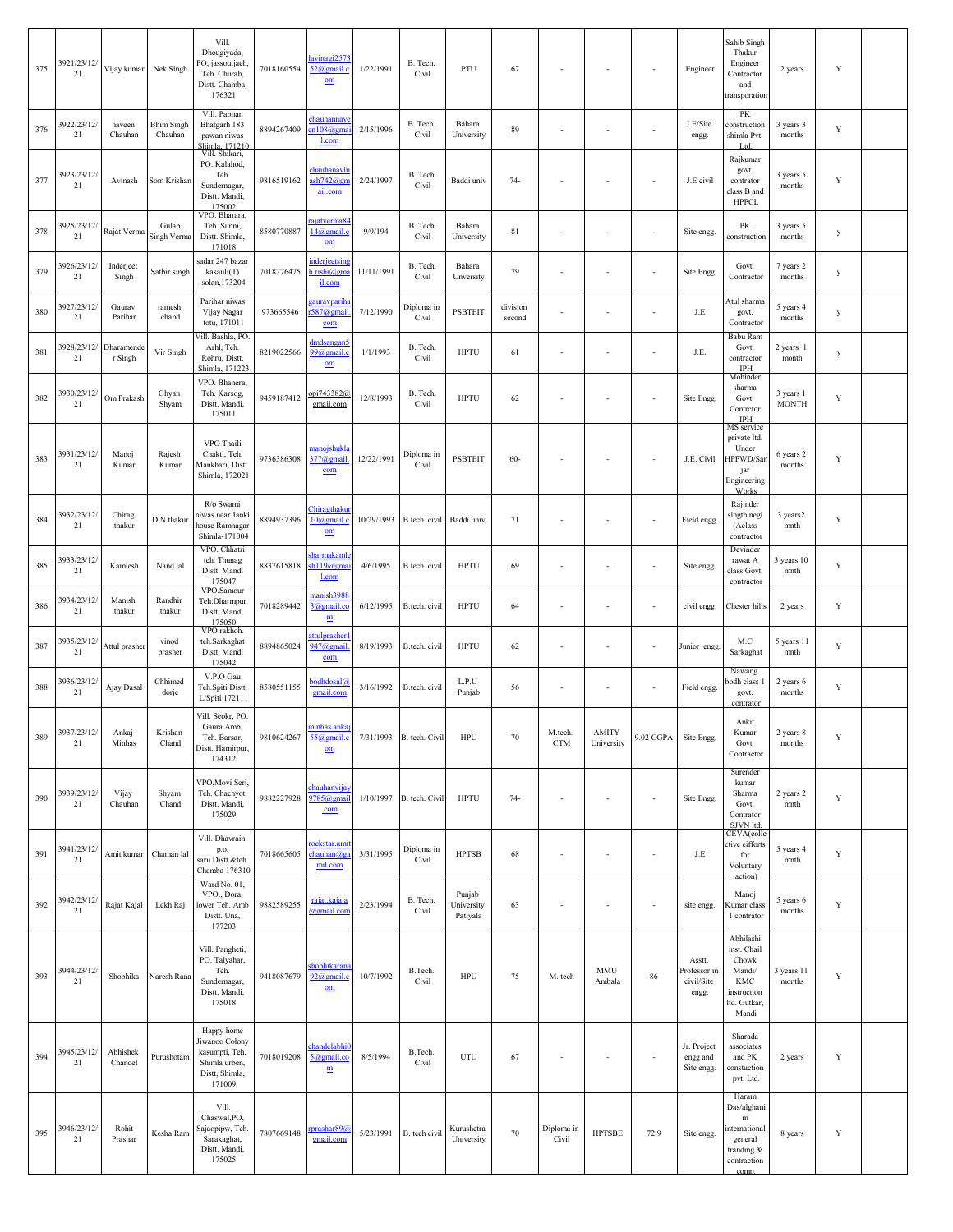| 375 | 3921/23/12/<br>21 | Vijay kumar           | Nek Singh                    | Vill.<br>Dhougiyada,<br><sup>2</sup> O, jassoutjaeh,<br>Teh. Churah,<br>Distt. Chamba,<br>176321 | 7018160554 | avinagi2573<br>52@gmail.c<br>$om$                       | 1/22/1991  | B. Tech.<br>Civil   | PTU                              | 67                 |                          |                            | $\sim$                   | Engineer                                      | Sahib Singh<br>Thakur<br>Engineer<br>Contractor<br>and<br>transporation                               | 2 years                   | Y           |  |
|-----|-------------------|-----------------------|------------------------------|--------------------------------------------------------------------------------------------------|------------|---------------------------------------------------------|------------|---------------------|----------------------------------|--------------------|--------------------------|----------------------------|--------------------------|-----------------------------------------------|-------------------------------------------------------------------------------------------------------|---------------------------|-------------|--|
| 376 | 3922/23/12/<br>21 | naveen<br>Chauhan     | <b>Bhim Singh</b><br>Chauhan | Vill. Pabhan<br>Bhatgarh 183<br>pawan niwas<br>Shimla, 171210                                    | 8894267409 | chauhannave<br>cn108@gma<br>l.com                       | 2/15/1996  | B. Tech.<br>Civil   | Bahara<br>University             | 89                 |                          |                            | $\sim$                   | J.E/Site<br>engg.                             | PK<br>construction<br>shimla Pvt.<br>Ltd.                                                             | 3 years 3<br>months       | Y           |  |
| 377 | 3923/23/12/<br>21 | Avinash               | Som Krishan                  | Vill. Shikari,<br>PO. Kalahod,<br>Teh.<br>Sundernagar,<br>Distt. Mandi,<br>175002                | 9816519162 | chauhanavii<br>$ash742$ @gn<br>ail.com                  | 2/24/1997  | B. Tech.<br>Civil   | Baddi univ                       | $74-$              |                          |                            | $\sim$                   | J.E civil                                     | Rajkumar<br>govt.<br>contrator<br>class B and<br><b>HPPCL</b>                                         | 3 years 5<br>months       | Y           |  |
| 378 | 3925/23/12/<br>21 | Rajat Verma           | Gulab<br>Singh Verma         | VPO. Bharara,<br>Teh. Sunni,<br>Distt. Shimla,<br>171018                                         | 8580770887 | ajatverma84<br>14@gmail.c<br>$om$                       | 9/9/194    | B. Tech.<br>Civil   | Bahara<br>University             | 81                 | $\sim$                   | ÷                          | $\sim$                   | Site engg.                                    | PK<br>construction                                                                                    | 3 years 5<br>months       | y           |  |
| 379 | 3926/23/12/<br>21 | Inderject<br>Singh    | Satbir singh                 | sadar 247 bazar<br>kasauli(T)<br>solan, 173204                                                   | 7018276475 | inderjectsing<br>n.rishi@gm<br>il.com                   | 11/11/1991 | B. Tech.<br>Civil   | Bahara<br>Unversity              | 79                 |                          |                            | ÷,                       | Site Engg                                     | Govt.<br>Contractor                                                                                   | 7 years 2<br>months       | у           |  |
| 380 | 3927/23/12/<br>21 | Gaurav<br>Parihar     | ramesh<br>chand              | Parihar niwas<br>Vijay Nagar<br>totu, 171011                                                     | 973665546  | <u>auravparih</u><br>$587@$ gmail<br>com                | 7/12/1990  | Diploma in<br>Civil | <b>PSBTEIT</b>                   | division<br>second |                          |                            | ÷,                       | J.E                                           | Atul sharma<br>govt.<br>Contractor                                                                    | 5 years 4<br>months       | у           |  |
| 381 | 3928/23/12/<br>21 | Dharamende<br>r Singh | Vir Singh                    | Vill. Bashla, PO.<br>Arhl, Teh.<br>Rohru, Distt.<br>Shimla, 171223                               | 8219022566 | dmdsangan:<br>99@gmail.c<br>$om$                        | 1/1/1993   | B. Tech.<br>Civil   | <b>HPTU</b>                      | 61                 | $\sim$                   | ÷                          | $\blacksquare$           | J.E.                                          | Babu Ram<br>Govt.<br>contractor<br><b>IPH</b>                                                         | 2 years 1<br>month        | y           |  |
| 382 | 3930/23/12/<br>21 | Om Prakash            | Ghyan<br>Shyam               | VPO. Bhanera,<br>Teh. Karsog,<br>Distt. Mandi,<br>175011                                         | 9459187412 | opi743382@<br>gmail.com                                 | 12/8/1993  | B. Tech.<br>Civil   | <b>HPTU</b>                      | 62                 | $\overline{\phantom{a}}$ | ÷,                         | $\overline{\phantom{a}}$ | Site Engg.                                    | Mohinder<br>sharma<br>Govt.<br>Contrctor<br>IPH                                                       | 3 years 1<br><b>MONTH</b> | Y           |  |
| 383 | 3931/23/12/<br>21 | Manoj<br>Kumar        | Rajesh<br>Kumar              | VPO Thaili<br>Chakti, Teh.<br>Mankhari, Distt<br>Shimla, 172021                                  | 9736386308 | manojshukla<br>377@gmail.<br>com                        | 12/22/1991 | Diploma in<br>Civil | <b>PSBTEIT</b>                   | $60 -$             |                          |                            | $\sim$                   | J.E. Civil                                    | MS service<br>private ltd.<br>Under<br>HPPWD/San<br>jar<br>Engineering<br>Works                       | 6 years 2<br>months       | Y           |  |
| 384 | 3932/23/12/<br>21 | Chirag<br>thakur      | D.N thakur                   | R/o Swami<br>niwas near Janki<br>house Ramnagar<br>Shimla-171004                                 | 8894937396 | <b>Chiragthaku</b><br>$10$ @gmail.c<br>$om$             | 10/29/1993 | B.tech. civil       | Baddi univ.                      | 71                 | $\overline{\phantom{a}}$ | ÷,                         | $\overline{\phantom{a}}$ | Field engg                                    | Rajinder<br>singth negi<br>(Aclass<br>contractor                                                      | 3 years2<br>mnth          | Y           |  |
| 385 | 3933/23/12/<br>21 | Kamlesh               | Nand lal                     | VPO. Chhatri<br>teh. Thunag<br>Distt. Mandi<br>175047                                            | 8837615818 | sharmakaml<br>sh119@gm<br>l.com                         | 4/6/1995   | B.tech. civil       | <b>HPTU</b>                      | 69                 | $\sim$                   |                            | $\sim$                   | Site engg                                     | Devinder<br>rawat A<br>class Govt.<br>contractor                                                      | 3 years 10<br>mnth        | Y           |  |
| 386 | 3934/23/12/<br>21 | Manish<br>thakur      | Randhir<br>thakur            | VPO.Samour<br>Teh.Dharmpur<br>Distt. Mandi<br>175050                                             | 7018289442 | manish3988<br>3@gmail.co<br>$\mathbf{m}$                | 6/12/1995  | B.tech. civil       | <b>HPTU</b>                      | 64                 | $\sim$                   |                            | $\sim$                   | civil engg                                    | Chester hills                                                                                         | 2 years                   | Y           |  |
| 387 | 3935/23/12/<br>21 | Attul prasher         | vinod<br>prasher             | VPO rakhoh.<br>teh.Sarkaghat<br>Distt. Mandi<br>175042                                           | 8894865024 | attulprasher<br>947@gmail<br>com                        | 8/19/1993  | B.tech. civil       | <b>HPTU</b>                      | 62                 | $\sim$                   | ÷                          | $\overline{\phantom{a}}$ | Junior engg.                                  | M.C<br>Sarkaghat                                                                                      | 5 years 11<br>mnth        | Y           |  |
| 388 | 3936/23/12/<br>21 | Ajay Dasal            | Chhimed<br>dorje             | V.P.O Gau<br>Teh.Spiti Distt.<br>L/Spiti 172111                                                  | 8580551155 | bodhdosal@<br>gmail.com                                 | 3/16/1992  | B.tech. civil       | L.P.U<br>Punjab                  | 56                 | $\overline{\phantom{a}}$ | ÷,                         | $\overline{\phantom{a}}$ | Field engg                                    | Nawang<br>bodh class 1<br>govt.<br>contrator                                                          | 2 years 6<br>months       | $\mathbf Y$ |  |
| 389 | 3937/23/12/<br>21 | Ankaj<br>Minhas       | Krishan<br>Chand             | Vill. Seokr, PO.<br>Gaura Amb.<br>Teh. Barsar,<br>Distt. Hamirpur,<br>174312                     | 9810624267 | minhas.ankai<br>55@gmail.c<br>$\underline{\mathbf{om}}$ | 7/31/1993  | B. tech. Civil      | <b>HPU</b>                       | 70                 | M.tech.<br><b>CTM</b>    | <b>AMITY</b><br>University | 9.02 CGPA                | Site Engg.                                    | Ankit<br>Kumar<br>Govt.<br>Contractor                                                                 | 2 years 8<br>months       | $\mathbf Y$ |  |
| 390 | 3939/23/12/<br>21 | Vijay<br>Chauhan      | Shyam<br>Chand               | VPO, Movi Seri,<br>Teh. Chachyot,<br>Distt. Mandi,<br>175029                                     | 9882227928 | chauhanvijay<br>9785@gmai<br>.com                       | 1/10/1997  | B. tech. Civil      | <b>HPTU</b>                      | $74-$              | $\sim$                   | ÷                          | $\sim$                   | Site Engg.                                    | Surender<br>kumar<br>Sharma<br>Govt.<br>Contrator<br>SJVN ltd.                                        | 2 years 2<br>mnth         | $\mathbf Y$ |  |
| 391 | 3941/23/12/<br>21 | Amit kumar            | Chaman lal                   | Vill. Dhavrain<br>p.o.<br>saru.Distt.&teh.<br>Chamba 176310                                      | 7018665605 | rockstar.ami<br>chauhan@g<br>mil.com                    | 3/31/1995  | Diploma in<br>Civil | <b>HPTSB</b>                     | 68                 | $\sim$                   | ä,                         | $\sim$                   | $_{\rm J.E}$                                  | CEVA(colle<br>ctive eifforts<br>for<br>Voluntary<br>action)                                           | 5 years 4<br>mnth         | Y           |  |
| 392 | 3942/23/12/<br>21 | Rajat Kajal           | Lekh Raj                     | Ward No. 01,<br>VPO., Dora,<br>lower Teh. Amb<br>Distt. Una,<br>177203                           | 9882589255 | rajat.kajala<br>@gmail.com                              | 2/23/1994  | B. Tech.<br>Civil   | Punjab<br>University<br>Patiyala | 63                 | $\overline{\phantom{a}}$ | ÷                          | $\sim$                   | site engg.                                    | Manoj<br>Kumar class<br>1 contrator                                                                   | 5 years 6<br>months       | Y           |  |
| 393 | 3944/23/12/<br>21 | Shobhika              | Naresh Rana                  | Vill. Pangheti,<br>PO. Talyahar,<br>Teh.<br>Sundernagar,<br>Distt. Mandi,<br>175018              | 9418087679 | shobhikarana<br>$92$ @gmail.c<br>$om$                   | 10/7/1992  | B.Tech.<br>Civil    | <b>HPU</b>                       | 75                 | M. tech                  | <b>MMU</b><br>Ambala       | 86                       | Asstt.<br>Professor in<br>civil/Site<br>engg. | Abhilashi<br>inst. Chail<br>Chowk<br>Mandi/<br>KMC<br>instruction<br>ltd. Gutkar,<br>Mandi            | 3 years 11<br>months      | Y           |  |
| 394 | 3945/23/12/<br>21 | Abhishek<br>Chandel   | Purushotam                   | Happy home<br>iwanoo Colony<br>kasumpti, Teh.<br>Shimla urben,<br>Distt, Shimla,<br>171009       | 7018019208 | chandelabhi0<br>5@gmail.co<br>$\mathbf m$               | 8/5/1994   | B.Tech.<br>Civil    | UTU                              | 67                 | $\sim$                   | ÷                          | $\sim$                   | Jr. Project<br>engg and<br>Site engg.         | Sharada<br>associates<br>and PK<br>constuction<br>pvt. Ltd.                                           | 2 years                   | Y           |  |
| 395 | 3946/23/12/<br>21 | Rohit<br>Prashar      | Kesha Ram                    | Vill.<br>Chaswal, PO,<br>Sajaopipw, Teh.<br>Sarakaghat,<br>Distt. Mandi,<br>175025               | 7807669148 | rprashar89@<br>gmail.com                                | 5/23/1991  | B. tech civil       | Kurushetra<br>University         | 70                 | Diploma in<br>Civil      | <b>HPTSBE</b>              | 72.9                     | Site engg.                                    | Haram<br>Das/alghani<br>$\mathbf m$<br>international<br>general<br>tranding &<br>contraction<br>comp. | 8 years                   | Y           |  |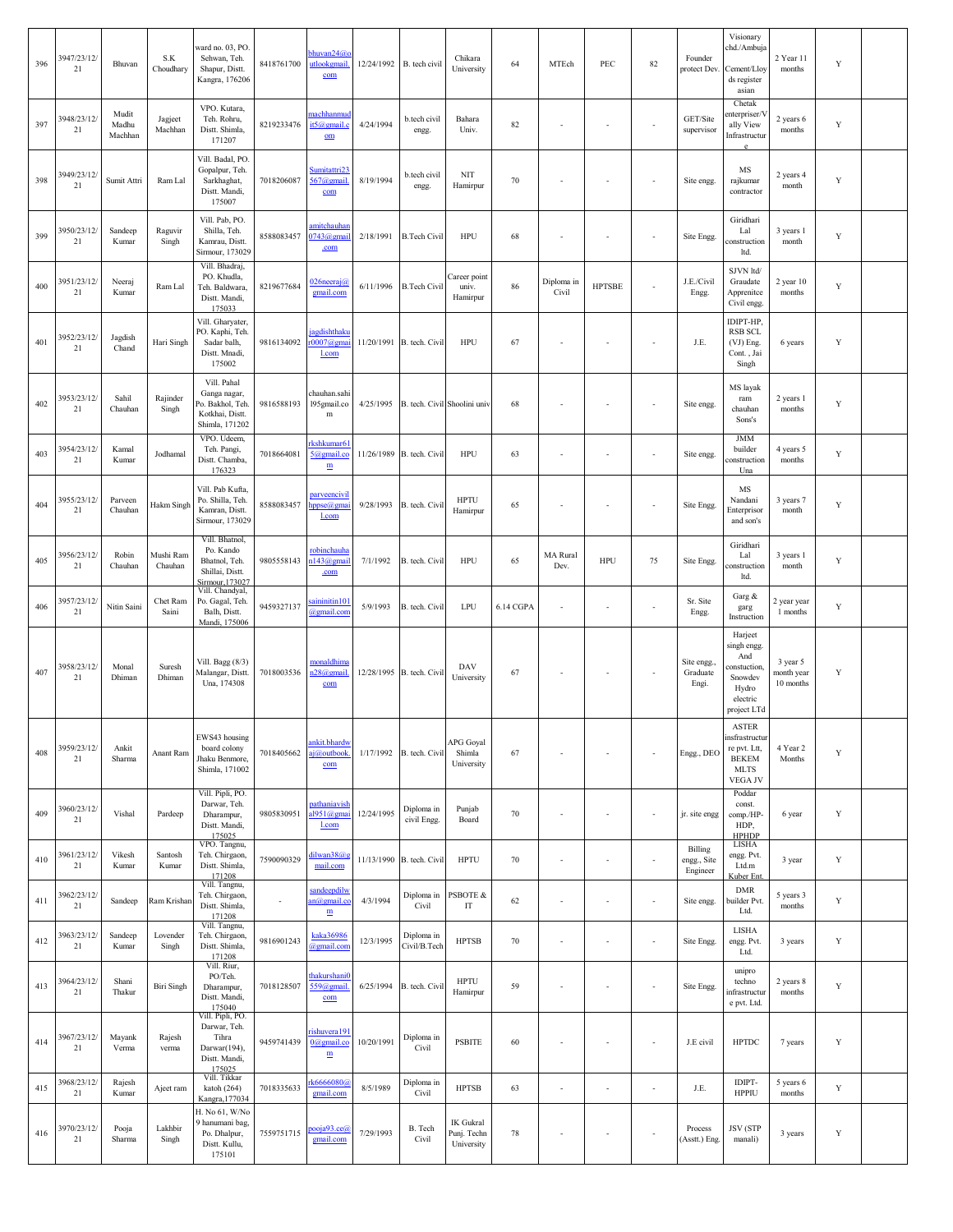| 396 | 3947/23/12/<br>21 | Bhuvan                    | S.K<br>Choudhary     | vard no. 03, PO.<br>Sehwan, Teh.<br>Shapur, Distt.<br>Kangra, 176206                 | 8418761700 | bhuvan24@<br>utlookgmail<br>com                | 12/24/1992 B. tech civil |                                        | Chikara<br>University                  | 64        | MTEch                    | PEC                      | 82                       | Founder<br>protect Dev.            | Visionary<br>chd./Ambuja<br>Cement/Lloy<br>ds register<br>asian                                | 2 Year 11<br>months                 | Y           |  |
|-----|-------------------|---------------------------|----------------------|--------------------------------------------------------------------------------------|------------|------------------------------------------------|--------------------------|----------------------------------------|----------------------------------------|-----------|--------------------------|--------------------------|--------------------------|------------------------------------|------------------------------------------------------------------------------------------------|-------------------------------------|-------------|--|
| 397 | 3948/23/12/<br>21 | Mudit<br>Madhu<br>Machhan | Jagjeet<br>Machhan   | VPO. Kutara,<br>Teh. Rohru,<br>Distt. Shimla,<br>171207                              | 8219233476 | nachhanmud<br>t5@gmail.c<br>$om$               | 4/24/1994                | b.tech civil<br>engg.                  | Bahara<br>Univ.                        | 82        |                          | $\sim$                   | ÷,                       | GET/Site<br>supervisor             | Chetak<br>nterpriser/V<br>ally View<br>Infrastructur                                           | 2 years 6<br>months                 | Y           |  |
| 398 | 3949/23/12/<br>21 | Sumit Attri               | Ram Lal              | Vill. Badal, PO<br>Gopalpur, Teh.<br>Sarkhaghat,<br>Distt. Mandi,<br>175007          | 7018206087 | Sumitattri23<br>$567$ @gmail<br>com            | 8/19/1994                | b.tech civil<br>engg.                  | <b>NIT</b><br>Hamirpur                 | 70        |                          | $\sim$                   | ÷,                       | Site engg.                         | MS<br>rajkumar<br>contractor                                                                   | 2 years 4<br>month                  | Y           |  |
| 399 | 3950/23/12/<br>21 | Sandeep<br>Kumar          | Raguvir<br>Singh     | Vill. Pab, PO.<br>Shilla, Teh.<br>Kamrau, Distt.<br>Sirmour, 173029                  | 8588083457 | imitchauhai<br>$0743$ @gmai<br>.com            | 2/18/1991                | <b>B.Tech Civil</b>                    | HPU                                    | 68        |                          | $\sim$                   | ÷,                       | Site Engg.                         | Giridhari<br>Lal<br>construction<br>ltd.                                                       | 3 years 1<br>month                  | Y           |  |
| 400 | 3951/23/12/<br>21 | Neeraj<br>Kumar           | Ram Lal              | Vill. Bhadraj,<br>PO. Khudla,<br>Teh. Baldwara,<br>Distt. Mandi,<br>175033           | 8219677684 | 026 neeraj <i>a</i><br>gmail.com               | 6/11/1996                | <b>B.Tech Civil</b>                    | Career point<br>univ.<br>Hamirpur      | 86        | Diploma in<br>Civil      | <b>HPTSBE</b>            | ä,                       | J.E./Civil<br>Engg.                | SJVN ltd/<br>Graudate<br>Apprenitce<br>Civil engg.                                             | $2$ year $10$<br>months             | Y           |  |
| 401 | 3952/23/12/<br>21 | Jagdish<br>Chand          | Hari Singh           | Vill. Gharyater,<br>PO. Kaphi, Teh.<br>Sadar balh,<br>Distt. Mnadi,<br>175002        | 9816134092 | agdishthakt<br>$r0007@$ ema<br><u>l.com</u>    |                          | 11/20/1991 B. tech. Civil              | HPU                                    | 67        |                          | ÷,                       |                          | J.E.                               | IDIPT-HP,<br><b>RSB SCL</b><br>(VJ) Eng.<br>Cont., Jai<br>Singh                                | 6 years                             | Y           |  |
| 402 | 3953/23/12/<br>21 | Sahil<br>Chauhan          | Rajinder<br>Singh    | Vill. Pahal<br>Ganga nagar,<br>Po. Bakhol, Teh.<br>Kotkhai, Distt.<br>Shimla, 171202 | 9816588193 | chauhan.sahi<br>195gmail.co<br>$\mathbf m$     |                          | 4/25/1995 B. tech. Civil Shoolini univ |                                        | 68        |                          | $\sim$                   | ÷,                       | Site engg                          | MS layak<br>$\operatorname{ram}$<br>chauhan<br>Sons's                                          | 2 years 1<br>months                 | Y           |  |
| 403 | 3954/23/12/<br>21 | Kamal<br>Kumar            | Jodhamal             | VPO. Udeem.<br>Teh. Pangi,<br>Distt. Chamba,<br>176323                               | 7018664081 | kshkumar61<br>5@gmail.co<br>$\mathbf{m}$       |                          | 11/26/1989 B. tech. Civil              | HPU                                    | 63        |                          | $\sim$                   | ÷,                       | Site engg.                         | <b>JMM</b><br>builder<br>construction<br>Una                                                   | 4 years 5<br>months                 | $\mathbf Y$ |  |
| 404 | 3955/23/12/<br>21 | Parveen<br>Chauhan        | Hakm Singh           | Vill. Pab Kufta,<br>Po. Shilla, Teh.<br>Kamran, Distt.<br>Sirmour, 173029            | 8588083457 | parveencivi<br>ppse@gm<br>l.com                | 9/28/1993                | B. tech. Civil                         | <b>HPTU</b><br>Hamirpur                | 65        |                          | $\sim$                   | ÷,                       | Site Engg                          | MS<br>Nandani<br>Enterprisor<br>and son's                                                      | 3 years 7<br>month                  | Y           |  |
| 405 | 3956/23/12/<br>21 | Robin<br>Chauhan          | Mushi Ram<br>Chauhan | Vill. Bhatnol,<br>Po. Kando<br>Bhatnol, Teh.<br>Shillai, Distt.<br>Sirmour, 173027   | 9805558143 | robinchauh<br>n143@gmai<br>.com                | 7/1/1992                 | B. tech. Civil                         | HPU                                    | 65        | MA Rural<br>Dev.         | <b>HPU</b>               | 75                       | Site Engg.                         | Giridhari<br>Lal<br>construction<br>ltd.                                                       | 3 years 1<br>month                  | Y           |  |
| 406 | 3957/23/12/<br>21 | Nitin Saini               | Chet Ram<br>Saini    | Vill. Chandyal,<br>Po. Gagal, Teh.<br>Balh, Distt.<br>Mandi, 175006                  | 9459327137 | saininitin10<br>@gmail.com                     | 5/9/1993                 | B. tech. Civil                         | LPU                                    | 6.14 CGPA |                          | $\sim$                   | $\blacksquare$           | Sr. Site<br>Engg.                  | Garg &<br>garg<br>Instruction                                                                  | 2 year year<br>1 months             | Y           |  |
| 407 | 3958/23/12/<br>21 | Monal<br>Dhiman           | Suresh<br>Dhiman     | Vill. Bagg (8/3)<br>Malangar, Distt.<br>Una, 174308                                  | 7018003536 | monaldhim<br>$n28$ @gmail<br>com               |                          | 12/28/1995 B. tech. Civil              | DAV<br>University                      | 67        |                          | $\overline{\phantom{a}}$ | $\overline{\phantom{a}}$ | Site engg.<br>Graduate<br>Engi.    | Harjeet<br>singh engg.<br>And<br>onstuction,<br>Snowdev<br>Hydro<br>electric<br>project LTd    | 3 year 5<br>month year<br>10 months | Y           |  |
| 408 | 3959/23/12/<br>21 | Ankit<br>Sharma           | Anant Ram            | EWS43 housing<br>board colony<br>Jhaku Benmore,<br>Shimla, 171002                    | 7018405662 | ankit.bhardw<br>aj@outbook<br>com              | 1/17/1992                | B. tech. Civil                         | APG Goyal<br>Shimla<br>University      | 67        |                          | $\sim$                   | ä,                       | Engg., DEO                         | <b>ASTER</b><br>insfrastructur<br>re pvt. Ltt,<br><b>BEKEM</b><br><b>MLTS</b><br><b>VEGAJV</b> | 4 Year 2<br>Months                  | Y           |  |
| 409 | 3960/23/12/<br>21 | Vishal                    | Pardeep              | Vill. Pipli, PO.<br>Darwar, Teh.<br>Dharampur,<br>Distt. Mandi,<br>175025            | 9805830951 | <u>pathaniavish</u><br>al951@gmai<br>l.com     | 12/24/1995               | Diploma in<br>civil Engg.              | Punjab<br>Board                        | 70        |                          | $\sim$                   | $\overline{\phantom{a}}$ | jr. site engg                      | Poddar<br>const.<br>comp./HP-<br>HDP,<br><b>HPHDP</b>                                          | 6 year                              | Y           |  |
| 410 | 3961/23/12/<br>21 | Vikesh<br>Kumar           | Santosh<br>Kumar     | VPO. Tangnu,<br>Teh. Chirgaon,<br>Distt. Shimla,<br>171208                           | 7590090329 | dilwan38@s<br>mail.com                         |                          | 11/13/1990 B. tech. Civil              | <b>HPTU</b>                            | 70        |                          | $\sim$                   | $\overline{\phantom{a}}$ | Billing<br>engg., Site<br>Engineer | LISHA<br>engg. Pvt.<br>Ltd.m<br><b>Kuber</b> Ent                                               | 3 year                              | Y           |  |
| 411 | 3962/23/12/<br>21 | Sandeep                   | Ram Krishan          | Vill. Tangnu,<br>Teh. Chirgaon,<br>Distt. Shimla,<br>171208                          | ÷          | sandeepdily<br>an@gmail.c<br>m                 | 4/3/1994                 | Diploma in<br>Civil                    | PSBOTE &<br>$\mathop{\text{IT}}$       | 62        | $\overline{\phantom{a}}$ | $\overline{\phantom{a}}$ | $\overline{\phantom{a}}$ | Site engg.                         | <b>DMR</b><br>builder Pvt.<br>Ltd.                                                             | 5 years 3<br>months                 | $\mathbf Y$ |  |
| 412 | 3963/23/12/<br>21 | Sandeep<br>Kumar          | Lovender<br>Singh    | Vill. Tangnu,<br>Teh. Chirgaon,<br>Distt. Shimla,<br>171208                          | 9816901243 | kaka36986<br>@gmail.com                        | 12/3/1995                | Diploma in<br>Civil/B.Tech             | <b>HPTSB</b>                           | 70        | $\sim$                   | $\sim$                   | ä,                       | Site Engg.                         | LISHA<br>engg. Pvt.<br>Ltd.                                                                    | 3 years                             | Y           |  |
| 413 | 3964/23/12/<br>21 | Shani<br>Thakur           | Biri Singh           | Vill. Riur,<br>PO/Teh.<br>Dharampur,<br>Distt. Mandi,<br>175040                      | 7018128507 | <b>hakurshani</b><br>559@gmail.<br>com         | 6/25/1994                | B. tech. Civil                         | <b>HPTU</b><br>Hamirpur                | 59        |                          | ÷,                       | ÷,                       | Site Engg.                         | unipro<br>techno<br>infrastructur<br>e pvt. Ltd.                                               | 2 years 8<br>months                 | $\mathbf Y$ |  |
| 414 | 3967/23/12/<br>21 | Mayank<br>Verma           | Rajesh<br>verma      | Vill. Pipli, PO.<br>Darwar, Teh.<br>Tihra<br>Darwar(194),<br>Distt. Mandi,<br>175025 | 9459741439 | rishuvera 191<br>$0$ @gmail.co<br>$\mathbf{m}$ | 10/20/1991               | Diploma in<br>Civil                    | <b>PSBITE</b>                          | 60        |                          | ÷,                       | ÷,                       | J.E civil                          | <b>HPTDC</b>                                                                                   | 7 years                             | Y           |  |
| 415 | 3968/23/12/<br>21 | Rajesh<br>Kumar           | Aject ram            | Vill. Tikkar<br>katoh $(264)$<br>Kangra, 177034                                      | 7018335633 | k6666080@<br>gmail.com                         | 8/5/1989                 | Diploma in<br>Civil                    | <b>HPTSB</b>                           | 63        | $\sim$                   | $\overline{\phantom{a}}$ | ÷,                       | J.E.                               | <b>IDIPT-</b><br><b>HPPIU</b>                                                                  | 5 years 6<br>months                 | Y           |  |
| 416 | 3970/23/12/<br>21 | Pooja<br>Sharma           | Lakhbir<br>Singh     | H. No 61, W/No<br>9 hanumani bag,<br>Po. Dhalpur,<br>Distt. Kullu,<br>175101         | 7559751715 | <u>booja93.ce@</u><br>gmail.com                | 7/29/1993                | B. Tech<br>Civil                       | IK Gukral<br>Punj. Techn<br>University | 78        |                          | ÷,                       | ÷,                       | Process<br>(Asstt.) Eng.           | <b>JSV</b> (STP<br>manali)                                                                     | 3 years                             | Y           |  |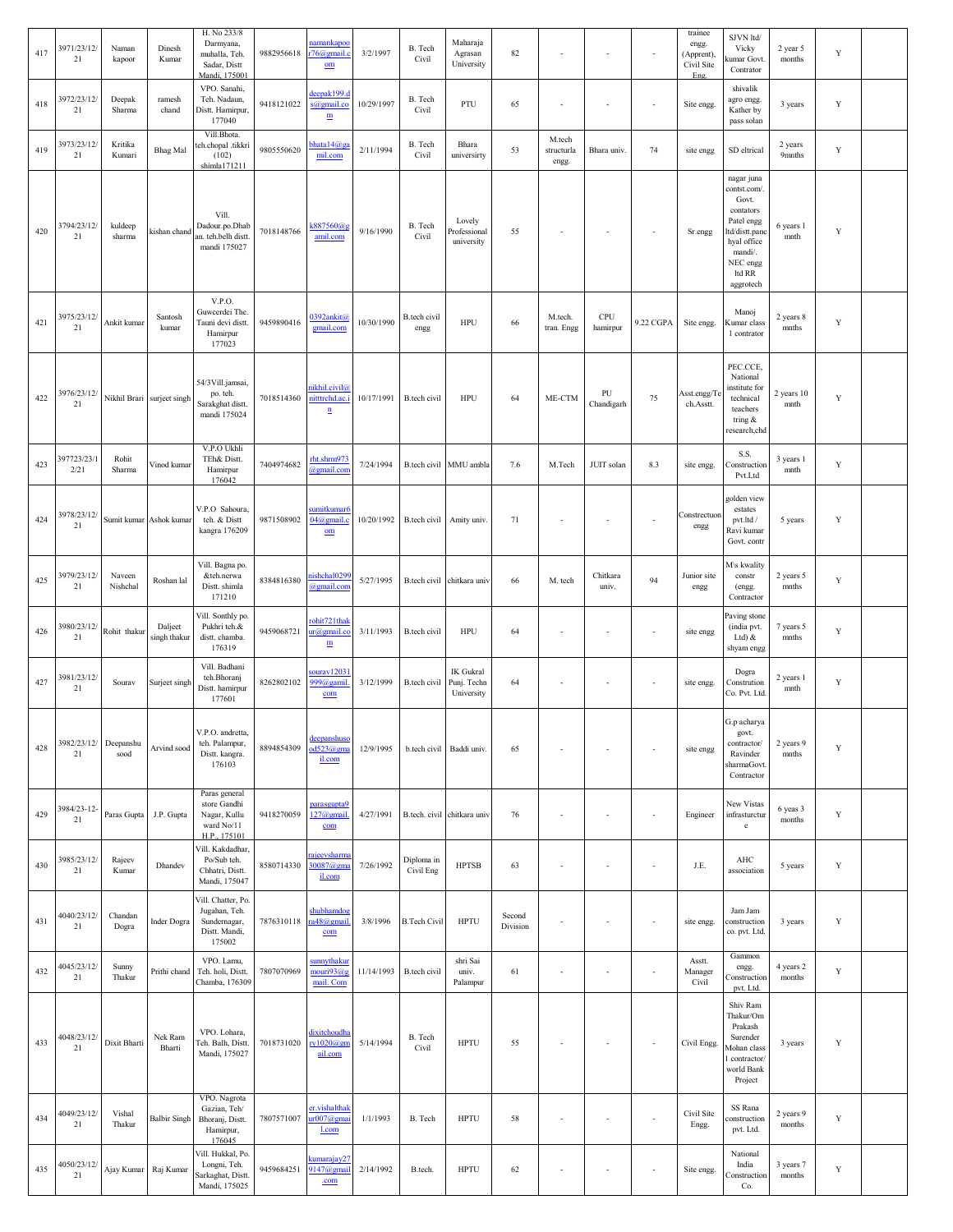| 417 | 3971/23/12/<br>21   | Naman<br>kapoor    | Dinesh<br>Kumar            | H. No 233/8<br>Darmyana,<br>muhalla, Teh.<br>Sadar, Distt<br>Mandi, 175001     | 9882956618 | namankapoc<br>r76@gmail.<br>$om$                           | 3/2/1997   | B. Tech<br>Civil         | Maharaja<br>Agrasan<br>University             | 82                 |                               | $\sim$                   | $\blacksquare$           | trainee<br>engg.<br>(Apprent),<br>Civil Site<br>Eng. | SJVN ltd/<br>Vicky<br>amar Govt.<br>Contrator                                                                                                | 2 year 5<br>months  | Y           |  |
|-----|---------------------|--------------------|----------------------------|--------------------------------------------------------------------------------|------------|------------------------------------------------------------|------------|--------------------------|-----------------------------------------------|--------------------|-------------------------------|--------------------------|--------------------------|------------------------------------------------------|----------------------------------------------------------------------------------------------------------------------------------------------|---------------------|-------------|--|
| 418 | 3972/23/12/<br>21   | Deepak<br>Sharma   | ramesh<br>chand            | VPO. Sanahi,<br>Teh. Nadaun,<br>Distt. Hamirpur,<br>177040                     | 9418121022 | deepak199.<br>s@gmail.co<br>$\underline{\textbf{m}}$       | 10/29/1997 | B. Tech<br>Civil         | PTU                                           | 65                 |                               | ÷,                       | ÷,                       | Site engg.                                           | shivalik<br>agro engg.<br>Kather by<br>pass solan                                                                                            | 3 years             | Y           |  |
| 419 | 3973/23/12/<br>21   | Kritika<br>Kumari  | <b>Bhag</b> Mal            | Vill.Bhota.<br>eh.chopal .tikkri<br>(102)<br>shimla171211                      | 9805550620 | ohata14@g<br>mil.com                                       | 2/11/1994  | B. Tech<br>Civil         | Bhara<br>universirty                          | 53                 | M.tech<br>structurla<br>engg. | Bhara univ.              | 74                       | site engg                                            | SD eltrical                                                                                                                                  | 2 years<br>9mnths   | Y           |  |
| 420 | 3794/23/12/<br>21   | kuldeep<br>sharma  | kishan chand               | Vill.<br>Dadour.po.Dhab<br>an. teh.belh distt.<br>mandi 175027                 | 7018148766 | k887560@g<br>amil.com                                      | 9/16/1990  | B. Tech<br>Civil         | Lovely<br>Professional<br>university          | 55                 |                               | $\overline{\phantom{a}}$ | $\overline{\phantom{a}}$ | Sr.engg                                              | nagar juna<br>contst.com/.<br>Govt.<br>contators<br>Patel engg<br>td/distt.panc<br>hyal office<br>mandi/.<br>NEC engg<br>ltd RR<br>aggrotech | 6 years 1<br>mnth   | Y           |  |
| 421 | 3975/23/12/<br>21   | Ankit kumar        | Santosh<br>kumar           | <b>V.P.O.</b><br>Guwcerdei The.<br>Tauni devi distt.<br>Hamirpur<br>177023     | 9459890416 | 0392ankit@<br>gmail.com                                    | 10/30/1990 | B.tech civil<br>engg     | <b>HPU</b>                                    | 66                 | M.tech.<br>tran. Engg         | <b>CPU</b><br>hamirpur   | 9.22 CGPA                | Site engg.                                           | Manoj<br>Kumar class<br>1 contrator                                                                                                          | 2 years 8<br>mnths  | Y           |  |
| 422 | 3976/23/12/<br>21   |                    | Nikhil Brari surject singh | 54/3Vill.jamsai,<br>po. teh.<br>Sarakghat distt.<br>mandi 175024               | 7018514360 | nikhil.civil@<br>nittrchd.ac.i<br>$\underline{\mathbf{n}}$ | 10/17/1991 | B.tech civil             | <b>HPU</b>                                    | 64                 | ME-CTM                        | PU<br>Chandigarh         | 75                       | Asst.engg/To<br>ch.Asstt.                            | PEC.CCE,<br>National<br>institute for<br>technical<br>teachers<br>tring $\&$<br>research,chd                                                 | 2 years 10<br>mnth  | Y           |  |
| 423 | 397723/23/1<br>2/21 | Rohit<br>Sharma    | Vinod kumar                | V.P.O Ukhli<br>TEh& Distt.<br>Hamirpur<br>176042                               | 7404974682 | rht.shrm973<br>@gmail.com                                  | 7/24/1994  |                          | B.tech civil MMU ambla                        | 7.6                | M.Tech                        | JUIT solan               | 8.3                      | site engg.                                           | S.S.<br>Construction<br>Pvt.Ltd                                                                                                              | 3 years 1<br>mnth   | Y           |  |
| 424 | 3978/23/12/<br>21   |                    | Sumit kumar Ashok kumar    | V.P.O Sahoura,<br>teh. & Distt<br>kangra 176209                                | 9871508902 | sumitkumar6<br>$04@$ gmail.c<br>$om$                       | 10/20/1992 | B.tech civil Amity univ. |                                               | 71                 |                               | $\sim$                   | ÷,                       | Constrectuon<br>engg                                 | golden view<br>estates<br>pvt.ltd /<br>Ravi kumar<br>Govt. contr                                                                             | 5 years             | Y           |  |
| 425 | 3979/23/12/<br>21   | Naveen<br>Nishchal | Roshan lal                 | Vill. Bagna po.<br>&teh.nerwa<br>Distt. shimla<br>171210                       | 8384816380 | nishchal029<br>@gmail.com                                  | 5/27/1995  |                          | B.tech civil chitkara univ                    | 66                 | M. tech                       | Chitkara<br>univ.        | 94                       | Junior site<br>engg                                  | M\s kwality<br>constr<br>(engg.<br>Contractor                                                                                                | 2 years 5<br>mnths  | Y           |  |
| 426 | 3980/23/12/<br>21   | Rohit thakur       | Dalject<br>singh thakur    | Vill. Sonthly po.<br>Pukhri teh.&<br>distt. chamba.<br>176319                  | 9459068721 | rohit721thal<br>ur@gmail.co<br>$\mathbf m$                 | 3/11/1993  | B.tech civil             | <b>HPU</b>                                    | 64                 |                               | ÷,                       | ÷,                       | site engg                                            | Paving stone<br>(india pvt.<br>Ltd $\lambda$<br>shyam engg                                                                                   | 7 years 5<br>mnths  | Y           |  |
| 427 | 3981/23/12/<br>21   | Sourav             | Surject singh              | Vill. Badhani<br>teh.Bhoranj<br>Distt. hamirpur<br>177601                      | 8262802102 | sourav1203<br>999@gamil<br>com                             | 3/12/1999  | <b>B</b> .tech civil     | <b>IK</b> Gukral<br>Punj. Techn<br>University | 64                 |                               | $\sim$                   | $\sim$                   | site engg.                                           | Dogra<br>Constrution<br>Co. Pvt. Ltd.                                                                                                        | 2 years 1<br>mnth   | Y           |  |
| 428 | 3982/23/12/<br>21   | Deepanshu<br>sood  | Arvind sood                | V.P.O. andretta,<br>teh. Palampur,<br>Distt. kangra.<br>176103                 | 8894854309 | deepanshuso<br>od523@gma<br>il.com                         | 12/9/1995  | b.tech civil             | Baddi univ.                                   | 65                 |                               |                          | ÷,                       | site engg                                            | G.p acharya<br>govt.<br>contractor/<br>Ravinder<br>sharmaGovt<br>Contractor                                                                  | 2 years 9<br>mnths  | Y           |  |
| 429 | 3984/23-12-<br>21   | Paras Gupta        | J.P. Gupta                 | Paras general<br>store Gandhi<br>Nagar, Kullu<br>ward No/11<br>H.P., 175101    | 9418270059 | <u>parasgupta9</u><br>$127$ @gmail<br>com                  | 4/27/1991  |                          | B.tech. civil chitkara univ                   | 76                 |                               | $\overline{\phantom{a}}$ | $\sim$                   | Engineer                                             | New Vistas<br>infrasturctur<br>$^{\rm e}$                                                                                                    | 6 yeas 3<br>months  | $\mathbf Y$ |  |
| 430 | 3985/23/12/<br>21   | Rajeev<br>Kumar    | Dhandev                    | Vill. Kakdadhar,<br>Po/Sub teh.<br>Chhatri, Distt.<br>Mandi, 175047            | 8580714330 | ajeevsharm<br>30087@gma<br>il.com                          | 7/26/1992  | Diploma in<br>Civil Eng  | <b>HPTSB</b>                                  | 63                 |                               | ÷,                       | ÷,                       | J.E.                                                 | AHC<br>association                                                                                                                           | 5 years             | $\mathbf Y$ |  |
| 431 | 4040/23/12/<br>21   | Chandan<br>Dogra   | <b>Inder Dogra</b>         | Vill. Chatter, Po.<br>Jugahan, Teh.<br>Sundernagar,<br>Distt. Mandi,<br>175002 | 7876310118 | shubhamdog<br>a48@gmail<br>com                             | 3/8/1996   | <b>B.Tech Civil</b>      | <b>HPTU</b>                                   | Second<br>Division |                               |                          | ÷,                       | site engg.                                           | Jam Jam<br>construction<br>co. pvt. Ltd.                                                                                                     | 3 years             | $\mathbf Y$ |  |
| 432 | 4045/23/12/<br>21   | Sunny<br>Thakur    | Prithi chand               | VPO. Lamu,<br>Teh. holi, Distt.<br>Chamba, 176309                              | 7807070969 | <u>sunnythaku</u><br>mouri93@s<br>mail. Com                | 11/14/1993 | B.tech civil             | shri Sai<br>univ.<br>Palampur                 | 61                 |                               | ٠                        | ÷,                       | Asstt.<br>Manager<br>Civil                           | Gammon<br>engg.<br>Construction<br>pvt. Ltd.                                                                                                 | 4 years 2<br>months | $\mathbf Y$ |  |
| 433 | 4048/23/12/<br>21   | Dixit Bharti       | Nek Ram<br>Bharti          | VPO. Lohara,<br>Teh. Balh, Distt.<br>Mandi, 175027                             | 7018731020 | dixitchoudha<br>ry $1020@$ gn<br>ail.com                   | 5/14/1994  | B. Tech<br>Civil         | <b>HPTU</b>                                   | 55                 |                               | $\overline{\phantom{a}}$ | $\overline{\phantom{a}}$ | Civil Engg.                                          | Shiv Ram<br>Thakur/Om<br>Prakash<br>Surender<br>Mohan class<br>contractor/<br>world Bank<br>Project                                          | 3 years             | Y           |  |
| 434 | 4049/23/12/<br>21   | Vishal<br>Thakur   | <b>Balbir Singh</b>        | VPO. Nagrota<br>Gazian, Teh/<br>Bhoranj, Distt.<br>Hamirpur,<br>176045         | 7807571007 | er.vishalthak<br>ur007@gm<br><u>l.com</u>                  | 1/1/1993   | B. Tech                  | <b>HPTU</b>                                   | 58                 |                               | $\overline{\phantom{a}}$ | $\overline{\phantom{a}}$ | Civil Site<br>Engg.                                  | SS Rana<br>onstruction<br>pvt. Ltd.                                                                                                          | 2 years 9<br>months | $\mathbf Y$ |  |
| 435 | 4050/23/12/<br>21   | Ajay Kumar         | Raj Kumar                  | Vill. Hukkal, Po.<br>Longni, Teh.<br>Sarkaghat, Distt.<br>Mandi, 175025        | 9459684251 | <u>amarajay27</u><br>147@gmai<br>.com                      | 2/14/1992  | B.tech.                  | <b>HPTU</b>                                   | 62                 |                               | $\overline{\phantom{a}}$ | $\sim$                   | Site engg.                                           | National<br>India<br>Construction<br>Co.                                                                                                     | 3 years 7<br>months | Y           |  |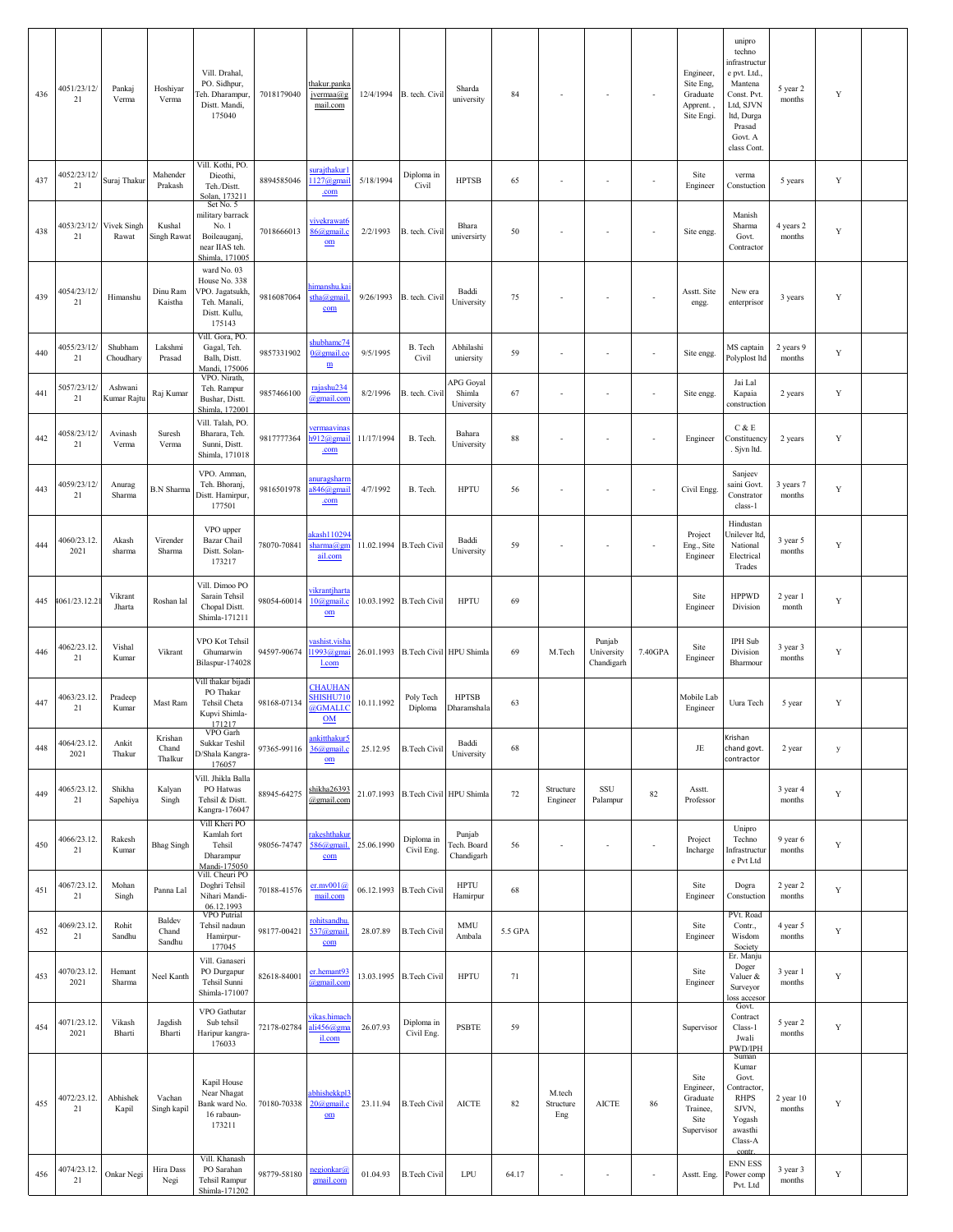| 436 | 4051/23/12/<br>21   | Pankaj<br>Verma        | Hoshiyar<br>Verma            | Vill. Drahal,<br>PO. Sidhpur,<br>leh. Dharampur,<br>Distt. Mandi,<br>175040                                 | 7018179040  | thakur.panka<br>jvermaa@g<br>mail.com                 | 12/4/1994  | B. tech. Civil                     | Sharda<br>university                | 84      |                            | $\sim$                             | $\overline{\phantom{a}}$ | Engineer,<br>Site Eng,<br>Graduate<br>Apprent.<br>Site Engi.    | unipro<br>techno<br>infrastructur<br>e pvt. Ltd.,<br>Mantena<br>Const. Pvt.<br>Ltd, SJVN<br>ltd, Durga<br>Prasad<br>Govt. A<br>class Cont. | 5 year 2<br>months      | $\mathbf Y$ |  |
|-----|---------------------|------------------------|------------------------------|-------------------------------------------------------------------------------------------------------------|-------------|-------------------------------------------------------|------------|------------------------------------|-------------------------------------|---------|----------------------------|------------------------------------|--------------------------|-----------------------------------------------------------------|--------------------------------------------------------------------------------------------------------------------------------------------|-------------------------|-------------|--|
| 437 | 4052/23/12/<br>21   | Suraj Thakur           | Mahender<br>Prakash          | Vill. Kothi, PO.<br>Dieothi,<br>Teh./Distt.                                                                 | 8894585046  | surajthakur!<br>127@gmai<br>.com                      | 5/18/1994  | Diploma in<br>Civil                | <b>HPTSB</b>                        | 65      |                            | ٠                                  | ÷,                       | Site<br>Engineer                                                | verma<br>Constuction                                                                                                                       | 5 years                 | Y           |  |
| 438 | 4053/23/12/<br>21   | Vivek Singh<br>Rawat   | Kushal<br><b>Singh Rawat</b> | Solan, 173211<br>Set No. 5<br>military barrack<br>No. 1<br>Boileauganj,<br>near IIAS teh.<br>Shimla, 171005 | 7018666013  | vivekrawat6<br>$86$ @gmail.c<br>$om$                  | 2/2/1993   | B. tech. Civil                     | Bhara<br>universirty                | 50      |                            | $\sim$                             | ÷,                       | Site engg.                                                      | Manish<br>Sharma<br>Govt.<br>Contractor                                                                                                    | 4 years 2<br>months     | Y           |  |
| 439 | 4054/23/12/<br>21   | Himanshu               | Dinu Ram<br>Kaistha          | ward No. 03<br>House No. 338<br>/PO. Jagatsukh.<br>Teh. Manali,<br>Distt. Kullu,<br>175143                  | 9816087064  | imanshu.ka<br>$\text{stha}(a)$ gmail<br>com           | 9/26/1993  | B. tech. Civil                     | Baddi<br>University                 | 75      |                            | $\sim$                             | ä,                       | Asstt. Site<br>engg.                                            | New era<br>enterprisor                                                                                                                     | 3 years                 | Y           |  |
| 440 | 4055/23/12/<br>21   | Shubham<br>Choudhary   | Lakshmi<br>Prasad            | Vill. Gora, PO.<br>Gagal, Teh.<br>Balh, Distt.<br>Mandi, 175006                                             | 9857331902  | shubhamc74<br>$0$ @gmail.co<br>$\underline{m}$        | 9/5/1995   | B. Tech<br>Civil                   | Abhilashi<br>uniersity              | 59      |                            | ٠                                  | ÷,                       | Site engg.                                                      | MS captain<br>Polyplost ltd                                                                                                                | 2 years 9<br>months     | Y           |  |
| 441 | 5057/23/12/<br>21   | Ashwani<br>Kumar Rajtu | Raj Kumar                    | VPO. Nirath,<br>Teh. Rampur<br>Bushar, Distt.<br>Shimla, 172001                                             | 9857466100  | rajashu234<br>@gmail.com                              | 8/2/1996   | B. tech. Civil                     | APG Goyal<br>Shimla<br>University   | 67      |                            | $\sim$                             | ÷,                       | Site engg.                                                      | Jai Lal<br>Kapaia<br>construction                                                                                                          | 2 years                 | $\mathbf Y$ |  |
| 442 | 4058/23/12/<br>21   | Avinash<br>Verma       | Suresh<br>Verma              | Vill. Talah, PO.<br>Bharara, Teh.<br>Sunni, Distt.<br>Shimla, 171018                                        | 9817777364  | vermaavina<br>$1912$ @gmai<br>.com                    | 11/17/1994 | B. Tech.                           | Bahara<br>University                | 88      |                            | $\sim$                             | $\overline{\phantom{a}}$ | Engineer                                                        | C & E<br>Constituency<br>. Sjvn ltd.                                                                                                       | 2 years                 | Y           |  |
| 443 | 4059/23/12/<br>21   | Anurag<br>Sharma       | <b>B.N</b> Sharma            | VPO. Amman,<br>Teh. Bhoranj,<br>Distt. Hamirpur,<br>177501                                                  | 9816501978  | anuragsharn<br>$a846$ @gmai<br>.com                   | 4/7/1992   | B. Tech.                           | <b>HPTU</b>                         | 56      |                            | $\overline{\phantom{a}}$           | ÷,                       | Civil Engg.                                                     | Sanjeev<br>saini Govt.<br>Constrator<br>class-1                                                                                            | 3 years 7<br>months     | $\mathbf Y$ |  |
| 444 | 4060/23.12.<br>2021 | Akash<br>sharma        | Virender<br>Sharma           | VPO upper<br>Bazar Chail<br>Distt. Solan-<br>173217                                                         | 78070-70841 | kash110294<br>sharma@gn<br>ail.com                    |            | 11.02.1994 B.Tech Civil            | Baddi<br>University                 | 59      |                            | $\overline{\phantom{a}}$           | ÷,                       | Project<br>Eng., Site<br>Engineer                               | Hindustan<br>Jnilever ltd,<br>National<br>Electrical<br>Trades                                                                             | 3 year 5<br>months      | $\mathbf Y$ |  |
| 445 | 4061/23.12.2        | Vikrant<br>Jharta      | Roshan lal                   | Vill. Dimoo PO<br>Sarain Tehsil<br>Chopal Distt.<br>Shimla-171211                                           | 98054-60014 | vikrantjharta<br>$10@$ gmail.<br>$om$                 |            | 10.03.1992 B. Tech Civil           | <b>HPTU</b>                         | 69      |                            |                                    |                          | Site<br>Engineer                                                | <b>HPPWD</b><br>Division                                                                                                                   | 2 year 1<br>month       | $\mathbf Y$ |  |
| 446 | 4062/23.12.<br>21   | Vishal<br>Kumar        | Vikrant                      | VPO Kot Tehsil<br>Ghumarwin<br>Bilaspur-174028                                                              | 94597-90674 | vashist.visha<br>1993@gma<br>l.com                    |            | 26.01.1993 B.Tech Civil HPU Shimla |                                     | 69      | M.Tech                     | Punjab<br>University<br>Chandigarh | 7.40GPA                  | Site<br>Engineer                                                | <b>IPH</b> Sub<br>Division<br>Bharmour                                                                                                     | 3 year 3<br>months      | Y           |  |
| 447 | 4063/23.12.<br>21   | Pradeep<br>Kumar       | Mast Ram                     | /ill thakar bijadi<br>PO Thakar<br>Tehsil Cheta<br>Kupvi Shimla-<br>171217                                  | 98168-07134 | <b>CHAUHAN</b><br><b>SHISHU71</b><br>@GMALI.C<br>$OM$ | 10.11.1992 | Poly Tech<br>Diploma               | <b>HPTSB</b><br>Dharamshala         | 63      |                            |                                    |                          | Mobile Lab<br>Engineer                                          | Uura Tech                                                                                                                                  | 5 year                  | Y           |  |
| 448 | 4064/23.12.<br>2021 | Ankit<br>Thakur        | Krishan<br>Chand<br>Thalkur  | VPO Garh<br>Sukkar Teshil<br>D/Shala Kangra-<br>176057                                                      | 97365-99116 | unkitthakur5<br>$36$ @gmail.c<br>$om$                 | 25.12.95   | <b>B.Tech Civil</b>                | Baddi<br>University                 | 68      |                            |                                    |                          | JE                                                              | Krishan<br>chand govt.<br>contractor                                                                                                       | 2 year                  | y           |  |
| 449 | 4065/23.12.<br>21   | Shikha<br>Sapehiya     | Kalyan<br>Singh              | Vill. Jhikla Balla<br>PO Hatwas<br>Tehsil & Distt.<br>Kangra-176047                                         | 88945-64275 | shikha26393<br>@gmail.com                             |            | 21.07.1993 B.Tech Civil HPU Shimla |                                     | 72      | Structure<br>Engineer      | SSU<br>Palampur                    | 82                       | Asstt.<br>Professor                                             |                                                                                                                                            | 3 year 4<br>months      | Y           |  |
| 450 | 4066/23.12.<br>21   | Rakesh<br>Kumar        | <b>Bhag Singh</b>            | Vill Kheri PO<br>Kamlah fort<br>Tehsil<br>Dharampur<br>Mandi-175050                                         | 98056-74747 | akeshthaku<br>586@gmail<br>com                        | 25.06.1990 | Diploma in<br>Civil Eng.           | Punjab<br>Tech. Board<br>Chandigarh | 56      |                            | $\overline{\phantom{a}}$           | $\overline{\phantom{a}}$ | Project<br>Incharge                                             | Unipro<br>Techno<br>nfrastructur<br>e Pvt Ltd                                                                                              | 9 year 6<br>months      | Y           |  |
| 451 | 4067/23.12.<br>21   | Mohan<br>Singh         | Panna Lal                    | Vill. Cheuri PO<br>Doghri Tehsil<br>Nihari Mandi-<br>06.12.1993                                             | 70188-41576 | er.mv001@<br>mail.com                                 |            | 06.12.1993 B.Tech Civil            | <b>HPTU</b><br>Hamirpur             | 68      |                            |                                    |                          | Site<br>Engineer                                                | Dogra<br>Constuction                                                                                                                       | 2 year 2<br>months      | $\mathbf Y$ |  |
| 452 | 4069/23.12.<br>21   | Rohit<br>Sandhu        | Baldev<br>Chand<br>Sandhu    | VPO Putrial<br>Tehsil nadaun<br>Hamirpur-<br>177045                                                         | 98177-00421 | <u>rohitsandhu</u><br>537@gmail<br>com                | 28.07.89   | <b>B.Tech Civil</b>                | MMU<br>Ambala                       | 5.5 GPA |                            |                                    |                          | Site<br>Engineer                                                | PVt. Road<br>Contr.,<br>Wisdom<br>Society                                                                                                  | 4 year 5<br>months      | Y           |  |
| 453 | 4070/23.12.<br>2021 | Hemant<br>Sharma       | Neel Kanth                   | Vill. Ganaseri<br>PO Durgapur<br>Tehsil Sunni<br>Shimla-171007                                              | 82618-84001 | <u>er.hemant93</u><br>@gmail.con                      |            | 13.03.1995 B.Tech Civil            | <b>HPTU</b>                         | 71      |                            |                                    |                          | Site<br>Engineer                                                | Er. Manju<br>Doger<br>Valuer &<br>Surveyor<br>oss acces                                                                                    | 3 year 1<br>months      | Y           |  |
| 454 | 4071/23.12.<br>2021 | Vikash<br>Bharti       | Jagdish<br>Bharti            | VPO Gathutar<br>Sub tehsil<br>Haripur kangra-<br>176033                                                     | 72178-02784 | <i>ikas.himach</i><br>ali456@gm<br>il.com             | 26.07.93   | Diploma in<br>Civil Eng.           | <b>PSBTE</b>                        | 59      |                            |                                    |                          | Supervisor                                                      | Govt.<br>Contract<br>Class-1<br>Jwali<br>PWD/IPH                                                                                           | 5 year 2<br>months      | Y           |  |
| 455 | 4072/23.12.<br>21   | Abhishek<br>Kapil      | Vachan<br>Singh kapil        | Kapil House<br>Near Nhagat<br>Bank ward No.<br>16 rabaun-<br>173211                                         | 70180-70338 | bhishekkpl3<br>20@gmail.c<br>$_{\text{om}}$           | 23.11.94   | <b>B.Tech Civil</b>                | <b>AICTE</b>                        | 82      | M.tech<br>Structure<br>Eng | <b>AICTE</b>                       | 86                       | Site<br>Engineer,<br>Graduate<br>Trainee,<br>Site<br>Supervisor | Suman<br>Kumar<br>Govt.<br>Contractor,<br>RHPS<br>SJVN,<br>Yogash<br>awasthi<br>Class-A                                                    | $2$ year $10$<br>months | Y           |  |
| 456 | 4074/23.12.<br>21   | Onkar Negi             | Hira Dass<br>Negi            | Vill. Khanash<br>PO Sarahan<br>Tehsil Rampur<br>Shimla-171202                                               | 98779-58180 | negionkar@<br>gmail.com                               | 01.04.93   | <b>B.Tech Civil</b>                | LPU                                 | 64.17   |                            | $\sim$                             | $\overline{\phantom{a}}$ | Asstt. Eng.                                                     | <b>ENN ESS</b><br>Power comp<br>Pvt. Ltd                                                                                                   | 3 year 3<br>months      | Y           |  |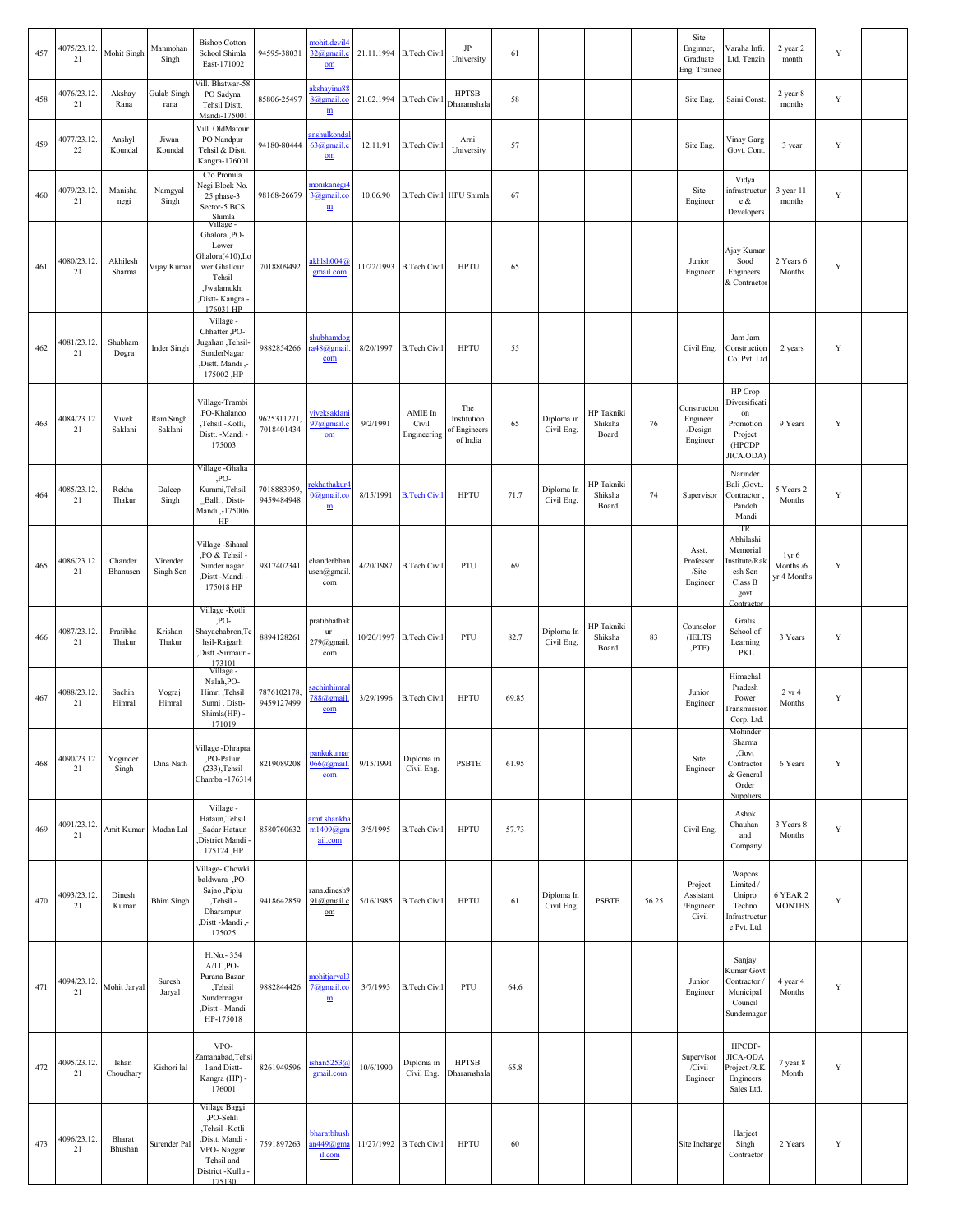| 457 | 4075/23.12.<br>21     | Mohit Singh         | Manmohan<br>Singh     | <b>Bishop Cotton</b><br>School Shimla<br>East-171002                                                                                               | 94595-38031               | nohit.devil4<br>32@gmail.c<br>$om$                      |            | 21.11.1994 B.Tech Civil         | JP<br>University                               | 61    |                          |                                |       | Site<br>Enginner,<br>Graduate<br>Eng. Trainee  | Varaha Infr.<br>Ltd, Tenzin                                                             | 2 year 2<br>month                            | Y           |  |
|-----|-----------------------|---------------------|-----------------------|----------------------------------------------------------------------------------------------------------------------------------------------------|---------------------------|---------------------------------------------------------|------------|---------------------------------|------------------------------------------------|-------|--------------------------|--------------------------------|-------|------------------------------------------------|-----------------------------------------------------------------------------------------|----------------------------------------------|-------------|--|
| 458 | 4076/23.12.<br>21     | Akshay<br>Rana      | Gulab Singh<br>rana   | Vill. Bhatwar-58<br>PO Sadyna<br>Tehsil Distt.<br>Mandi-175001                                                                                     | 85806-25497               | akshayinu88<br>8@gmail.co<br>${\underline{\bf m}}$      | 21.02.1994 | <b>B.Tech Civil</b>             | <b>HPTSB</b><br>Dharamshala                    | 58    |                          |                                |       | Site Eng.                                      | Saini Const.                                                                            | 2 year 8<br>months                           | Y           |  |
| 459 | 4077/23.12.<br>$22\,$ | Anshyl<br>Koundal   | Jiwan<br>Koundal      | Vill. OldMatour<br>PO Nandpur<br>Tehsil & Distt.<br>Kangra-176001                                                                                  | 94180-80444               | anshulkonda<br>$63$ @gmail.<br>$om$                     | 12.11.91   | <b>B.Tech Civil</b>             | Arni<br>University                             | 57    |                          |                                |       | Site Eng.                                      | Vinay Garg<br>Govt. Cont.                                                               | 3 year                                       | Y           |  |
| 460 | 4079/23.12.<br>21     | Manisha<br>negi     | Namgyal<br>Singh      | C/o Promila<br>Negi Block No.<br>25 phase-3<br>Sector-5 BCS                                                                                        | 98168-26679               | monikanegi4<br>3@gmail.co<br>$\underline{\textbf{m}}$   | 10.06.90   |                                 | <b>B.Tech Civil HPU Shimla</b>                 | 67    |                          |                                |       | Site<br>Engineer                               | Vidya<br>infrastructur<br>e &<br>Developers                                             | 3 year 11<br>months                          | $\mathbf Y$ |  |
| 461 | 4080/23.12.<br>21     | Akhilesh<br>Sharma  | Vijay Kumar           | Shimla<br>Village -<br>Ghalora <sub>,PO-</sub><br>Lower<br>Ghalora(410),Lo<br>wer Ghallour<br>Tehsil<br>,Jwalamukhi<br>Distt-Kangra -<br>176031 HP | 7018809492                | akhlsh004@<br>gmail.com                                 |            | 11/22/1993 B.Tech Civil         | <b>HPTU</b>                                    | 65    |                          |                                |       | Junior<br>Engineer                             | Ajay Kumar<br>Sood<br>Engineers<br>& Contractor                                         | 2 Years 6<br>Months                          | Y           |  |
| 462 | 4081/23.12.<br>$21\,$ | Shubham<br>Dogra    | Inder Singh           | Village -<br>Chhatter ,PO-<br>-Tehsil ,Tehsil<br>SunderNagar<br>.Distt. Mandi.<br>175002, HP                                                       | 9882854266                | shubhamdog<br>a48@gmail<br>com                          | 8/20/1997  | <b>B.Tech Civil</b>             | <b>HPTU</b>                                    | 55    |                          |                                |       | Civil Eng.                                     | Jam Jam<br>Construction<br>Co. Pvt. Ltd                                                 | 2 years                                      | Y           |  |
| 463 | 4084/23.12.<br>21     | Vivek<br>Saklani    | Ram Singh<br>Saklani  | Village-Trambi<br>,PO-Khalanoo<br>,Tehsil -Kotli,<br>Distt. - Mandi -<br>175003                                                                    | 9625311271.<br>7018401434 | <u>viveksaklan</u><br>97@gmail.c<br>$om$                | 9/2/1991   | AMIE In<br>Civil<br>Engineering | The<br>Institution<br>of Engineers<br>of India | 65    | Diploma in<br>Civil Eng. | HP Takniki<br>Shiksha<br>Board | 76    | Constructon<br>Engineer<br>/Design<br>Engineer | HP Crop<br>Diversificati<br>on<br>Promotion<br>Project<br>(HPCDP<br>JICA.ODA)           | 9 Years                                      | Y           |  |
| 464 | 4085/23.12.<br>21     | Rekha<br>Thakur     | Daleep<br>Singh       | Village - Ghalta<br>,PO-<br>Kummi, Tehsil<br>Balh, Distt-<br>Mandi,-175006<br>HP                                                                   | 7018883959<br>9459484948  | ekhathakur <sup>4</sup><br>$0@$ gmail.co<br>$\mathbf m$ | 8/15/1991  | <b>B.Tech Civil</b>             | <b>HPTU</b>                                    | 71.7  | Diploma In<br>Civil Eng. | HP Takniki<br>Shiksha<br>Board | 74    | Supervisor                                     | Narinder<br>Bali ,Govt.<br>Contractor<br>Pandoh<br>Mandi                                | 5 Years 2<br>Months                          | Y           |  |
| 465 | 4086/23.12.<br>21     | Chander<br>Bhanusen | Virender<br>Singh Sen | Village -Siharal<br>PO & Tehsil -<br>Sunder nagar<br>,Distt -Mandi -<br>175018 HP                                                                  | 9817402341                | chanderbhan<br>usen@gmail<br>com                        | 4/20/1987  | <b>B.Tech Civil</b>             | PTU                                            | 69    |                          |                                |       | Asst.<br>Professor<br>/Site<br>Engineer        | TR<br>Abhilashi<br>Memorial<br>nstitute/Ral<br>esh Sen<br>Class B<br>govt<br>Contractor | 1yr <sub>6</sub><br>Months /6<br>yr 4 Months | Y           |  |
| 466 | 4087/23.12.<br>21     | Pratibha<br>Thakur  | Krishan<br>Thakur     | Village -Kotli<br>PO-<br>Shayachabron, Te<br>hsil-Rajgarh<br>,Distt.-Sirmaur -<br>173101                                                           | 8894128261                | pratibhathak<br>$_{\rm ur}$<br>279@gmail<br>com         |            | 10/20/1997 B.Tech Civil         | PTU                                            | 82.7  | Diploma In<br>Civil Eng. | HP Takniki<br>Shiksha<br>Board | 83    | Counselor<br>(IELTS<br>,PTE)                   | Gratis<br>School of<br>Learning<br>PKL                                                  | 3 Years                                      | Y           |  |
| 467 | 4088/23.12.<br>21     | Sachin<br>Himral    | Yograj<br>Himral      | Village -<br>Nalah, PO-<br>Himri ,Tehsil<br>Sunni, Distt-<br>Shimla(HP) -<br>171019                                                                | 7876102178<br>9459127499  | <u>achinhimra</u><br>$788$ @gmail<br>com                | 3/29/1996  | <b>B.Tech Civil</b>             | <b>HPTU</b>                                    | 69.85 |                          |                                |       | Junior<br>Engineer                             | Himachal<br>Pradesh<br>Power<br>ransmission<br>Corp. Ltd.                               | $2 \text{ yr} 4$<br>Months                   | Y           |  |
| 468 | 4090/23.12.<br>21     | Yoginder<br>Singh   | Dina Nath             | Village - Dhrapra<br>,PO-Paliur<br>$(233)$ , Tehsil<br>Chamba - 176314                                                                             | 8219089208                | <u>pankukumar</u><br>$066$ @gmail.<br>com               | 9/15/1991  | Diploma in<br>Civil Eng.        | <b>PSBTE</b>                                   | 61.95 |                          |                                |       | Site<br>Engineer                               | Mohinder<br>Sharma<br>,Govt<br>Contractor<br>& General<br>Order<br><b>Suppliers</b>     | 6 Years                                      | Y           |  |
| 469 | 4091/23.12.<br>21     | Amit Kumar          | Madan Lal             | Village -<br>Hataun, Tehsil<br>Sadar Hataun<br>District Mandi<br>175124, HP                                                                        | 8580760632                | amit.shankh<br>$m1409$ @gm<br>ail.com                   | 3/5/1995   | <b>B.Tech Civil</b>             | <b>HPTU</b>                                    | 57.73 |                          |                                |       | Civil Eng.                                     | Ashok<br>Chauhan<br>and<br>Company                                                      | 3 Years 8<br>Months                          | Y           |  |
| 470 | 4093/23.12.<br>21     | Dinesh<br>Kumar     | <b>Bhim Singh</b>     | Village- Chowki<br>baldwara, PO-<br>Sajao ,Piplu<br>,Tehsil -<br>Dharampur<br>-, Distt -Mandi.<br>175025                                           | 9418642859                | rana.dinesh9<br>91@gmail.c<br>$_{\text{om}}$            | 5/16/1985  | <b>B.Tech Civil</b>             | <b>HPTU</b>                                    | 61    | Diploma In<br>Civil Eng. | <b>PSBTE</b>                   | 56.25 | Project<br>Assistant<br>/Engineer<br>Civil     | Wapcos<br>Limited /<br>Unipro<br>Techno<br>Infrastructur<br>e Pvt. Ltd.                 | 6 YEAR 2<br><b>MONTHS</b>                    | Y           |  |
| 471 | 4094/23.12.<br>21     | Mohit Jaryal        | Suresh<br>Jaryal      | H.No.-354<br>$A/11$ , PO-<br>Purana Bazar<br>,Tehsil<br>Sundernagar<br>,Distt - Mandi<br>HP-175018                                                 | 9882844426                | <u>mohitjaryal3</u><br>7@gmail.co<br>$\mathbf m$        | 3/7/1993   | <b>B.Tech Civil</b>             | PTU                                            | 64.6  |                          |                                |       | Junior<br>Engineer                             | Sanjay<br>Kumar Govt<br>Contractor<br>Municipal<br>Council<br>Sundernagar               | 4 year 4<br>Months                           | Y           |  |
| 472 | 4095/23.12.<br>21     | Ishan<br>Choudhary  | Kishori lal           | VPO-<br>Zamanabad, Tehs<br>1 and Distt-<br>Kangra (HP) -<br>176001                                                                                 | 8261949596                | ishan5253@<br>gmail.com                                 | 10/6/1990  | Diploma in<br>Civil Eng.        | <b>HPTSB</b><br>Dharamshala                    | 65.8  |                          |                                |       | Supervisor<br>/Civil<br>Engineer               | HPCDP-<br>JICA-ODA<br>Project /R.K<br>Engineers<br>Sales Ltd.                           | 7 year 8<br>Month                            | Y           |  |
| 473 | 4096/23.12.<br>21     | Bharat<br>Bhushan   | Surender Pal          | Village Baggi<br>,PO-Sehli<br>,Tehsil -Kotli<br>,Distt. Mandi -<br>VPO-Naggar<br>Tehsil and<br>District -Kullu -<br>175130                         | 7591897263                | bharatbhush<br>$an449$ @gma<br>il.com                   |            | 11/27/1992 B Tech Civil         | <b>HPTU</b>                                    | 60    |                          |                                |       | Site Incharge                                  | Harjeet<br>Singh<br>Contractor                                                          | 2 Years                                      | Y           |  |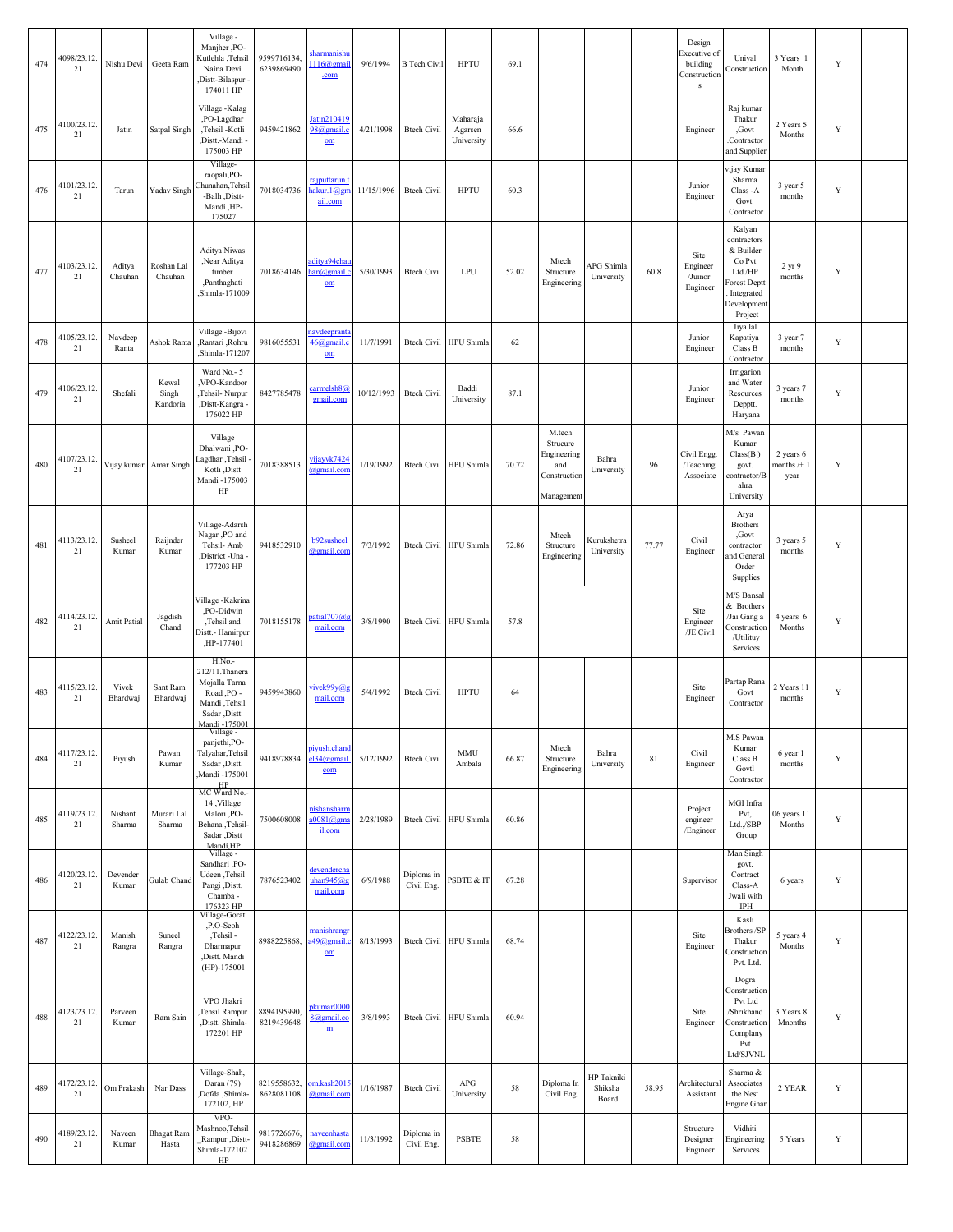| 474 | 4098/23.12.<br>21 | Nishu Devi         | Geeta Ram                  | Village -<br>Manjher ,PO-<br>Kutlehla ,Tehsil<br>Naina Devi<br>Distt-Bilaspur<br>174011 HP                  | 9599716134<br>6239869490  | <u>sharmanish</u><br>$116$ (agmai<br>.com            | 9/6/1994   | <b>B</b> Tech Civil      | <b>HPTU</b>                       | 69.1  |                                                                        |                                       |        | Design<br>Executive of<br>building<br>Construction<br>${\bf s}$ | Uniyal<br>Construction                                                                                        | 3 Years 1<br>Month                | Y           |  |
|-----|-------------------|--------------------|----------------------------|-------------------------------------------------------------------------------------------------------------|---------------------------|------------------------------------------------------|------------|--------------------------|-----------------------------------|-------|------------------------------------------------------------------------|---------------------------------------|--------|-----------------------------------------------------------------|---------------------------------------------------------------------------------------------------------------|-----------------------------------|-------------|--|
| 475 | 4100/23.12.<br>21 | Jatin              | Satpal Singh               | Village-Kalag<br>,PO-Lagdhar<br>,Tehsil -Kotli<br>,Distt.-Mandi -<br>175003 HP                              | 9459421862                | Jatin210419<br>98@gmail.c<br>$om$                    | 4/21/1998  | <b>Btech Civil</b>       | Maharaja<br>Agarsen<br>University | 66.6  |                                                                        |                                       |        | Engineer                                                        | Raj kumar<br>Thakur<br>,Govt<br>Contractor<br>and Supplier                                                    | 2 Years 5<br>Months               | Y           |  |
| 476 | 4101/23.12.<br>21 | Tarun              | Yadav Singh                | Village-<br>raopali, PO-<br>hunahan, Tehsil<br>-Balh ,Distt-<br>Mandi .HP-<br>175027                        | 7018034736                | rajputtarun.<br><u>nakur. 1@gn</u><br>ail.com        | 11/15/1996 | <b>Btech Civil</b>       | <b>HPTU</b>                       | 60.3  |                                                                        |                                       |        | Junior<br>Engineer                                              | vijay Kumar<br>Sharma<br>Class-A<br>Govt.<br>Contractor                                                       | 3 year 5<br>months                | $\mathbf Y$ |  |
| 477 | 4103/23.12.<br>21 | Aditya<br>Chauhan  | Roshan Lal<br>Chauhan      | Aditya Niwas<br>,Near Aditya<br>timber<br>,Panthaghati<br>Shimla-171009                                     | 7018634146                | aditya94cha<br>an@gmail.<br>$om$                     | 5/30/1993  | <b>Btech Civil</b>       | LPU                               | 52.02 | Mtech<br>Structure<br>Engineering                                      | APG Shimla<br>University              | 60.8   | Site<br>Engineer<br>/Juinor<br>Engineer                         | Kalyan<br>contractors<br>& Builder<br>Co Pvt<br>Ltd./HP<br>orest Deptt<br>Integrated<br>Developmen<br>Project | 2 yr 9<br>months                  | Y           |  |
| 478 | 4105/23.12.<br>21 | Navdeep<br>Ranta   | Ashok Ranta                | Village-Bijovi<br>,Rantari ,Rohru<br>Shimla-171207                                                          | 9816055531                | avdeeprant<br>$46$ ( $a$ ) gmail.<br>$om$            | 11/7/1991  | <b>Btech Civil</b>       | <b>HPU</b> Shimla                 | 62    |                                                                        |                                       |        | Junior<br>Engineer                                              | Jiya lal<br>Kapatiya<br>Class B<br>Contractor                                                                 | 3 year 7<br>months                | Y           |  |
| 479 | 4106/23.12.<br>21 | Shefali            | Kewal<br>Singh<br>Kandoria | Ward No.- 5<br>VPO-Kandoor<br>Tehsil-Nurpur<br>,Distt-Kangra<br>176022 HP                                   | 8427785478                | carmelsh8@<br>gmail.com                              | 10/12/1993 | <b>Btech Civil</b>       | Baddi<br>University               | 87.1  |                                                                        |                                       |        | Junior<br>Engineer                                              | Irrigarion<br>and Water<br>Resources<br>Depptt.<br>Haryana                                                    | 3 years 7<br>months               | Y           |  |
| 480 | 4107/23.12.<br>21 | Vijay kumar        | Amar Singh                 | Village<br>Dhalwani .PO-<br>Lagdhar, Tehsil<br>Kotli .Distt<br>Mandi -175003<br>$\rm{HP}$                   | 7018388513                | vijayvk7424<br>@gmail.com                            | 1/19/1992  |                          | Btech Civil HPU Shimla            | 70.72 | M.tech<br>Strucure<br>Engineering<br>and<br>Construction<br>Management | Bahra<br>University                   | 96     | Civil Engg.<br>/Teaching<br>Associate                           | M/s Pawan<br>Kumar<br>Class(B)<br>govt.<br>contractor/B<br>ahra<br>University                                 | 2 years 6<br>months $/+1$<br>year | Y           |  |
| 481 | 4113/23.12.<br>21 | Susheel<br>Kumar   | Raijnder<br>Kumar          | Village-Adarsh<br>Nagar ,PO and<br>Tehsil- Amb<br>District -Una<br>177203 HP                                | 9418532910                | b92susheel<br>@gmail.com                             | 7/3/1992   |                          | Btech Civil HPU Shimla            | 72.86 | Mtech<br>Structure<br>Engineering                                      | Kurukshetra<br>University             | 77.77  | Civil<br>Engineer                                               | Arya<br><b>Brothers</b><br>,Govt<br>contractor<br>and General<br>Order<br>Supplies                            | 3 years 5<br>months               | $\mathbf Y$ |  |
| 482 | 4114/23.12.<br>21 | <b>Amit Patial</b> | Jagdish<br>Chand           | /illage -Kakrina<br>,PO-Didwin<br>,Tehsil and<br><b>Distt.</b> - Hamirpur<br>,HP-177401                     | 7018155178                | $\text{partial}707@$<br>mail.com                     | 3/8/1990   |                          | Btech Civil HPU Shimla            | 57.8  |                                                                        |                                       |        | Site<br>Engineer<br>/JE Civil                                   | M/S Bansal<br>& Brothers<br>/Jai Gang a<br>Construction<br>/Utilituy<br>Services                              | 4 years 6<br>Months               | $\mathbf Y$ |  |
| 483 | 4115/23.12.<br>21 | Vivek<br>Bhardwaj  | Sant Ram<br>Bhardwaj       | H.No.-<br>212/11. Thanera<br>Mojalla Tarna<br>Road, PO -<br>Mandi, Tehsil<br>Sadar ,Distt.<br>Mandi -175001 | 9459943860                | vivek99y@g<br>mail.com                               | 5/4/1992   | <b>Btech Civil</b>       | <b>HPTU</b>                       | 64    |                                                                        |                                       |        | Site<br>Engineer                                                | Partap Rana<br>Govt<br>Contractor                                                                             | 2 Years 11<br>months              | $\mathbf Y$ |  |
| 484 | 4117/23.12.<br>21 | Piyush             | Pawan<br>Kumar             | Village -<br>panjethi, PO-<br>Talyahar, Tehsil<br>Sadar ,Distt.<br>Mandi -175001<br>HP<br>MC Ward No.-      | 9418978834                | piyush.chand<br>el34@gmail<br>com                    | 5/12/1992  | <b>Btech Civil</b>       | <b>MMU</b><br>Ambala              | 66.87 | Mtech<br>Structure<br>Engineering                                      | Bahra<br>University                   | $81\,$ | Civil<br>Engineer                                               | M.S Pawan<br>Kumar<br>Class B<br>Govtl<br>Contractor                                                          | 6 year 1<br>months                | $\mathbf Y$ |  |
| 485 | 4119/23.12.<br>21 | Nishant<br>Sharma  | Murari Lal<br>Sharma       | 14, Village<br>Malori <sub>,PO-</sub><br>Behana, Tehsil-<br>Sadar , Distt<br>Mandi, HP                      | 7500608008                | nishansharm<br>$10081$ @gm<br>il.com                 | 2/28/1989  |                          | Btech Civil HPU Shimla            | 60.86 |                                                                        |                                       |        | Project<br>engineer<br>/Engineer                                | MGI Infra<br>Pvt,<br>Ltd.,/SBP<br>Group                                                                       | 06 years 11<br>Months             | Y           |  |
| 486 | 4120/23.12.<br>21 | Devender<br>Kumar  | Gulab Chand                | Village -<br>Sandhari ,PO-<br>Udeen ,Tehsil<br>Pangi ,Distt.<br>Chamba -<br>176323 HP                       | 7876523402                | devendercha<br>uhan945@<br>mail.com                  | 6/9/1988   | Diploma in<br>Civil Eng. | PSBTE & IT                        | 67.28 |                                                                        |                                       |        | Supervisor                                                      | Man Singh<br>govt.<br>Contract<br>Class-A<br>Jwali with<br>IPH                                                | 6 years                           | Y           |  |
| 487 | 4122/23.12.<br>21 | Manish<br>Rangra   | Suncel<br>Rangra           | Village-Gorat<br>,P.O-Seoh<br>,Tehsil -<br>Dharmapur<br>,Distt. Mandi<br>$(HP) - 175001$                    | 8988225868,               | manishrang<br>a49@gmail<br>$om$                      | 8/13/1993  |                          | Btech Civil HPU Shimla            | 68.74 |                                                                        |                                       |        | Site<br>Engineer                                                | Kasli<br>Brothers /SP<br>Thakur<br>Construction<br>Pvt. Ltd.                                                  | 5 years 4<br>Months               | Y           |  |
| 488 | 4123/23.12.<br>21 | Parveen<br>Kumar   | Ram Sain                   | VPO Jhakri<br>Tehsil Rampur<br>,Distt. Shimla-<br>172201 HP                                                 | 8894195990,<br>8219439648 | pkumar0000<br>8@gmail.co<br>$\underline{\textbf{m}}$ | 3/8/1993   |                          | Btech Civil HPU Shimla            | 60.94 |                                                                        |                                       |        | Site<br>Engineer                                                | Dogra<br>Construction<br>Pvt Ltd<br>/Shrikhand<br>Construction<br>Complany<br>Pvt<br>Ltd/SJVNL                | 3 Years 8<br>Mnonths              | Y           |  |
| 489 | 4172/23.12.<br>21 | Om Prakash         | Nar Dass                   | Village-Shah,<br>Daran (79)<br>Bofda ,Shimla<br>172102, HP                                                  | 8219558632,<br>8628081108 | om.kash201<br>@gmail.com                             | 1/16/1987  | <b>Btech Civil</b>       | APG<br>University                 | 58    | Diploma In<br>Civil Eng.                                               | <b>HP</b> Takniki<br>Shiksha<br>Board | 58.95  | Architectural<br>Assistant                                      | Sharma $\&$<br>Associates<br>the Nest<br>Engine Ghar                                                          | 2 YEAR                            | Y           |  |
| 490 | 4189/23.12.<br>21 | Naveen<br>Kumar    | <b>Bhagat Ram</b><br>Hasta | VPO-<br>Mashnoo, Tehsil<br>Rampur , Distt-<br>Shimla-172102<br>HP                                           | 9817726676,<br>9418286869 | naveenhasta<br>@gmail.com                            | 11/3/1992  | Diploma in<br>Civil Eng. | <b>PSBTE</b>                      | 58    |                                                                        |                                       |        | Structure<br>Designer<br>Engineer                               | Vidhiti<br>Engineering<br>Services                                                                            | 5 Years                           | $\mathbf Y$ |  |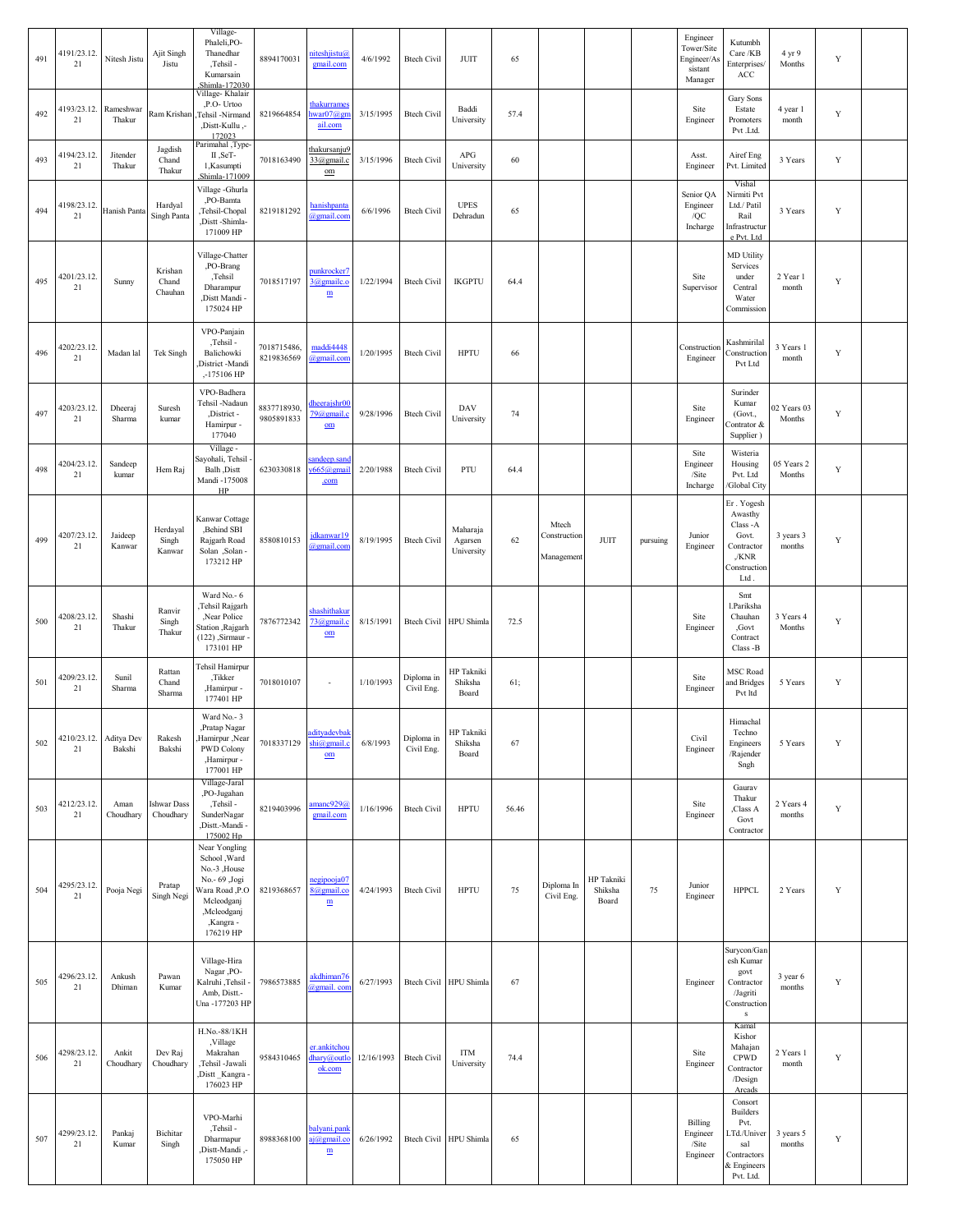| 491 | 4191/23.12.<br>21     | Nitesh Jistu         | Ajit Singh<br>Jistu             | Village-<br>Phaleli,PO-<br>Thanedhar<br>,Tehsil -<br>Kumarsain<br>Shimla-172030                                                          | 8894170031                | niteshjistu@<br>gmail.com                               | 4/6/1992   | <b>Btech Civil</b>       | JUIT                                  | 65    |                                     |                                       |          | Engineer<br>Tower/Site<br>Engineer/As<br>sistant<br>Manager | Kutumbh<br>Care/KB<br><b>Enterprises</b><br>ACC                                                     | 4 yr 9<br>Months      | $\mathbf Y$ |  |
|-----|-----------------------|----------------------|---------------------------------|------------------------------------------------------------------------------------------------------------------------------------------|---------------------------|---------------------------------------------------------|------------|--------------------------|---------------------------------------|-------|-------------------------------------|---------------------------------------|----------|-------------------------------------------------------------|-----------------------------------------------------------------------------------------------------|-----------------------|-------------|--|
| 492 | 4193/23.12.<br>21     | Rameshwar<br>Thakur  | Ram Krishan                     | Village- Khalair<br>,P.O- Urtoo<br>Tehsil -Nirmand<br>-, Distt-Kullu.<br>172023                                                          | 8219664854                | thakurrame:<br>$i$ war $07@gn$<br>ail.com               | 3/15/1995  | <b>Btech Civil</b>       | Baddi<br>University                   | 57.4  |                                     |                                       |          | Site<br>Engineer                                            | Gary Sons<br>Estate<br>Promoters<br>Pvt .Ltd.                                                       | 4 year 1<br>month     | $\mathbf Y$ |  |
| 493 | 4194/23.12.<br>21     | Jitender<br>Thakur   | Jagdish<br>Chand<br>Thakur      | Parimahal , Type-<br>II,SeT-<br>1,Kasumpti<br>Shimla-171009                                                                              | 7018163490                | thakursanju9<br>33@gmail.c<br>$\underline{\mathrm{om}}$ | 3/15/1996  | <b>Btech Civil</b>       | APG<br>University                     | 60    |                                     |                                       |          | Asst.<br>Engineer                                           | Airef Eng<br>Pvt. Limited                                                                           | 3 Years               | $\mathbf Y$ |  |
| 494 | 4198/23.12.<br>21     | <b>Hanish Panta</b>  | Hardyal<br>Singh Panta          | Village -Ghurla<br>,PO-Bamta<br>Tehsil-Chopal<br>,Distt-Shimla-<br>171009 HP                                                             | 8219181292                | hanishpanta<br>@gmail.con                               | 6/6/1996   | <b>Btech Civil</b>       | <b>UPES</b><br>Dehradun               | 65    |                                     |                                       |          | Senior QA<br>Engineer<br>/QC<br>Incharge                    | Vishal<br>Nirmiti Pvt<br>Ltd./ Patil<br>Rail<br>Infrastructur<br>e Pvt. Ltd                         | 3 Years               | Y           |  |
| 495 | 4201/23.12.<br>21     | Sunny                | Krishan<br>Chand<br>Chauhan     | Village-Chatter<br>,PO-Brang<br>,Tehsil<br>Dharampur<br>,Distt Mandi -<br>175024 HP                                                      | 7018517197                | punkrocker7<br>3@gmailc.c<br>$\underline{\mathbf{m}}$   | 1/22/1994  | <b>Btech Civil</b>       | <b>IKGPTU</b>                         | 64.4  |                                     |                                       |          | Site<br>Supervisor                                          | <b>MD Utility</b><br>Services<br>under<br>Central<br>Water<br>Commission                            | 2 Year 1<br>month     | $\mathbf Y$ |  |
| 496 | 4202/23.12.<br>21     | Madan lal            | Tek Singh                       | VPO-Panjain<br>,Tehsil -<br>Balichowki<br>District -Mandi<br>,-175106 HP                                                                 | 7018715486,<br>8219836569 | maddi4448<br>@gmail.com                                 | 1/20/1995  | <b>Btech Civil</b>       | <b>HPTU</b>                           | 66    |                                     |                                       |          | Construction<br>Engineer                                    | Kashmirilal<br>Construction<br>Pvt Ltd                                                              | 3 Years 1<br>month    | $\mathbf Y$ |  |
| 497 | 4203/23.12.<br>21     | Dheeraj<br>Sharma    | Suresh<br>kumar                 | VPO-Badhera<br>Tehsil -Nadaun<br>District-<br>Hamirpur -<br>177040                                                                       | 8837718930.<br>9805891833 | theerajshr00<br>79@gmail.c<br>$om$                      | 9/28/1996  | <b>Btech Civil</b>       | DAV<br>University                     | 74    |                                     |                                       |          | Site<br>Engineer                                            | Surinder<br>Kumar<br>(Govt.,<br>Contrator &<br>Supplier )                                           | 02 Years 03<br>Months | $\mathbf Y$ |  |
| 498 | 4204/23.12.<br>21     | Sandeep<br>kumar     | Hem Raj                         | Village -<br>Sayohali, Tehsil<br>Balh ,Distt<br>Mandi -175008<br>HP                                                                      | 6230330818                | andeep.sand<br>y665@gmai<br>.com                        | 2/20/1988  | <b>Btech Civil</b>       | PTU                                   | 64.4  |                                     |                                       |          | Site<br>Engineer<br>/Site<br>Incharge                       | Wisteria<br>Housing<br>Pvt. Ltd<br>/Global City                                                     | 05 Years 2<br>Months  | $\mathbf Y$ |  |
| 499 | 4207/23.12.<br>21     | Jaideep<br>Kanwar    | Herdayal<br>Singh<br>Kanwar     | Kanwar Cottage<br>,Behind SBI<br>Rajgarh Road<br>Solan ,Solan<br>173212 HP                                                               | 8580810153                | <u>jdkanwar19</u><br>@gmail.com                         | 8/19/1995  | <b>Btech Civil</b>       | Maharaja<br>Agarsen<br>University     | 62    | Mtech<br>Construction<br>Management | <b>JUIT</b>                           | pursuing | Junior<br>Engineer                                          | Er. Yogesh<br>Awasthy<br>Class-A<br>Govt.<br>Contractor<br>,/KNR<br>Construction<br>Ltd.            | 3 years 3<br>months   | $\mathbf Y$ |  |
| 500 | 4208/23.12.<br>21     | Shashi<br>Thakur     | Ranvir<br>Singh<br>Thakur       | Ward No.- 6<br>Tehsil Rajgarh<br>,Near Police<br>station , Rajgarh<br>$(122)$ , Sirmaur -<br>173101 HP                                   | 7876772342                | shashithaku<br>73@gmail.c<br>$om$                       | 8/15/1991  |                          | Btech Civil HPU Shimla                | 72.5  |                                     |                                       |          | Site<br>Engineer                                            | Smt<br>l.Pariksha<br>Chauhan<br>,Govt<br>Contract<br>Class -B                                       | 3 Years 4<br>Months   | Y           |  |
| 501 | 4209/23.12.<br>21     | Sunil<br>Sharma      | Rattan<br>Chand<br>Sharma       | <b><i><u>Fehsil</u></i></b> Hamirpur<br>,Tikker<br>,Hamirpur -<br>177401 HP                                                              | 7018010107                | $\overline{\phantom{a}}$                                | 1/10/1993  | Diploma in<br>Civil Eng. | <b>HP</b> Takniki<br>Shiksha<br>Board | 61;   |                                     |                                       |          | Site<br>Engineer                                            | <b>MSC</b> Road<br>and Bridges<br>Pvt ltd                                                           | 5 Years               | Y           |  |
| 502 | 4210/23.12.<br>21     | Aditya Dev<br>Bakshi | Rakesh<br>Bakshi                | Ward No.- 3<br>,Pratap Nagar<br>,Hamirpur ,Near<br>PWD Colony<br>,Hamirpur -<br>177001 HP                                                | 7018337129                | adityadevbak<br>shi@gmail.c<br>$om$                     | 6/8/1993   | Diploma in<br>Civil Eng. | HP Takniki<br>Shiksha<br>Board        | 67    |                                     |                                       |          | Civil<br>Engineer                                           | Himachal<br>Techno<br>Engineers<br>/Rajender<br>Sngh                                                | 5 Years               | Y           |  |
| 503 | 4212/23.12.<br>21     | Aman<br>Choudhary    | <b>Ishwar Dass</b><br>Choudhary | Village-Jaral<br>,PO-Jugahan<br>,Tehsil -<br>SunderNagar<br>,Distt.-Mandi -<br>175002 Hp                                                 | 8219403996                | amanc929@<br>gmail.com                                  | 1/16/1996  | <b>Btech Civil</b>       | <b>HPTU</b>                           | 56.46 |                                     |                                       |          | Site<br>Engineer                                            | Gaurav<br>Thakur<br>Class A<br>Govt<br>Contractor                                                   | 2 Years 4<br>months   | $\mathbf Y$ |  |
| 504 | 4295/23.12.<br>$21\,$ | Pooja Negi           | Pratap<br>Singh Negi            | Near Yongling<br>School, Ward<br>No.-3, House<br>No.- 69 ,Jogi<br>P.O. وWara Road<br>Mcleodganj<br>,Mcleodganj<br>,Kangra -<br>176219 HP | 8219368657                | negipooja07<br>8@gmail.co<br>$\mathbf m$                | 4/24/1993  | <b>Btech Civil</b>       | <b>HPTU</b>                           | 75    | Diploma In<br>Civil Eng.            | <b>HP</b> Takniki<br>Shiksha<br>Board | 75       | Junior<br>Engineer                                          | <b>HPPCL</b>                                                                                        | 2 Years               | $\mathbf Y$ |  |
| 505 | 4296/23.12.<br>21     | Ankush<br>Dhiman     | Pawan<br>Kumar                  | Village-Hira<br>Nagar ,PO-<br>Kalruhi ,Tehsil -<br>Amb, Distt.-<br>Una -177203 HP                                                        | 7986573885                | akdhiman76<br>@gmail.com                                | 6/27/1993  |                          | Btech Civil HPU Shimla                | 67    |                                     |                                       |          | Engineer                                                    | Surycon/Gan<br>esh Kumar<br>govt<br>Contractor<br>/Jagriti<br>Construction<br>${\bf s}$             | 3 year 6<br>months    | $\mathbf Y$ |  |
| 506 | 4298/23.12.<br>21     | Ankit<br>Choudhary   | Dev Raj<br>Choudhary            | H.No.-88/1KH<br>,Village<br>Makrahan<br>,Tehsil -Jawali<br>,Distt_Kangra<br>176023 HP                                                    | 9584310465                | er.ankitchou<br>dhary@outlo<br>ok.com                   | 12/16/1993 | <b>Btech Civil</b>       | <b>ITM</b><br>University              | 74.4  |                                     |                                       |          | Site<br>Engineer                                            | Kamal<br>Kishor<br>Mahajan<br><b>CPWD</b><br>Contractor<br>/Design<br>Arcads                        | 2 Years 1<br>month    | Y           |  |
| 507 | 4299/23.12.<br>21     | Pankaj<br>Kumar      | Bichitar<br>Singh               | VPO-Marhi<br>,Tehsil -<br>Dharmapur<br>-, Distt-Mandi,<br>175050 HP                                                                      | 8988368100                | balyani.pank<br>aj@gmail.co<br>${\bf m}$                | 6/26/1992  |                          | Btech Civil HPU Shimla                | 65    |                                     |                                       |          | Billing<br>Engineer<br>/Site<br>Engineer                    | Consort<br><b>Builders</b><br>Pvt.<br>LTd./Univer<br>sal<br>Contractors<br>& Engineers<br>Pvt. Ltd. | 3 years 5<br>months   | Y           |  |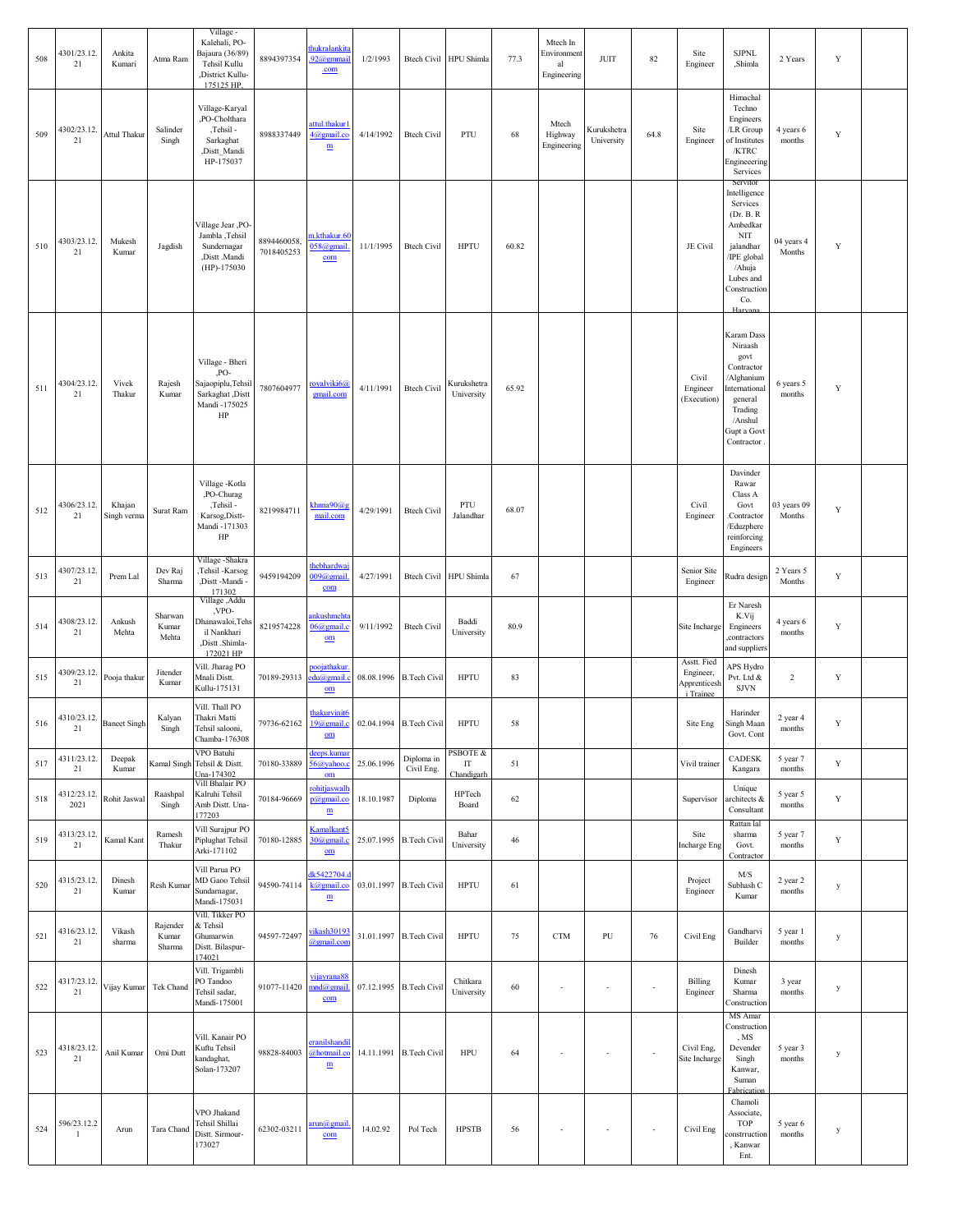| 508 | 4301/23.12.<br>21              | Ankita<br>Kumari      | Atma Ram                    | Village -<br>Kalehali, PO-<br>Bajaura (36/89)<br>Tehsil Kullu<br>,District Kullu-<br>175125 HP. | 8894397354                | hukralankita<br>92@gmmai<br>.com                                                            | 1/2/1993                |                          | Btech Civil HPU Shimla       | 77.3  | Mtech In<br>Environment<br>al<br>Engineering | JUIT                      | 82                       | Site<br>Engineer                                      | <b>SJPNL</b><br>,Shimla                                                                                                                                   | 2 Years               | Y           |  |
|-----|--------------------------------|-----------------------|-----------------------------|-------------------------------------------------------------------------------------------------|---------------------------|---------------------------------------------------------------------------------------------|-------------------------|--------------------------|------------------------------|-------|----------------------------------------------|---------------------------|--------------------------|-------------------------------------------------------|-----------------------------------------------------------------------------------------------------------------------------------------------------------|-----------------------|-------------|--|
| 509 | 4302/23.12.<br>21              | Attul Thakur          | Salinder<br>Singh           | Village-Karyal<br>,PO-Cholthara<br>,Tehsil -<br>Sarkaghat<br>,Distt_Mandi<br>HP-175037          | 8988337449                | attul.thakur1<br>4@gmail.co<br>$\underline{\textbf{m}}$                                     | 4/14/1992               | <b>Btech Civil</b>       | PTU                          | 68    | Mtech<br>Highway<br>Engineering              | Kurukshetra<br>University | 64.8                     | Site<br>Engineer                                      | Himachal<br>Techno<br>Engineers<br>/LR Group<br>of Institutes<br>/KTRC<br>Engineeering<br>Services                                                        | 4 years 6<br>months   | Y           |  |
| 510 | 4303/23.12.<br>21              | Mukesh<br>Kumar       | Jagdish                     | Village Jear ,PO-<br>Jambla, Tehsil<br>Sundernagar<br>,Distt .Mandi<br>$(HP)-175030$            | 8894460058.<br>7018405253 | n.kthakur.60<br>058@gmail<br>$com$                                                          | 11/1/1995               | <b>Btech Civil</b>       | <b>HPTU</b>                  | 60.82 |                                              |                           |                          | JE Civil                                              | Servitor<br>Intelligence<br>Services<br>(Dr. B. R)<br>Ambedkar<br>NIT<br>jalandhar<br>/IPE global<br>/Ahuja<br>Lubes and<br>Construction<br>Co.<br>Harvan | 04 years 4<br>Months  | $\mathbf Y$ |  |
| 511 | 4304/23.12.<br>21              | Vivek<br>Thakur       | Rajesh<br>Kumar             | Village - Bheri<br>,PO-<br>Sajaopiplu, Tehsil<br>Sarkaghat, Distt<br>Mandi -175025<br>HP        | 7807604977                | royalviki6@<br>gmail.com                                                                    | 4/11/1991               | <b>Btech Civil</b>       | Kurukshetra<br>University    | 65.92 |                                              |                           |                          | Civil<br>Engineer<br>(Execution)                      | Karam Dass<br>Niraash<br>govt<br>Contractor<br>/Alghanium<br>nternational<br>general<br>Trading<br>/Anshul<br>Gupt a Govt<br>Contractor                   | 6 years 5<br>months   | Y           |  |
| 512 | 4306/23.12.<br>21              | Khajan<br>Singh verma | Surat Ram                   | Village - Kotla<br>,PO-Churag<br>,Tehsil -<br>Karsog, Distt-<br>Mandi -171303<br>HP             | 8219984711                | khnna90@g<br>mail.com                                                                       | 4/29/1991               | <b>Btech Civil</b>       | PTU<br>Jalandhar             | 68.07 |                                              |                           |                          | Civil<br>Engineer                                     | Davinder<br>Rawar<br>Class A<br>Govt<br>Contractor.<br>/Eduzphere<br>reinforcing<br>Engineers                                                             | 03 years 09<br>Months | $\mathbf Y$ |  |
| 513 | 4307/23.12.<br>21              | Prem Lal              | Dev Raj<br>Sharma           | Village - Shakra<br>Tehsil -Karsog<br>,Distt-Mandi-<br>171302                                   | 9459194209                | thebhardwa<br>$009$ @gmail<br>com                                                           | 4/27/1991               |                          | Btech Civil HPU Shimla       | 67    |                                              |                           |                          | Senior Site<br>Engineer                               | <b>Rudra</b> design                                                                                                                                       | 2 Years 5<br>Months   | Y           |  |
| 514 | 4308/23.12.<br>21              | Ankush<br>Mehta       | Sharwan<br>Kumar<br>Mehta   | Village, Addu<br>,VPO-<br>Dhanawaloi, Tehs<br>il Nankhari<br>,Distt .Shimla-<br>172021 HP       | 8219574228                | <b>nkushmeht</b><br>$06$ @gmail.c<br>$\underline{\mathbf{om}}$                              | 9/11/1992               | <b>Btech Civil</b>       | Baddi<br>University          | 80.9  |                                              |                           |                          | Site Incharge                                         | Er Naresh<br>K.Vij<br>Engineers<br>,contractors<br>and suppliers                                                                                          | 4 years 6<br>months   | $\mathbf Y$ |  |
| 515 | 4309/23.12.<br>21              | Pooja thakur          | Jitender<br>Kumar           | Vill. Jharag PO<br>Mnali Distt.<br>Kullu-175131                                                 | 70189-29313               | poojathakui<br>du@gmail.<br>$om$                                                            |                         | 08.08.1996 B.Tech Civil  | <b>HPTU</b>                  | 83    |                                              |                           |                          | Asstt. Fied<br>Engineer,<br>Apprenticesh<br>i Trainee | APS Hydro<br>Pvt. Ltd &<br><b>SJVN</b>                                                                                                                    | $\overline{c}$        | $\mathbf Y$ |  |
| 516 | 4310/23.12. Baneet Singh<br>21 |                       | Kalyan<br>Singh             | Vill. Thall PO<br>Thakri Matti<br>lehsil salooni,<br>Chamba-176308                              |                           | thakurvinit6<br>79736-62162 19@gmail.c 02.04.1994 B.Tech Civil<br>$\underline{\mathbf{om}}$ |                         |                          | <b>HPTU</b>                  | 58    |                                              |                           |                          | Site Eng                                              | Harinder<br>Singh Maan<br>Govt. Cont                                                                                                                      | 2 year 4<br>months    | Y           |  |
| 517 | 4311/23.12.<br>21              | Deepak<br>Kumar       |                             | VPO Batuhi<br>Kamal Singh Tehsil & Distt.<br>Jna-174302                                         | 70180-33889               | deeps.kuma<br>$56$ @yahoo.<br>$om$                                                          | 25.06.1996              | Diploma in<br>Civil Eng. | PSBOTE &<br>IT<br>Chandigarh | 51    |                                              |                           |                          | Vivil trainer                                         | CADESK<br>Kangara                                                                                                                                         | 5 year 7<br>months    | Y           |  |
| 518 | 4312/23.12.<br>2021            | Rohit Jaswal          | Raashpal<br>Singh           | Vill Bhalair PO<br>Kalruhi Tehsil<br>Amb Distt. Una-<br>177203                                  | 70184-96669               | rohitjaswall<br>p@gmail.co<br>m                                                             | 18.10.1987              | Diploma                  | HPTech<br>Board              | 62    |                                              |                           |                          | Supervisor                                            | Unique<br>architects &<br>Consultant                                                                                                                      | 5 year 5<br>months    | Y           |  |
| 519 | 4313/23.12.<br>21              | Kamal Kant            | Ramesh<br>Thakur            | Vill Surajpur PO<br>Piplughat Tehsil<br>Arki-171102                                             | 70180-12885               | Kamalkant5<br>30@gmail.c<br>$om$                                                            | 25.07.1995 B.Tech Civil |                          | Bahar<br>University          | 46    |                                              |                           |                          | Site<br><b>Incharge Eng</b>                           | Rattan lal<br>sharma<br>Govt.<br>Contractor                                                                                                               | 5 year 7<br>months    | $\mathbf Y$ |  |
| 520 | 4315/23.12.<br>21              | Dinesh<br>Kumar       | Resh Kumar                  | Vill Parua PO<br>MD Gaoo Tehsil<br>Sundarnagar,<br>Mandi-175031                                 | 94590-74114               | lk5422704.<br>k@gmail.co<br>$\mathbf{m}$                                                    |                         | 03.01.1997 B.Tech Civil  | <b>HPTU</b>                  | 61    |                                              |                           |                          | Project<br>Engineer                                   | M/S<br>Subhash C<br>Kumar                                                                                                                                 | 2 year 2<br>months    | y           |  |
| 521 | 4316/23.12.<br>21              | Vikash<br>sharma      | Rajender<br>Kumar<br>Sharma | Vill. Tikker PO<br>& Tehsil<br>Ghumarwin<br>Distt. Bilaspur-<br>174021                          | 94597-72497               | vikash30193<br>@gmail.com                                                                   |                         | 31.01.1997 B. Tech Civil | <b>HPTU</b>                  | 75    | <b>CTM</b>                                   | PU                        | 76                       | Civil Eng                                             | Gandharvi<br>Builder                                                                                                                                      | 5 year 1<br>months    | y           |  |
| 522 | 4317/23.12.<br>21              | Vijay Kumar           | Tek Chand                   | Vill. Trigambli<br>PO Tandoo<br>Tehsil sadar,<br>Mandi-175001                                   | 91077-11420               | vijayrana88<br>mnd@gmail<br>com                                                             | 07.12.1995 B.Tech Civil |                          | Chitkara<br>University       | 60    | $\sim$                                       | $\overline{\phantom{a}}$  | ÷,                       | Billing<br>Engineer                                   | Dinesh<br>Kumar<br>Sharma<br>Construction                                                                                                                 | 3 year<br>months      | y           |  |
| 523 | 4318/23.12.<br>21              | Anil Kumar            | Omi Dutt                    | Vill. Kanair PO<br>Kuftu Tehsil<br>kandaghat,<br>Solan-173207                                   | 98828-84003               | <b>eranilshandi</b><br>@hotmail.co<br>m                                                     |                         | 14.11.1991 B.Tech Civil  | <b>HPU</b>                   | 64    | $\sim$                                       | $\overline{\phantom{a}}$  | ÷,                       | Civil Eng,<br>Site Incharge                           | MS Amar<br>Construction<br>, MS<br>Devender<br>Singh<br>Kanwar,<br>Suman<br>Fabrication                                                                   | 5 year 3<br>months    | y           |  |
| 524 | 596/23.12.2<br>1               | Arun                  | Tara Chand                  | VPO Jhakand<br>Tehsil Shillai<br>Distt. Sirmour-<br>173027                                      | 62302-03211               | <u>ırun@gmai</u><br>com                                                                     | 14.02.92                | Pol Tech                 | <b>HPSTB</b>                 | 56    | $\sim$                                       | $\sim$                    | $\overline{\phantom{a}}$ | Civil Eng                                             | Chamoli<br>Associate,<br><b>TOP</b><br>constrruction<br>, Kanwar<br>Ent.                                                                                  | 5 year 6<br>months    | y           |  |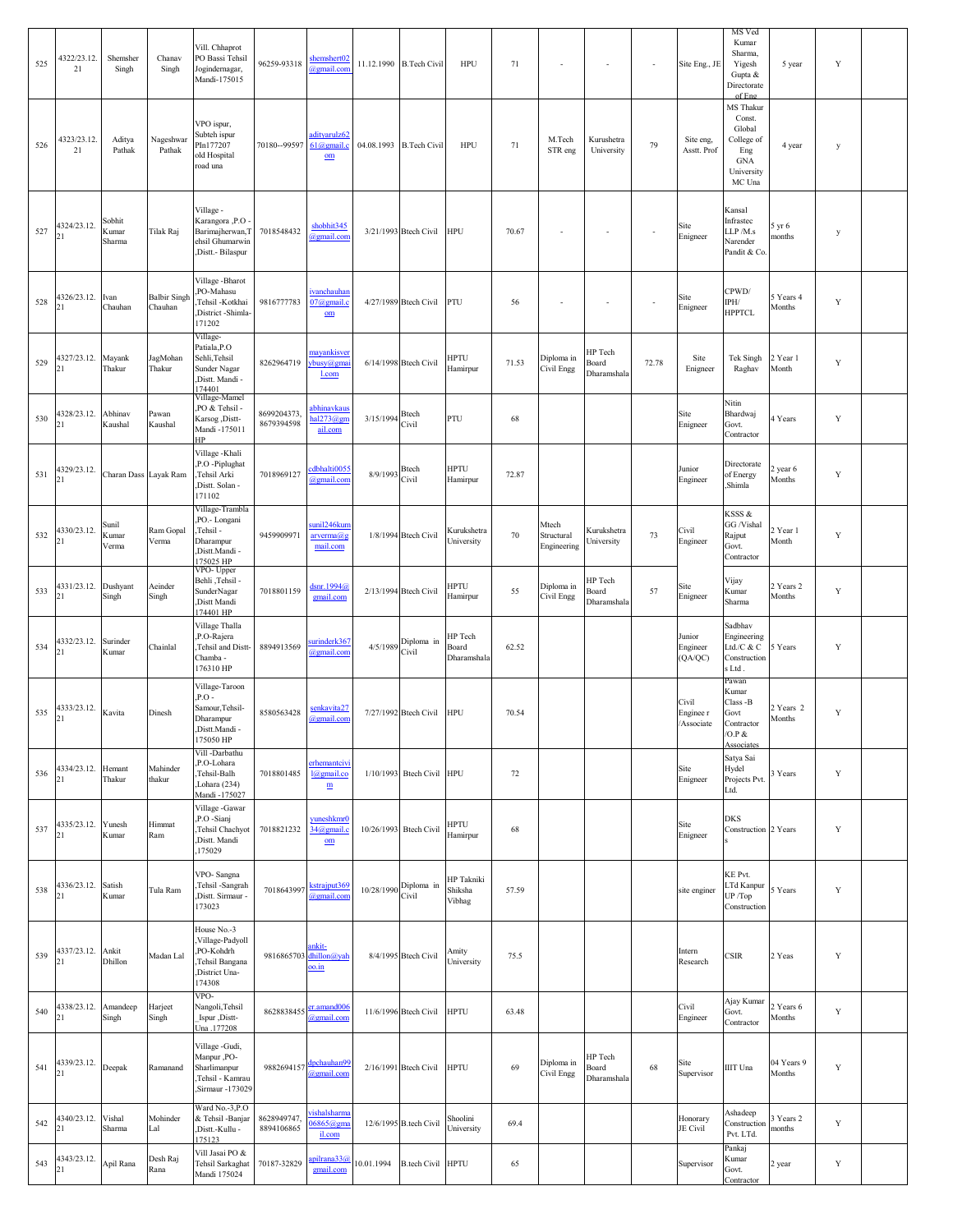| 525 | 4322/23.12.<br>21        | Shemsher<br>Singh         | Chanav<br>Singh                | Vill. Chhaprot<br>PO Bassi Tehsil<br>Jogindernagar,<br>Mandi-175015                      | 96259-93318               | shemshert02<br>@gmail.com                             |                         | 11.12.1990 B.Tech Civil   | <b>HPU</b>                      | 71    | $\sim$                             | $\blacksquare$                  | $\overline{\phantom{a}}$ | Site Eng., JE                    | MS Ved<br>Kumar<br>Sharma,<br>Yigesh<br>Gupta &<br>Directorate<br>of Eng                 | 5 year               | Y           |  |
|-----|--------------------------|---------------------------|--------------------------------|------------------------------------------------------------------------------------------|---------------------------|-------------------------------------------------------|-------------------------|---------------------------|---------------------------------|-------|------------------------------------|---------------------------------|--------------------------|----------------------------------|------------------------------------------------------------------------------------------|----------------------|-------------|--|
| 526 | 4323/23.12.<br>21        | Aditya<br>Pathak          | Nageshwar<br>Pathak            | VPO ispur,<br>Subteh ispur<br>PIn177207<br>old Hospital<br>road una                      | 70180--99597              | adityarulz62<br>$61$ (a) gmail.c<br>$om$              | 04.08.1993 B.Tech Civil |                           | <b>HPU</b>                      | 71    | M.Tech<br>STR eng                  | Kurushetra<br>University        | 79                       | Site eng,<br>Asstt. Prof         | MS Thakur<br>Const.<br>Global<br>College of<br>Eng<br><b>GNA</b><br>University<br>MC Una | 4 year               | у           |  |
| 527 | 4324/23.12.<br>21        | Sobhit<br>Kumar<br>Sharma | Tilak Raj                      | Village -<br>Karangora ,P.O<br>Barimajherwan, T<br>ehsil Ghumarwin<br>Distt.- Bilaspur   | 7018548432                | shobhit345<br>@gmail.com                              |                         | 3/21/1993 Btech Civil     | <b>HPU</b>                      | 70.67 | ÷,                                 | ÷,                              | $\sim$                   | Site<br>Enigneer                 | Kansal<br>Infrastec<br>LLP /M.s<br>Narender<br>Pandit & Co.                              | 5 yr 6<br>months     | у           |  |
| 528 | 4326/23.12.<br>21        | Ivan<br>Chauhan           | <b>Balbir Singh</b><br>Chauhan | Village - Bharot<br>PO-Mahasu<br>Tehsil -Kotkhai<br>District -Shimla-<br>171202          | 9816777783                | <b>ivanchauhar</b><br>07@gmail.c<br>$om$              |                         | 4/27/1989 Btech Civil     | PTU                             | 56    | $\overline{\phantom{a}}$           | $\sim$                          |                          | Site<br>Enigneer                 | CPWD/<br>IPH/<br><b>HPPTCL</b>                                                           | 5 Years 4<br>Months  | Y           |  |
| 529 | 4327/23.12.<br>21        | Mayank<br>Thakur          | JagMohan<br>Thakur             | Village-<br>Patiala, P.O<br>Sehli, Tehsil<br>Sunder Nagar<br>Distt. Mandi -<br>174401    | 8262964719                | mayankisver<br>ybusy@gma<br>l.com                     |                         | 6/14/1998 Btech Civil     | <b>HPTU</b><br>Hamirpur         | 71.53 | Diploma in<br>Civil Engg           | HP Tech<br>Board<br>Dharamshala | 72.78                    | Site<br>Enigneer                 | Tek Singh<br>Raghav                                                                      | 2 Year 1<br>Month    | Y           |  |
| 530 | 4328/23.12.<br>21        | Abhinav<br>Kaushal        | Pawan<br>Kaushal               | Village-Mamel<br>PO & Tehsil -<br>Karsog ,Distt-<br>Mandi -175011<br>ЧP                  | 8699204373.<br>8679394598 | abhinavkaus<br>nal273@er<br>ail.com                   | 3/15/1994               | <b>Btech</b><br>Civil     | PTU                             | 68    |                                    |                                 |                          | Site<br>Enigneer                 | Nitin<br>Bhardwaj<br>Govt.<br>Contractor                                                 | 4 Years              | Y           |  |
| 531 | 4329/23.12.<br>21        | Charan Dass Layak Ram     |                                | Village - Khali<br>P.O -Piplughat<br>Tehsil Arki<br>Distt. Solan -<br>171102             | 7018969127                | dbhalti005:<br>@gmail.cor                             | 8/9/1993                | <b>Btech</b><br>Civil     | <b>HPTU</b><br>Hamirpur         | 72.87 |                                    |                                 |                          | Junior<br>Engineer               | Directorate<br>of Energy<br>Shimla                                                       | 2 year 6<br>Months   | Y           |  |
| 532 | 4330/23.12.<br>21        | Sunil<br>Kumar<br>Verma   | Ram Gopal<br>Verma             | Village-Trambla<br>PO.- Longani<br>Tehsil -<br>Dharampur<br>Distt.Mandi -<br>175025 HP   | 9459909971                | sunil246kun<br>arverma@s<br>mail.com                  |                         | 1/8/1994 Btech Civil      | Kurukshetra<br>University       | 70    | Mtech<br>Structural<br>Engineering | Kurukshetra<br>University       | 73                       | Civil<br>Engineer                | KSSS &<br>GG /Vishal<br>Rajput<br>Govt.<br>Contractor                                    | 2 Year 1<br>Month    | Y           |  |
| 533 | 4331/23.12.<br>21        | Dushyant<br>Singh         | Aeinder<br>Singh               | VPO- Upper<br>- Behli ,Tehsil<br>SunderNagar<br>Distt Mandi<br>174401 HP                 | 7018801159                | dsnr.1994@<br>gmail.com                               |                         | 2/13/1994 Btech Civil     | HPTU<br>Hamirpur                | 55    | Diploma in<br>Civil Engg           | HP Tech<br>Board<br>Dharamshala | 57                       | Site<br>Enigneer                 | Vijay<br>Kumar<br>Sharma                                                                 | 2 Years 2<br>Months  | Y           |  |
| 534 | 4332/23.12.<br>21        | Surinder<br>Kumar         | Chainlal                       | Village Thalla<br>P.O-Rajera<br>Tehsil and Distt-<br>Chamba -<br>176310 HP               | 8894913569                | arinderk367<br>@gmail.com                             | 4/5/1989                | Diploma in<br>Civil       | HP Tech<br>Board<br>Dharamshala | 62.52 |                                    |                                 |                          | Junior<br>Engineer<br>(QA/QC)    | Sadbhav<br>Engineering<br>Ltd./C & C<br>Construction<br>s Ltd.                           | Years                | Y           |  |
| 535 | 4333/23.12.<br>21        | Kavita                    | Dinesh                         | Village-Taroon<br>$P.O$ -<br>Samour,Tehsil-<br>Dharampur<br>.Dıstt.Mandı -<br>175050 HP  | 8580563428                | senkavita27<br>@gmail.com                             |                         | 7/27/1992 Btech Civil     | <b>HPU</b>                      | 70.54 |                                    |                                 |                          | Civil<br>Enginee r<br>/Associate | Pawan<br>Kumar<br>Class -B<br>Govt<br>Contractor<br>/O.P &                               | 2 Years 2<br>Months  | Y           |  |
| 536 | 4334/23.12. Hemant<br>21 | Thakur                    | Mahinder<br>thakur             | Vill -Darbathu<br>P.O-Lohara<br>Tehsil-Balh<br>Lohara (234)<br>Mandi -175027             | 7018801485                | erhemantcivi<br>l@gmail.co<br>m                       |                         | 1/10/1993 Btech Civil HPU |                                 | 72    |                                    |                                 |                          | Site<br>Enigneer                 | Associates<br>Satya Sai<br>Hydel<br>Projects Pvt.<br>Ltd.                                | 3 Years              | $\mathbf Y$ |  |
| 537 | 4335/23.12.<br>21        | Yunesh<br>Kumar           | Himmat<br>Ram                  | Village - Gawar<br>P.O -Sianj<br>Tehsil Chachyot<br>Distt. Mandi<br>175029               | 7018821232                | yuneshkmr0<br>34@gmail.c<br>$\underline{\mathbf{om}}$ | 10/26/1993 Btech Civil  |                           | <b>HPTU</b><br>Hamirpur         | 68    |                                    |                                 |                          | Site<br>Enigneer                 | <b>DKS</b><br>Construction 2 Years                                                       |                      | Y           |  |
| 538 | 4336/23.12.<br>21        | Satish<br>Kumar           | Tula Ram                       | VPO-Sangna<br>Tehsil -Sangrah<br>Distt. Sirmaur -<br>173023                              | 7018643997                | kstrajput369<br>@gmail.com                            | 10/28/1990              | Diploma in<br>Civil       | HP Takniki<br>Shiksha<br>Vibhag | 57.59 |                                    |                                 |                          | site enginer                     | KE Pvt.<br>LTd Kanpur<br>UP /Top<br>Construction                                         | 5 Years              | $\mathbf Y$ |  |
| 539 | 4337/23.12.<br>21        | Ankit<br>Dhillon          | Madan Lal                      | House No.-3<br>Village-Padyoll<br>PO-Kohdrh<br>Tehsil Bangana<br>District Una-<br>174308 | 9816865703                | ankit-<br>dhillon@yal<br><u>oo.in</u>                 |                         | 8/4/1995 Btech Civil      | Amity<br>University             | 75.5  |                                    |                                 |                          | Intern<br>Research               | <b>CSIR</b>                                                                              | 2 Yeas               | Y           |  |
| 540 | 4338/23.12.              | Amandeep<br>Singh         | Harjeet<br>Singh               | VPO-<br>Nangoli, Tehsil<br>Ispur ,Distt-<br>Una .177208                                  | 8628838455                | er.amand006<br>@gmail.com                             |                         | 11/6/1996 Btech Civil     | <b>HPTU</b>                     | 63.48 |                                    |                                 |                          | Civil<br>Engineer                | Ajay Kumar<br>Govt.<br>Contractor                                                        | 2 Years 6<br>Months  | $\mathbf Y$ |  |
| 541 | 4339/23.12.              | Deepak                    | Ramanand                       | Village -Gudi,<br>-PO. Manpur<br>Sharlimanpur<br>Tehsil - Kamrau<br>Sirmaur -173029      | 9882694157                | dpchauhan99<br>@gmail.com                             |                         | 2/16/1991 Btech Civil     | <b>HPTU</b>                     | 69    | Diploma in<br>Civil Engg           | HP Tech<br>Board<br>Dharamshala | 68                       | Site<br>Supervisor               | <b>IIIT</b> Una                                                                          | 04 Years 9<br>Months | $\mathbf Y$ |  |
| 542 | 4340/23.12.<br>21        | Vishal<br>Sharma          | Mohinder<br>Lal                | Ward No.-3,P.O<br>& Tehsil -Banjar<br>Distt.-Kullu -<br>175123                           | 8628949747.<br>8894106865 | ishalsharm<br>$06865$ @gma<br>il.com                  |                         | 12/6/1995 B.tech Civil    | Shoolini<br>University          | 69.4  |                                    |                                 |                          | Honorary<br>JE Civil             | Ashadeep<br>Construction<br>Pvt. LTd.                                                    | Years 2<br>months    | Y           |  |
| 543 | 4343/23.12.<br>21        | Apil Rana                 | Desh Raj<br>Rana               | Vill Jasai PO &<br>Tehsil Sarkaghat<br>Mandi 175024                                      | 70187-32829               | pilrana33<br>gmail.com                                | 10.01.1994              | <b>B.tech Civil HPTU</b>  |                                 | 65    |                                    |                                 |                          | Supervisor                       | Pankaj<br>Kumar<br>Govt.<br>Contractor                                                   | 2 year               | $\mathbf Y$ |  |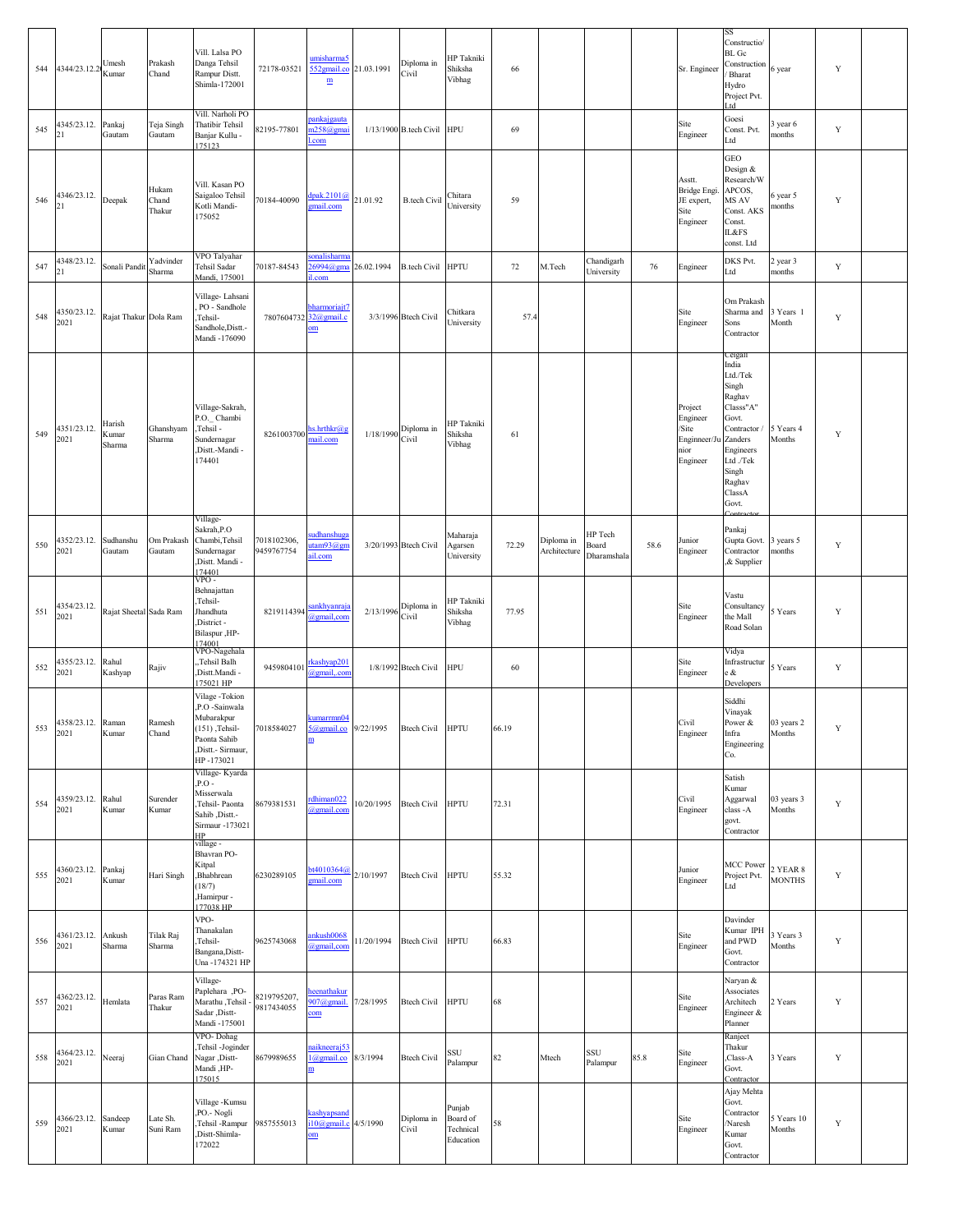| 544 | 4344/23.12.2                  | Umesh<br>Kumar            | Prakash<br>Chand         | Vill. Lalsa PO<br>Danga Tehsil<br>Rampur Distt.<br>Shimla-172001                                                     | 72178-03521               | umisharma5<br>552gmail.co 21.03.1991<br>$\underline{\textbf{m}}$ |                                       | Diploma in<br>Civil        | HP Takniki<br>Shiksha<br>Vibhag              | 66     |                            |                                 |      | Sr. Engineer                                                     | SS<br>Constructio/<br>$BL$ $Gc$<br>Construction<br>Bharat<br>Hydro<br>Project Pvt.<br>ht.                                                                     | 6 year                    | Y           |  |
|-----|-------------------------------|---------------------------|--------------------------|----------------------------------------------------------------------------------------------------------------------|---------------------------|------------------------------------------------------------------|---------------------------------------|----------------------------|----------------------------------------------|--------|----------------------------|---------------------------------|------|------------------------------------------------------------------|---------------------------------------------------------------------------------------------------------------------------------------------------------------|---------------------------|-------------|--|
| 545 | 4345/23.12.<br>21             | Pankaj<br>Gautam          | Teja Singh<br>Gautam     | Vill. Narholi PO<br>Thatibir Tehsil<br>Banjar Kullu -<br>175123                                                      | 82195-77801               | pankaigauta<br>n258@gmai<br>.com                                 |                                       | 1/13/1900 B.tech Civil HPU |                                              | 69     |                            |                                 |      | Site<br>Engineer                                                 | Goesi<br>Const. Pvt.<br>Ltd                                                                                                                                   | year 6<br>nonths          | $\mathbf Y$ |  |
| 546 | 4346/23.12.<br>21             | Deepak                    | Hukam<br>Chand<br>Thakur | Vill. Kasan PO<br>Saigaloo Tehsil<br>Kotli Mandi-<br>175052                                                          | 70184-40090               | dpak. $2101(a)$<br>gmail.com                                     | 21.01.92                              | <b>B.tech Civil</b>        | Chitara<br>University                        | 59     |                            |                                 |      | Asstt.<br>Bridge Engi.<br>JE expert,<br>Site<br>Engineer         | GEO<br>Design &<br>Research/W<br>APCOS,<br>MS AV<br>Const. AKS<br>Const.<br><b>IL&amp;FS</b><br>const. Ltd                                                    | 6 year 5<br>months        | Y           |  |
| 547 | 4348/23.12.<br>21             | Sonali Pandit             | Yadvinder<br>Sharma      | VPO Talyahar<br>Tehsil Sadar<br>Mandi, 175001                                                                        | 70187-84543               | sonalisharma<br>$26994$ @gma<br>l.com                            | 26.02.1994                            | <b>B.tech Civil HPTU</b>   |                                              | $72\,$ | M.Tech                     | Chandigarh<br>University        | 76   | Engineer                                                         | DKS Pvt.<br>Ltd                                                                                                                                               | 2 year 3<br>months        | Y           |  |
| 548 | 4350/23.12.<br>2021           | Rajat Thakur Dola Ram     |                          | Village-Lahsani<br>PO - Sandhole<br>Tehsil-<br>Sandhole, Distt.-<br>Mandi -176090                                    |                           | <u>bharmoriajt7</u><br>7807604732 32@gmail.c<br>$_{\rm om}$      |                                       | 3/3/1996 Btech Civil       | Chitkara<br>University                       | 57.4   |                            |                                 |      | Site<br>Engineer                                                 | Om Prakash<br>Sharma and<br>Sons<br>Contractor                                                                                                                | 3 Years 1<br>Month        | $\mathbf Y$ |  |
| 549 | 4351/23.12.<br>2021           | Harish<br>Kumar<br>Sharma | Ghanshyam<br>Sharma      | Village-Sakrah,<br>P.O. Chambi<br>,Tehsil -<br>Sundernagar<br>Distt.-Mandi -<br>174401                               | 8261003700                | hs.hrthkr@g<br>mail.com                                          | 1/18/1990                             | Diploma in<br>Civil        | HP Takniki<br>Shiksha<br>Vibhag              | 61     |                            |                                 |      | Project<br>Engineer<br>/Site<br>Enginneer/Ju<br>nior<br>Engineer | _eigan<br>India<br>Ltd./Tek<br>Singh<br>Raghav<br>Classs"A"<br>Govt.<br>Contractor<br>Zanders<br>Engineers<br>Ltd ./Tek<br>Singh<br>Raghav<br>ClassA<br>Govt. | 5 Years 4<br>Months       | Y           |  |
| 550 | 4352/23.12.<br>2021           | Sudhanshu<br>Gautam       | Om Prakash<br>Gautam     | Village-<br>Sakrah, P.O<br>Chambi, Tehsil<br>Sundernagar<br>,Distt. Mandi -<br>174401                                | 7018102306,<br>9459767754 | sudhanshuga<br>$atam93$ ( $a$ ) gm<br>ail.com                    |                                       | 3/20/1993 Btech Civil      | Maharaja<br>Agarsen<br>University            | 72.29  | Diploma in<br>Architecture | HP Tech<br>Board<br>Dharamshala | 58.6 | Junior<br>Engineer                                               | Pankaj<br>Gupta Govt. 3 years 5<br>Contractor<br>& Supplier                                                                                                   | nonths                    | $\mathbf Y$ |  |
| 551 | 4354/23.12.<br>2021           | Rajat Sheetal Sada Ram    |                          | VPO -<br>Behnajattan<br>,Tehsil-<br>Jhandhuta<br>,District -<br>Bilaspur ,HP-<br>174001                              | 8219114394                | san <mark>khyanraja</mark><br>@gmail.com                         | 2/13/1996                             | Diploma in<br>Civil        | HP Takniki<br>Shiksha<br>Vibhag              | 77.95  |                            |                                 |      | Site<br>Engineer                                                 | Vastu<br>Consultancy<br>the Mall<br>Road Solan                                                                                                                | 5 Years                   | Y           |  |
| 552 | 4355/23.12.<br>2021           | Rahul<br>Kashyap          | Rajiv                    | VPO-Nagehala<br>"Tehsil Balh<br>Distt.Mandi -<br>175021 HP                                                           | 9459804101                | rkashyap201<br>@gmail.com                                        |                                       | 1/8/1992 Btech Civil       | <b>HPU</b>                                   | 60     |                            |                                 |      | Site<br>Engineer                                                 | Vidya<br>Infrastructur<br>e $\&$<br>Developers                                                                                                                | 5 Years                   | Y           |  |
|     | 553 4358/23.12. Raman<br>2021 | Kumar                     | Ramesh<br>Chand          | Vilage-Tokion<br>,P.O -Sainwala<br>Mubarakpur<br>$(151)$ , Tehsil-<br>Paonta Sahib<br>,Distt.- Sirmaur,<br>HP-173021 | 7018584027                | kumarrmn04<br>m                                                  | 5@gmail.co 9/22/1995 Btech Civil HPTU |                            |                                              | 66.19  |                            |                                 |      | Civil<br>Engineer                                                | Siddhi<br>Vinayak<br>Power &<br>Infra<br>Engineering<br>Co.                                                                                                   | 03 years 2<br>Months      | Y           |  |
| 554 | 4359/23.12. Rahul<br>2021     | Kumar                     | Surender<br>Kumar        | Village- Kyarda<br>$-$ O.q.<br>Misserwala<br>Tehsil- Paonta<br>Sahib ,Distt.-<br>Sirmaur -173021<br>HP<br>village -  | 8679381531                | rdhiman022<br>@gmail.con                                         | 10/20/1995                            | Btech Civil HPTU           |                                              | 72.31  |                            |                                 |      | Civil<br>Engineer                                                | Satish<br>Kumar<br>Aggarwal<br>class-A<br>govt.<br>Contractor                                                                                                 | 03 years 3<br>Months      | $\mathbf Y$ |  |
| 555 | 4360/23.12. Pankaj<br>2021    | Kumar                     | Hari Singh               | Bhavran PO-<br>Kitpal<br>,Bhabhrean<br>(18/7)<br>Hamirpur -<br>177038 HP                                             | 6230289105                | bt4010364@<br>gmail.com                                          | 2/10/1997                             | Btech Civil HPTU           |                                              | 55.32  |                            |                                 |      | Junior<br>Engineer                                               | <b>MCC Power</b><br>Project Pvt.<br>Ltd                                                                                                                       | 2 YEAR 8<br><b>MONTHS</b> | Y           |  |
| 556 | 4361/23.12.<br>2021           | Ankush<br>Sharma          | Tilak Raj<br>Sharma      | VPO-<br>Thanakalan<br>Tehsil-<br>Bangana, Distt-<br>Una-174321 HP                                                    | 9625743068                | ankush0068<br>agmail.com                                         | 11/20/1994                            | Btech Civil HPTU           |                                              | 66.83  |                            |                                 |      | Site<br>Engineer                                                 | Davinder<br>Kumar IPH<br>and PWD<br>Govt.<br>Contractor                                                                                                       | 3 Years 3<br>Months       | Y           |  |
| 557 | 4362/23.12.<br>2021           | Hemlata                   | Paras Ram<br>Thakur      | Village-<br>Paplehara ,PO-<br>Marathu, Tehsil<br>Sadar ,Distt-<br>Mandi -175001                                      | 8219795207,<br>9817434055 | <b>a</b> cenathakur<br>907@gmail.<br>com                         | 7/28/1995                             | Btech Civil HPTU           |                                              | 68     |                            |                                 |      | Site<br>Engineer                                                 | Naryan &<br>Associates<br>Architech<br>Engineer &<br>Planner                                                                                                  | 2 Years                   | Y           |  |
| 558 | 4364/23.12.<br>2021           | Neeraj                    | Gian Chand               | VPO-Dohag<br>Tehsil -Joginder<br>Nagar , Distt-<br>Mandi ,HP-<br>175015                                              | 8679989655                | naikneeraj53<br>$1$ ( $\alpha$ gmail.co<br>m                     | 8/3/1994                              | <b>Btech Civil</b>         | SSU<br>Palampur                              | 82     | Mtech                      | SSU<br>Palampur                 | 85.8 | Site<br>Engineer                                                 | Ranjeet<br>Thakur<br>Class-A<br>Govt.<br>Contractor                                                                                                           | 3 Years                   | Y           |  |
| 559 | 4366/23.12. Sandeep<br>2021   | Kumar                     | Late Sh.<br>Suni Ram     | Village - Kumsu<br>PO.- Nogli<br>Tehsil -Rampur<br>Distt-Shimla-<br>172022                                           | 9857555013                | kashyapsand<br>i10@gmail.c 4/5/1990<br>$_{\text{om}}$            |                                       | Diploma in<br>Civil        | Punjab<br>Board of<br>Technical<br>Education | 58     |                            |                                 |      | Site<br>Engineer                                                 | Ajay Mehta<br>Govt.<br>Contractor<br>Naresh<br>Kumar<br>Govt.<br>Contractor                                                                                   | 5 Years 10<br>Months      | Y           |  |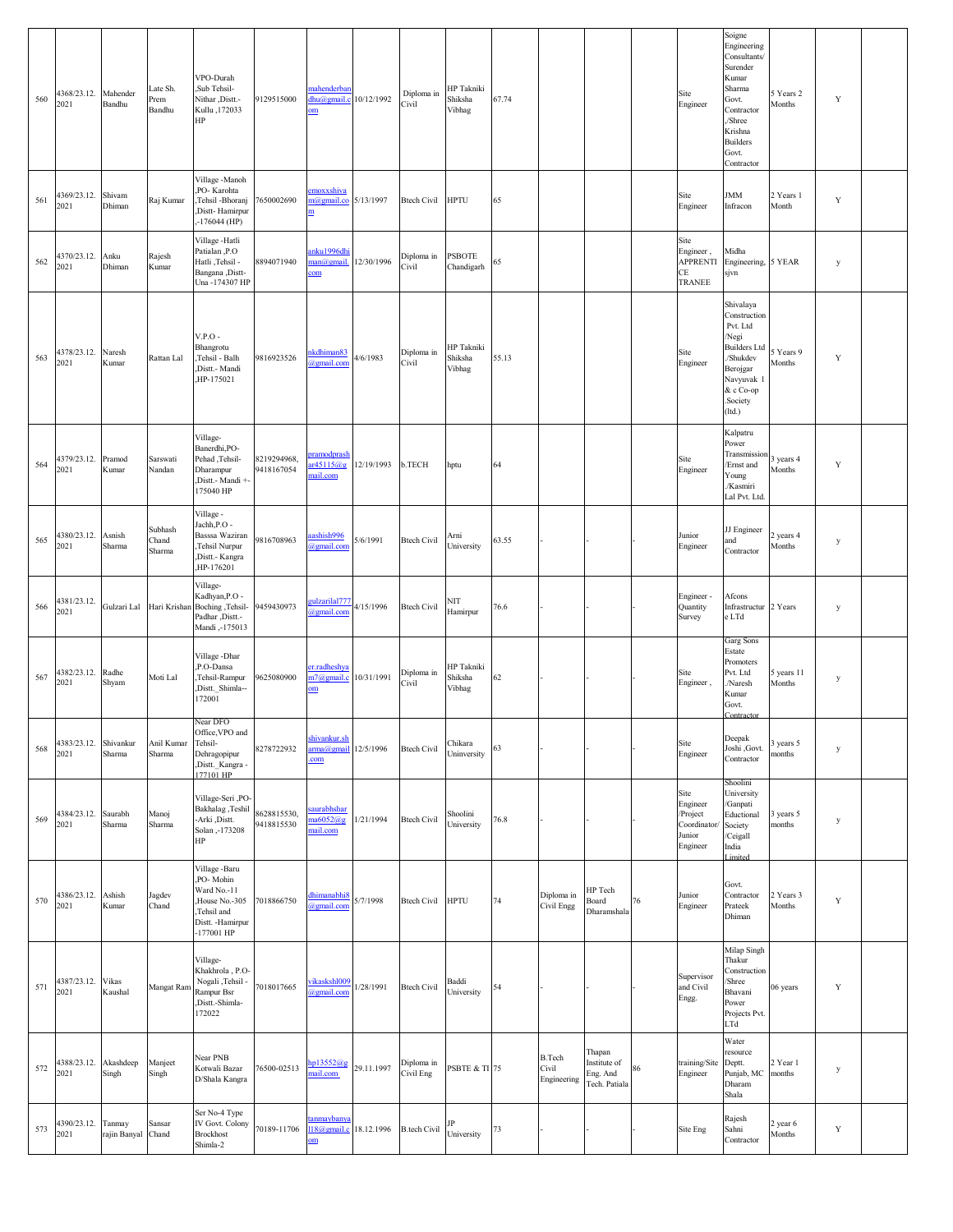| 560 | 4368/23.12. Mahender<br>2021  | Bandhu                 | Late Sh.<br>Prem<br>Bandhu | VPO-Durah<br>Sub Tehsil-<br>Nithar ,Distt.-<br>Kullu, 172033<br>HP                                          | 9129515000                | mahenderbar<br>dhu@gmail.c<br>om             | 10/12/1992 | Diploma in<br>Civil     | HP Takniki<br>Shiksha<br>Vibhag | 67.74 |                                       |                                                     |    | Site<br>Engineer                                                  | Soigne<br>Engineering<br>Consultants/<br>Surender<br>Kumar<br>Sharma<br>Govt.<br>Contractor<br>/Shree<br>Krishna<br><b>Builders</b><br>Govt.<br>Contractor | 5 Years 2<br>Months  | Y           |  |
|-----|-------------------------------|------------------------|----------------------------|-------------------------------------------------------------------------------------------------------------|---------------------------|----------------------------------------------|------------|-------------------------|---------------------------------|-------|---------------------------------------|-----------------------------------------------------|----|-------------------------------------------------------------------|------------------------------------------------------------------------------------------------------------------------------------------------------------|----------------------|-------------|--|
| 561 | 4369/23.12.<br>2021           | Shivam<br>Dhiman       | Raj Kumar                  | Village -Manoh<br>PO-Karohta<br>,Tehsil -Bhoranj<br>Distt-Hamirpur<br>$-176044$ (HP)                        | 7650002690                | emoxxshiva<br>m@gmail.co 5/13/1997<br>m      |            | <b>Btech Civil</b>      | <b>HPTU</b>                     | 65    |                                       |                                                     |    | Site<br>Engineer                                                  | <b>JMM</b><br>Infracon                                                                                                                                     | 2 Years 1<br>Month   | Y           |  |
| 562 | 4370/23.12.<br>2021           | Anku<br>Dhiman         | Rajesh<br>Kumar            | Village -Hatli<br>Patialan,P.O<br>Hatli ,Tehsil -<br>Bangana , Distt-<br>Una-174307 HP                      | 8894071940                | anku1996dhi<br>man@gmail.<br>com             | 12/30/1996 | Diploma in<br>Civil     | <b>PSBOTE</b><br>Chandigarh     | 65    |                                       |                                                     |    | Site<br>Engineer,<br><b>APPRENTI</b><br>CE<br>TRANEE              | Midha<br>Engineering, 5 YEAR<br>sjvn                                                                                                                       |                      | y           |  |
| 563 | 4378/23.12.<br>2021           | Naresh<br>Kumar        | Rattan Lal                 | $V.P.O$ -<br>Bhangrotu<br>,Tehsil - Balh<br>Distt.- Mandi<br>,HP-175021                                     | 9816923526                | hkdhiman <sup>83</sup><br>agmail.com         | 4/6/1983   | Diploma in<br>Civil     | HP Takniki<br>Shiksha<br>Vibhag | 55.13 |                                       |                                                     |    | Site<br>Engineer                                                  | Shivalaya<br>Construction<br>Pvt. Ltd<br>/Negi<br><b>Builders Ltd</b><br>/Shukdev<br>Berojgar<br>Navyuvak 1<br>& c Co-op<br>Society.<br>(ltd.)             | Years 9<br>Months    | Y           |  |
| 564 | 4379/23.12.<br>2021           | Pramod<br>Kumar        | Sarswati<br>Nandan         | Village-<br>Banerdhi, PO-<br>Pehad ,Tehsil-<br>Dharampur<br>,Distt.- Mandi +-<br>175040 HP                  | 8219294968,<br>9418167054 | <b>oramodprash</b><br>r45115@g<br>nail.com   | 12/19/1993 | b.TECH                  | hptu                            | 64    |                                       |                                                     |    | Site<br>Engineer                                                  | Kalpatru<br>Power<br>Transmission<br>Ernst and<br>Young<br>/Kasmiri<br>Lal Pvt. Ltd.                                                                       | years 4<br>Months    | Y           |  |
| 565 | 4380/23.12.<br>2021           | Asnish<br>Sharma       | Subhash<br>Chand<br>Sharma | Village -<br>Jachh, P.O -<br>Basssa Waziran<br>,Tehsil Nurpur<br>,Distt.- Kangra<br>,HP-176201              | 9816708963                | ashish996<br>@gmail.com                      | 5/6/1991   | <b>Btech Civil</b>      | Arni<br>University              | 63.55 |                                       |                                                     |    | Junior<br>Engineer                                                | JJ Engineer<br>and<br>Contractor                                                                                                                           | years 4<br>Months    | y           |  |
| 566 | 4381/23.12.<br>2021           | Gulzari Lal            |                            | Village-<br>Kadhyan, P.O -<br>Hari Krishan Boching , Tehsil-<br>Padhar , Distt.-<br>Mandi,-175013           | 9459430973                | <u>eulzarilal777</u><br>@gmail.con           | 4/15/1996  | <b>Btech Civil</b>      | NIT<br>Hamirpur                 | 76.6  |                                       |                                                     |    | Engineer-<br>Quantity<br>Survey                                   | Afcons<br>Infrastructur 2 Years<br>e LTd                                                                                                                   |                      | y           |  |
| 567 | 4382/23.12.<br>2021           | Radhe<br>Shyam         | Moti Lal                   | Village - Dhar<br>,P.O-Dansa<br>,Tehsil-Rampur<br>,Distt. Shimla--<br>172001                                | 9625080900                | er.radheshya<br>m7@gmail.c<br>om             | 10/31/1991 | Diploma in<br>Civil     | HP Takniki<br>Shiksha<br>Vibhag | 62    |                                       |                                                     |    | Site<br>Engineer,                                                 | Garg Sons<br>Estate<br>Promoters<br>Pvt. Ltd<br>Naresh<br>Kumar<br>Govt.<br>Contracto                                                                      | 5 years 11<br>Months | y           |  |
| 568 | 4383/23.12.<br>2021           | Shivankur<br>Sharma    | Anil Kumar<br>Sharma       | Near DFO<br>Office, VPO and<br>Tehsil-<br>Dehragopipur<br>,Distt. Kangra -<br>177101 HP                     | 8278722932                | shivankur.sh<br>arma@gmail 12/5/1996<br>.com |            | <b>Btech Civil</b>      | Chikara<br>Uninversity          | 63    |                                       |                                                     |    | Site<br>Engineer                                                  | Deepak<br>Joshi ,Govt.<br>Contractor                                                                                                                       | 3 years 5<br>months  | y           |  |
| 569 | 4384/23.12.<br>2021           | Saurabh<br>Sharma      | Manoj<br>Sharma            | Village-Seri ,PO-<br>Bakhalag, Teshil<br>Arki ,Distt.<br>Solan, -173208<br>HP                               | 8628815530,<br>9418815530 | <b>saurabhshar</b><br>na6052@g<br>mail.com   | 1/21/1994  | <b>Btech Civil</b>      | Shoolini<br>University          | 76.8  |                                       |                                                     |    | Site<br>Engineer<br>/Project<br>Coordinator<br>Junior<br>Engineer | Shoolini<br>University<br>/Ganpati<br>Eductional<br>Society<br>/Ceigall<br>India<br>Limited                                                                | 3 years 5<br>months  | y           |  |
| 570 | 4386/23.12.<br>2021           | Ashish<br>Kumar        | Jagdev<br>Chand            | Village -Baru<br>PO-Mohin<br>Ward No.-11<br>House No.-305<br>,Tehsil and<br>Distt. - Hamirpur<br>-177001 HP | 7018866750                | dhimanabhi8<br><b>@gmail.com</b>             | 5/7/1998   | <b>Btech Civil</b>      | <b>HPTU</b>                     | 74    | Diploma in<br>Civil Engg              | HP Tech<br>Board<br>Dharamshala                     | 76 | Junior<br>Engineer                                                | Govt.<br>Contractor<br>Prateek<br>Dhiman                                                                                                                   | 2 Years 3<br>Months  | Y           |  |
| 571 | 4387/23.12. Vikas<br>2021     | Kaushal                | Mangat Ram                 | Village-<br>Khakhrola, P.O-<br>Nogali ,Tehsil -<br>Rampur Bsr<br>,Distt.-Shimla-<br>172022                  | 7018017665                | vikasksh1009<br>@gmail.com                   | 1/28/1991  | <b>Btech Civil</b>      | Baddi<br>University             | 54    |                                       |                                                     |    | Supervisor<br>and Civil<br>Engg.                                  | Milap Singh<br>Thakur<br>Construction<br>Shree<br>Bhavani<br>Power<br>Projects Pvt.<br>LTd                                                                 | 06 years             | Y           |  |
| 572 | 4388/23.12. Akashdeep<br>2021 | Singh                  | Manjeet<br>Singh           | Near PNB<br>Kotwali Bazar<br>D/Shala Kangra                                                                 | 76500-02513               | p13552@g<br>nail.com                         | 29.11.1997 | Diploma in<br>Civil Eng | <b>PSBTE &amp; TI 75</b>        |       | <b>B.Tech</b><br>Civil<br>Engineering | Thapan<br>Institute of<br>Eng. And<br>Tech. Patiala | 86 | training/Site<br>Engineer                                         | Water<br>resource<br>Deptt.<br>Punjab, MC<br>Dharam<br>Shala                                                                                               | 2 Year 1<br>months   | y           |  |
| 573 | 4390/23.12.<br>2021           | Tanmay<br>rajin Banyal | Sansar<br>Chand            | Ser No-4 Type<br>IV Govt. Colony<br><b>Brockhost</b><br>Shimla-2                                            | 70189-11706               | anmaybanya<br>$118$ @gmail.c<br>$om$         | 18.12.1996 | <b>B.tech Civil</b>     | University                      | 73    |                                       |                                                     |    | Site Eng                                                          | Rajesh<br>Sahni<br>Contractor                                                                                                                              | 2 year 6<br>Months   | $\mathbf Y$ |  |